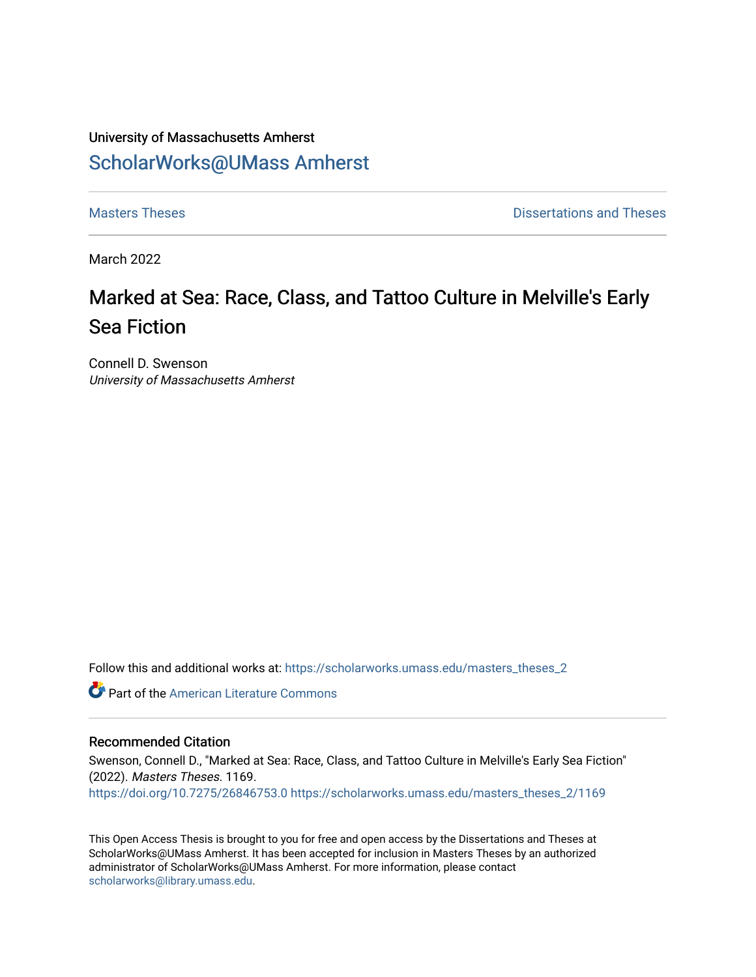# University of Massachusetts Amherst [ScholarWorks@UMass Amherst](https://scholarworks.umass.edu/)

**[Masters Theses](https://scholarworks.umass.edu/masters_theses_2) Contract Contract Contract Contract Contract Contract Contract Contract Contract Contract Contract Contract Contract Contract Contract Contract Contract Contract Contract Contract Contract Contract Contra** 

March 2022

# Marked at Sea: Race, Class, and Tattoo Culture in Melville's Early Sea Fiction

Connell D. Swenson University of Massachusetts Amherst

Follow this and additional works at: [https://scholarworks.umass.edu/masters\\_theses\\_2](https://scholarworks.umass.edu/masters_theses_2?utm_source=scholarworks.umass.edu%2Fmasters_theses_2%2F1169&utm_medium=PDF&utm_campaign=PDFCoverPages) 

**C** Part of the [American Literature Commons](https://network.bepress.com/hgg/discipline/441?utm_source=scholarworks.umass.edu%2Fmasters_theses_2%2F1169&utm_medium=PDF&utm_campaign=PDFCoverPages)

#### Recommended Citation

Swenson, Connell D., "Marked at Sea: Race, Class, and Tattoo Culture in Melville's Early Sea Fiction" (2022). Masters Theses. 1169. <https://doi.org/10.7275/26846753.0> [https://scholarworks.umass.edu/masters\\_theses\\_2/1169](https://scholarworks.umass.edu/masters_theses_2/1169?utm_source=scholarworks.umass.edu%2Fmasters_theses_2%2F1169&utm_medium=PDF&utm_campaign=PDFCoverPages) 

This Open Access Thesis is brought to you for free and open access by the Dissertations and Theses at ScholarWorks@UMass Amherst. It has been accepted for inclusion in Masters Theses by an authorized administrator of ScholarWorks@UMass Amherst. For more information, please contact [scholarworks@library.umass.edu.](mailto:scholarworks@library.umass.edu)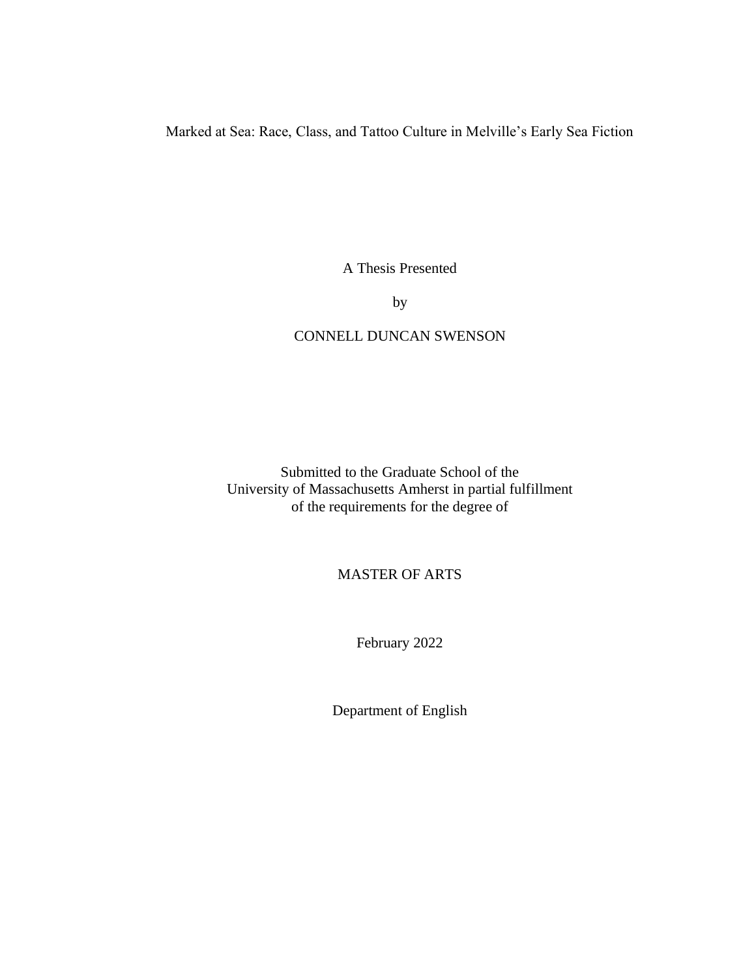Marked at Sea: Race, Class, and Tattoo Culture in Melville's Early Sea Fiction

A Thesis Presented

by

## CONNELL DUNCAN SWENSON

Submitted to the Graduate School of the University of Massachusetts Amherst in partial fulfillment of the requirements for the degree of

MASTER OF ARTS

February 2022

Department of English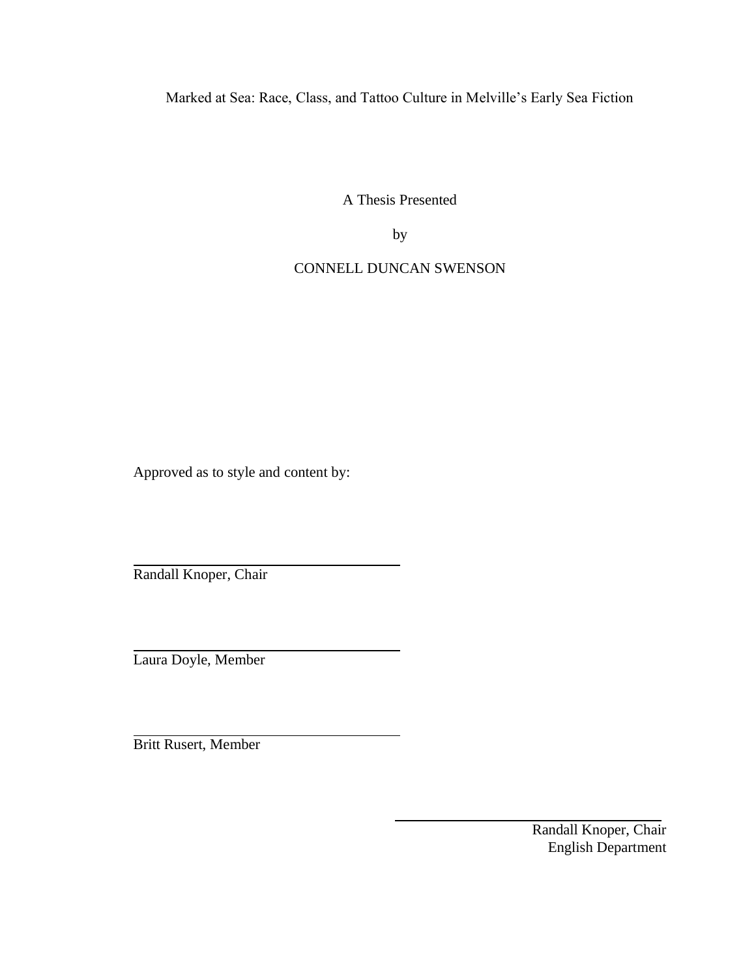Marked at Sea: Race, Class, and Tattoo Culture in Melville's Early Sea Fiction

A Thesis Presented

by

CONNELL DUNCAN SWENSON

Approved as to style and content by:

Randall Knoper, Chair

Laura Doyle, Member

Britt Rusert, Member

Randall Knoper, Chair English Department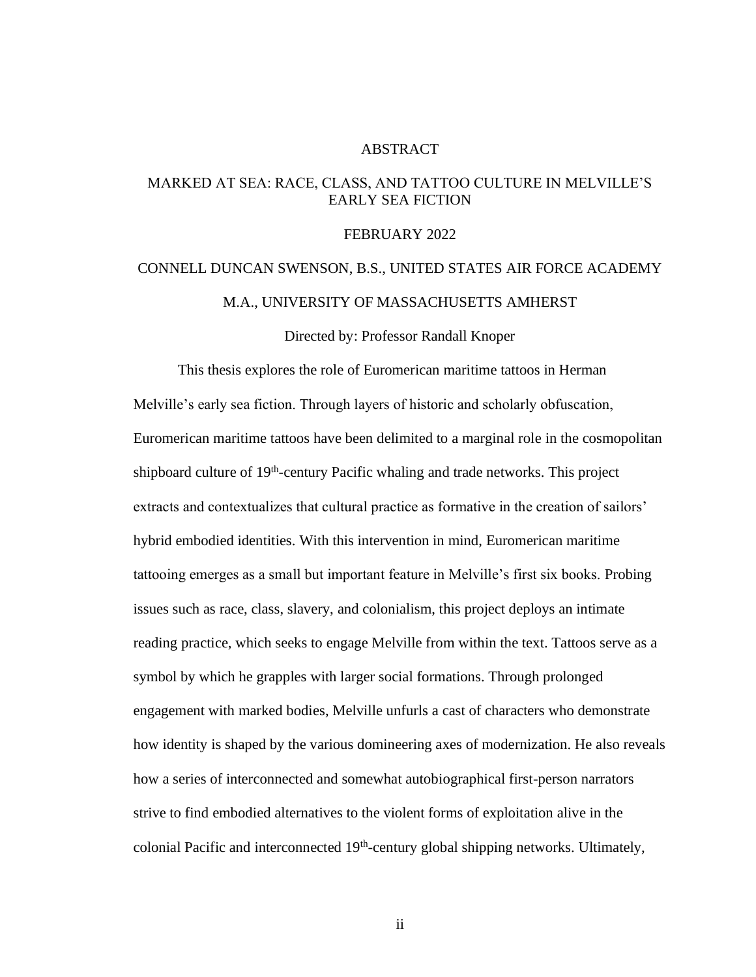#### ABSTRACT

### MARKED AT SEA: RACE, CLASS, AND TATTOO CULTURE IN MELVILLE'S EARLY SEA FICTION

#### FEBRUARY 2022

# CONNELL DUNCAN SWENSON, B.S., UNITED STATES AIR FORCE ACADEMY M.A., UNIVERSITY OF MASSACHUSETTS AMHERST

Directed by: Professor Randall Knoper

This thesis explores the role of Euromerican maritime tattoos in Herman Melville's early sea fiction. Through layers of historic and scholarly obfuscation, Euromerican maritime tattoos have been delimited to a marginal role in the cosmopolitan shipboard culture of 19<sup>th</sup>-century Pacific whaling and trade networks. This project extracts and contextualizes that cultural practice as formative in the creation of sailors' hybrid embodied identities. With this intervention in mind, Euromerican maritime tattooing emerges as a small but important feature in Melville's first six books. Probing issues such as race, class, slavery, and colonialism, this project deploys an intimate reading practice, which seeks to engage Melville from within the text. Tattoos serve as a symbol by which he grapples with larger social formations. Through prolonged engagement with marked bodies, Melville unfurls a cast of characters who demonstrate how identity is shaped by the various domineering axes of modernization. He also reveals how a series of interconnected and somewhat autobiographical first-person narrators strive to find embodied alternatives to the violent forms of exploitation alive in the colonial Pacific and interconnected 19<sup>th</sup>-century global shipping networks. Ultimately,

ii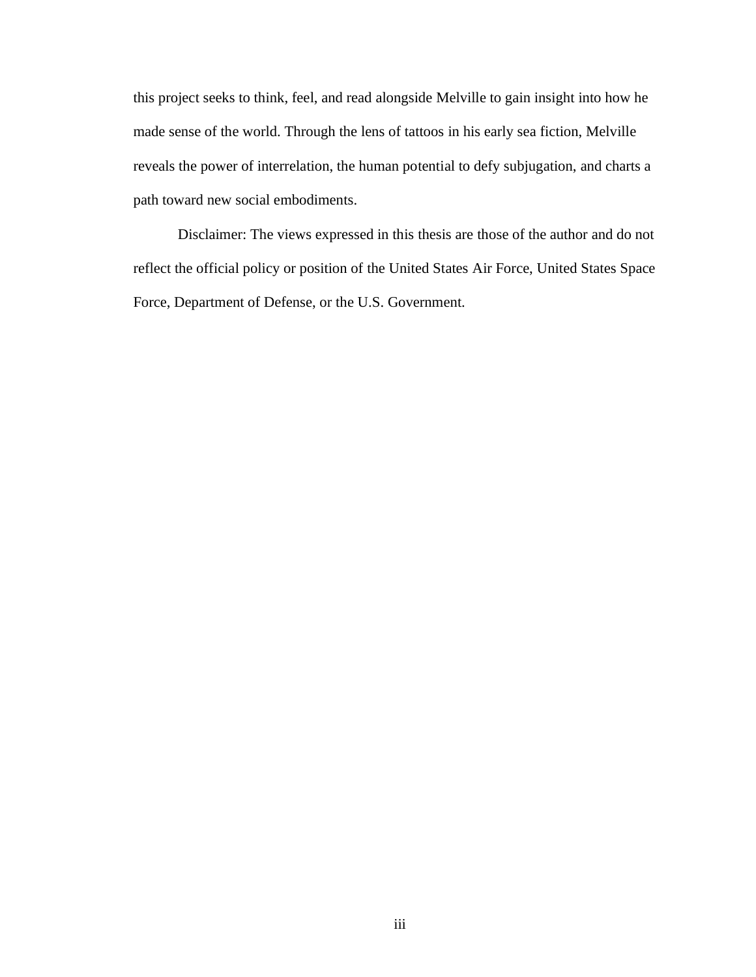this project seeks to think, feel, and read alongside Melville to gain insight into how he made sense of the world. Through the lens of tattoos in his early sea fiction, Melville reveals the power of interrelation, the human potential to defy subjugation, and charts a path toward new social embodiments.

Disclaimer: The views expressed in this thesis are those of the author and do not reflect the official policy or position of the United States Air Force, United States Space Force, Department of Defense, or the U.S. Government.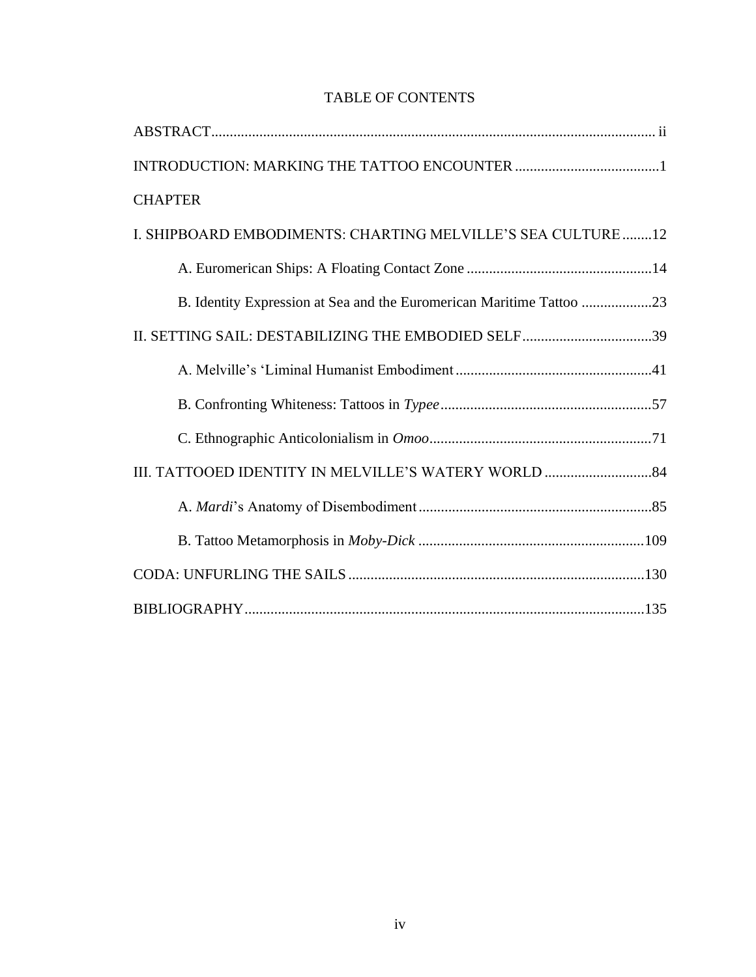| <b>CHAPTER</b>                                                       |
|----------------------------------------------------------------------|
| I. SHIPBOARD EMBODIMENTS: CHARTING MELVILLE'S SEA CULTURE12          |
|                                                                      |
| B. Identity Expression at Sea and the Euromerican Maritime Tattoo 23 |
| II. SETTING SAIL: DESTABILIZING THE EMBODIED SELF39                  |
|                                                                      |
|                                                                      |
|                                                                      |
|                                                                      |
|                                                                      |
|                                                                      |
|                                                                      |
|                                                                      |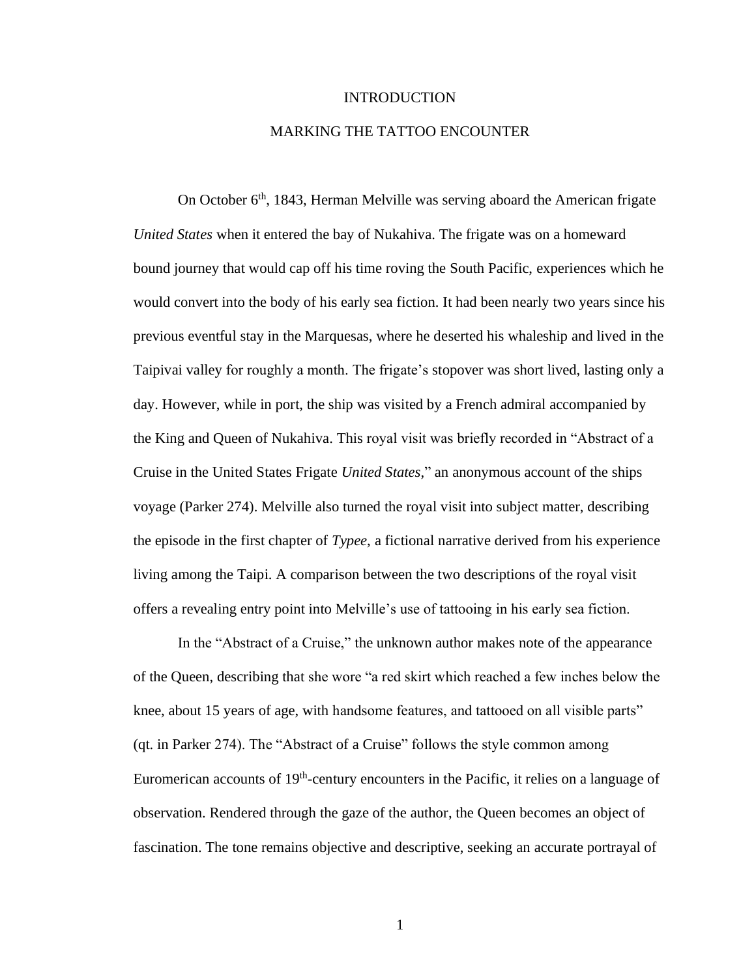#### INTRODUCTION

#### MARKING THE TATTOO ENCOUNTER

On October 6<sup>th</sup>, 1843, Herman Melville was serving aboard the American frigate *United States* when it entered the bay of Nukahiva. The frigate was on a homeward bound journey that would cap off his time roving the South Pacific, experiences which he would convert into the body of his early sea fiction. It had been nearly two years since his previous eventful stay in the Marquesas, where he deserted his whaleship and lived in the Taipivai valley for roughly a month. The frigate's stopover was short lived, lasting only a day. However, while in port, the ship was visited by a French admiral accompanied by the King and Queen of Nukahiva. This royal visit was briefly recorded in "Abstract of a Cruise in the United States Frigate *United States*," an anonymous account of the ships voyage (Parker 274). Melville also turned the royal visit into subject matter, describing the episode in the first chapter of *Typee*, a fictional narrative derived from his experience living among the Taipi. A comparison between the two descriptions of the royal visit offers a revealing entry point into Melville's use of tattooing in his early sea fiction.

In the "Abstract of a Cruise," the unknown author makes note of the appearance of the Queen, describing that she wore "a red skirt which reached a few inches below the knee, about 15 years of age, with handsome features, and tattooed on all visible parts" (qt. in Parker 274). The "Abstract of a Cruise" follows the style common among Euromerican accounts of 19<sup>th</sup>-century encounters in the Pacific, it relies on a language of observation. Rendered through the gaze of the author, the Queen becomes an object of fascination. The tone remains objective and descriptive, seeking an accurate portrayal of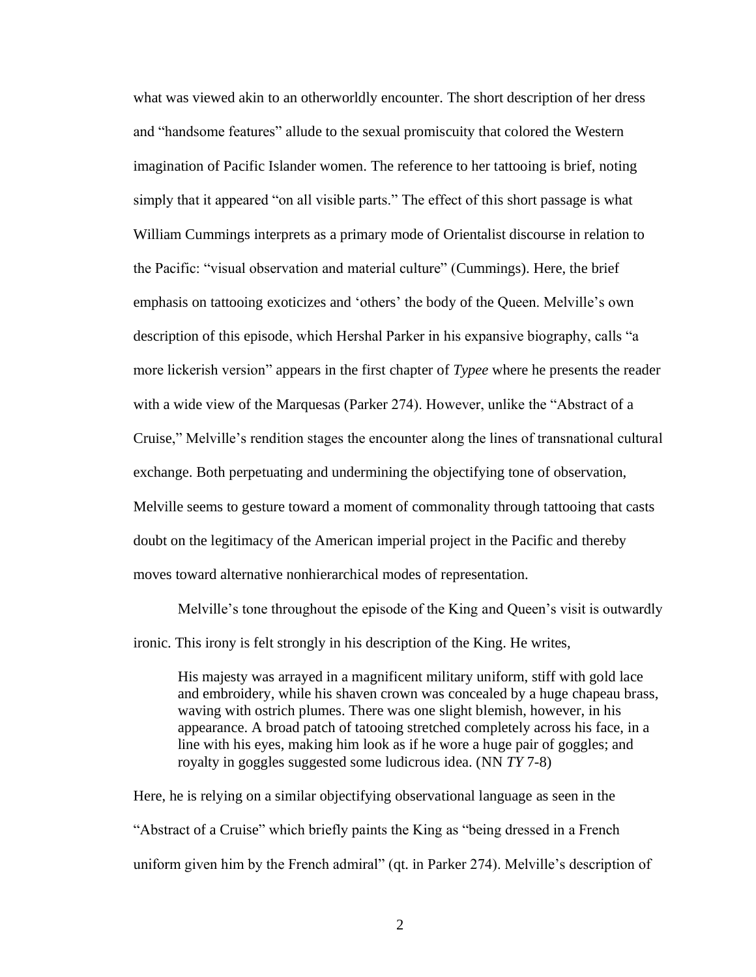what was viewed akin to an otherworldly encounter. The short description of her dress and "handsome features" allude to the sexual promiscuity that colored the Western imagination of Pacific Islander women. The reference to her tattooing is brief, noting simply that it appeared "on all visible parts." The effect of this short passage is what William Cummings interprets as a primary mode of Orientalist discourse in relation to the Pacific: "visual observation and material culture" (Cummings). Here, the brief emphasis on tattooing exoticizes and 'others' the body of the Queen. Melville's own description of this episode, which Hershal Parker in his expansive biography, calls "a more lickerish version" appears in the first chapter of *Typee* where he presents the reader with a wide view of the Marquesas (Parker 274). However, unlike the "Abstract of a Cruise," Melville's rendition stages the encounter along the lines of transnational cultural exchange. Both perpetuating and undermining the objectifying tone of observation, Melville seems to gesture toward a moment of commonality through tattooing that casts doubt on the legitimacy of the American imperial project in the Pacific and thereby moves toward alternative nonhierarchical modes of representation.

Melville's tone throughout the episode of the King and Queen's visit is outwardly ironic. This irony is felt strongly in his description of the King. He writes,

His majesty was arrayed in a magnificent military uniform, stiff with gold lace and embroidery, while his shaven crown was concealed by a huge chapeau brass, waving with ostrich plumes. There was one slight blemish, however, in his appearance. A broad patch of tatooing stretched completely across his face, in a line with his eyes, making him look as if he wore a huge pair of goggles; and royalty in goggles suggested some ludicrous idea. (NN *TY* 7-8)

Here, he is relying on a similar objectifying observational language as seen in the "Abstract of a Cruise" which briefly paints the King as "being dressed in a French uniform given him by the French admiral" (qt. in Parker 274). Melville's description of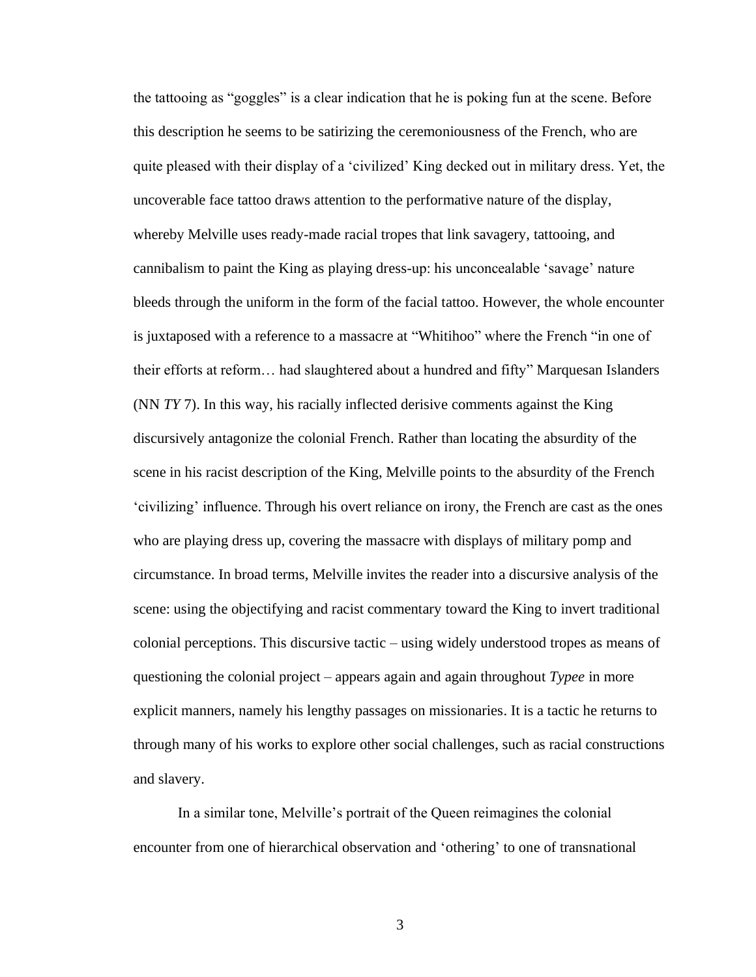the tattooing as "goggles" is a clear indication that he is poking fun at the scene. Before this description he seems to be satirizing the ceremoniousness of the French, who are quite pleased with their display of a 'civilized' King decked out in military dress. Yet, the uncoverable face tattoo draws attention to the performative nature of the display, whereby Melville uses ready-made racial tropes that link savagery, tattooing, and cannibalism to paint the King as playing dress-up: his unconcealable 'savage' nature bleeds through the uniform in the form of the facial tattoo. However, the whole encounter is juxtaposed with a reference to a massacre at "Whitihoo" where the French "in one of their efforts at reform… had slaughtered about a hundred and fifty" Marquesan Islanders (NN *TY* 7). In this way, his racially inflected derisive comments against the King discursively antagonize the colonial French. Rather than locating the absurdity of the scene in his racist description of the King, Melville points to the absurdity of the French 'civilizing' influence. Through his overt reliance on irony, the French are cast as the ones who are playing dress up, covering the massacre with displays of military pomp and circumstance. In broad terms, Melville invites the reader into a discursive analysis of the scene: using the objectifying and racist commentary toward the King to invert traditional colonial perceptions. This discursive tactic – using widely understood tropes as means of questioning the colonial project – appears again and again throughout *Typee* in more explicit manners, namely his lengthy passages on missionaries. It is a tactic he returns to through many of his works to explore other social challenges, such as racial constructions and slavery.

In a similar tone, Melville's portrait of the Queen reimagines the colonial encounter from one of hierarchical observation and 'othering' to one of transnational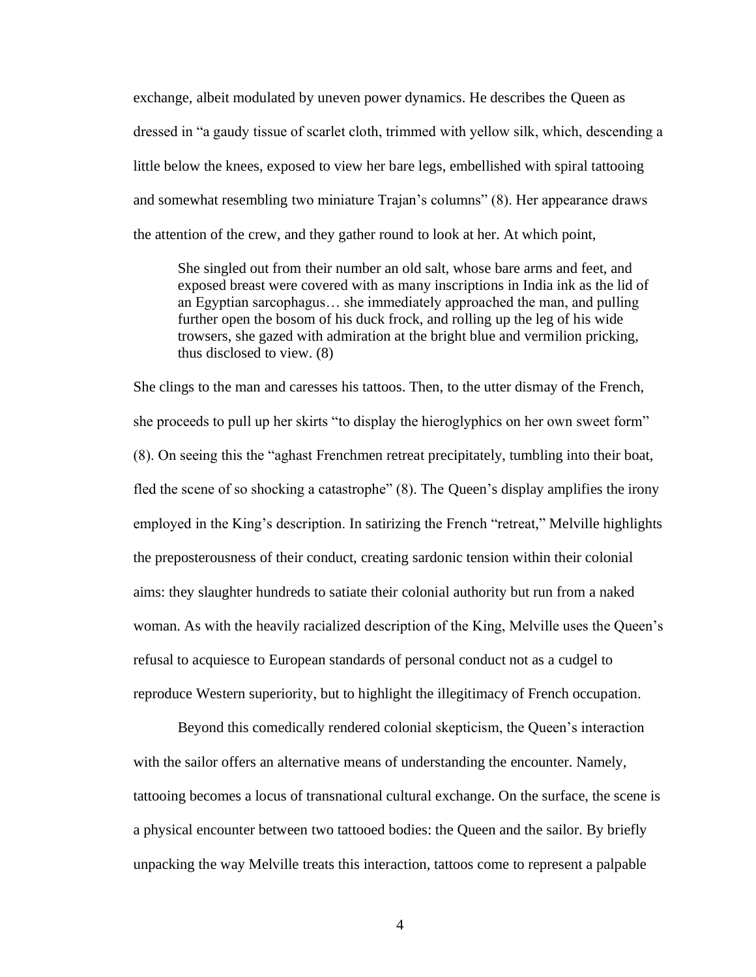exchange, albeit modulated by uneven power dynamics. He describes the Queen as dressed in "a gaudy tissue of scarlet cloth, trimmed with yellow silk, which, descending a little below the knees, exposed to view her bare legs, embellished with spiral tattooing and somewhat resembling two miniature Trajan's columns" (8). Her appearance draws the attention of the crew, and they gather round to look at her. At which point,

She singled out from their number an old salt, whose bare arms and feet, and exposed breast were covered with as many inscriptions in India ink as the lid of an Egyptian sarcophagus… she immediately approached the man, and pulling further open the bosom of his duck frock, and rolling up the leg of his wide trowsers, she gazed with admiration at the bright blue and vermilion pricking, thus disclosed to view. (8)

She clings to the man and caresses his tattoos. Then, to the utter dismay of the French, she proceeds to pull up her skirts "to display the hieroglyphics on her own sweet form" (8). On seeing this the "aghast Frenchmen retreat precipitately, tumbling into their boat, fled the scene of so shocking a catastrophe" (8). The Queen's display amplifies the irony employed in the King's description. In satirizing the French "retreat," Melville highlights the preposterousness of their conduct, creating sardonic tension within their colonial aims: they slaughter hundreds to satiate their colonial authority but run from a naked woman. As with the heavily racialized description of the King, Melville uses the Queen's refusal to acquiesce to European standards of personal conduct not as a cudgel to reproduce Western superiority, but to highlight the illegitimacy of French occupation.

Beyond this comedically rendered colonial skepticism, the Queen's interaction with the sailor offers an alternative means of understanding the encounter. Namely, tattooing becomes a locus of transnational cultural exchange. On the surface, the scene is a physical encounter between two tattooed bodies: the Queen and the sailor. By briefly unpacking the way Melville treats this interaction, tattoos come to represent a palpable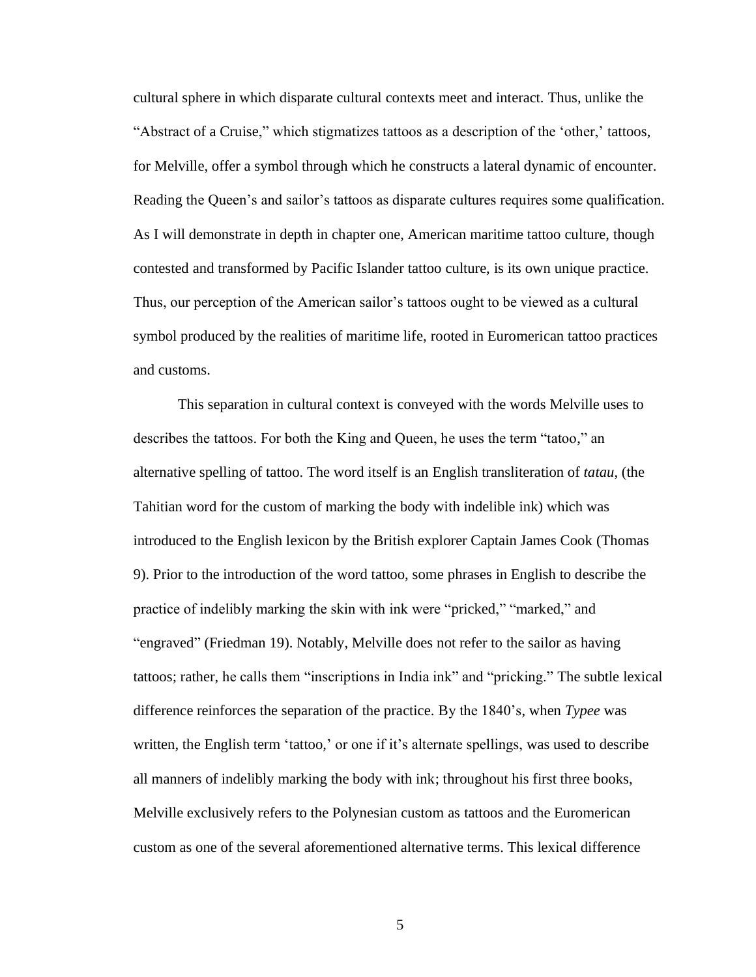cultural sphere in which disparate cultural contexts meet and interact. Thus, unlike the "Abstract of a Cruise," which stigmatizes tattoos as a description of the 'other,' tattoos, for Melville, offer a symbol through which he constructs a lateral dynamic of encounter. Reading the Queen's and sailor's tattoos as disparate cultures requires some qualification. As I will demonstrate in depth in chapter one, American maritime tattoo culture, though contested and transformed by Pacific Islander tattoo culture, is its own unique practice. Thus, our perception of the American sailor's tattoos ought to be viewed as a cultural symbol produced by the realities of maritime life, rooted in Euromerican tattoo practices and customs.

This separation in cultural context is conveyed with the words Melville uses to describes the tattoos. For both the King and Queen, he uses the term "tatoo," an alternative spelling of tattoo. The word itself is an English transliteration of *tatau*, (the Tahitian word for the custom of marking the body with indelible ink) which was introduced to the English lexicon by the British explorer Captain James Cook (Thomas 9). Prior to the introduction of the word tattoo, some phrases in English to describe the practice of indelibly marking the skin with ink were "pricked," "marked," and "engraved" (Friedman 19). Notably, Melville does not refer to the sailor as having tattoos; rather, he calls them "inscriptions in India ink" and "pricking." The subtle lexical difference reinforces the separation of the practice. By the 1840's, when *Typee* was written, the English term 'tattoo,' or one if it's alternate spellings, was used to describe all manners of indelibly marking the body with ink; throughout his first three books, Melville exclusively refers to the Polynesian custom as tattoos and the Euromerican custom as one of the several aforementioned alternative terms. This lexical difference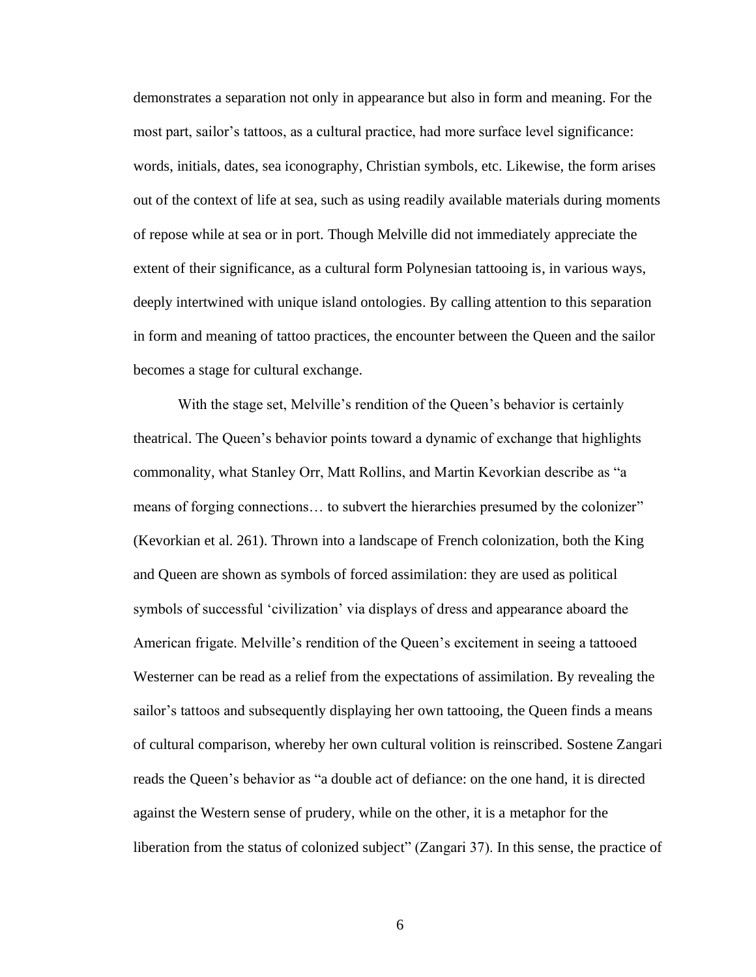demonstrates a separation not only in appearance but also in form and meaning. For the most part, sailor's tattoos, as a cultural practice, had more surface level significance: words, initials, dates, sea iconography, Christian symbols, etc. Likewise, the form arises out of the context of life at sea, such as using readily available materials during moments of repose while at sea or in port. Though Melville did not immediately appreciate the extent of their significance, as a cultural form Polynesian tattooing is, in various ways, deeply intertwined with unique island ontologies. By calling attention to this separation in form and meaning of tattoo practices, the encounter between the Queen and the sailor becomes a stage for cultural exchange.

With the stage set, Melville's rendition of the Queen's behavior is certainly theatrical. The Queen's behavior points toward a dynamic of exchange that highlights commonality, what Stanley Orr, Matt Rollins, and Martin Kevorkian describe as "a means of forging connections… to subvert the hierarchies presumed by the colonizer" (Kevorkian et al. 261). Thrown into a landscape of French colonization, both the King and Queen are shown as symbols of forced assimilation: they are used as political symbols of successful 'civilization' via displays of dress and appearance aboard the American frigate. Melville's rendition of the Queen's excitement in seeing a tattooed Westerner can be read as a relief from the expectations of assimilation. By revealing the sailor's tattoos and subsequently displaying her own tattooing, the Queen finds a means of cultural comparison, whereby her own cultural volition is reinscribed. Sostene Zangari reads the Queen's behavior as "a double act of defiance: on the one hand, it is directed against the Western sense of prudery, while on the other, it is a metaphor for the liberation from the status of colonized subject" (Zangari 37). In this sense, the practice of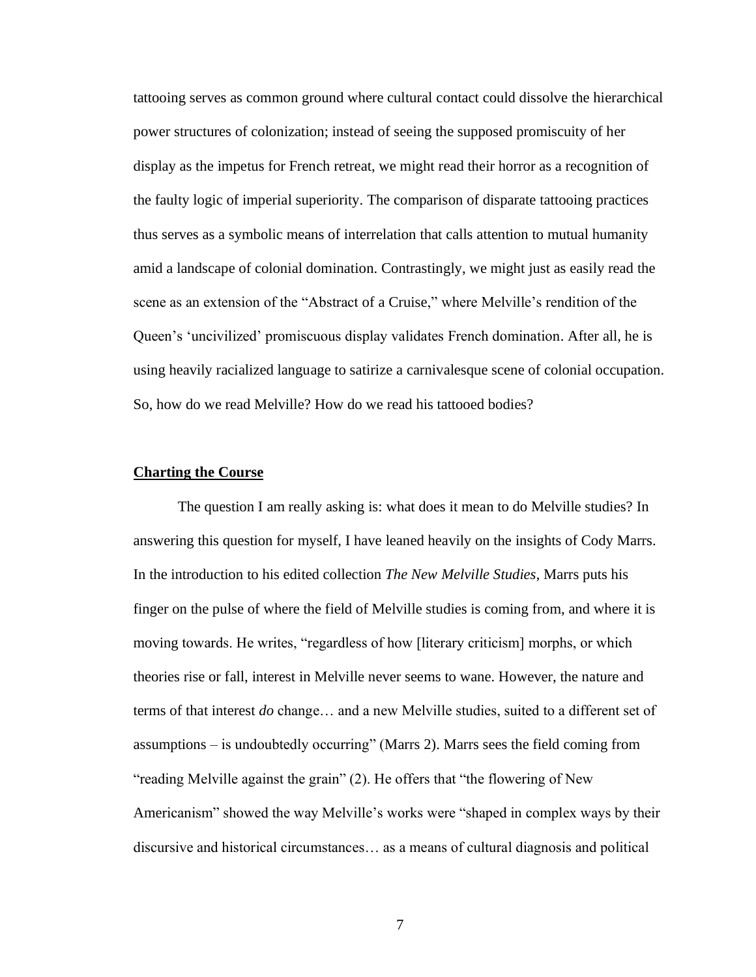tattooing serves as common ground where cultural contact could dissolve the hierarchical power structures of colonization; instead of seeing the supposed promiscuity of her display as the impetus for French retreat, we might read their horror as a recognition of the faulty logic of imperial superiority. The comparison of disparate tattooing practices thus serves as a symbolic means of interrelation that calls attention to mutual humanity amid a landscape of colonial domination. Contrastingly, we might just as easily read the scene as an extension of the "Abstract of a Cruise," where Melville's rendition of the Queen's 'uncivilized' promiscuous display validates French domination. After all, he is using heavily racialized language to satirize a carnivalesque scene of colonial occupation. So, how do we read Melville? How do we read his tattooed bodies?

#### **Charting the Course**

The question I am really asking is: what does it mean to do Melville studies? In answering this question for myself, I have leaned heavily on the insights of Cody Marrs. In the introduction to his edited collection *The New Melville Studies*, Marrs puts his finger on the pulse of where the field of Melville studies is coming from, and where it is moving towards. He writes, "regardless of how [literary criticism] morphs, or which theories rise or fall, interest in Melville never seems to wane. However, the nature and terms of that interest *do* change… and a new Melville studies, suited to a different set of assumptions – is undoubtedly occurring" (Marrs 2). Marrs sees the field coming from "reading Melville against the grain" (2). He offers that "the flowering of New Americanism" showed the way Melville's works were "shaped in complex ways by their discursive and historical circumstances… as a means of cultural diagnosis and political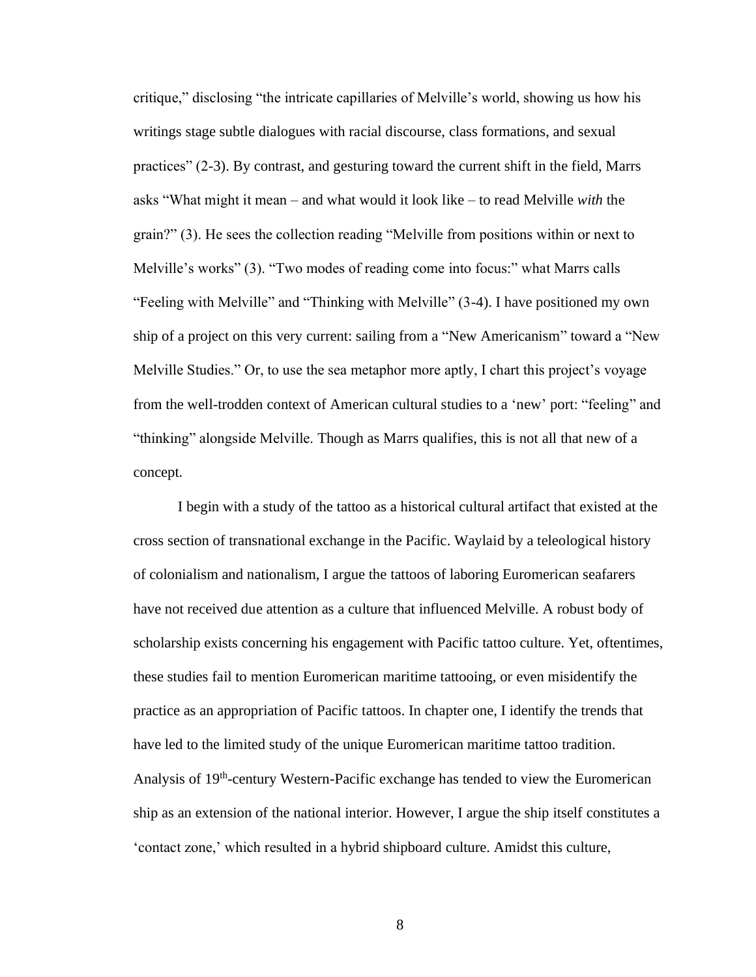critique," disclosing "the intricate capillaries of Melville's world, showing us how his writings stage subtle dialogues with racial discourse, class formations, and sexual practices" (2-3). By contrast, and gesturing toward the current shift in the field, Marrs asks "What might it mean – and what would it look like – to read Melville *with* the grain?" (3). He sees the collection reading "Melville from positions within or next to Melville's works" (3). "Two modes of reading come into focus:" what Marrs calls "Feeling with Melville" and "Thinking with Melville" (3-4). I have positioned my own ship of a project on this very current: sailing from a "New Americanism" toward a "New Melville Studies." Or, to use the sea metaphor more aptly, I chart this project's voyage from the well-trodden context of American cultural studies to a 'new' port: "feeling" and "thinking" alongside Melville. Though as Marrs qualifies, this is not all that new of a concept.

I begin with a study of the tattoo as a historical cultural artifact that existed at the cross section of transnational exchange in the Pacific. Waylaid by a teleological history of colonialism and nationalism, I argue the tattoos of laboring Euromerican seafarers have not received due attention as a culture that influenced Melville. A robust body of scholarship exists concerning his engagement with Pacific tattoo culture. Yet, oftentimes, these studies fail to mention Euromerican maritime tattooing, or even misidentify the practice as an appropriation of Pacific tattoos. In chapter one, I identify the trends that have led to the limited study of the unique Euromerican maritime tattoo tradition. Analysis of 19<sup>th</sup>-century Western-Pacific exchange has tended to view the Euromerican ship as an extension of the national interior. However, I argue the ship itself constitutes a 'contact zone,' which resulted in a hybrid shipboard culture. Amidst this culture,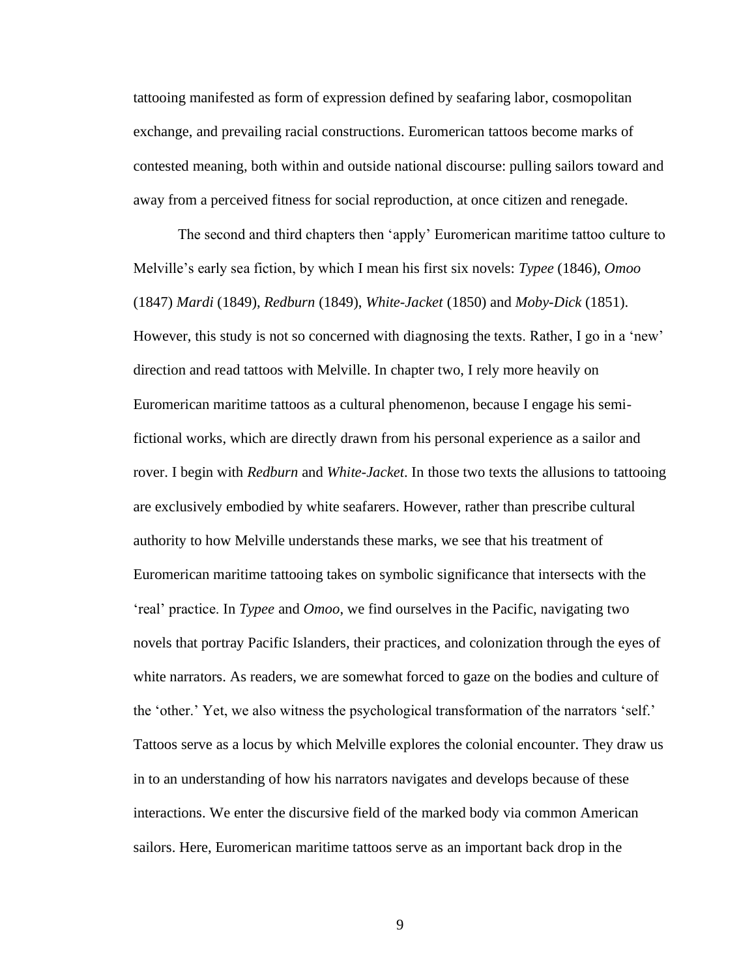tattooing manifested as form of expression defined by seafaring labor, cosmopolitan exchange, and prevailing racial constructions. Euromerican tattoos become marks of contested meaning, both within and outside national discourse: pulling sailors toward and away from a perceived fitness for social reproduction, at once citizen and renegade.

The second and third chapters then 'apply' Euromerican maritime tattoo culture to Melville's early sea fiction, by which I mean his first six novels: *Typee* (1846), *Omoo* (1847) *Mardi* (1849), *Redburn* (1849), *White-Jacket* (1850) and *Moby-Dick* (1851). However, this study is not so concerned with diagnosing the texts. Rather, I go in a 'new' direction and read tattoos with Melville. In chapter two, I rely more heavily on Euromerican maritime tattoos as a cultural phenomenon, because I engage his semifictional works, which are directly drawn from his personal experience as a sailor and rover. I begin with *Redburn* and *White-Jacket*. In those two texts the allusions to tattooing are exclusively embodied by white seafarers. However, rather than prescribe cultural authority to how Melville understands these marks, we see that his treatment of Euromerican maritime tattooing takes on symbolic significance that intersects with the 'real' practice. In *Typee* and *Omoo*, we find ourselves in the Pacific, navigating two novels that portray Pacific Islanders, their practices, and colonization through the eyes of white narrators. As readers, we are somewhat forced to gaze on the bodies and culture of the 'other.' Yet, we also witness the psychological transformation of the narrators 'self.' Tattoos serve as a locus by which Melville explores the colonial encounter. They draw us in to an understanding of how his narrators navigates and develops because of these interactions. We enter the discursive field of the marked body via common American sailors. Here, Euromerican maritime tattoos serve as an important back drop in the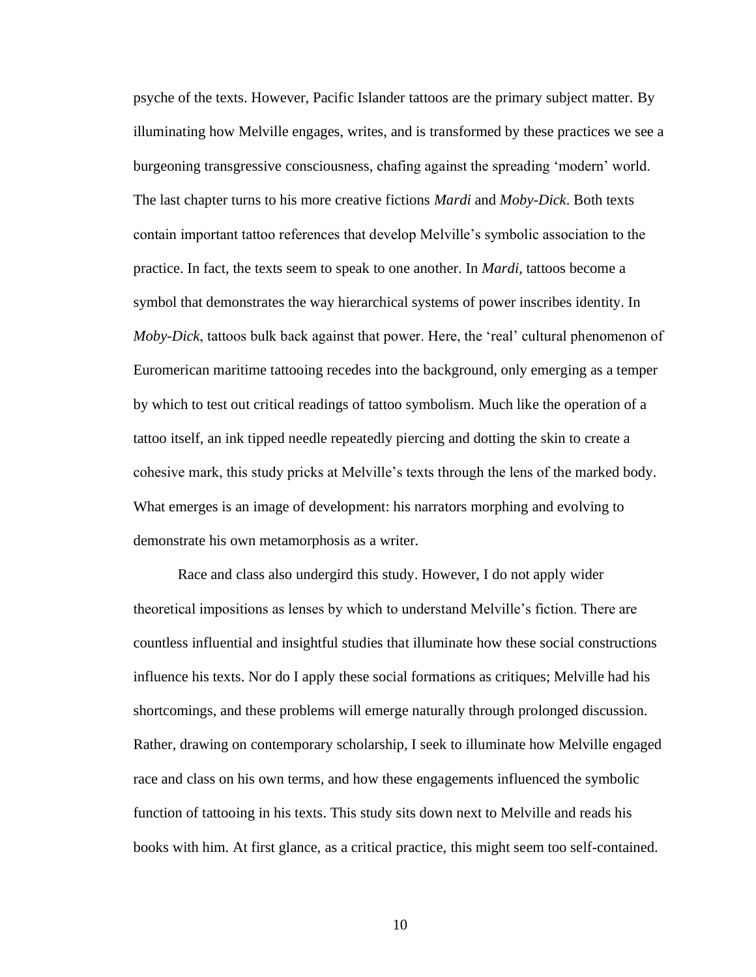psyche of the texts. However, Pacific Islander tattoos are the primary subject matter. By illuminating how Melville engages, writes, and is transformed by these practices we see a burgeoning transgressive consciousness, chafing against the spreading 'modern' world. The last chapter turns to his more creative fictions *Mardi* and *Moby-Dick*. Both texts contain important tattoo references that develop Melville's symbolic association to the practice. In fact, the texts seem to speak to one another. In *Mardi*, tattoos become a symbol that demonstrates the way hierarchical systems of power inscribes identity. In *Moby-Dick*, tattoos bulk back against that power. Here, the 'real' cultural phenomenon of Euromerican maritime tattooing recedes into the background, only emerging as a temper by which to test out critical readings of tattoo symbolism. Much like the operation of a tattoo itself, an ink tipped needle repeatedly piercing and dotting the skin to create a cohesive mark, this study pricks at Melville's texts through the lens of the marked body. What emerges is an image of development: his narrators morphing and evolving to demonstrate his own metamorphosis as a writer.

Race and class also undergird this study. However, I do not apply wider theoretical impositions as lenses by which to understand Melville's fiction. There are countless influential and insightful studies that illuminate how these social constructions influence his texts. Nor do I apply these social formations as critiques; Melville had his shortcomings, and these problems will emerge naturally through prolonged discussion. Rather, drawing on contemporary scholarship, I seek to illuminate how Melville engaged race and class on his own terms, and how these engagements influenced the symbolic function of tattooing in his texts. This study sits down next to Melville and reads his books with him. At first glance, as a critical practice, this might seem too self-contained.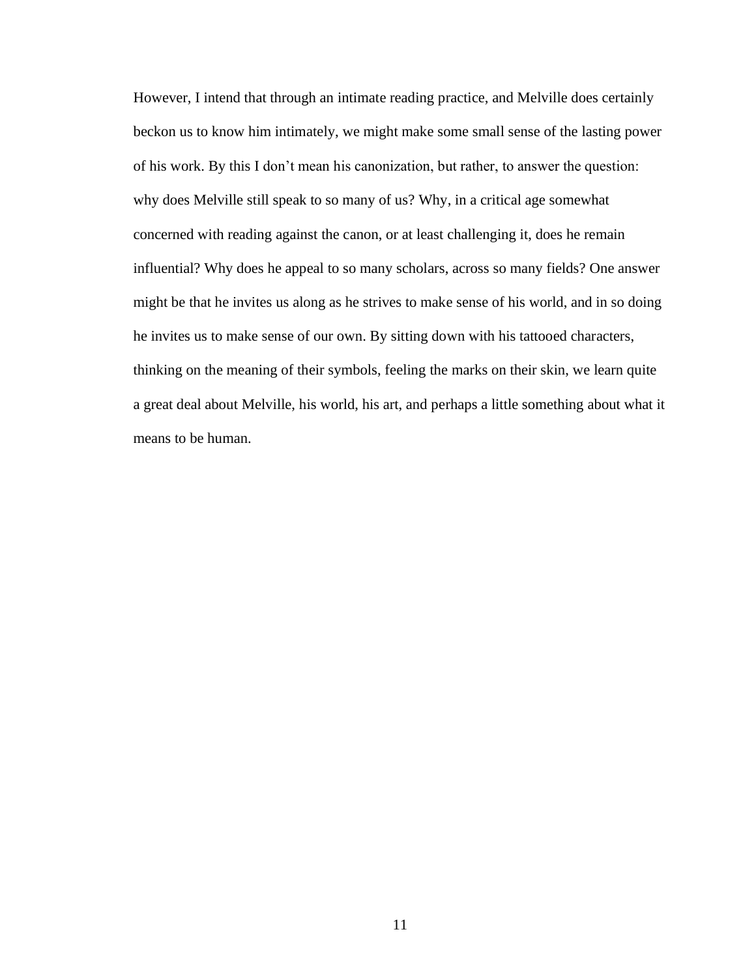However, I intend that through an intimate reading practice, and Melville does certainly beckon us to know him intimately, we might make some small sense of the lasting power of his work. By this I don't mean his canonization, but rather, to answer the question: why does Melville still speak to so many of us? Why, in a critical age somewhat concerned with reading against the canon, or at least challenging it, does he remain influential? Why does he appeal to so many scholars, across so many fields? One answer might be that he invites us along as he strives to make sense of his world, and in so doing he invites us to make sense of our own. By sitting down with his tattooed characters, thinking on the meaning of their symbols, feeling the marks on their skin, we learn quite a great deal about Melville, his world, his art, and perhaps a little something about what it means to be human.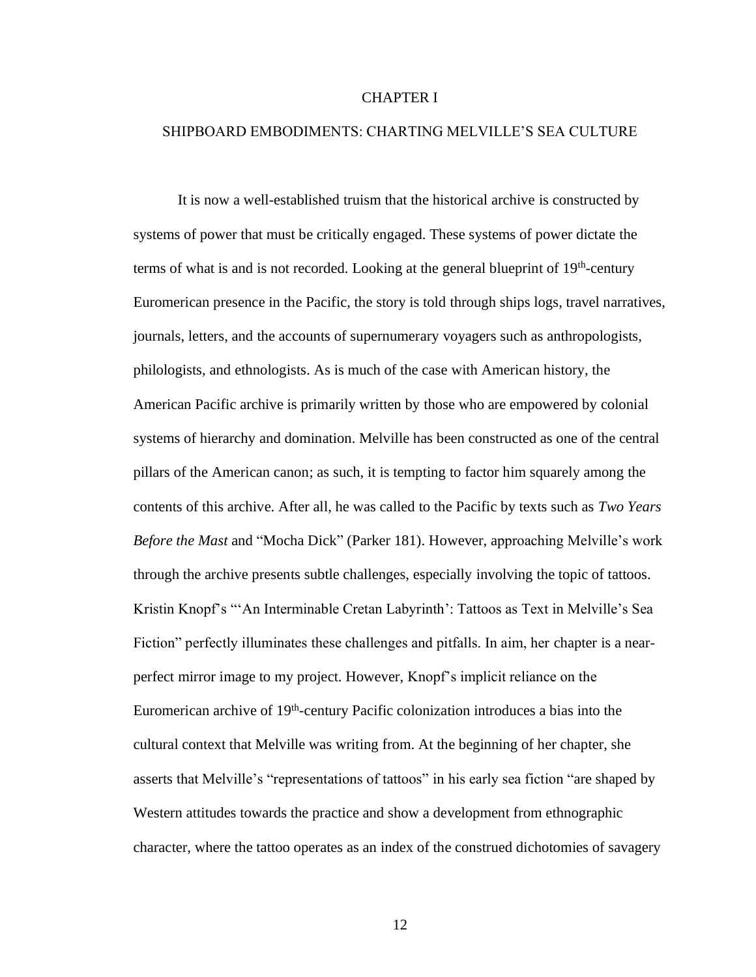#### CHAPTER I

### SHIPBOARD EMBODIMENTS: CHARTING MELVILLE'S SEA CULTURE

It is now a well-established truism that the historical archive is constructed by systems of power that must be critically engaged. These systems of power dictate the terms of what is and is not recorded. Looking at the general blueprint of 19<sup>th</sup>-century Euromerican presence in the Pacific, the story is told through ships logs, travel narratives, journals, letters, and the accounts of supernumerary voyagers such as anthropologists, philologists, and ethnologists. As is much of the case with American history, the American Pacific archive is primarily written by those who are empowered by colonial systems of hierarchy and domination. Melville has been constructed as one of the central pillars of the American canon; as such, it is tempting to factor him squarely among the contents of this archive. After all, he was called to the Pacific by texts such as *Two Years Before the Mast* and "Mocha Dick" (Parker 181). However, approaching Melville's work through the archive presents subtle challenges, especially involving the topic of tattoos. Kristin Knopf's "'An Interminable Cretan Labyrinth': Tattoos as Text in Melville's Sea Fiction" perfectly illuminates these challenges and pitfalls. In aim, her chapter is a nearperfect mirror image to my project. However, Knopf's implicit reliance on the Euromerican archive of 19<sup>th</sup>-century Pacific colonization introduces a bias into the cultural context that Melville was writing from. At the beginning of her chapter, she asserts that Melville's "representations of tattoos" in his early sea fiction "are shaped by Western attitudes towards the practice and show a development from ethnographic character, where the tattoo operates as an index of the construed dichotomies of savagery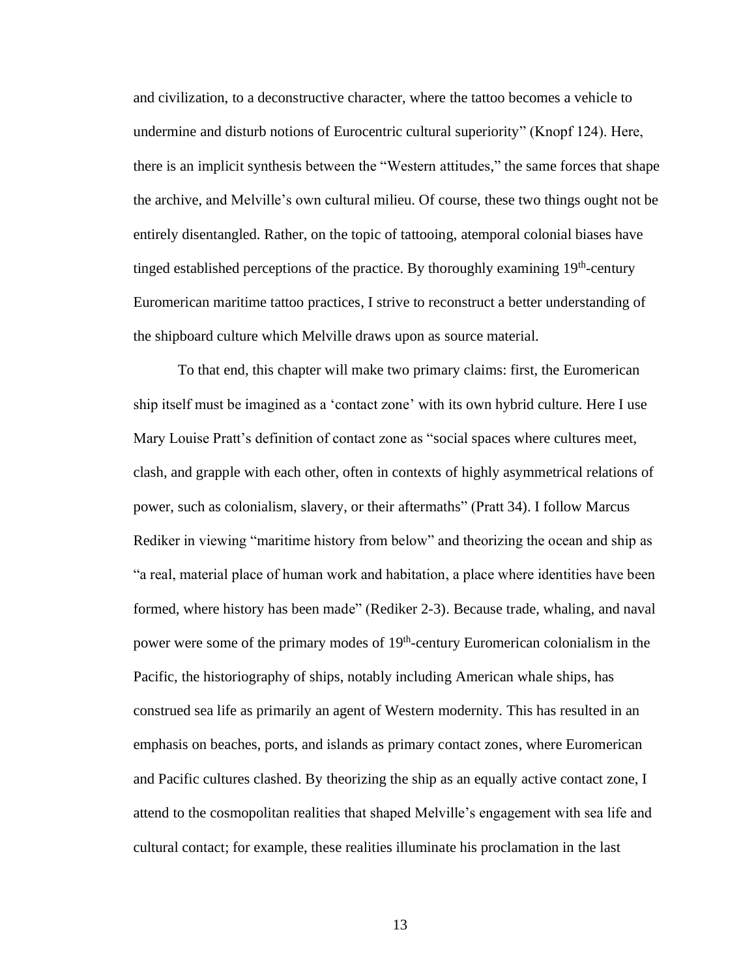and civilization, to a deconstructive character, where the tattoo becomes a vehicle to undermine and disturb notions of Eurocentric cultural superiority" (Knopf 124). Here, there is an implicit synthesis between the "Western attitudes," the same forces that shape the archive, and Melville's own cultural milieu. Of course, these two things ought not be entirely disentangled. Rather, on the topic of tattooing, atemporal colonial biases have tinged established perceptions of the practice. By thoroughly examining 19<sup>th</sup>-century Euromerican maritime tattoo practices, I strive to reconstruct a better understanding of the shipboard culture which Melville draws upon as source material.

To that end, this chapter will make two primary claims: first, the Euromerican ship itself must be imagined as a 'contact zone' with its own hybrid culture. Here I use Mary Louise Pratt's definition of contact zone as "social spaces where cultures meet, clash, and grapple with each other, often in contexts of highly asymmetrical relations of power, such as colonialism, slavery, or their aftermaths" (Pratt 34). I follow Marcus Rediker in viewing "maritime history from below" and theorizing the ocean and ship as "a real, material place of human work and habitation, a place where identities have been formed, where history has been made" (Rediker 2-3). Because trade, whaling, and naval power were some of the primary modes of 19<sup>th</sup>-century Euromerican colonialism in the Pacific, the historiography of ships, notably including American whale ships, has construed sea life as primarily an agent of Western modernity. This has resulted in an emphasis on beaches, ports, and islands as primary contact zones, where Euromerican and Pacific cultures clashed. By theorizing the ship as an equally active contact zone, I attend to the cosmopolitan realities that shaped Melville's engagement with sea life and cultural contact; for example, these realities illuminate his proclamation in the last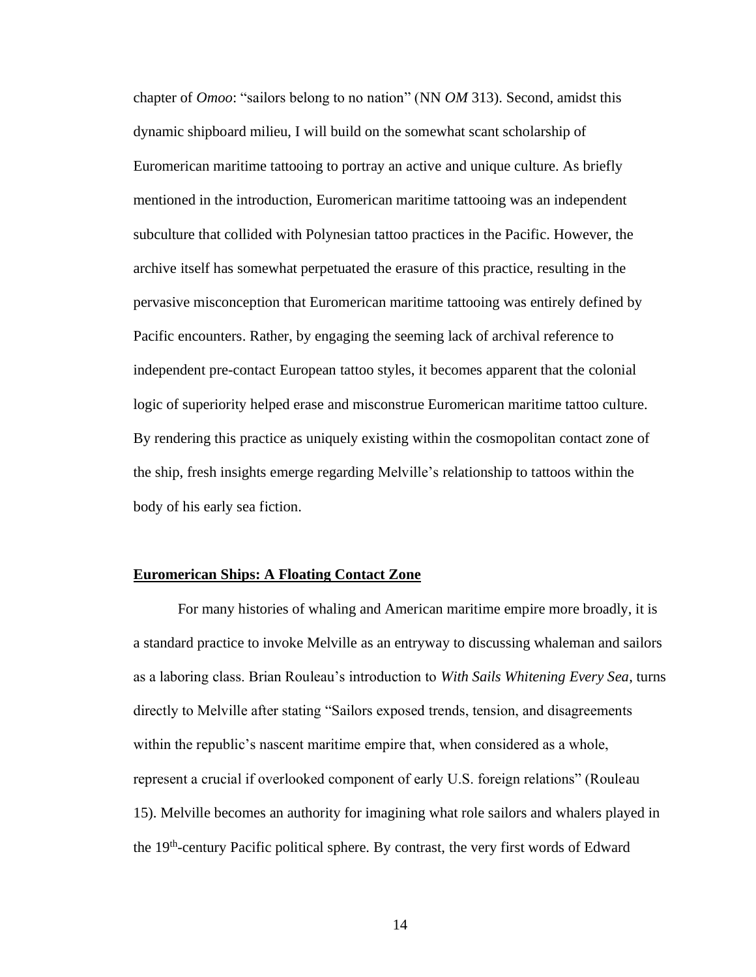chapter of *Omoo*: "sailors belong to no nation" (NN *OM* 313). Second, amidst this dynamic shipboard milieu, I will build on the somewhat scant scholarship of Euromerican maritime tattooing to portray an active and unique culture. As briefly mentioned in the introduction, Euromerican maritime tattooing was an independent subculture that collided with Polynesian tattoo practices in the Pacific. However, the archive itself has somewhat perpetuated the erasure of this practice, resulting in the pervasive misconception that Euromerican maritime tattooing was entirely defined by Pacific encounters. Rather, by engaging the seeming lack of archival reference to independent pre-contact European tattoo styles, it becomes apparent that the colonial logic of superiority helped erase and misconstrue Euromerican maritime tattoo culture. By rendering this practice as uniquely existing within the cosmopolitan contact zone of the ship, fresh insights emerge regarding Melville's relationship to tattoos within the body of his early sea fiction.

#### **Euromerican Ships: A Floating Contact Zone**

For many histories of whaling and American maritime empire more broadly, it is a standard practice to invoke Melville as an entryway to discussing whaleman and sailors as a laboring class. Brian Rouleau's introduction to *With Sails Whitening Every Sea*, turns directly to Melville after stating "Sailors exposed trends, tension, and disagreements within the republic's nascent maritime empire that, when considered as a whole, represent a crucial if overlooked component of early U.S. foreign relations" (Rouleau 15). Melville becomes an authority for imagining what role sailors and whalers played in the 19<sup>th</sup>-century Pacific political sphere. By contrast, the very first words of Edward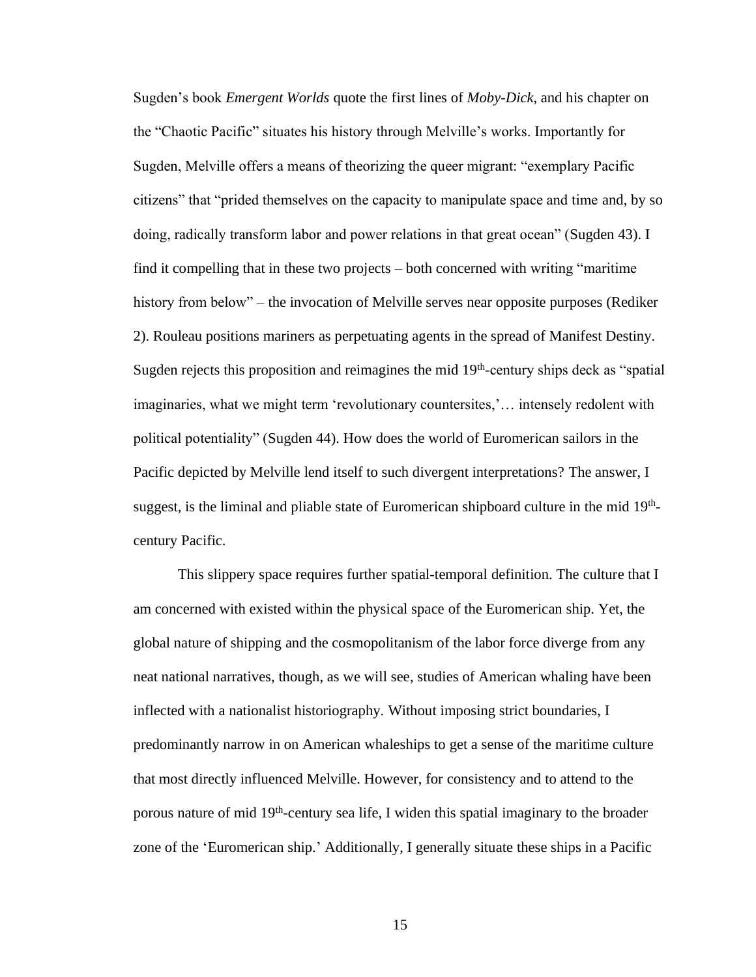Sugden's book *Emergent Worlds* quote the first lines of *Moby-Dick*, and his chapter on the "Chaotic Pacific" situates his history through Melville's works. Importantly for Sugden, Melville offers a means of theorizing the queer migrant: "exemplary Pacific citizens" that "prided themselves on the capacity to manipulate space and time and, by so doing, radically transform labor and power relations in that great ocean" (Sugden 43). I find it compelling that in these two projects – both concerned with writing "maritime history from below" – the invocation of Melville serves near opposite purposes (Rediker 2). Rouleau positions mariners as perpetuating agents in the spread of Manifest Destiny. Sugden rejects this proposition and reimagines the mid 19<sup>th</sup>-century ships deck as "spatial imaginaries, what we might term 'revolutionary countersites,'… intensely redolent with political potentiality" (Sugden 44). How does the world of Euromerican sailors in the Pacific depicted by Melville lend itself to such divergent interpretations? The answer, I suggest, is the liminal and pliable state of Euromerican shipboard culture in the mid 19<sup>th</sup>century Pacific.

This slippery space requires further spatial-temporal definition. The culture that I am concerned with existed within the physical space of the Euromerican ship. Yet, the global nature of shipping and the cosmopolitanism of the labor force diverge from any neat national narratives, though, as we will see, studies of American whaling have been inflected with a nationalist historiography. Without imposing strict boundaries, I predominantly narrow in on American whaleships to get a sense of the maritime culture that most directly influenced Melville. However, for consistency and to attend to the porous nature of mid 19<sup>th</sup>-century sea life, I widen this spatial imaginary to the broader zone of the 'Euromerican ship.' Additionally, I generally situate these ships in a Pacific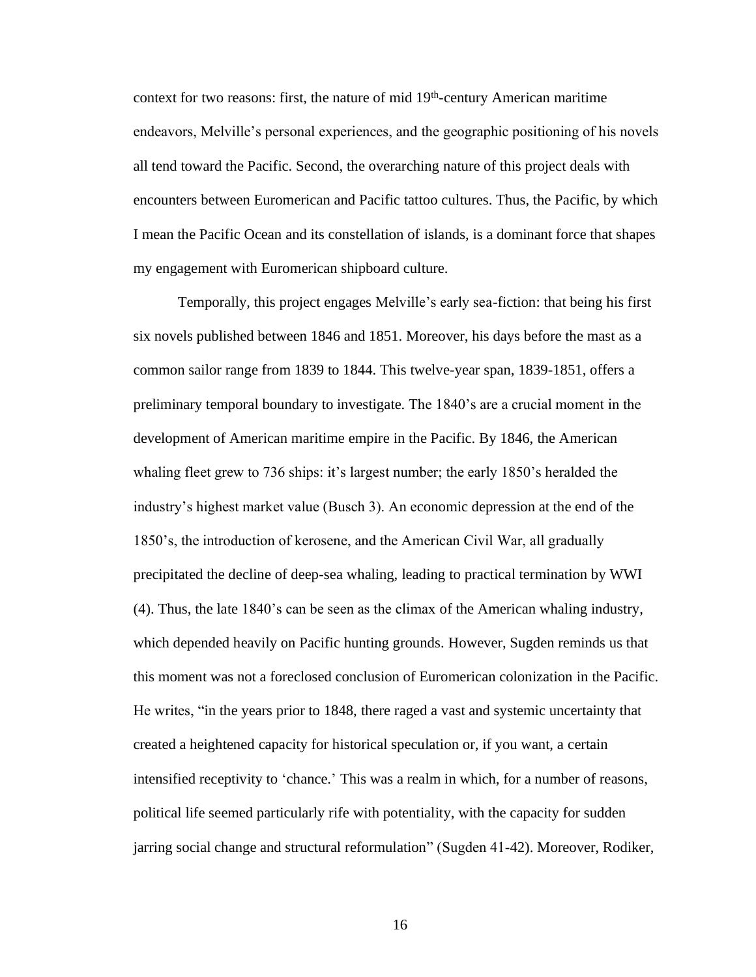context for two reasons: first, the nature of mid 19<sup>th</sup>-century American maritime endeavors, Melville's personal experiences, and the geographic positioning of his novels all tend toward the Pacific. Second, the overarching nature of this project deals with encounters between Euromerican and Pacific tattoo cultures. Thus, the Pacific, by which I mean the Pacific Ocean and its constellation of islands, is a dominant force that shapes my engagement with Euromerican shipboard culture.

Temporally, this project engages Melville's early sea-fiction: that being his first six novels published between 1846 and 1851. Moreover, his days before the mast as a common sailor range from 1839 to 1844. This twelve-year span, 1839-1851, offers a preliminary temporal boundary to investigate. The 1840's are a crucial moment in the development of American maritime empire in the Pacific. By 1846, the American whaling fleet grew to 736 ships: it's largest number; the early 1850's heralded the industry's highest market value (Busch 3). An economic depression at the end of the 1850's, the introduction of kerosene, and the American Civil War, all gradually precipitated the decline of deep-sea whaling, leading to practical termination by WWI (4). Thus, the late 1840's can be seen as the climax of the American whaling industry, which depended heavily on Pacific hunting grounds. However, Sugden reminds us that this moment was not a foreclosed conclusion of Euromerican colonization in the Pacific. He writes, "in the years prior to 1848, there raged a vast and systemic uncertainty that created a heightened capacity for historical speculation or, if you want, a certain intensified receptivity to 'chance.' This was a realm in which, for a number of reasons, political life seemed particularly rife with potentiality, with the capacity for sudden jarring social change and structural reformulation" (Sugden 41-42). Moreover, Rodiker,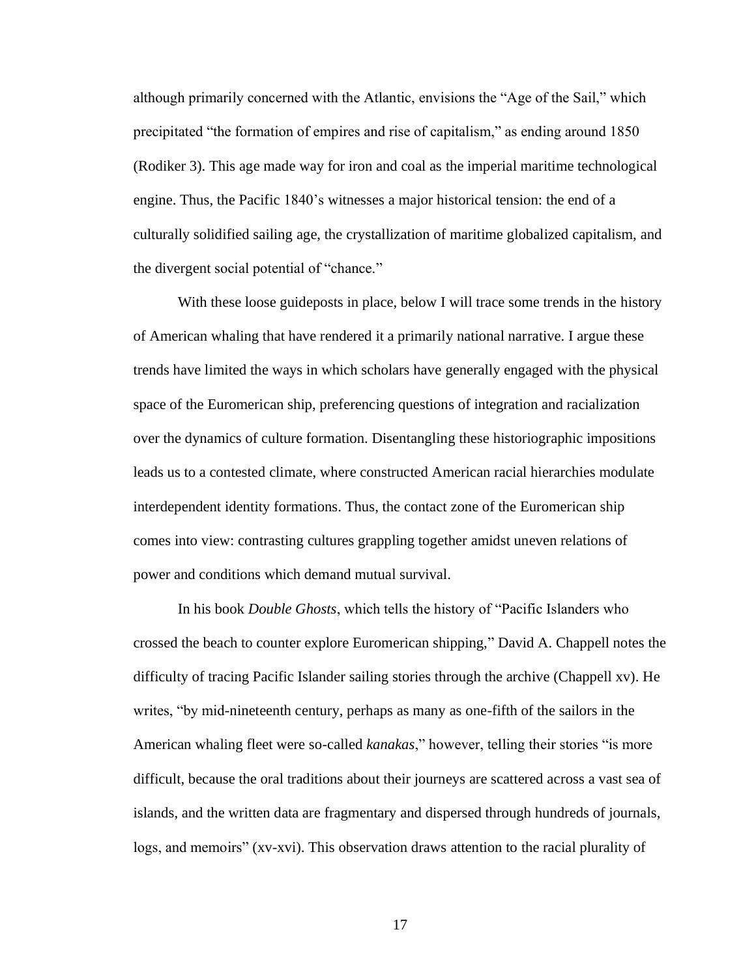although primarily concerned with the Atlantic, envisions the "Age of the Sail," which precipitated "the formation of empires and rise of capitalism," as ending around 1850 (Rodiker 3). This age made way for iron and coal as the imperial maritime technological engine. Thus, the Pacific 1840's witnesses a major historical tension: the end of a culturally solidified sailing age, the crystallization of maritime globalized capitalism, and the divergent social potential of "chance."

With these loose guideposts in place, below I will trace some trends in the history of American whaling that have rendered it a primarily national narrative. I argue these trends have limited the ways in which scholars have generally engaged with the physical space of the Euromerican ship, preferencing questions of integration and racialization over the dynamics of culture formation. Disentangling these historiographic impositions leads us to a contested climate, where constructed American racial hierarchies modulate interdependent identity formations. Thus, the contact zone of the Euromerican ship comes into view: contrasting cultures grappling together amidst uneven relations of power and conditions which demand mutual survival.

In his book *Double Ghosts*, which tells the history of "Pacific Islanders who crossed the beach to counter explore Euromerican shipping," David A. Chappell notes the difficulty of tracing Pacific Islander sailing stories through the archive (Chappell xv). He writes, "by mid-nineteenth century, perhaps as many as one-fifth of the sailors in the American whaling fleet were so-called *kanakas*," however, telling their stories "is more difficult, because the oral traditions about their journeys are scattered across a vast sea of islands, and the written data are fragmentary and dispersed through hundreds of journals, logs, and memoirs" (xv-xvi). This observation draws attention to the racial plurality of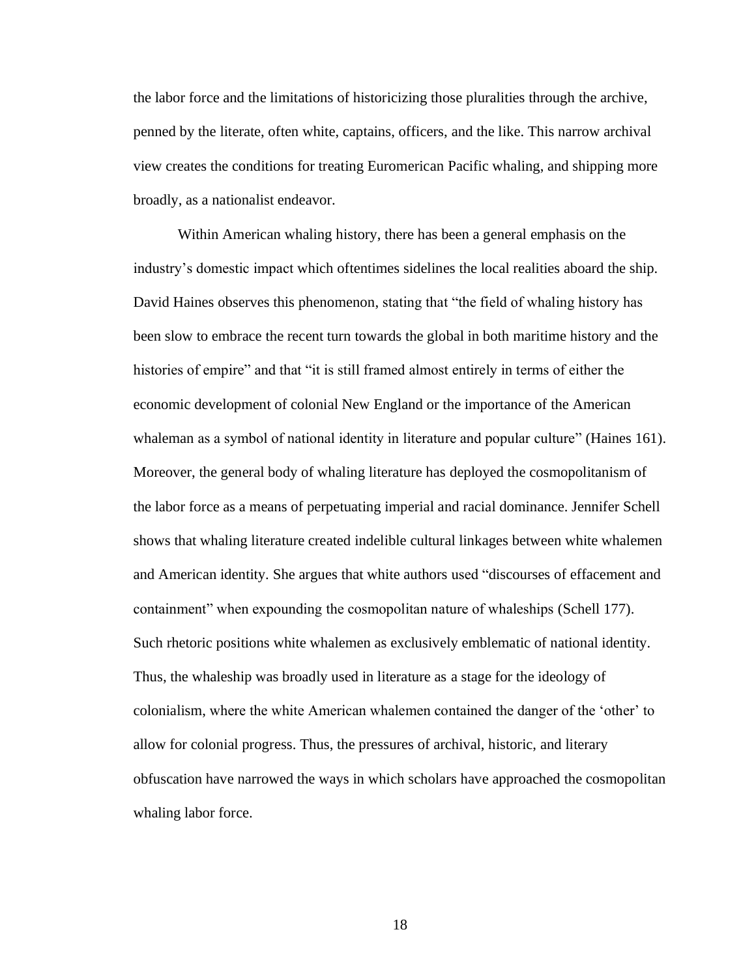the labor force and the limitations of historicizing those pluralities through the archive, penned by the literate, often white, captains, officers, and the like. This narrow archival view creates the conditions for treating Euromerican Pacific whaling, and shipping more broadly, as a nationalist endeavor.

Within American whaling history, there has been a general emphasis on the industry's domestic impact which oftentimes sidelines the local realities aboard the ship. David Haines observes this phenomenon, stating that "the field of whaling history has been slow to embrace the recent turn towards the global in both maritime history and the histories of empire" and that "it is still framed almost entirely in terms of either the economic development of colonial New England or the importance of the American whaleman as a symbol of national identity in literature and popular culture" (Haines 161). Moreover, the general body of whaling literature has deployed the cosmopolitanism of the labor force as a means of perpetuating imperial and racial dominance. Jennifer Schell shows that whaling literature created indelible cultural linkages between white whalemen and American identity. She argues that white authors used "discourses of effacement and containment" when expounding the cosmopolitan nature of whaleships (Schell 177). Such rhetoric positions white whalemen as exclusively emblematic of national identity. Thus, the whaleship was broadly used in literature as a stage for the ideology of colonialism, where the white American whalemen contained the danger of the 'other' to allow for colonial progress. Thus, the pressures of archival, historic, and literary obfuscation have narrowed the ways in which scholars have approached the cosmopolitan whaling labor force.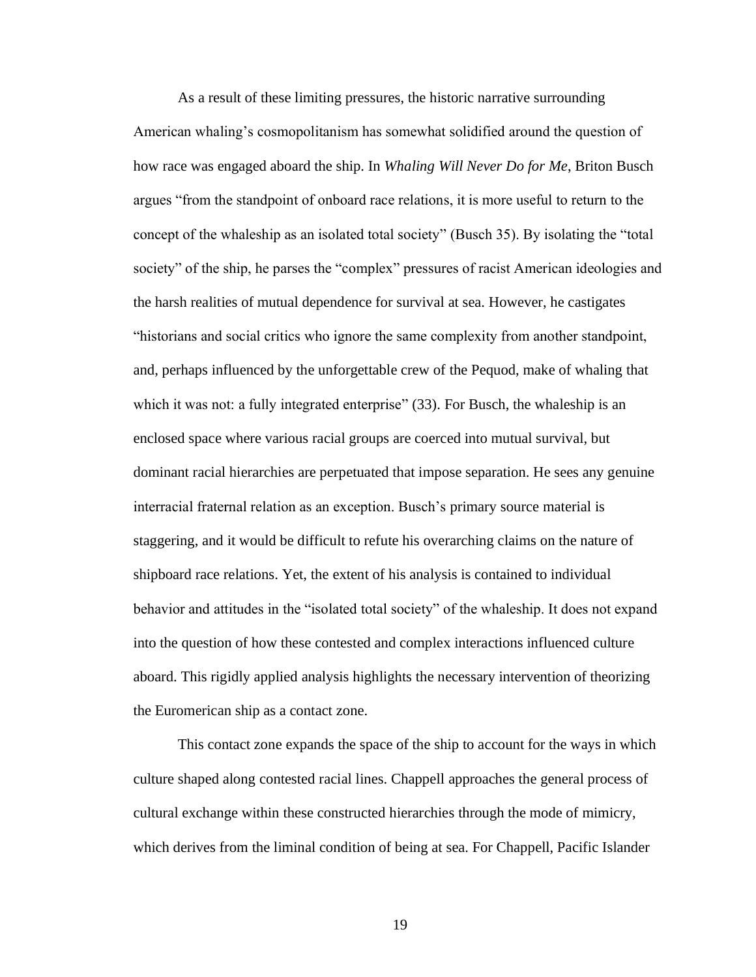As a result of these limiting pressures, the historic narrative surrounding American whaling's cosmopolitanism has somewhat solidified around the question of how race was engaged aboard the ship. In *Whaling Will Never Do for Me*, Briton Busch argues "from the standpoint of onboard race relations, it is more useful to return to the concept of the whaleship as an isolated total society" (Busch 35). By isolating the "total society" of the ship, he parses the "complex" pressures of racist American ideologies and the harsh realities of mutual dependence for survival at sea. However, he castigates "historians and social critics who ignore the same complexity from another standpoint, and, perhaps influenced by the unforgettable crew of the Pequod, make of whaling that which it was not: a fully integrated enterprise" (33). For Busch, the whaleship is an enclosed space where various racial groups are coerced into mutual survival, but dominant racial hierarchies are perpetuated that impose separation. He sees any genuine interracial fraternal relation as an exception. Busch's primary source material is staggering, and it would be difficult to refute his overarching claims on the nature of shipboard race relations. Yet, the extent of his analysis is contained to individual behavior and attitudes in the "isolated total society" of the whaleship. It does not expand into the question of how these contested and complex interactions influenced culture aboard. This rigidly applied analysis highlights the necessary intervention of theorizing the Euromerican ship as a contact zone.

This contact zone expands the space of the ship to account for the ways in which culture shaped along contested racial lines. Chappell approaches the general process of cultural exchange within these constructed hierarchies through the mode of mimicry, which derives from the liminal condition of being at sea. For Chappell, Pacific Islander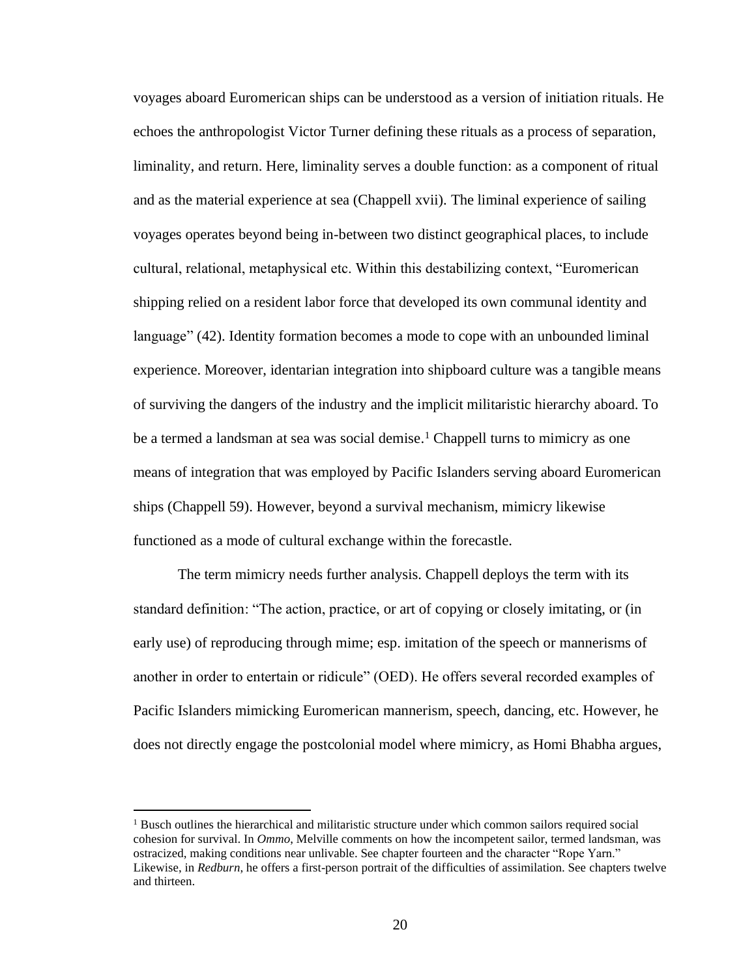voyages aboard Euromerican ships can be understood as a version of initiation rituals. He echoes the anthropologist Victor Turner defining these rituals as a process of separation, liminality, and return. Here, liminality serves a double function: as a component of ritual and as the material experience at sea (Chappell xvii). The liminal experience of sailing voyages operates beyond being in-between two distinct geographical places, to include cultural, relational, metaphysical etc. Within this destabilizing context, "Euromerican shipping relied on a resident labor force that developed its own communal identity and language" (42). Identity formation becomes a mode to cope with an unbounded liminal experience. Moreover, identarian integration into shipboard culture was a tangible means of surviving the dangers of the industry and the implicit militaristic hierarchy aboard. To be a termed a landsman at sea was social demise. <sup>1</sup> Chappell turns to mimicry as one means of integration that was employed by Pacific Islanders serving aboard Euromerican ships (Chappell 59). However, beyond a survival mechanism, mimicry likewise functioned as a mode of cultural exchange within the forecastle.

The term mimicry needs further analysis. Chappell deploys the term with its standard definition: "The action, practice, or art of copying or closely imitating, or (in early use) of reproducing through mime; esp. imitation of the speech or mannerisms of another in order to entertain or ridicule" (OED). He offers several recorded examples of Pacific Islanders mimicking Euromerican mannerism, speech, dancing, etc. However, he does not directly engage the postcolonial model where mimicry, as Homi Bhabha argues,

 $<sup>1</sup>$  Busch outlines the hierarchical and militaristic structure under which common sailors required social</sup> cohesion for survival. In *Ommo*, Melville comments on how the incompetent sailor, termed landsman, was ostracized, making conditions near unlivable. See chapter fourteen and the character "Rope Yarn." Likewise, in *Redburn*, he offers a first-person portrait of the difficulties of assimilation. See chapters twelve and thirteen.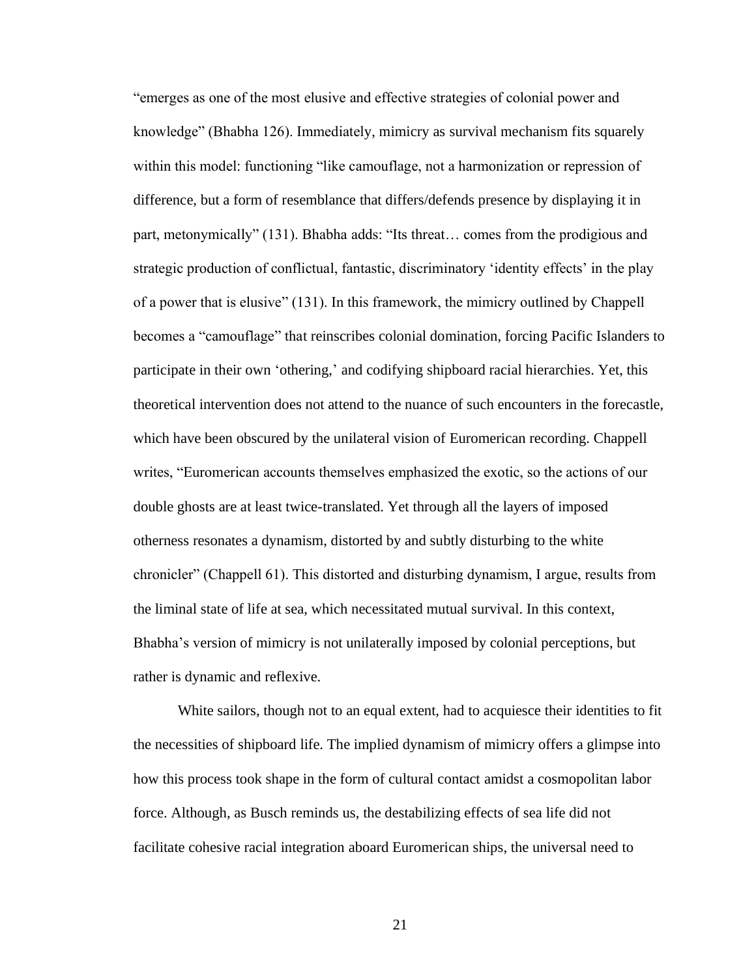"emerges as one of the most elusive and effective strategies of colonial power and knowledge" (Bhabha 126). Immediately, mimicry as survival mechanism fits squarely within this model: functioning "like camouflage, not a harmonization or repression of difference, but a form of resemblance that differs/defends presence by displaying it in part, metonymically" (131). Bhabha adds: "Its threat… comes from the prodigious and strategic production of conflictual, fantastic, discriminatory 'identity effects' in the play of a power that is elusive" (131). In this framework, the mimicry outlined by Chappell becomes a "camouflage" that reinscribes colonial domination, forcing Pacific Islanders to participate in their own 'othering,' and codifying shipboard racial hierarchies. Yet, this theoretical intervention does not attend to the nuance of such encounters in the forecastle, which have been obscured by the unilateral vision of Euromerican recording. Chappell writes, "Euromerican accounts themselves emphasized the exotic, so the actions of our double ghosts are at least twice-translated. Yet through all the layers of imposed otherness resonates a dynamism, distorted by and subtly disturbing to the white chronicler" (Chappell 61). This distorted and disturbing dynamism, I argue, results from the liminal state of life at sea, which necessitated mutual survival. In this context, Bhabha's version of mimicry is not unilaterally imposed by colonial perceptions, but rather is dynamic and reflexive.

White sailors, though not to an equal extent, had to acquiesce their identities to fit the necessities of shipboard life. The implied dynamism of mimicry offers a glimpse into how this process took shape in the form of cultural contact amidst a cosmopolitan labor force. Although, as Busch reminds us, the destabilizing effects of sea life did not facilitate cohesive racial integration aboard Euromerican ships, the universal need to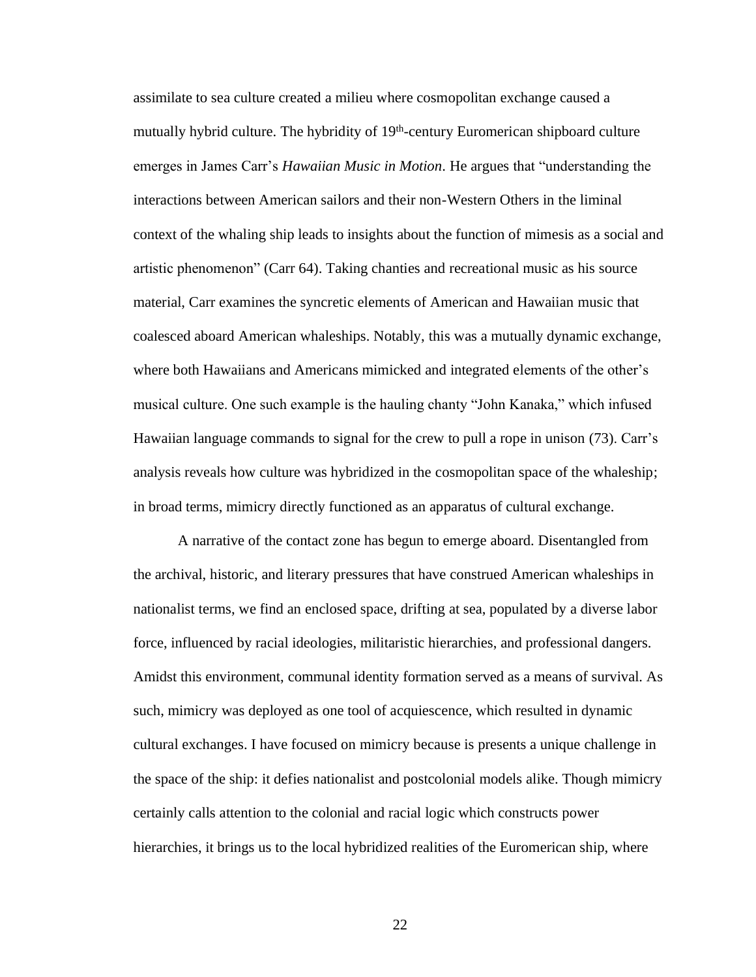assimilate to sea culture created a milieu where cosmopolitan exchange caused a mutually hybrid culture. The hybridity of 19<sup>th</sup>-century Euromerican shipboard culture emerges in James Carr's *Hawaiian Music in Motion*. He argues that "understanding the interactions between American sailors and their non-Western Others in the liminal context of the whaling ship leads to insights about the function of mimesis as a social and artistic phenomenon" (Carr 64). Taking chanties and recreational music as his source material, Carr examines the syncretic elements of American and Hawaiian music that coalesced aboard American whaleships. Notably, this was a mutually dynamic exchange, where both Hawaiians and Americans mimicked and integrated elements of the other's musical culture. One such example is the hauling chanty "John Kanaka," which infused Hawaiian language commands to signal for the crew to pull a rope in unison (73). Carr's analysis reveals how culture was hybridized in the cosmopolitan space of the whaleship; in broad terms, mimicry directly functioned as an apparatus of cultural exchange.

A narrative of the contact zone has begun to emerge aboard. Disentangled from the archival, historic, and literary pressures that have construed American whaleships in nationalist terms, we find an enclosed space, drifting at sea, populated by a diverse labor force, influenced by racial ideologies, militaristic hierarchies, and professional dangers. Amidst this environment, communal identity formation served as a means of survival. As such, mimicry was deployed as one tool of acquiescence, which resulted in dynamic cultural exchanges. I have focused on mimicry because is presents a unique challenge in the space of the ship: it defies nationalist and postcolonial models alike. Though mimicry certainly calls attention to the colonial and racial logic which constructs power hierarchies, it brings us to the local hybridized realities of the Euromerican ship, where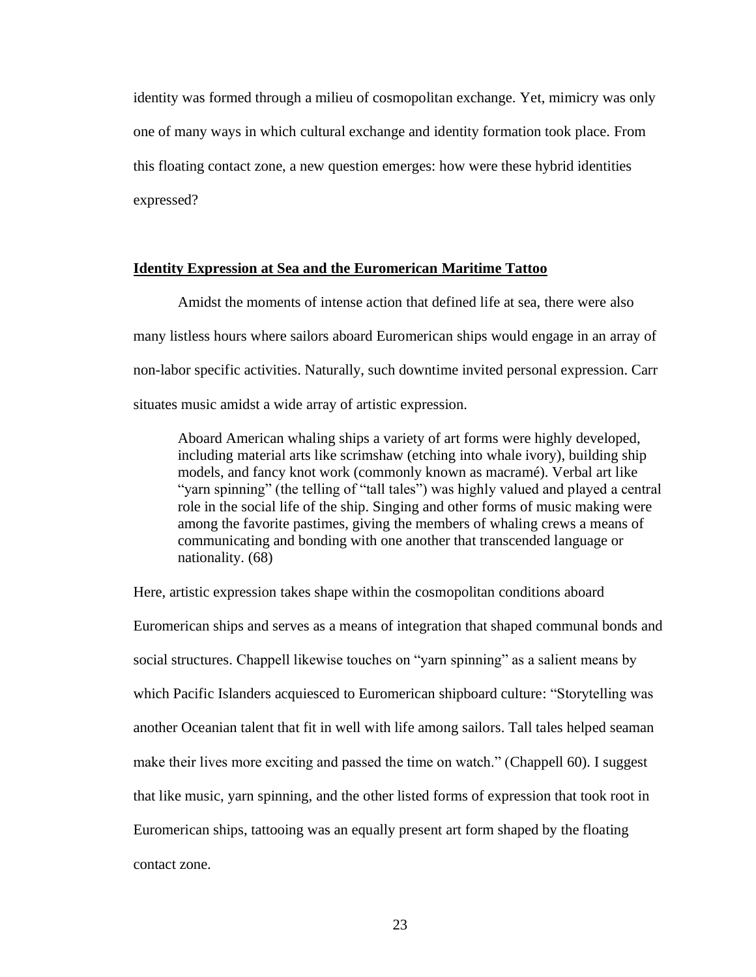identity was formed through a milieu of cosmopolitan exchange. Yet, mimicry was only one of many ways in which cultural exchange and identity formation took place. From this floating contact zone, a new question emerges: how were these hybrid identities expressed?

#### **Identity Expression at Sea and the Euromerican Maritime Tattoo**

Amidst the moments of intense action that defined life at sea, there were also many listless hours where sailors aboard Euromerican ships would engage in an array of non-labor specific activities. Naturally, such downtime invited personal expression. Carr situates music amidst a wide array of artistic expression.

Aboard American whaling ships a variety of art forms were highly developed, including material arts like scrimshaw (etching into whale ivory), building ship models, and fancy knot work (commonly known as macramé). Verbal art like "yarn spinning" (the telling of "tall tales") was highly valued and played a central role in the social life of the ship. Singing and other forms of music making were among the favorite pastimes, giving the members of whaling crews a means of communicating and bonding with one another that transcended language or nationality. (68)

Here, artistic expression takes shape within the cosmopolitan conditions aboard Euromerican ships and serves as a means of integration that shaped communal bonds and social structures. Chappell likewise touches on "yarn spinning" as a salient means by which Pacific Islanders acquiesced to Euromerican shipboard culture: "Storytelling was another Oceanian talent that fit in well with life among sailors. Tall tales helped seaman make their lives more exciting and passed the time on watch." (Chappell 60). I suggest that like music, yarn spinning, and the other listed forms of expression that took root in Euromerican ships, tattooing was an equally present art form shaped by the floating contact zone.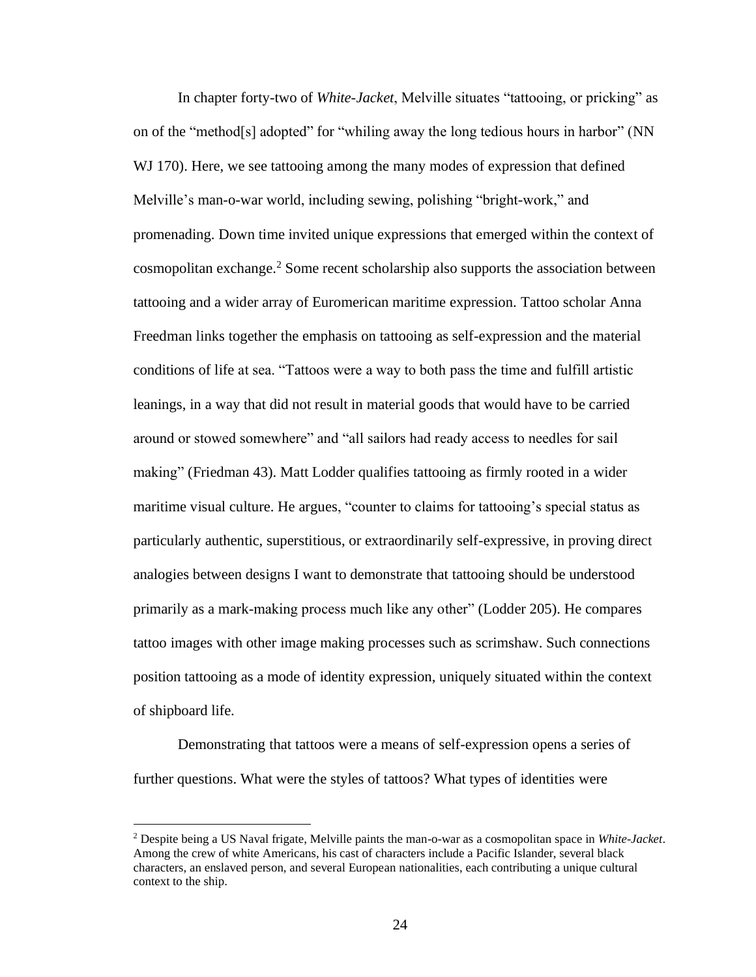In chapter forty-two of *White-Jacket*, Melville situates "tattooing, or pricking" as on of the "method[s] adopted" for "whiling away the long tedious hours in harbor" (NN WJ 170). Here, we see tattooing among the many modes of expression that defined Melville's man-o-war world, including sewing, polishing "bright-work," and promenading. Down time invited unique expressions that emerged within the context of cosmopolitan exchange.<sup>2</sup> Some recent scholarship also supports the association between tattooing and a wider array of Euromerican maritime expression. Tattoo scholar Anna Freedman links together the emphasis on tattooing as self-expression and the material conditions of life at sea. "Tattoos were a way to both pass the time and fulfill artistic leanings, in a way that did not result in material goods that would have to be carried around or stowed somewhere" and "all sailors had ready access to needles for sail making" (Friedman 43). Matt Lodder qualifies tattooing as firmly rooted in a wider maritime visual culture. He argues, "counter to claims for tattooing's special status as particularly authentic, superstitious, or extraordinarily self-expressive, in proving direct analogies between designs I want to demonstrate that tattooing should be understood primarily as a mark-making process much like any other" (Lodder 205). He compares tattoo images with other image making processes such as scrimshaw. Such connections position tattooing as a mode of identity expression, uniquely situated within the context of shipboard life.

Demonstrating that tattoos were a means of self-expression opens a series of further questions. What were the styles of tattoos? What types of identities were

<sup>2</sup> Despite being a US Naval frigate, Melville paints the man-o-war as a cosmopolitan space in *White-Jacket*. Among the crew of white Americans, his cast of characters include a Pacific Islander, several black characters, an enslaved person, and several European nationalities, each contributing a unique cultural context to the ship.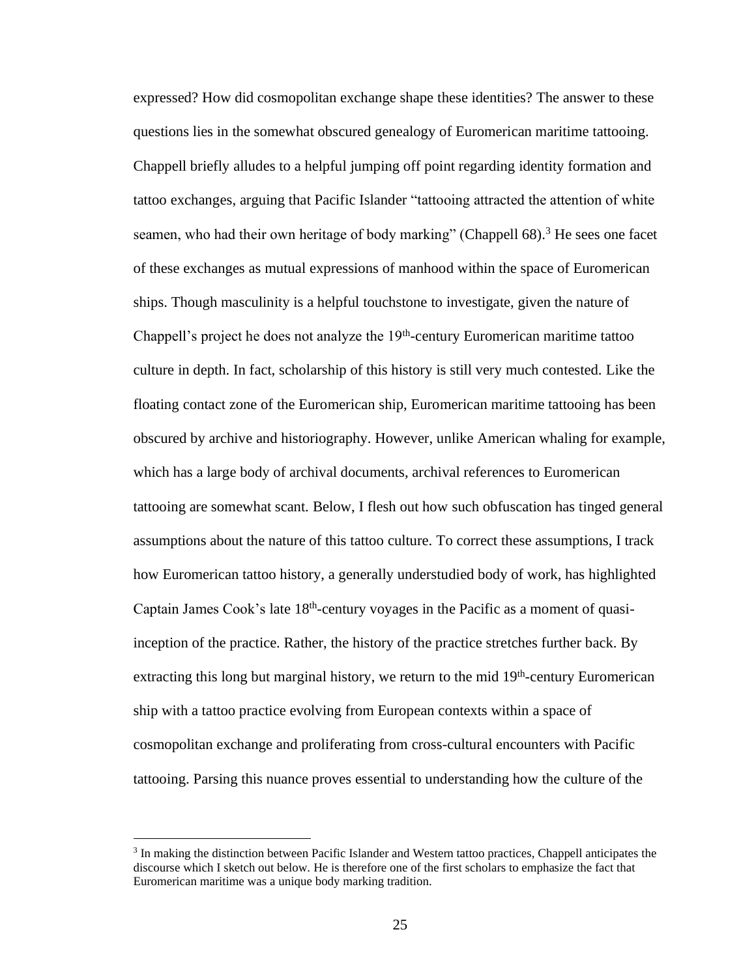expressed? How did cosmopolitan exchange shape these identities? The answer to these questions lies in the somewhat obscured genealogy of Euromerican maritime tattooing. Chappell briefly alludes to a helpful jumping off point regarding identity formation and tattoo exchanges, arguing that Pacific Islander "tattooing attracted the attention of white seamen, who had their own heritage of body marking" (Chappell 68).<sup>3</sup> He sees one facet of these exchanges as mutual expressions of manhood within the space of Euromerican ships. Though masculinity is a helpful touchstone to investigate, given the nature of Chappell's project he does not analyze the  $19<sup>th</sup>$ -century Euromerican maritime tattoo culture in depth. In fact, scholarship of this history is still very much contested. Like the floating contact zone of the Euromerican ship, Euromerican maritime tattooing has been obscured by archive and historiography. However, unlike American whaling for example, which has a large body of archival documents, archival references to Euromerican tattooing are somewhat scant. Below, I flesh out how such obfuscation has tinged general assumptions about the nature of this tattoo culture. To correct these assumptions, I track how Euromerican tattoo history, a generally understudied body of work, has highlighted Captain James Cook's late 18<sup>th</sup>-century voyages in the Pacific as a moment of quasiinception of the practice. Rather, the history of the practice stretches further back. By extracting this long but marginal history, we return to the mid 19<sup>th</sup>-century Euromerican ship with a tattoo practice evolving from European contexts within a space of cosmopolitan exchange and proliferating from cross-cultural encounters with Pacific tattooing. Parsing this nuance proves essential to understanding how the culture of the

<sup>&</sup>lt;sup>3</sup> In making the distinction between Pacific Islander and Western tattoo practices, Chappell anticipates the discourse which I sketch out below. He is therefore one of the first scholars to emphasize the fact that Euromerican maritime was a unique body marking tradition.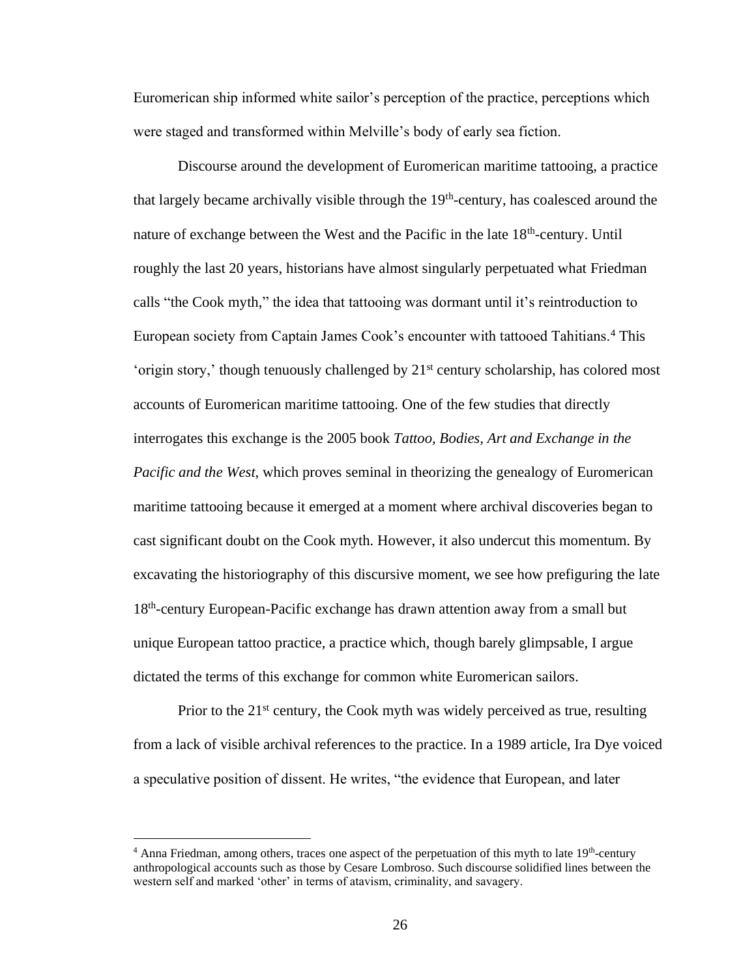Euromerican ship informed white sailor's perception of the practice, perceptions which were staged and transformed within Melville's body of early sea fiction.

Discourse around the development of Euromerican maritime tattooing, a practice that largely became archivally visible through the 19<sup>th</sup>-century, has coalesced around the nature of exchange between the West and the Pacific in the late 18<sup>th</sup>-century. Until roughly the last 20 years, historians have almost singularly perpetuated what Friedman calls "the Cook myth," the idea that tattooing was dormant until it's reintroduction to European society from Captain James Cook's encounter with tattooed Tahitians.<sup>4</sup> This 'origin story,' though tenuously challenged by 21<sup>st</sup> century scholarship, has colored most accounts of Euromerican maritime tattooing. One of the few studies that directly interrogates this exchange is the 2005 book *Tattoo, Bodies, Art and Exchange in the Pacific and the West*, which proves seminal in theorizing the genealogy of Euromerican maritime tattooing because it emerged at a moment where archival discoveries began to cast significant doubt on the Cook myth. However, it also undercut this momentum. By excavating the historiography of this discursive moment, we see how prefiguring the late 18<sup>th</sup>-century European-Pacific exchange has drawn attention away from a small but unique European tattoo practice, a practice which, though barely glimpsable, I argue dictated the terms of this exchange for common white Euromerican sailors.

Prior to the  $21<sup>st</sup>$  century, the Cook myth was widely perceived as true, resulting from a lack of visible archival references to the practice. In a 1989 article, Ira Dye voiced a speculative position of dissent. He writes, "the evidence that European, and later

 $4$  Anna Friedman, among others, traces one aspect of the perpetuation of this myth to late  $19<sup>th</sup>$ -century anthropological accounts such as those by Cesare Lombroso. Such discourse solidified lines between the western self and marked 'other' in terms of atavism, criminality, and savagery.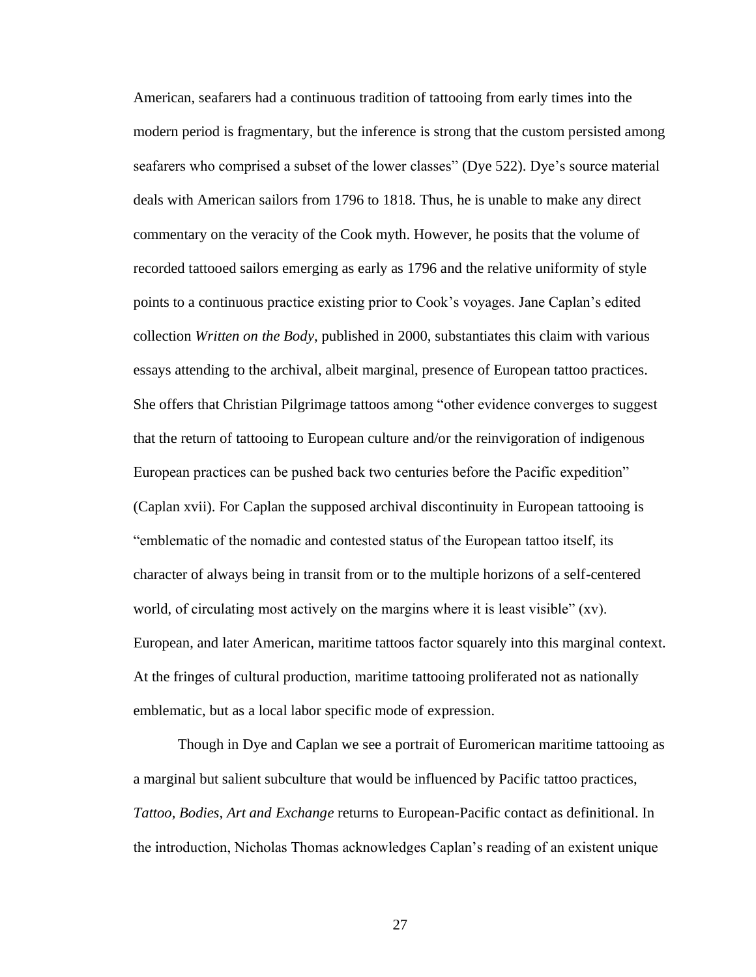American, seafarers had a continuous tradition of tattooing from early times into the modern period is fragmentary, but the inference is strong that the custom persisted among seafarers who comprised a subset of the lower classes" (Dye 522). Dye's source material deals with American sailors from 1796 to 1818. Thus, he is unable to make any direct commentary on the veracity of the Cook myth. However, he posits that the volume of recorded tattooed sailors emerging as early as 1796 and the relative uniformity of style points to a continuous practice existing prior to Cook's voyages. Jane Caplan's edited collection *Written on the Body*, published in 2000, substantiates this claim with various essays attending to the archival, albeit marginal, presence of European tattoo practices. She offers that Christian Pilgrimage tattoos among "other evidence converges to suggest that the return of tattooing to European culture and/or the reinvigoration of indigenous European practices can be pushed back two centuries before the Pacific expedition" (Caplan xvii). For Caplan the supposed archival discontinuity in European tattooing is "emblematic of the nomadic and contested status of the European tattoo itself, its character of always being in transit from or to the multiple horizons of a self-centered world, of circulating most actively on the margins where it is least visible" (xv). European, and later American, maritime tattoos factor squarely into this marginal context. At the fringes of cultural production, maritime tattooing proliferated not as nationally emblematic, but as a local labor specific mode of expression.

Though in Dye and Caplan we see a portrait of Euromerican maritime tattooing as a marginal but salient subculture that would be influenced by Pacific tattoo practices, *Tattoo, Bodies, Art and Exchange* returns to European-Pacific contact as definitional. In the introduction, Nicholas Thomas acknowledges Caplan's reading of an existent unique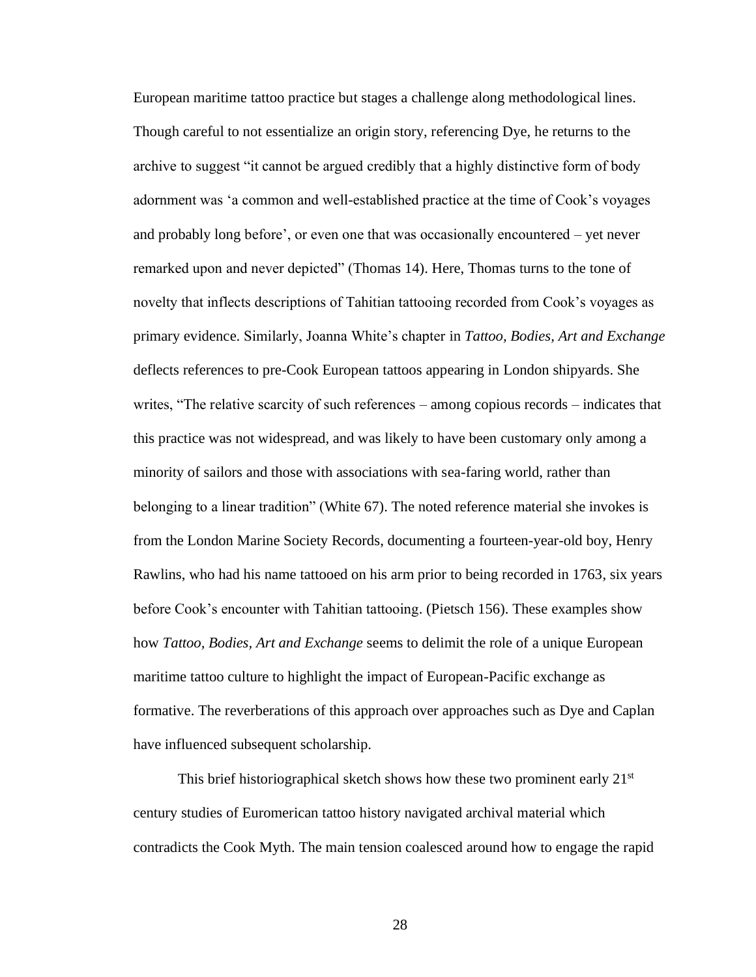European maritime tattoo practice but stages a challenge along methodological lines. Though careful to not essentialize an origin story, referencing Dye, he returns to the archive to suggest "it cannot be argued credibly that a highly distinctive form of body adornment was 'a common and well-established practice at the time of Cook's voyages and probably long before', or even one that was occasionally encountered – yet never remarked upon and never depicted" (Thomas 14). Here, Thomas turns to the tone of novelty that inflects descriptions of Tahitian tattooing recorded from Cook's voyages as primary evidence. Similarly, Joanna White's chapter in *Tattoo, Bodies, Art and Exchange* deflects references to pre-Cook European tattoos appearing in London shipyards. She writes, "The relative scarcity of such references – among copious records – indicates that this practice was not widespread, and was likely to have been customary only among a minority of sailors and those with associations with sea-faring world, rather than belonging to a linear tradition" (White 67). The noted reference material she invokes is from the London Marine Society Records, documenting a fourteen-year-old boy, Henry Rawlins, who had his name tattooed on his arm prior to being recorded in 1763, six years before Cook's encounter with Tahitian tattooing. (Pietsch 156). These examples show how *Tattoo, Bodies, Art and Exchange* seems to delimit the role of a unique European maritime tattoo culture to highlight the impact of European-Pacific exchange as formative. The reverberations of this approach over approaches such as Dye and Caplan have influenced subsequent scholarship.

This brief historiographical sketch shows how these two prominent early  $21<sup>st</sup>$ century studies of Euromerican tattoo history navigated archival material which contradicts the Cook Myth. The main tension coalesced around how to engage the rapid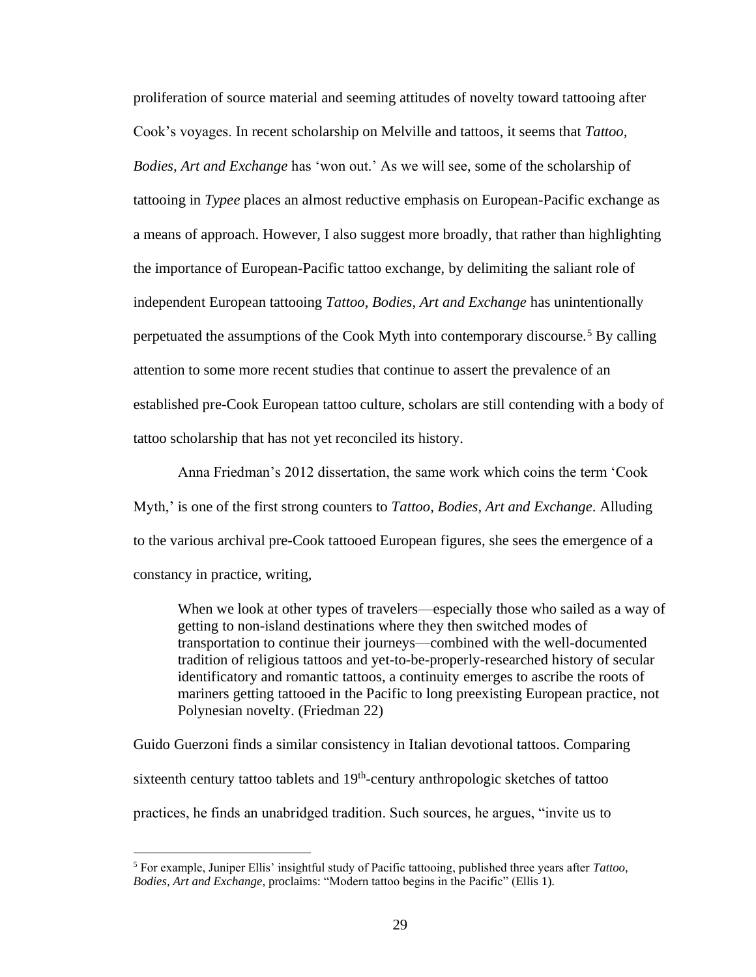proliferation of source material and seeming attitudes of novelty toward tattooing after Cook's voyages. In recent scholarship on Melville and tattoos, it seems that *Tattoo, Bodies, Art and Exchange* has 'won out.' As we will see, some of the scholarship of tattooing in *Typee* places an almost reductive emphasis on European-Pacific exchange as a means of approach. However, I also suggest more broadly, that rather than highlighting the importance of European-Pacific tattoo exchange, by delimiting the saliant role of independent European tattooing *Tattoo, Bodies, Art and Exchange* has unintentionally perpetuated the assumptions of the Cook Myth into contemporary discourse.<sup>5</sup> By calling attention to some more recent studies that continue to assert the prevalence of an established pre-Cook European tattoo culture, scholars are still contending with a body of tattoo scholarship that has not yet reconciled its history.

Anna Friedman's 2012 dissertation, the same work which coins the term 'Cook Myth,' is one of the first strong counters to *Tattoo, Bodies, Art and Exchange*. Alluding to the various archival pre-Cook tattooed European figures, she sees the emergence of a constancy in practice, writing,

When we look at other types of travelers—especially those who sailed as a way of getting to non-island destinations where they then switched modes of transportation to continue their journeys—combined with the well-documented tradition of religious tattoos and yet-to-be-properly-researched history of secular identificatory and romantic tattoos, a continuity emerges to ascribe the roots of mariners getting tattooed in the Pacific to long preexisting European practice, not Polynesian novelty. (Friedman 22)

Guido Guerzoni finds a similar consistency in Italian devotional tattoos. Comparing sixteenth century tattoo tablets and 19<sup>th</sup>-century anthropologic sketches of tattoo practices, he finds an unabridged tradition. Such sources, he argues, "invite us to

<sup>5</sup> For example, Juniper Ellis' insightful study of Pacific tattooing, published three years after *Tattoo, Bodies, Art and Exchange*, proclaims: "Modern tattoo begins in the Pacific" (Ellis 1).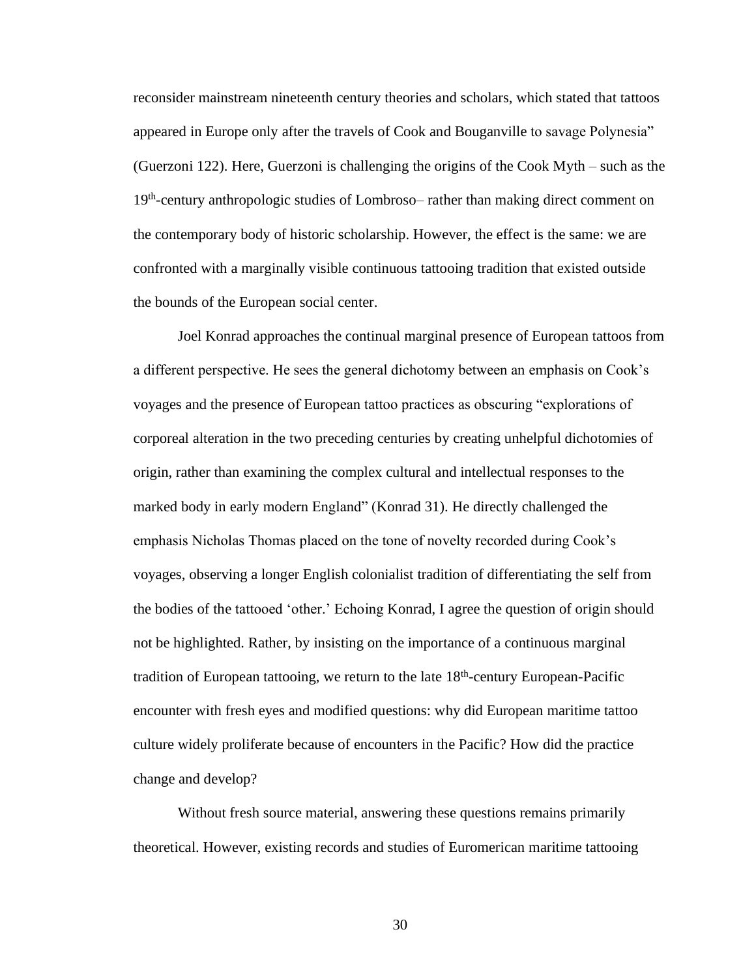reconsider mainstream nineteenth century theories and scholars, which stated that tattoos appeared in Europe only after the travels of Cook and Bouganville to savage Polynesia" (Guerzoni 122). Here, Guerzoni is challenging the origins of the Cook Myth – such as the 19<sup>th</sup>-century anthropologic studies of Lombroso-rather than making direct comment on the contemporary body of historic scholarship. However, the effect is the same: we are confronted with a marginally visible continuous tattooing tradition that existed outside the bounds of the European social center.

Joel Konrad approaches the continual marginal presence of European tattoos from a different perspective. He sees the general dichotomy between an emphasis on Cook's voyages and the presence of European tattoo practices as obscuring "explorations of corporeal alteration in the two preceding centuries by creating unhelpful dichotomies of origin, rather than examining the complex cultural and intellectual responses to the marked body in early modern England" (Konrad 31). He directly challenged the emphasis Nicholas Thomas placed on the tone of novelty recorded during Cook's voyages, observing a longer English colonialist tradition of differentiating the self from the bodies of the tattooed 'other.' Echoing Konrad, I agree the question of origin should not be highlighted. Rather, by insisting on the importance of a continuous marginal tradition of European tattooing, we return to the late  $18<sup>th</sup>$ -century European-Pacific encounter with fresh eyes and modified questions: why did European maritime tattoo culture widely proliferate because of encounters in the Pacific? How did the practice change and develop?

Without fresh source material, answering these questions remains primarily theoretical. However, existing records and studies of Euromerican maritime tattooing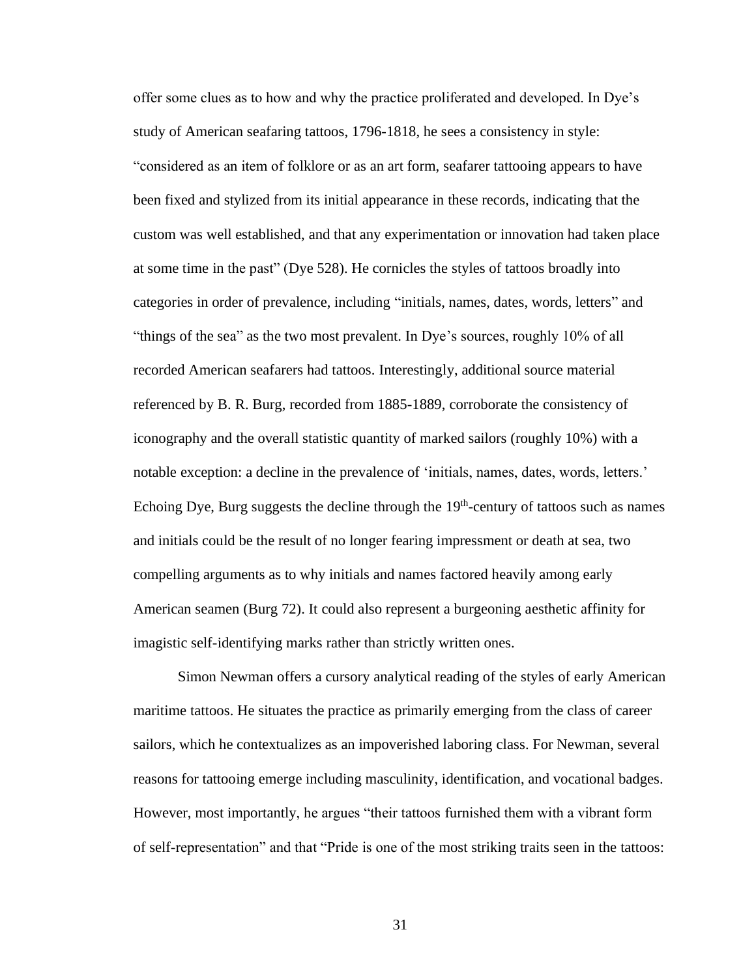offer some clues as to how and why the practice proliferated and developed. In Dye's study of American seafaring tattoos, 1796-1818, he sees a consistency in style: "considered as an item of folklore or as an art form, seafarer tattooing appears to have been fixed and stylized from its initial appearance in these records, indicating that the custom was well established, and that any experimentation or innovation had taken place at some time in the past" (Dye 528). He cornicles the styles of tattoos broadly into categories in order of prevalence, including "initials, names, dates, words, letters" and "things of the sea" as the two most prevalent. In Dye's sources, roughly 10% of all recorded American seafarers had tattoos. Interestingly, additional source material referenced by B. R. Burg, recorded from 1885-1889, corroborate the consistency of iconography and the overall statistic quantity of marked sailors (roughly 10%) with a notable exception: a decline in the prevalence of 'initials, names, dates, words, letters.' Echoing Dye, Burg suggests the decline through the  $19<sup>th</sup>$ -century of tattoos such as names and initials could be the result of no longer fearing impressment or death at sea, two compelling arguments as to why initials and names factored heavily among early American seamen (Burg 72). It could also represent a burgeoning aesthetic affinity for imagistic self-identifying marks rather than strictly written ones.

Simon Newman offers a cursory analytical reading of the styles of early American maritime tattoos. He situates the practice as primarily emerging from the class of career sailors, which he contextualizes as an impoverished laboring class. For Newman, several reasons for tattooing emerge including masculinity, identification, and vocational badges. However, most importantly, he argues "their tattoos furnished them with a vibrant form of self-representation" and that "Pride is one of the most striking traits seen in the tattoos: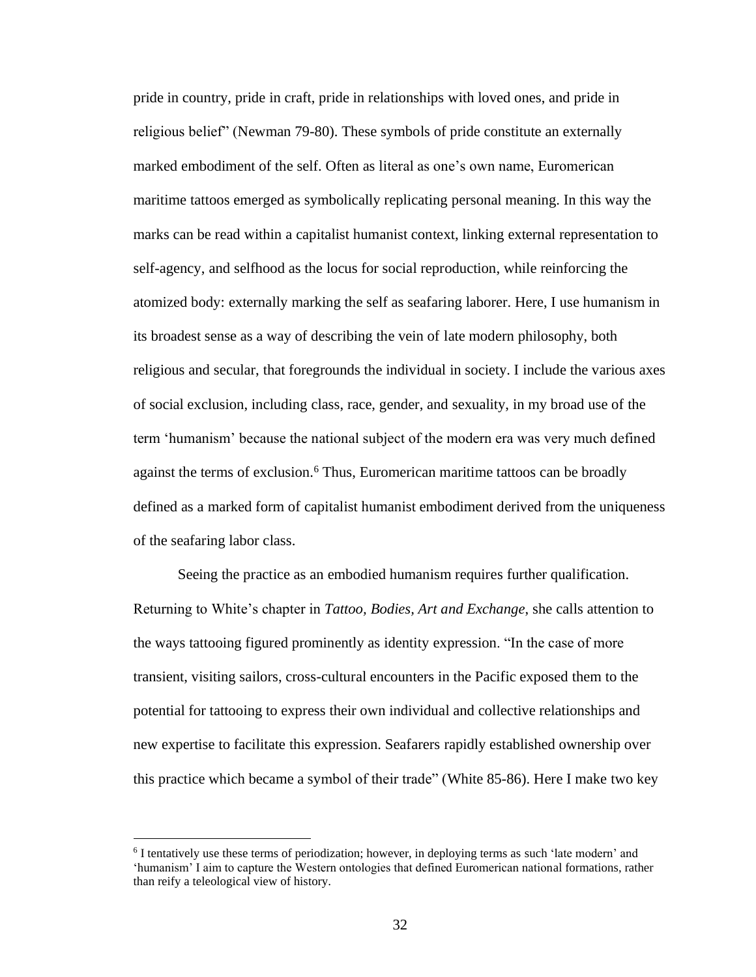pride in country, pride in craft, pride in relationships with loved ones, and pride in religious belief" (Newman 79-80). These symbols of pride constitute an externally marked embodiment of the self. Often as literal as one's own name, Euromerican maritime tattoos emerged as symbolically replicating personal meaning. In this way the marks can be read within a capitalist humanist context, linking external representation to self-agency, and selfhood as the locus for social reproduction, while reinforcing the atomized body: externally marking the self as seafaring laborer. Here, I use humanism in its broadest sense as a way of describing the vein of late modern philosophy, both religious and secular, that foregrounds the individual in society. I include the various axes of social exclusion, including class, race, gender, and sexuality, in my broad use of the term 'humanism' because the national subject of the modern era was very much defined against the terms of exclusion.<sup>6</sup> Thus, Euromerican maritime tattoos can be broadly defined as a marked form of capitalist humanist embodiment derived from the uniqueness of the seafaring labor class.

Seeing the practice as an embodied humanism requires further qualification. Returning to White's chapter in *Tattoo, Bodies, Art and Exchange*, she calls attention to the ways tattooing figured prominently as identity expression. "In the case of more transient, visiting sailors, cross-cultural encounters in the Pacific exposed them to the potential for tattooing to express their own individual and collective relationships and new expertise to facilitate this expression. Seafarers rapidly established ownership over this practice which became a symbol of their trade" (White 85-86). Here I make two key

<sup>&</sup>lt;sup>6</sup> I tentatively use these terms of periodization; however, in deploying terms as such 'late modern' and 'humanism' I aim to capture the Western ontologies that defined Euromerican national formations, rather than reify a teleological view of history.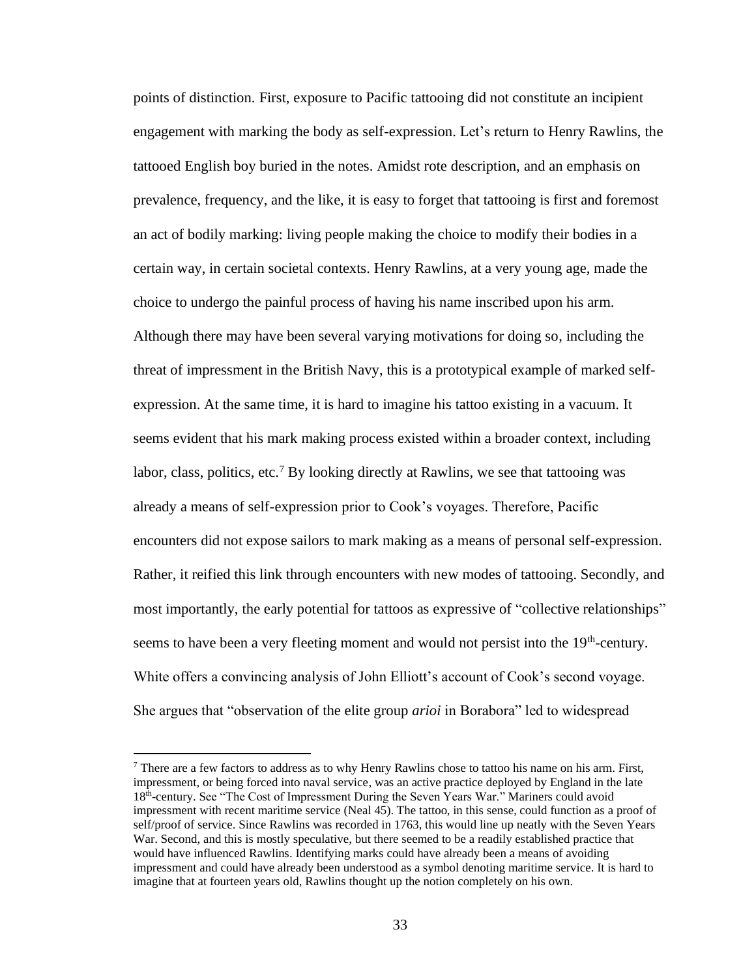points of distinction. First, exposure to Pacific tattooing did not constitute an incipient engagement with marking the body as self-expression. Let's return to Henry Rawlins, the tattooed English boy buried in the notes. Amidst rote description, and an emphasis on prevalence, frequency, and the like, it is easy to forget that tattooing is first and foremost an act of bodily marking: living people making the choice to modify their bodies in a certain way, in certain societal contexts. Henry Rawlins, at a very young age, made the choice to undergo the painful process of having his name inscribed upon his arm. Although there may have been several varying motivations for doing so, including the threat of impressment in the British Navy, this is a prototypical example of marked selfexpression. At the same time, it is hard to imagine his tattoo existing in a vacuum. It seems evident that his mark making process existed within a broader context, including labor, class, politics, etc.<sup>7</sup> By looking directly at Rawlins, we see that tattooing was already a means of self-expression prior to Cook's voyages. Therefore, Pacific encounters did not expose sailors to mark making as a means of personal self-expression. Rather, it reified this link through encounters with new modes of tattooing. Secondly, and most importantly, the early potential for tattoos as expressive of "collective relationships" seems to have been a very fleeting moment and would not persist into the 19<sup>th</sup>-century. White offers a convincing analysis of John Elliott's account of Cook's second voyage. She argues that "observation of the elite group *arioi* in Borabora" led to widespread

 $<sup>7</sup>$  There are a few factors to address as to why Henry Rawlins chose to tattoo his name on his arm. First,</sup> impressment, or being forced into naval service, was an active practice deployed by England in the late 18<sup>th</sup>-century. See "The Cost of Impressment During the Seven Years War." Mariners could avoid impressment with recent maritime service (Neal 45). The tattoo, in this sense, could function as a proof of self/proof of service. Since Rawlins was recorded in 1763, this would line up neatly with the Seven Years War. Second, and this is mostly speculative, but there seemed to be a readily established practice that would have influenced Rawlins. Identifying marks could have already been a means of avoiding impressment and could have already been understood as a symbol denoting maritime service. It is hard to imagine that at fourteen years old, Rawlins thought up the notion completely on his own.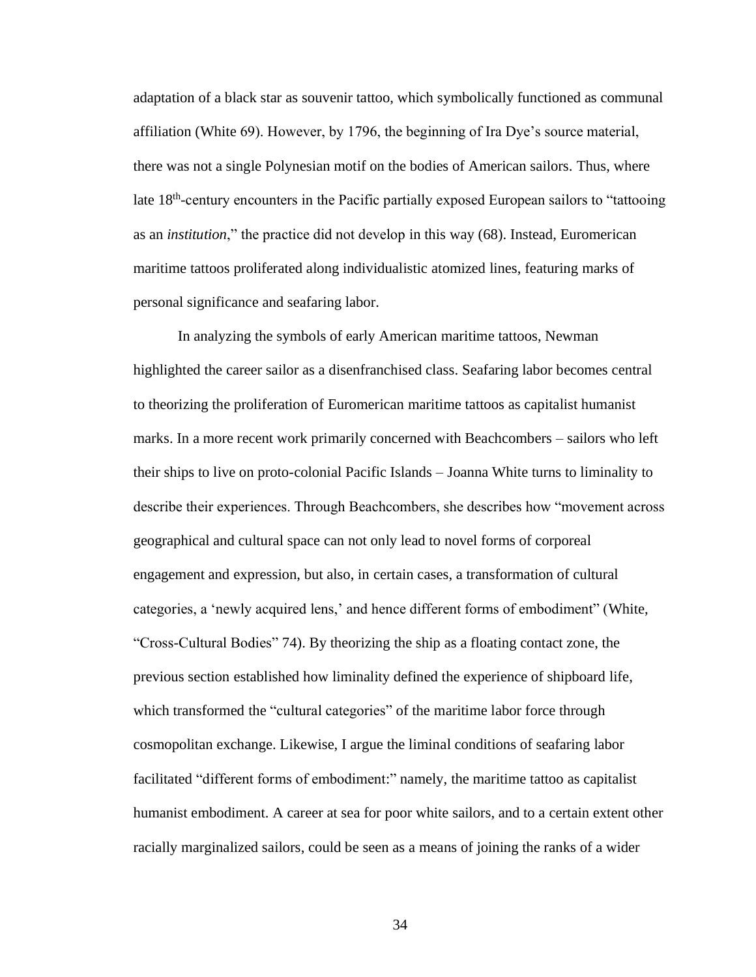adaptation of a black star as souvenir tattoo, which symbolically functioned as communal affiliation (White 69). However, by 1796, the beginning of Ira Dye's source material, there was not a single Polynesian motif on the bodies of American sailors. Thus, where late 18<sup>th</sup>-century encounters in the Pacific partially exposed European sailors to "tattooing as an *institution*," the practice did not develop in this way (68). Instead, Euromerican maritime tattoos proliferated along individualistic atomized lines, featuring marks of personal significance and seafaring labor.

In analyzing the symbols of early American maritime tattoos, Newman highlighted the career sailor as a disenfranchised class. Seafaring labor becomes central to theorizing the proliferation of Euromerican maritime tattoos as capitalist humanist marks. In a more recent work primarily concerned with Beachcombers – sailors who left their ships to live on proto-colonial Pacific Islands – Joanna White turns to liminality to describe their experiences. Through Beachcombers, she describes how "movement across geographical and cultural space can not only lead to novel forms of corporeal engagement and expression, but also, in certain cases, a transformation of cultural categories, a 'newly acquired lens,' and hence different forms of embodiment" (White, "Cross-Cultural Bodies" 74). By theorizing the ship as a floating contact zone, the previous section established how liminality defined the experience of shipboard life, which transformed the "cultural categories" of the maritime labor force through cosmopolitan exchange. Likewise, I argue the liminal conditions of seafaring labor facilitated "different forms of embodiment:" namely, the maritime tattoo as capitalist humanist embodiment. A career at sea for poor white sailors, and to a certain extent other racially marginalized sailors, could be seen as a means of joining the ranks of a wider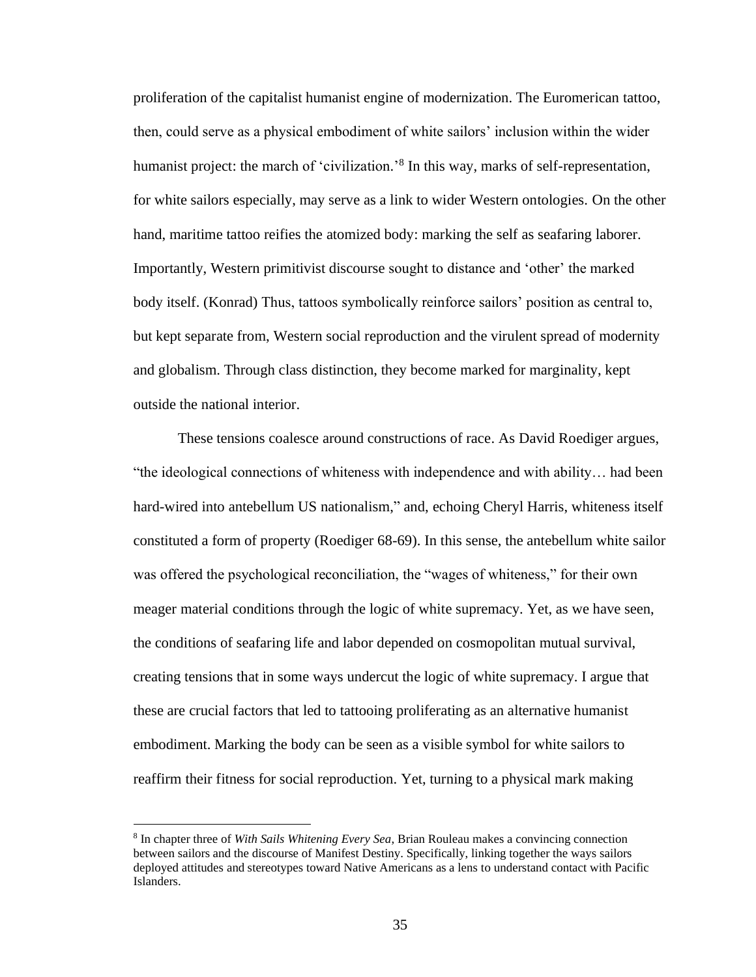proliferation of the capitalist humanist engine of modernization. The Euromerican tattoo, then, could serve as a physical embodiment of white sailors' inclusion within the wider humanist project: the march of 'civilization.'<sup>8</sup> In this way, marks of self-representation, for white sailors especially, may serve as a link to wider Western ontologies. On the other hand, maritime tattoo reifies the atomized body: marking the self as seafaring laborer. Importantly, Western primitivist discourse sought to distance and 'other' the marked body itself. (Konrad) Thus, tattoos symbolically reinforce sailors' position as central to, but kept separate from, Western social reproduction and the virulent spread of modernity and globalism. Through class distinction, they become marked for marginality, kept outside the national interior.

These tensions coalesce around constructions of race. As David Roediger argues, "the ideological connections of whiteness with independence and with ability… had been hard-wired into antebellum US nationalism," and, echoing Cheryl Harris, whiteness itself constituted a form of property (Roediger 68-69). In this sense, the antebellum white sailor was offered the psychological reconciliation, the "wages of whiteness," for their own meager material conditions through the logic of white supremacy. Yet, as we have seen, the conditions of seafaring life and labor depended on cosmopolitan mutual survival, creating tensions that in some ways undercut the logic of white supremacy. I argue that these are crucial factors that led to tattooing proliferating as an alternative humanist embodiment. Marking the body can be seen as a visible symbol for white sailors to reaffirm their fitness for social reproduction. Yet, turning to a physical mark making

<sup>8</sup> In chapter three of *With Sails Whitening Every Sea*, Brian Rouleau makes a convincing connection between sailors and the discourse of Manifest Destiny. Specifically, linking together the ways sailors deployed attitudes and stereotypes toward Native Americans as a lens to understand contact with Pacific Islanders.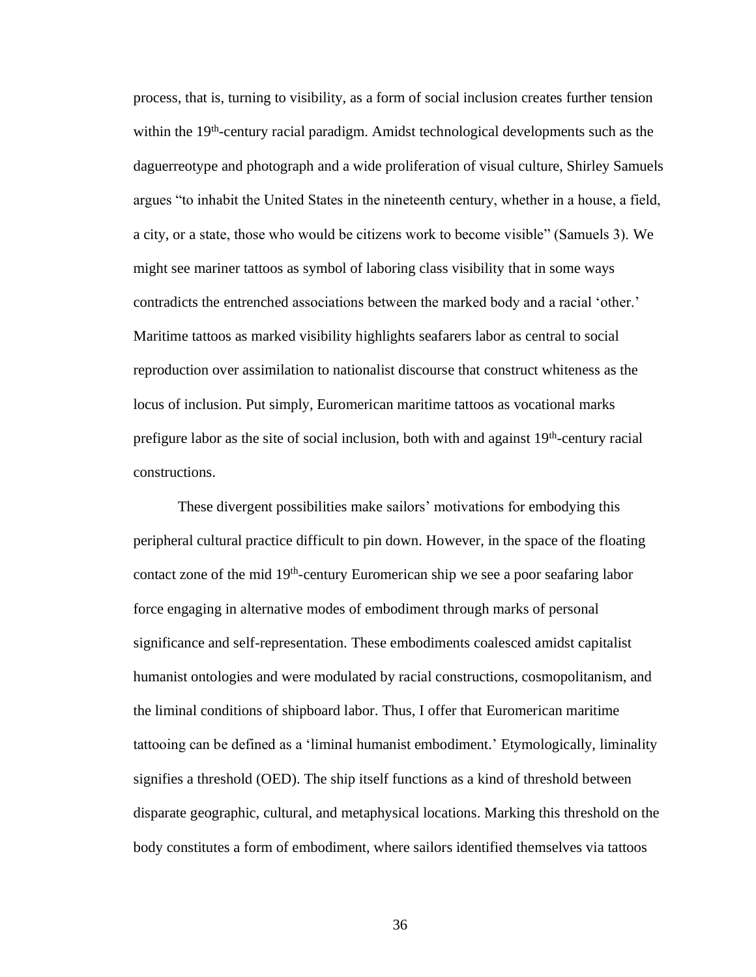process, that is, turning to visibility, as a form of social inclusion creates further tension within the 19<sup>th</sup>-century racial paradigm. Amidst technological developments such as the daguerreotype and photograph and a wide proliferation of visual culture, Shirley Samuels argues "to inhabit the United States in the nineteenth century, whether in a house, a field, a city, or a state, those who would be citizens work to become visible" (Samuels 3). We might see mariner tattoos as symbol of laboring class visibility that in some ways contradicts the entrenched associations between the marked body and a racial 'other.' Maritime tattoos as marked visibility highlights seafarers labor as central to social reproduction over assimilation to nationalist discourse that construct whiteness as the locus of inclusion. Put simply, Euromerican maritime tattoos as vocational marks prefigure labor as the site of social inclusion, both with and against 19<sup>th</sup>-century racial constructions.

These divergent possibilities make sailors' motivations for embodying this peripheral cultural practice difficult to pin down. However, in the space of the floating contact zone of the mid 19<sup>th</sup>-century Euromerican ship we see a poor seafaring labor force engaging in alternative modes of embodiment through marks of personal significance and self-representation. These embodiments coalesced amidst capitalist humanist ontologies and were modulated by racial constructions, cosmopolitanism, and the liminal conditions of shipboard labor. Thus, I offer that Euromerican maritime tattooing can be defined as a 'liminal humanist embodiment.' Etymologically, liminality signifies a threshold (OED). The ship itself functions as a kind of threshold between disparate geographic, cultural, and metaphysical locations. Marking this threshold on the body constitutes a form of embodiment, where sailors identified themselves via tattoos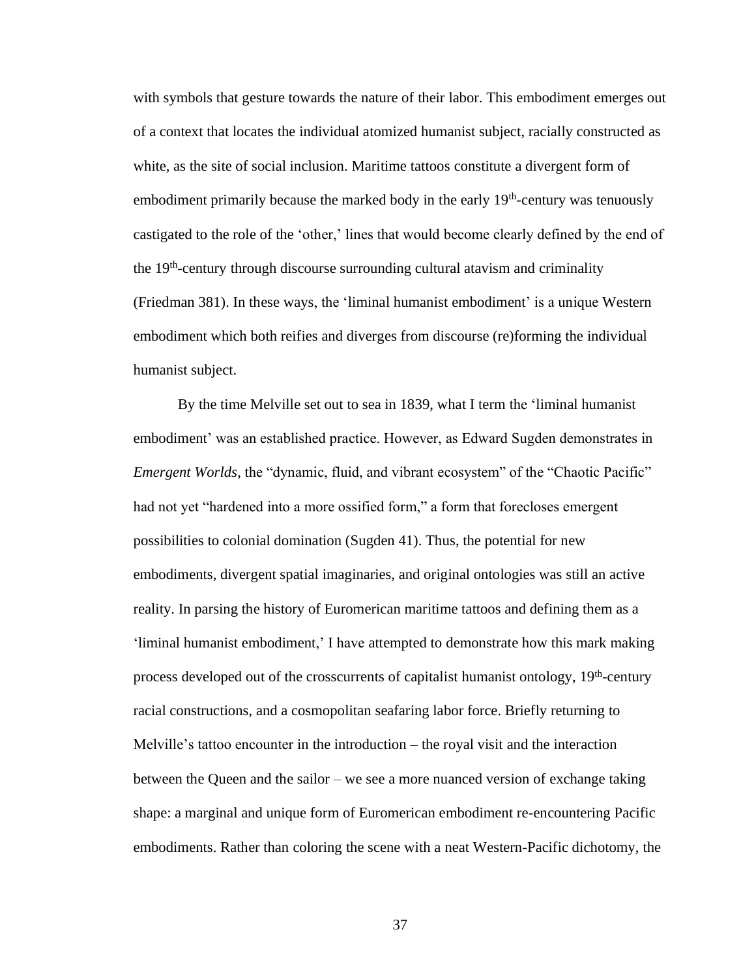with symbols that gesture towards the nature of their labor. This embodiment emerges out of a context that locates the individual atomized humanist subject, racially constructed as white, as the site of social inclusion. Maritime tattoos constitute a divergent form of embodiment primarily because the marked body in the early 19<sup>th</sup>-century was tenuously castigated to the role of the 'other,' lines that would become clearly defined by the end of the 19<sup>th</sup>-century through discourse surrounding cultural atavism and criminality (Friedman 381). In these ways, the 'liminal humanist embodiment' is a unique Western embodiment which both reifies and diverges from discourse (re)forming the individual humanist subject.

By the time Melville set out to sea in 1839, what I term the 'liminal humanist embodiment' was an established practice. However, as Edward Sugden demonstrates in *Emergent Worlds*, the "dynamic, fluid, and vibrant ecosystem" of the "Chaotic Pacific" had not yet "hardened into a more ossified form," a form that forecloses emergent possibilities to colonial domination (Sugden 41). Thus, the potential for new embodiments, divergent spatial imaginaries, and original ontologies was still an active reality. In parsing the history of Euromerican maritime tattoos and defining them as a 'liminal humanist embodiment,' I have attempted to demonstrate how this mark making process developed out of the crosscurrents of capitalist humanist ontology, 19<sup>th</sup>-century racial constructions, and a cosmopolitan seafaring labor force. Briefly returning to Melville's tattoo encounter in the introduction – the royal visit and the interaction between the Queen and the sailor – we see a more nuanced version of exchange taking shape: a marginal and unique form of Euromerican embodiment re-encountering Pacific embodiments. Rather than coloring the scene with a neat Western-Pacific dichotomy, the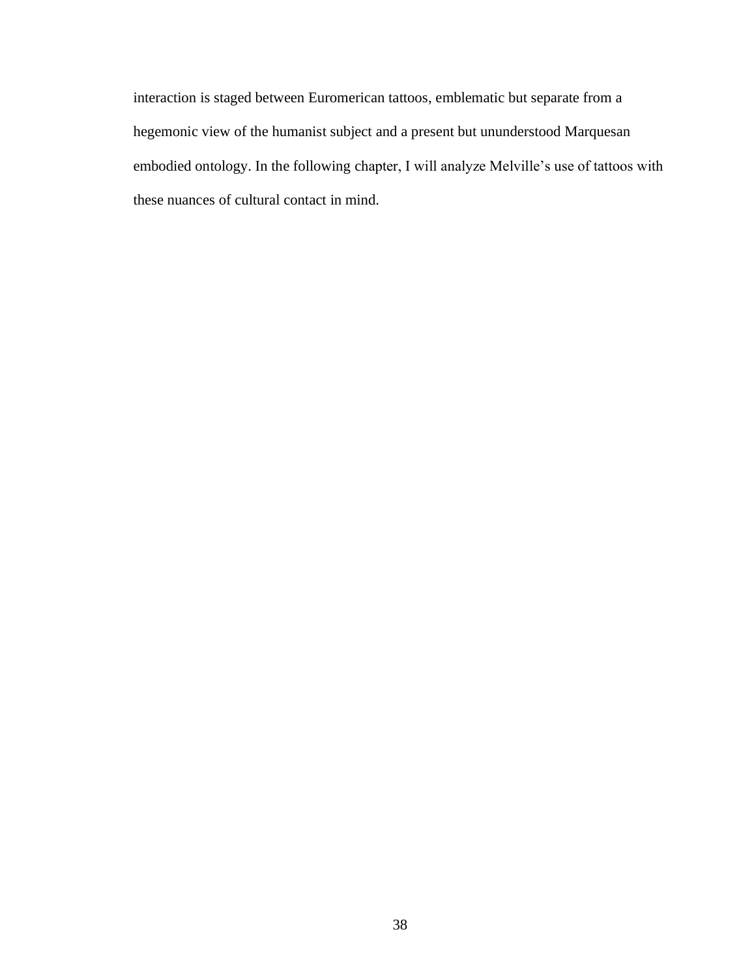interaction is staged between Euromerican tattoos, emblematic but separate from a hegemonic view of the humanist subject and a present but ununderstood Marquesan embodied ontology. In the following chapter, I will analyze Melville's use of tattoos with these nuances of cultural contact in mind.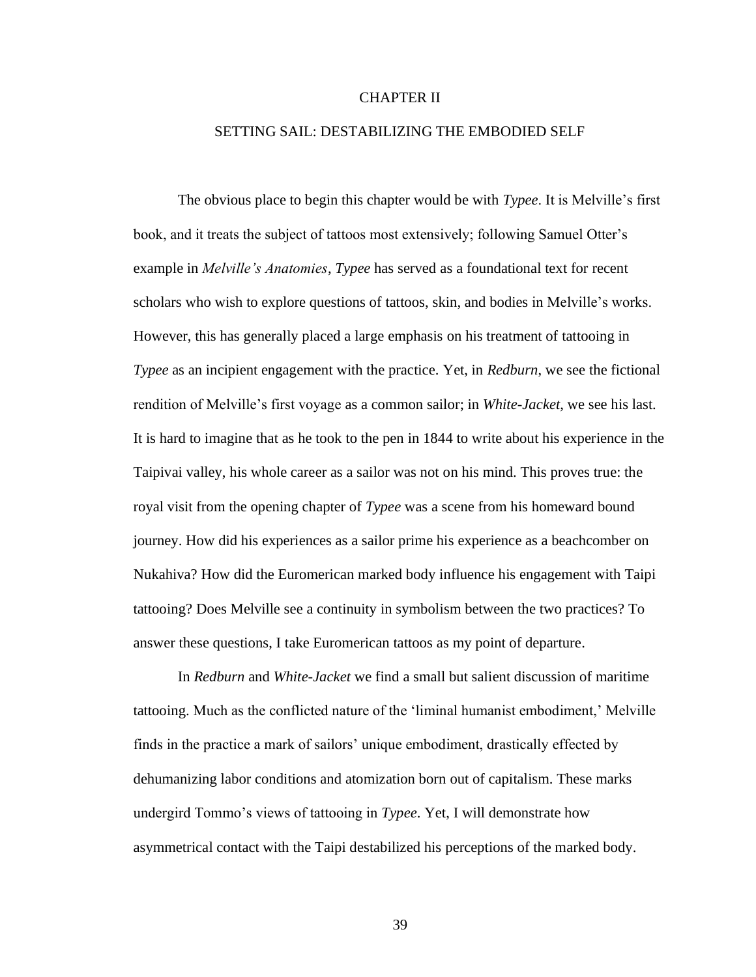## CHAPTER II

## SETTING SAIL: DESTABILIZING THE EMBODIED SELF

The obvious place to begin this chapter would be with *Typee*. It is Melville's first book, and it treats the subject of tattoos most extensively; following Samuel Otter's example in *Melville's Anatomies*, *Typee* has served as a foundational text for recent scholars who wish to explore questions of tattoos, skin, and bodies in Melville's works. However, this has generally placed a large emphasis on his treatment of tattooing in *Typee* as an incipient engagement with the practice. Yet, in *Redburn*, we see the fictional rendition of Melville's first voyage as a common sailor; in *White-Jacket*, we see his last. It is hard to imagine that as he took to the pen in 1844 to write about his experience in the Taipivai valley, his whole career as a sailor was not on his mind. This proves true: the royal visit from the opening chapter of *Typee* was a scene from his homeward bound journey. How did his experiences as a sailor prime his experience as a beachcomber on Nukahiva? How did the Euromerican marked body influence his engagement with Taipi tattooing? Does Melville see a continuity in symbolism between the two practices? To answer these questions, I take Euromerican tattoos as my point of departure.

In *Redburn* and *White-Jacket* we find a small but salient discussion of maritime tattooing. Much as the conflicted nature of the 'liminal humanist embodiment,' Melville finds in the practice a mark of sailors' unique embodiment, drastically effected by dehumanizing labor conditions and atomization born out of capitalism. These marks undergird Tommo's views of tattooing in *Typee*. Yet, I will demonstrate how asymmetrical contact with the Taipi destabilized his perceptions of the marked body.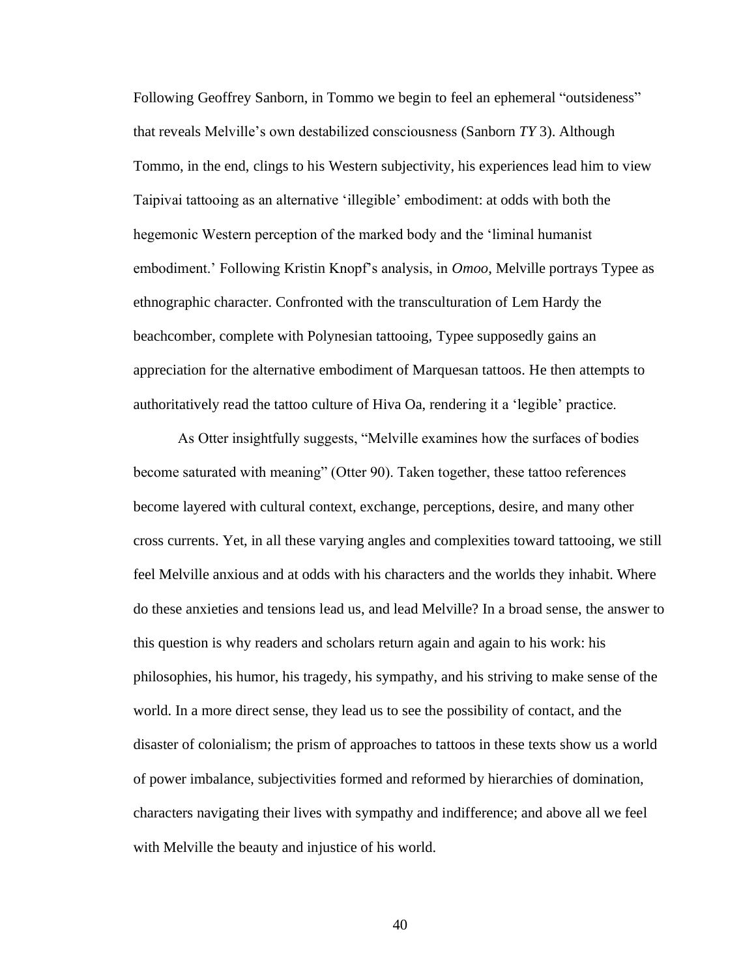Following Geoffrey Sanborn, in Tommo we begin to feel an ephemeral "outsideness" that reveals Melville's own destabilized consciousness (Sanborn *TY* 3). Although Tommo, in the end, clings to his Western subjectivity, his experiences lead him to view Taipivai tattooing as an alternative 'illegible' embodiment: at odds with both the hegemonic Western perception of the marked body and the 'liminal humanist embodiment.' Following Kristin Knopf's analysis, in *Omoo*, Melville portrays Typee as ethnographic character. Confronted with the transculturation of Lem Hardy the beachcomber, complete with Polynesian tattooing, Typee supposedly gains an appreciation for the alternative embodiment of Marquesan tattoos. He then attempts to authoritatively read the tattoo culture of Hiva Oa, rendering it a 'legible' practice.

As Otter insightfully suggests, "Melville examines how the surfaces of bodies become saturated with meaning" (Otter 90). Taken together, these tattoo references become layered with cultural context, exchange, perceptions, desire, and many other cross currents. Yet, in all these varying angles and complexities toward tattooing, we still feel Melville anxious and at odds with his characters and the worlds they inhabit. Where do these anxieties and tensions lead us, and lead Melville? In a broad sense, the answer to this question is why readers and scholars return again and again to his work: his philosophies, his humor, his tragedy, his sympathy, and his striving to make sense of the world. In a more direct sense, they lead us to see the possibility of contact, and the disaster of colonialism; the prism of approaches to tattoos in these texts show us a world of power imbalance, subjectivities formed and reformed by hierarchies of domination, characters navigating their lives with sympathy and indifference; and above all we feel with Melville the beauty and injustice of his world.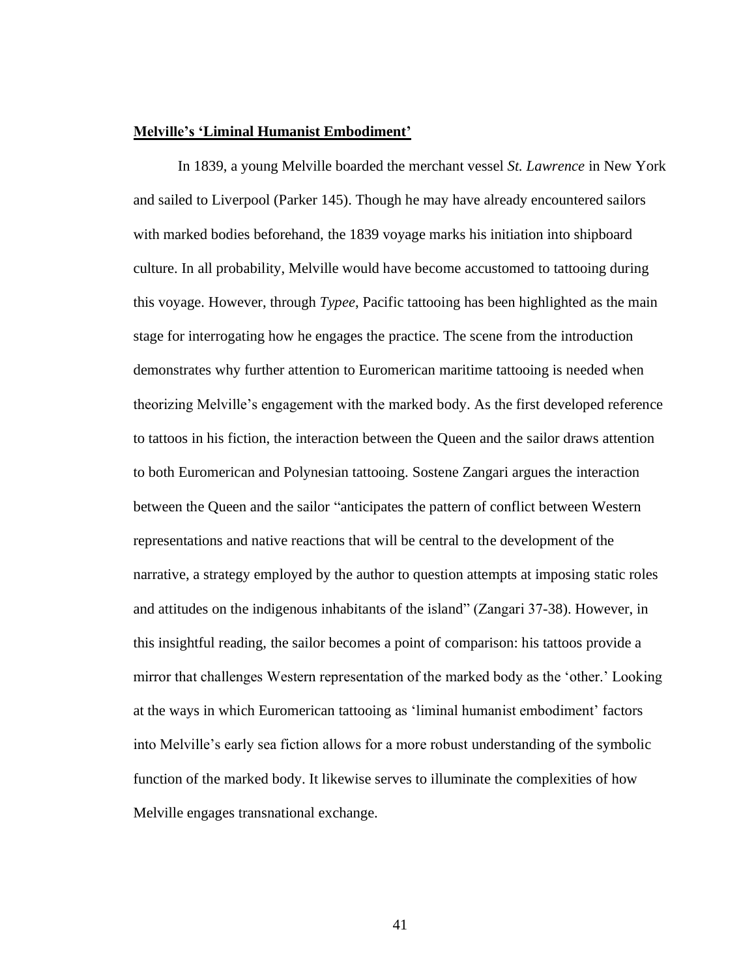## **Melville's 'Liminal Humanist Embodiment'**

In 1839, a young Melville boarded the merchant vessel *St. Lawrence* in New York and sailed to Liverpool (Parker 145). Though he may have already encountered sailors with marked bodies beforehand, the 1839 voyage marks his initiation into shipboard culture. In all probability, Melville would have become accustomed to tattooing during this voyage. However, through *Typee*, Pacific tattooing has been highlighted as the main stage for interrogating how he engages the practice. The scene from the introduction demonstrates why further attention to Euromerican maritime tattooing is needed when theorizing Melville's engagement with the marked body. As the first developed reference to tattoos in his fiction, the interaction between the Queen and the sailor draws attention to both Euromerican and Polynesian tattooing. Sostene Zangari argues the interaction between the Queen and the sailor "anticipates the pattern of conflict between Western representations and native reactions that will be central to the development of the narrative, a strategy employed by the author to question attempts at imposing static roles and attitudes on the indigenous inhabitants of the island" (Zangari 37-38). However, in this insightful reading, the sailor becomes a point of comparison: his tattoos provide a mirror that challenges Western representation of the marked body as the 'other.' Looking at the ways in which Euromerican tattooing as 'liminal humanist embodiment' factors into Melville's early sea fiction allows for a more robust understanding of the symbolic function of the marked body. It likewise serves to illuminate the complexities of how Melville engages transnational exchange.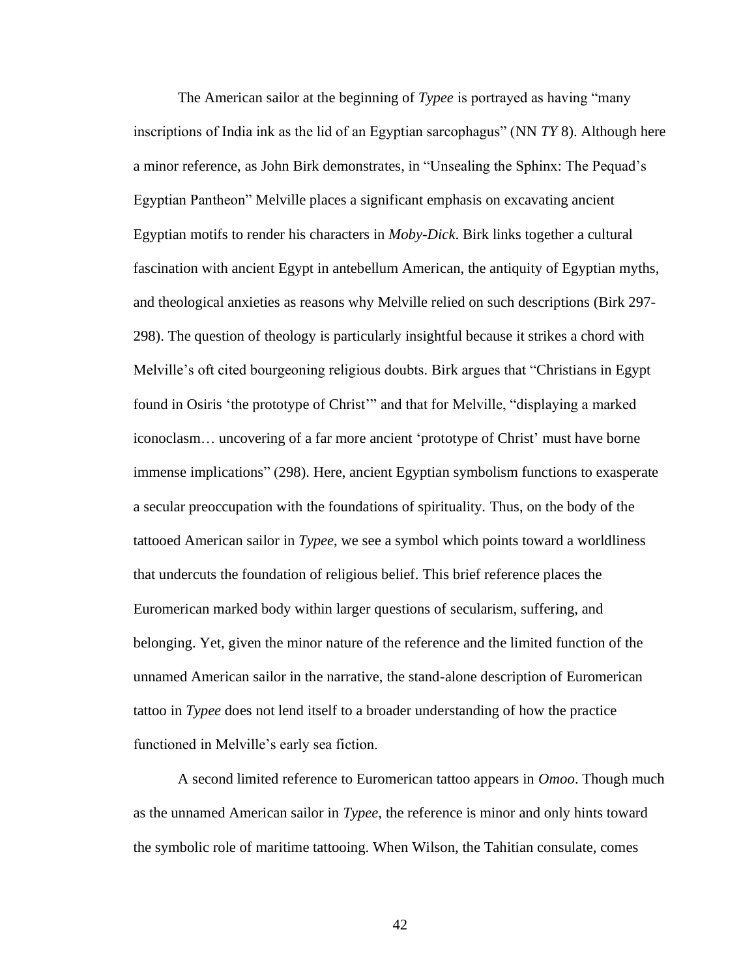The American sailor at the beginning of *Typee* is portrayed as having "many inscriptions of India ink as the lid of an Egyptian sarcophagus" (NN *TY* 8). Although here a minor reference, as John Birk demonstrates, in "Unsealing the Sphinx: The Pequad's Egyptian Pantheon" Melville places a significant emphasis on excavating ancient Egyptian motifs to render his characters in *Moby-Dick*. Birk links together a cultural fascination with ancient Egypt in antebellum American, the antiquity of Egyptian myths, and theological anxieties as reasons why Melville relied on such descriptions (Birk 297- 298). The question of theology is particularly insightful because it strikes a chord with Melville's oft cited bourgeoning religious doubts. Birk argues that "Christians in Egypt found in Osiris 'the prototype of Christ'" and that for Melville, "displaying a marked iconoclasm… uncovering of a far more ancient 'prototype of Christ' must have borne immense implications" (298). Here, ancient Egyptian symbolism functions to exasperate a secular preoccupation with the foundations of spirituality. Thus, on the body of the tattooed American sailor in *Typee*, we see a symbol which points toward a worldliness that undercuts the foundation of religious belief. This brief reference places the Euromerican marked body within larger questions of secularism, suffering, and belonging. Yet, given the minor nature of the reference and the limited function of the unnamed American sailor in the narrative, the stand-alone description of Euromerican tattoo in *Typee* does not lend itself to a broader understanding of how the practice functioned in Melville's early sea fiction.

A second limited reference to Euromerican tattoo appears in *Omoo*. Though much as the unnamed American sailor in *Typee*, the reference is minor and only hints toward the symbolic role of maritime tattooing. When Wilson, the Tahitian consulate, comes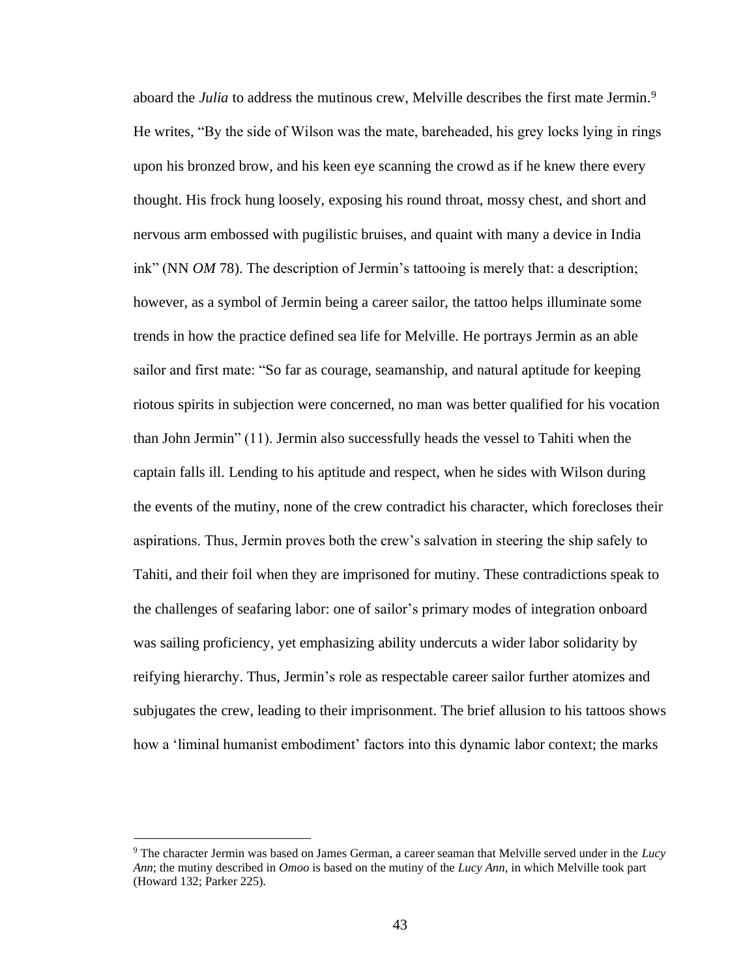aboard the *Julia* to address the mutinous crew. Melville describes the first mate Jermin.<sup>9</sup> He writes, "By the side of Wilson was the mate, bareheaded, his grey locks lying in rings upon his bronzed brow, and his keen eye scanning the crowd as if he knew there every thought. His frock hung loosely, exposing his round throat, mossy chest, and short and nervous arm embossed with pugilistic bruises, and quaint with many a device in India ink" (NN *OM* 78). The description of Jermin's tattooing is merely that: a description; however, as a symbol of Jermin being a career sailor, the tattoo helps illuminate some trends in how the practice defined sea life for Melville. He portrays Jermin as an able sailor and first mate: "So far as courage, seamanship, and natural aptitude for keeping riotous spirits in subjection were concerned, no man was better qualified for his vocation than John Jermin" (11). Jermin also successfully heads the vessel to Tahiti when the captain falls ill. Lending to his aptitude and respect, when he sides with Wilson during the events of the mutiny, none of the crew contradict his character, which forecloses their aspirations. Thus, Jermin proves both the crew's salvation in steering the ship safely to Tahiti, and their foil when they are imprisoned for mutiny. These contradictions speak to the challenges of seafaring labor: one of sailor's primary modes of integration onboard was sailing proficiency, yet emphasizing ability undercuts a wider labor solidarity by reifying hierarchy. Thus, Jermin's role as respectable career sailor further atomizes and subjugates the crew, leading to their imprisonment. The brief allusion to his tattoos shows how a 'liminal humanist embodiment' factors into this dynamic labor context; the marks

<sup>9</sup> The character Jermin was based on James German, a career seaman that Melville served under in the *Lucy Ann*; the mutiny described in *Omoo* is based on the mutiny of the *Lucy Ann*, in which Melville took part (Howard 132; Parker 225).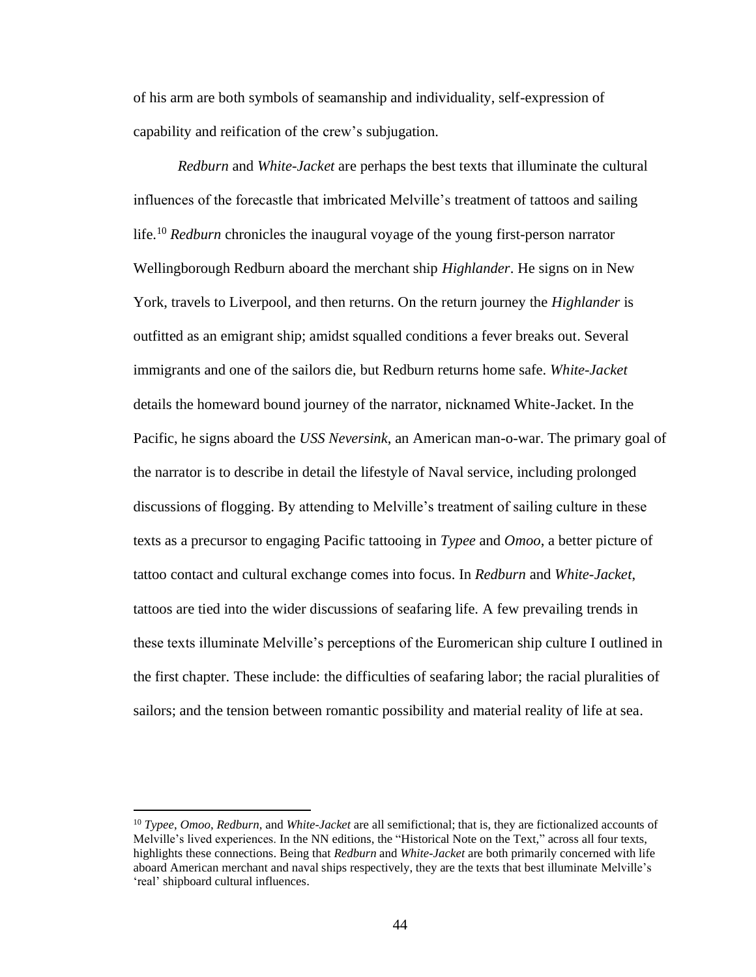of his arm are both symbols of seamanship and individuality, self-expression of capability and reification of the crew's subjugation.

*Redburn* and *White-Jacket* are perhaps the best texts that illuminate the cultural influences of the forecastle that imbricated Melville's treatment of tattoos and sailing life.<sup>10</sup> *Redburn* chronicles the inaugural voyage of the young first-person narrator Wellingborough Redburn aboard the merchant ship *Highlander*. He signs on in New York, travels to Liverpool, and then returns. On the return journey the *Highlander* is outfitted as an emigrant ship; amidst squalled conditions a fever breaks out. Several immigrants and one of the sailors die, but Redburn returns home safe. *White-Jacket* details the homeward bound journey of the narrator, nicknamed White-Jacket. In the Pacific, he signs aboard the *USS Neversink*, an American man-o-war. The primary goal of the narrator is to describe in detail the lifestyle of Naval service, including prolonged discussions of flogging. By attending to Melville's treatment of sailing culture in these texts as a precursor to engaging Pacific tattooing in *Typee* and *Omoo*, a better picture of tattoo contact and cultural exchange comes into focus. In *Redburn* and *White-Jacket*, tattoos are tied into the wider discussions of seafaring life. A few prevailing trends in these texts illuminate Melville's perceptions of the Euromerican ship culture I outlined in the first chapter. These include: the difficulties of seafaring labor; the racial pluralities of sailors; and the tension between romantic possibility and material reality of life at sea.

<sup>10</sup> *Typee*, *Omoo*, *Redburn*, and *White-Jacket* are all semifictional; that is, they are fictionalized accounts of Melville's lived experiences. In the NN editions, the "Historical Note on the Text," across all four texts, highlights these connections. Being that *Redburn* and *White-Jacket* are both primarily concerned with life aboard American merchant and naval ships respectively, they are the texts that best illuminate Melville's 'real' shipboard cultural influences.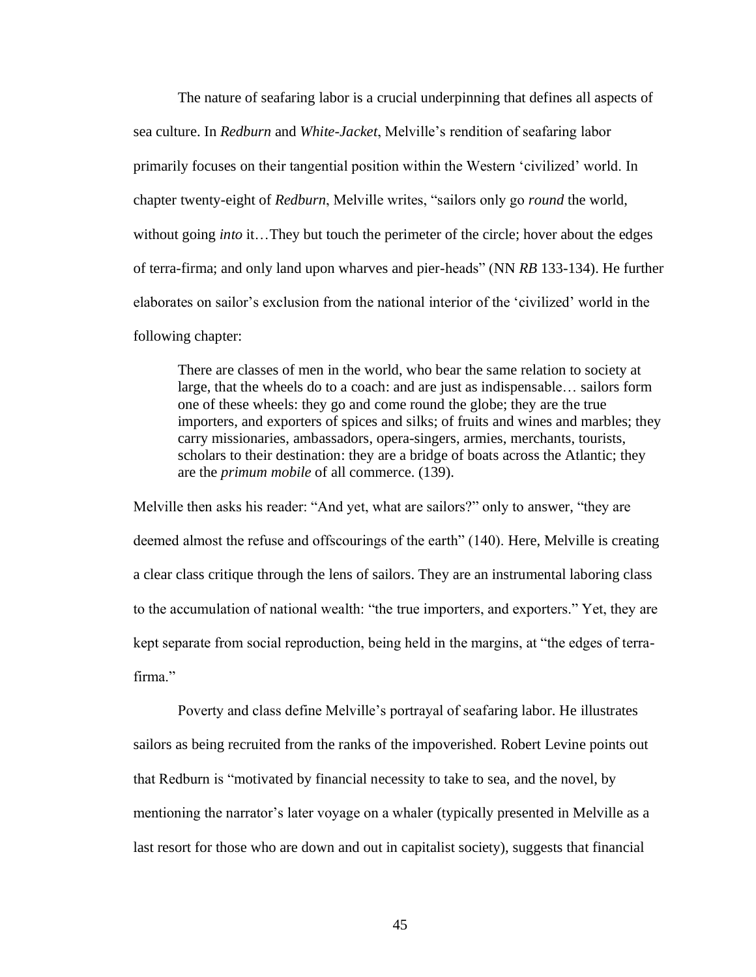The nature of seafaring labor is a crucial underpinning that defines all aspects of sea culture. In *Redburn* and *White-Jacket*, Melville's rendition of seafaring labor primarily focuses on their tangential position within the Western 'civilized' world. In chapter twenty-eight of *Redburn*, Melville writes, "sailors only go *round* the world, without going *into* it…They but touch the perimeter of the circle; hover about the edges of terra-firma; and only land upon wharves and pier-heads" (NN *RB* 133-134). He further elaborates on sailor's exclusion from the national interior of the 'civilized' world in the following chapter:

There are classes of men in the world, who bear the same relation to society at large, that the wheels do to a coach: and are just as indispensable… sailors form one of these wheels: they go and come round the globe; they are the true importers, and exporters of spices and silks; of fruits and wines and marbles; they carry missionaries, ambassadors, opera-singers, armies, merchants, tourists, scholars to their destination: they are a bridge of boats across the Atlantic; they are the *primum mobile* of all commerce. (139).

Melville then asks his reader: "And yet, what are sailors?" only to answer, "they are deemed almost the refuse and offscourings of the earth" (140). Here, Melville is creating a clear class critique through the lens of sailors. They are an instrumental laboring class to the accumulation of national wealth: "the true importers, and exporters." Yet, they are kept separate from social reproduction, being held in the margins, at "the edges of terrafirma."

Poverty and class define Melville's portrayal of seafaring labor. He illustrates sailors as being recruited from the ranks of the impoverished. Robert Levine points out that Redburn is "motivated by financial necessity to take to sea, and the novel, by mentioning the narrator's later voyage on a whaler (typically presented in Melville as a last resort for those who are down and out in capitalist society), suggests that financial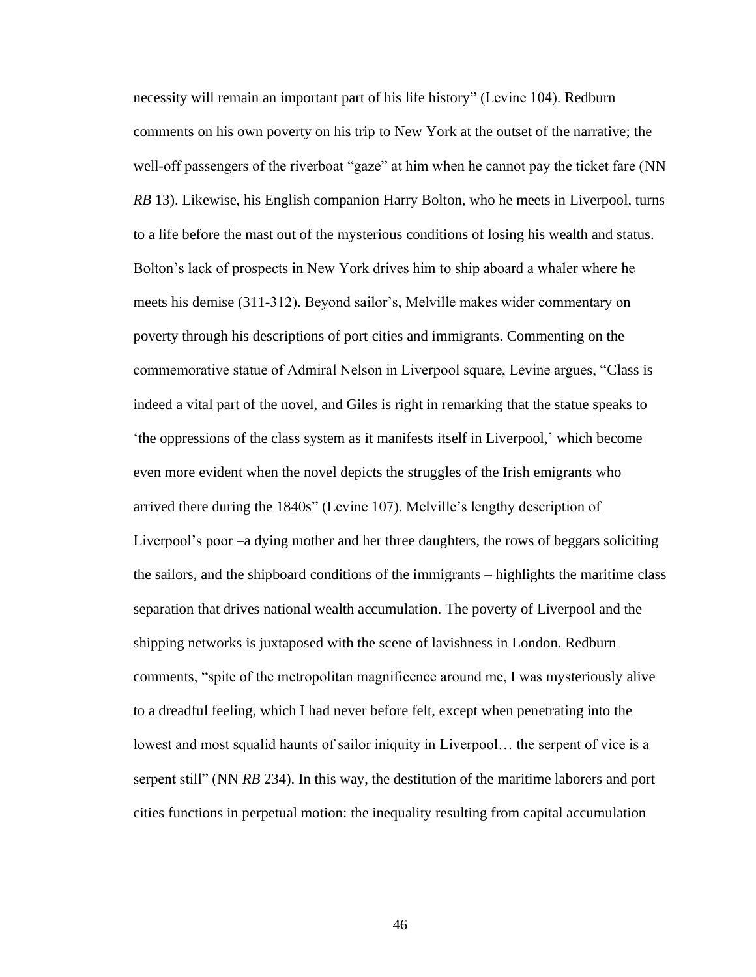necessity will remain an important part of his life history" (Levine 104). Redburn comments on his own poverty on his trip to New York at the outset of the narrative; the well-off passengers of the riverboat "gaze" at him when he cannot pay the ticket fare (NN *RB* 13). Likewise, his English companion Harry Bolton, who he meets in Liverpool, turns to a life before the mast out of the mysterious conditions of losing his wealth and status. Bolton's lack of prospects in New York drives him to ship aboard a whaler where he meets his demise (311-312). Beyond sailor's, Melville makes wider commentary on poverty through his descriptions of port cities and immigrants. Commenting on the commemorative statue of Admiral Nelson in Liverpool square, Levine argues, "Class is indeed a vital part of the novel, and Giles is right in remarking that the statue speaks to 'the oppressions of the class system as it manifests itself in Liverpool,' which become even more evident when the novel depicts the struggles of the Irish emigrants who arrived there during the 1840s" (Levine 107). Melville's lengthy description of Liverpool's poor –a dying mother and her three daughters, the rows of beggars soliciting the sailors, and the shipboard conditions of the immigrants – highlights the maritime class separation that drives national wealth accumulation. The poverty of Liverpool and the shipping networks is juxtaposed with the scene of lavishness in London. Redburn comments, "spite of the metropolitan magnificence around me, I was mysteriously alive to a dreadful feeling, which I had never before felt, except when penetrating into the lowest and most squalid haunts of sailor iniquity in Liverpool… the serpent of vice is a serpent still" (NN *RB* 234). In this way, the destitution of the maritime laborers and port cities functions in perpetual motion: the inequality resulting from capital accumulation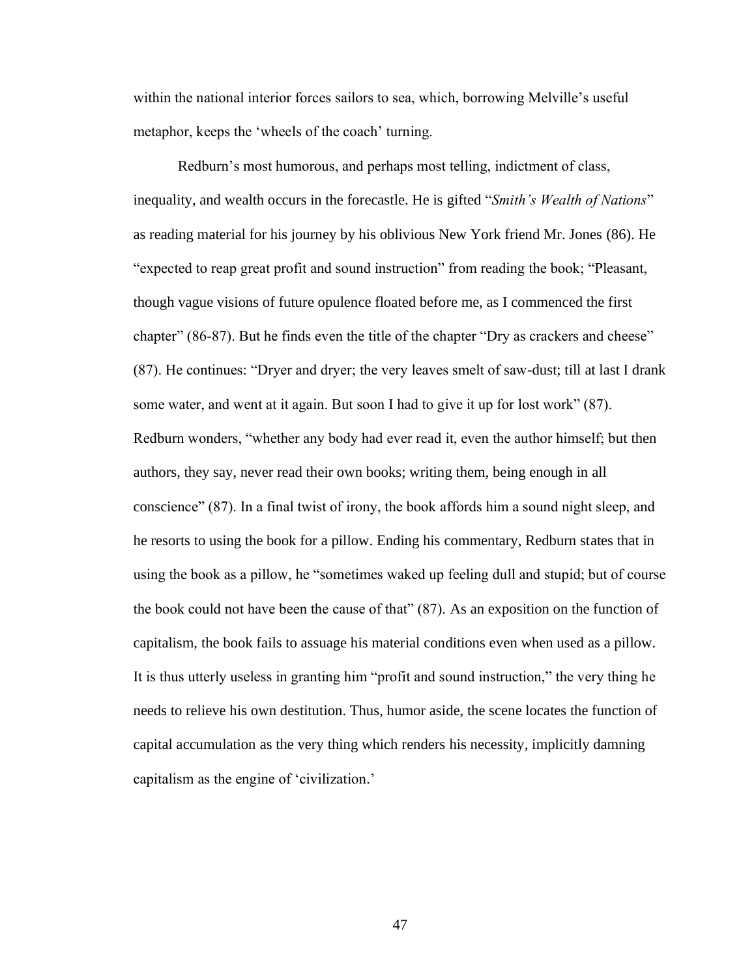within the national interior forces sailors to sea, which, borrowing Melville's useful metaphor, keeps the 'wheels of the coach' turning.

Redburn's most humorous, and perhaps most telling, indictment of class, inequality, and wealth occurs in the forecastle. He is gifted "*Smith's Wealth of Nations*" as reading material for his journey by his oblivious New York friend Mr. Jones (86). He "expected to reap great profit and sound instruction" from reading the book; "Pleasant, though vague visions of future opulence floated before me, as I commenced the first chapter" (86-87). But he finds even the title of the chapter "Dry as crackers and cheese" (87). He continues: "Dryer and dryer; the very leaves smelt of saw-dust; till at last I drank some water, and went at it again. But soon I had to give it up for lost work" (87). Redburn wonders, "whether any body had ever read it, even the author himself; but then authors, they say, never read their own books; writing them, being enough in all conscience" (87). In a final twist of irony, the book affords him a sound night sleep, and he resorts to using the book for a pillow. Ending his commentary, Redburn states that in using the book as a pillow, he "sometimes waked up feeling dull and stupid; but of course the book could not have been the cause of that" (87). As an exposition on the function of capitalism, the book fails to assuage his material conditions even when used as a pillow. It is thus utterly useless in granting him "profit and sound instruction," the very thing he needs to relieve his own destitution. Thus, humor aside, the scene locates the function of capital accumulation as the very thing which renders his necessity, implicitly damning capitalism as the engine of 'civilization.'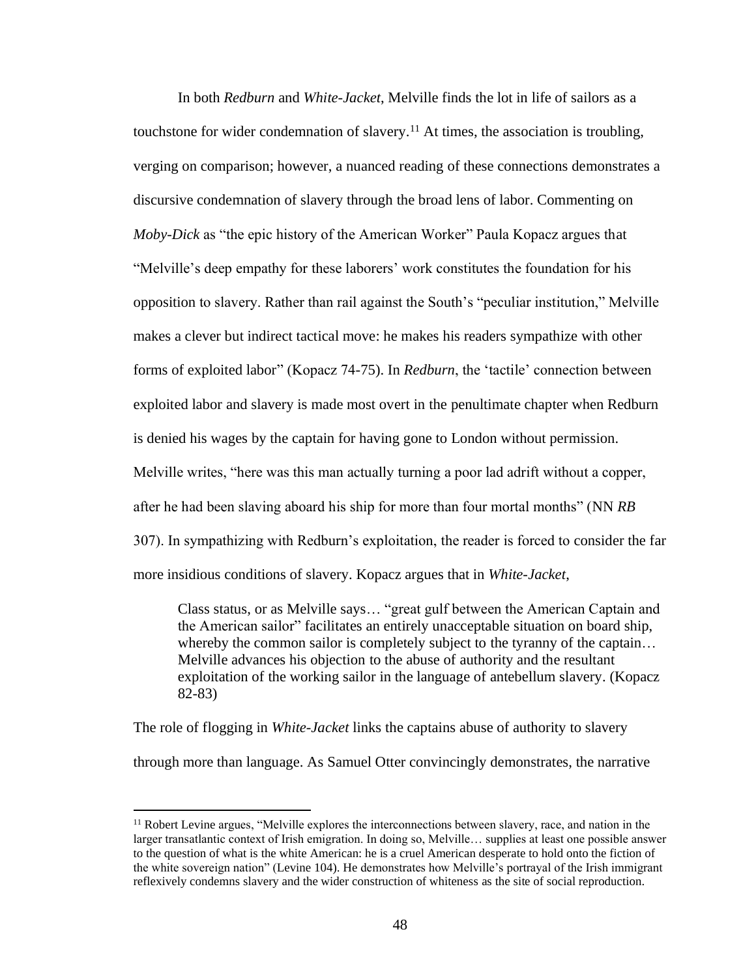In both *Redburn* and *White-Jacket*, Melville finds the lot in life of sailors as a touchstone for wider condemnation of slavery.<sup>11</sup> At times, the association is troubling, verging on comparison; however, a nuanced reading of these connections demonstrates a discursive condemnation of slavery through the broad lens of labor. Commenting on *Moby-Dick* as "the epic history of the American Worker" Paula Kopacz argues that "Melville's deep empathy for these laborers' work constitutes the foundation for his opposition to slavery. Rather than rail against the South's "peculiar institution," Melville makes a clever but indirect tactical move: he makes his readers sympathize with other forms of exploited labor" (Kopacz 74-75). In *Redburn*, the 'tactile' connection between exploited labor and slavery is made most overt in the penultimate chapter when Redburn is denied his wages by the captain for having gone to London without permission. Melville writes, "here was this man actually turning a poor lad adrift without a copper, after he had been slaving aboard his ship for more than four mortal months" (NN *RB* 307). In sympathizing with Redburn's exploitation, the reader is forced to consider the far more insidious conditions of slavery. Kopacz argues that in *White-Jacket*,

Class status, or as Melville says… "great gulf between the American Captain and the American sailor" facilitates an entirely unacceptable situation on board ship, whereby the common sailor is completely subject to the tyranny of the captain... Melville advances his objection to the abuse of authority and the resultant exploitation of the working sailor in the language of antebellum slavery. (Kopacz 82-83)

The role of flogging in *White-Jacket* links the captains abuse of authority to slavery through more than language. As Samuel Otter convincingly demonstrates, the narrative

 $<sup>11</sup>$  Robert Levine argues, "Melville explores the interconnections between slavery, race, and nation in the</sup> larger transatlantic context of Irish emigration. In doing so, Melville… supplies at least one possible answer to the question of what is the white American: he is a cruel American desperate to hold onto the fiction of the white sovereign nation" (Levine 104). He demonstrates how Melville's portrayal of the Irish immigrant reflexively condemns slavery and the wider construction of whiteness as the site of social reproduction.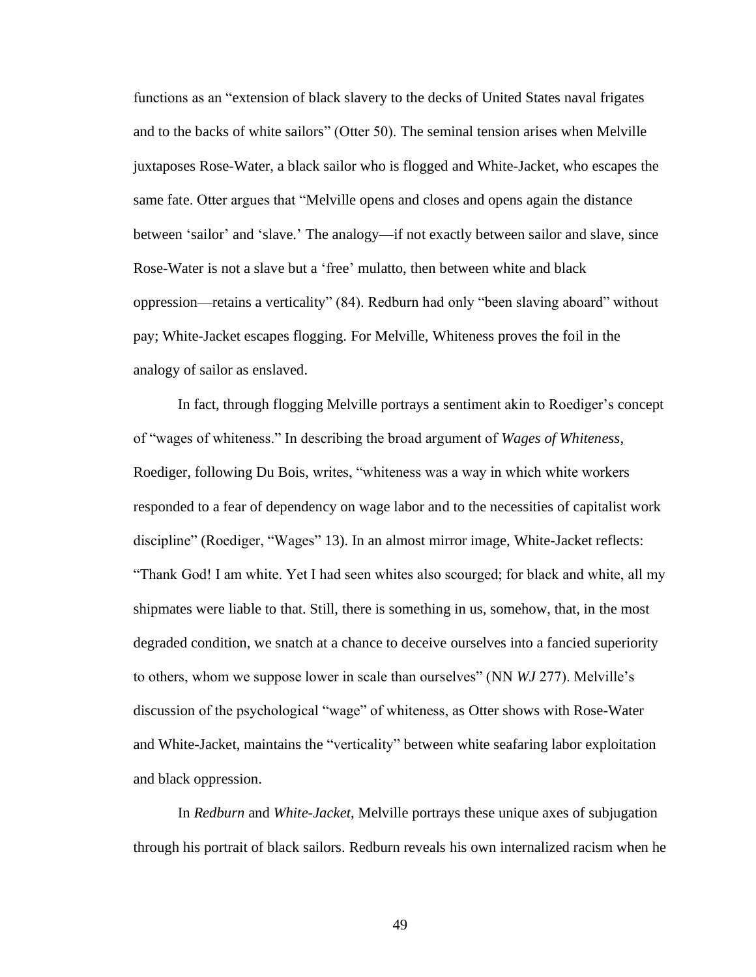functions as an "extension of black slavery to the decks of United States naval frigates and to the backs of white sailors" (Otter 50). The seminal tension arises when Melville juxtaposes Rose-Water, a black sailor who is flogged and White-Jacket, who escapes the same fate. Otter argues that "Melville opens and closes and opens again the distance between 'sailor' and 'slave.' The analogy—if not exactly between sailor and slave, since Rose-Water is not a slave but a 'free' mulatto, then between white and black oppression—retains a verticality" (84). Redburn had only "been slaving aboard" without pay; White-Jacket escapes flogging. For Melville, Whiteness proves the foil in the analogy of sailor as enslaved.

In fact, through flogging Melville portrays a sentiment akin to Roediger's concept of "wages of whiteness." In describing the broad argument of *Wages of Whiteness*, Roediger, following Du Bois, writes, "whiteness was a way in which white workers responded to a fear of dependency on wage labor and to the necessities of capitalist work discipline" (Roediger, "Wages" 13). In an almost mirror image, White-Jacket reflects: "Thank God! I am white. Yet I had seen whites also scourged; for black and white, all my shipmates were liable to that. Still, there is something in us, somehow, that, in the most degraded condition, we snatch at a chance to deceive ourselves into a fancied superiority to others, whom we suppose lower in scale than ourselves" (NN *WJ* 277). Melville's discussion of the psychological "wage" of whiteness, as Otter shows with Rose-Water and White-Jacket, maintains the "verticality" between white seafaring labor exploitation and black oppression.

In *Redburn* and *White-Jacket*, Melville portrays these unique axes of subjugation through his portrait of black sailors. Redburn reveals his own internalized racism when he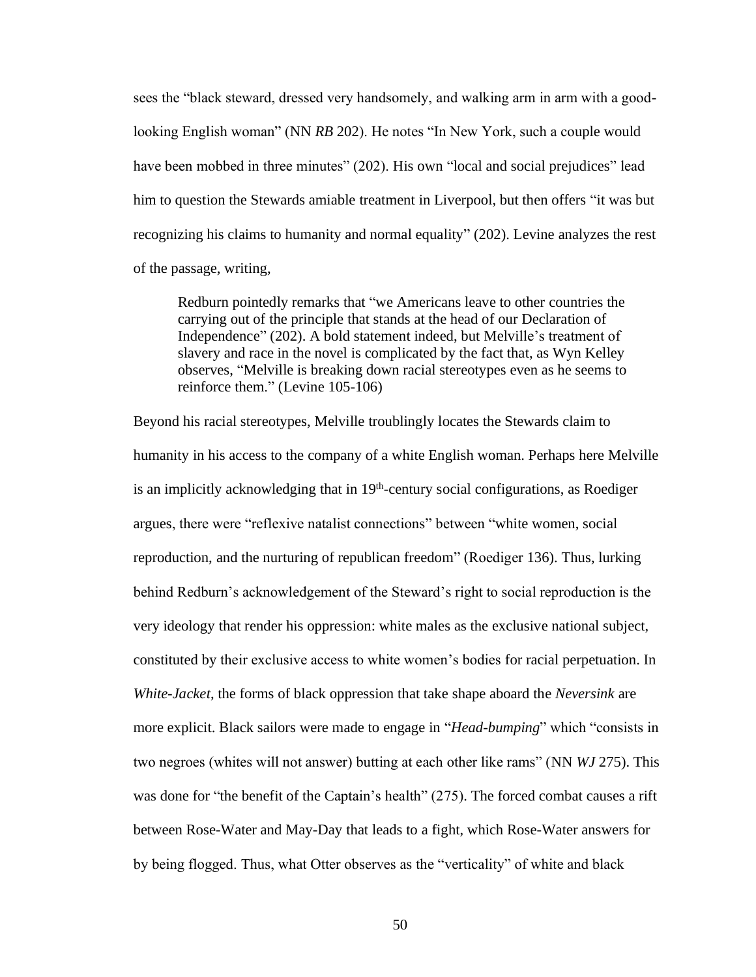sees the "black steward, dressed very handsomely, and walking arm in arm with a goodlooking English woman" (NN *RB* 202). He notes "In New York, such a couple would have been mobbed in three minutes" (202). His own "local and social prejudices" lead him to question the Stewards amiable treatment in Liverpool, but then offers "it was but recognizing his claims to humanity and normal equality" (202). Levine analyzes the rest of the passage, writing,

Redburn pointedly remarks that "we Americans leave to other countries the carrying out of the principle that stands at the head of our Declaration of Independence" (202). A bold statement indeed, but Melville's treatment of slavery and race in the novel is complicated by the fact that, as Wyn Kelley observes, "Melville is breaking down racial stereotypes even as he seems to reinforce them." (Levine 105-106)

Beyond his racial stereotypes, Melville troublingly locates the Stewards claim to humanity in his access to the company of a white English woman. Perhaps here Melville is an implicitly acknowledging that in 19<sup>th</sup>-century social configurations, as Roediger argues, there were "reflexive natalist connections" between "white women, social reproduction, and the nurturing of republican freedom" (Roediger 136). Thus, lurking behind Redburn's acknowledgement of the Steward's right to social reproduction is the very ideology that render his oppression: white males as the exclusive national subject, constituted by their exclusive access to white women's bodies for racial perpetuation. In *White-Jacket*, the forms of black oppression that take shape aboard the *Neversink* are more explicit. Black sailors were made to engage in "*Head-bumping*" which "consists in two negroes (whites will not answer) butting at each other like rams" (NN *WJ* 275). This was done for "the benefit of the Captain's health" (275). The forced combat causes a rift between Rose-Water and May-Day that leads to a fight, which Rose-Water answers for by being flogged. Thus, what Otter observes as the "verticality" of white and black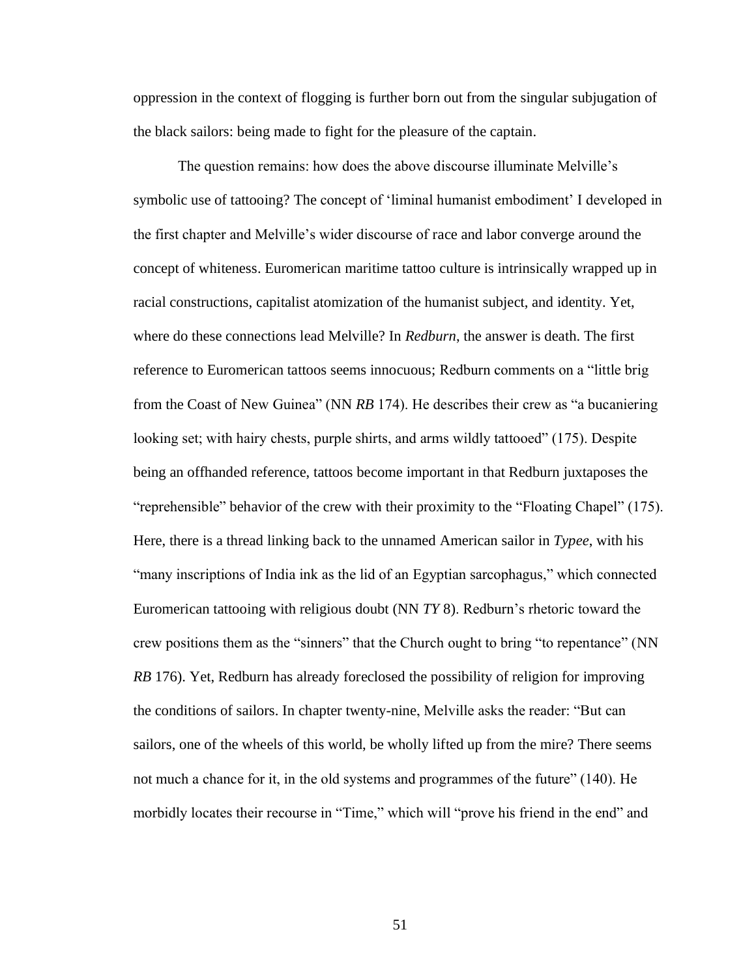oppression in the context of flogging is further born out from the singular subjugation of the black sailors: being made to fight for the pleasure of the captain.

The question remains: how does the above discourse illuminate Melville's symbolic use of tattooing? The concept of 'liminal humanist embodiment' I developed in the first chapter and Melville's wider discourse of race and labor converge around the concept of whiteness. Euromerican maritime tattoo culture is intrinsically wrapped up in racial constructions, capitalist atomization of the humanist subject, and identity. Yet, where do these connections lead Melville? In *Redburn*, the answer is death. The first reference to Euromerican tattoos seems innocuous; Redburn comments on a "little brig from the Coast of New Guinea" (NN *RB* 174). He describes their crew as "a bucaniering looking set; with hairy chests, purple shirts, and arms wildly tattooed" (175). Despite being an offhanded reference, tattoos become important in that Redburn juxtaposes the "reprehensible" behavior of the crew with their proximity to the "Floating Chapel" (175). Here, there is a thread linking back to the unnamed American sailor in *Typee*, with his "many inscriptions of India ink as the lid of an Egyptian sarcophagus," which connected Euromerican tattooing with religious doubt (NN *TY* 8). Redburn's rhetoric toward the crew positions them as the "sinners" that the Church ought to bring "to repentance" (NN *RB* 176). Yet, Redburn has already foreclosed the possibility of religion for improving the conditions of sailors. In chapter twenty-nine, Melville asks the reader: "But can sailors, one of the wheels of this world, be wholly lifted up from the mire? There seems not much a chance for it, in the old systems and programmes of the future" (140). He morbidly locates their recourse in "Time," which will "prove his friend in the end" and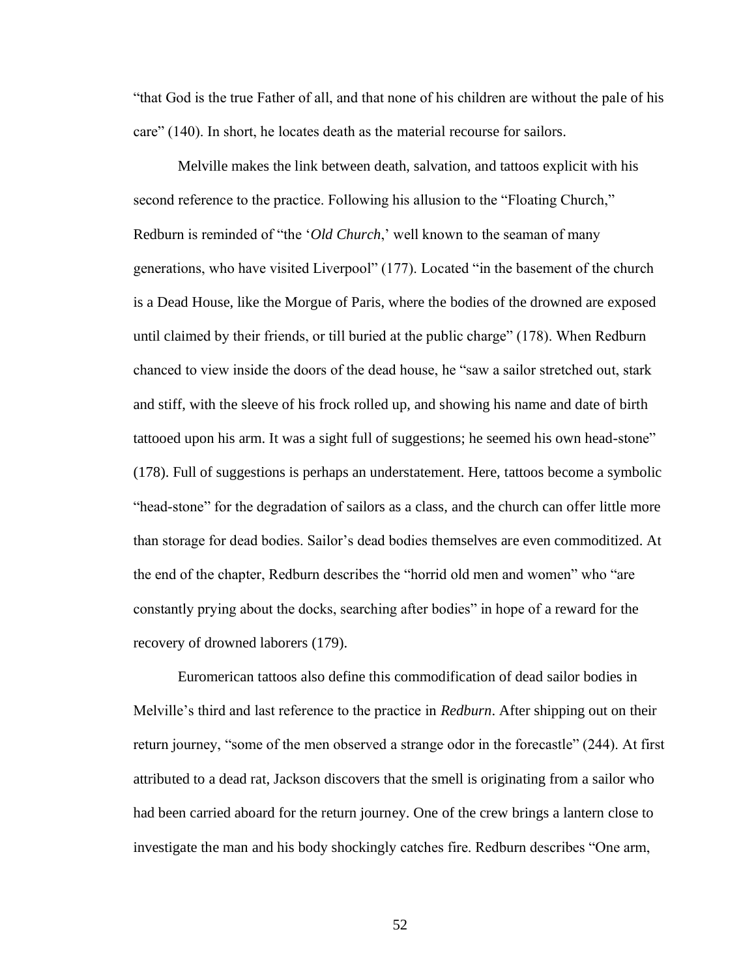"that God is the true Father of all, and that none of his children are without the pale of his care" (140). In short, he locates death as the material recourse for sailors.

Melville makes the link between death, salvation, and tattoos explicit with his second reference to the practice. Following his allusion to the "Floating Church," Redburn is reminded of "the '*Old Church*,' well known to the seaman of many generations, who have visited Liverpool" (177). Located "in the basement of the church is a Dead House, like the Morgue of Paris, where the bodies of the drowned are exposed until claimed by their friends, or till buried at the public charge" (178). When Redburn chanced to view inside the doors of the dead house, he "saw a sailor stretched out, stark and stiff, with the sleeve of his frock rolled up, and showing his name and date of birth tattooed upon his arm. It was a sight full of suggestions; he seemed his own head-stone" (178). Full of suggestions is perhaps an understatement. Here, tattoos become a symbolic "head-stone" for the degradation of sailors as a class, and the church can offer little more than storage for dead bodies. Sailor's dead bodies themselves are even commoditized. At the end of the chapter, Redburn describes the "horrid old men and women" who "are constantly prying about the docks, searching after bodies" in hope of a reward for the recovery of drowned laborers (179).

Euromerican tattoos also define this commodification of dead sailor bodies in Melville's third and last reference to the practice in *Redburn*. After shipping out on their return journey, "some of the men observed a strange odor in the forecastle" (244). At first attributed to a dead rat, Jackson discovers that the smell is originating from a sailor who had been carried aboard for the return journey. One of the crew brings a lantern close to investigate the man and his body shockingly catches fire. Redburn describes "One arm,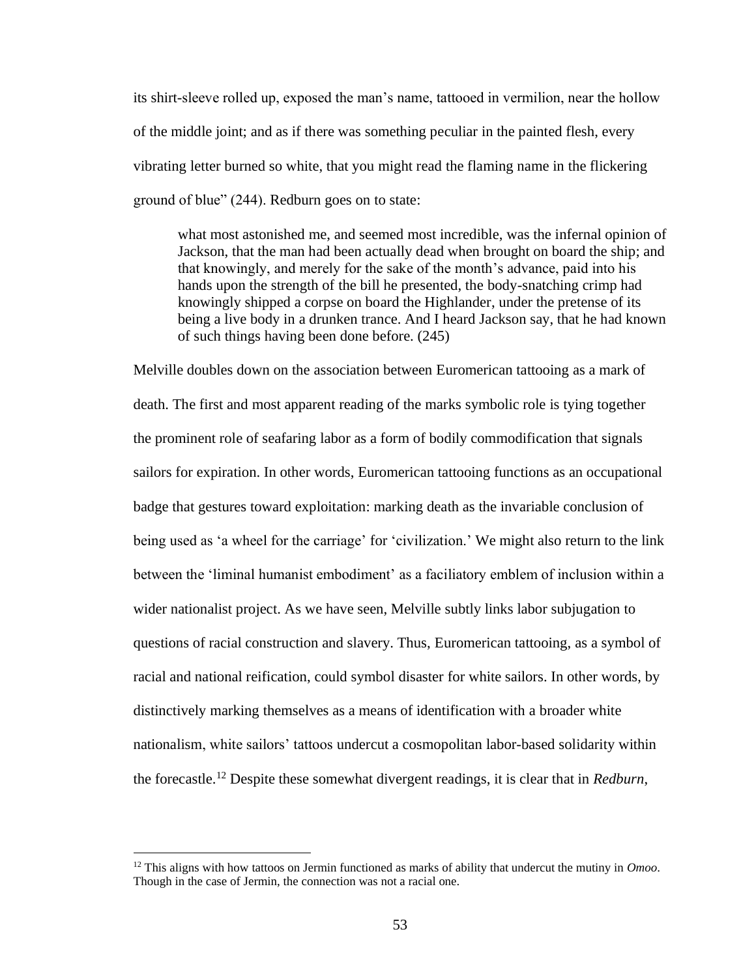its shirt-sleeve rolled up, exposed the man's name, tattooed in vermilion, near the hollow of the middle joint; and as if there was something peculiar in the painted flesh, every vibrating letter burned so white, that you might read the flaming name in the flickering ground of blue" (244). Redburn goes on to state:

what most astonished me, and seemed most incredible, was the infernal opinion of Jackson, that the man had been actually dead when brought on board the ship; and that knowingly, and merely for the sake of the month's advance, paid into his hands upon the strength of the bill he presented, the body-snatching crimp had knowingly shipped a corpse on board the Highlander, under the pretense of its being a live body in a drunken trance. And I heard Jackson say, that he had known of such things having been done before. (245)

Melville doubles down on the association between Euromerican tattooing as a mark of death. The first and most apparent reading of the marks symbolic role is tying together the prominent role of seafaring labor as a form of bodily commodification that signals sailors for expiration. In other words, Euromerican tattooing functions as an occupational badge that gestures toward exploitation: marking death as the invariable conclusion of being used as 'a wheel for the carriage' for 'civilization.' We might also return to the link between the 'liminal humanist embodiment' as a faciliatory emblem of inclusion within a wider nationalist project. As we have seen, Melville subtly links labor subjugation to questions of racial construction and slavery. Thus, Euromerican tattooing, as a symbol of racial and national reification, could symbol disaster for white sailors. In other words, by distinctively marking themselves as a means of identification with a broader white nationalism, white sailors' tattoos undercut a cosmopolitan labor-based solidarity within the forecastle. <sup>12</sup> Despite these somewhat divergent readings, it is clear that in *Redburn*,

<sup>12</sup> This aligns with how tattoos on Jermin functioned as marks of ability that undercut the mutiny in *Omoo*. Though in the case of Jermin, the connection was not a racial one.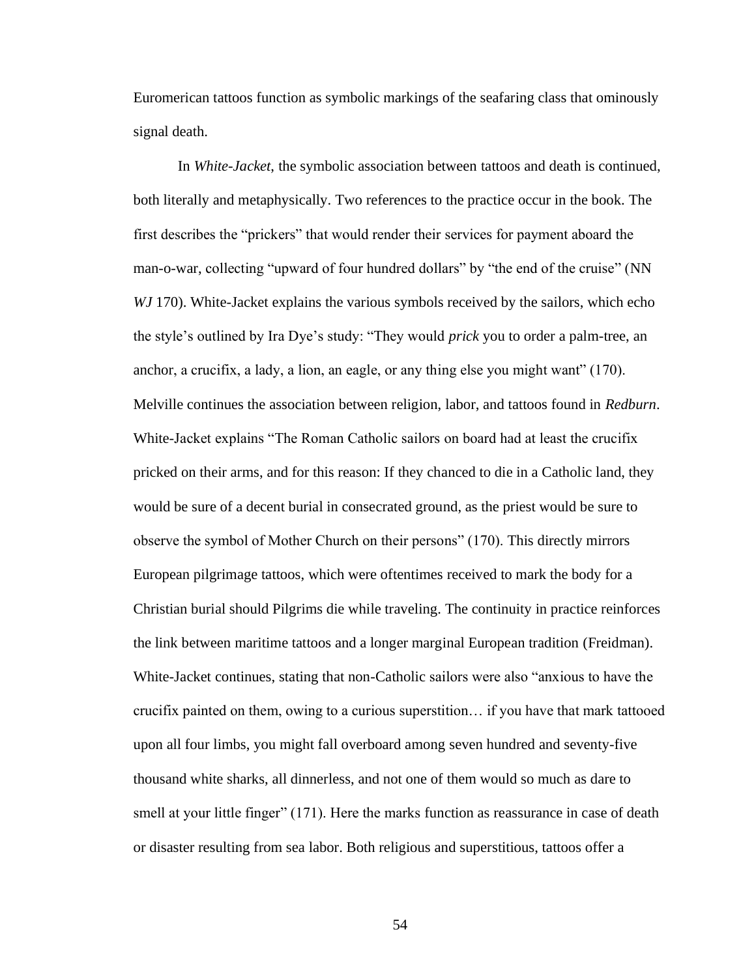Euromerican tattoos function as symbolic markings of the seafaring class that ominously signal death.

In *White-Jacket*, the symbolic association between tattoos and death is continued, both literally and metaphysically. Two references to the practice occur in the book. The first describes the "prickers" that would render their services for payment aboard the man-o-war, collecting "upward of four hundred dollars" by "the end of the cruise" (NN *WJ* 170). White-Jacket explains the various symbols received by the sailors, which echo the style's outlined by Ira Dye's study: "They would *prick* you to order a palm-tree, an anchor, a crucifix, a lady, a lion, an eagle, or any thing else you might want" (170). Melville continues the association between religion, labor, and tattoos found in *Redburn*. White-Jacket explains "The Roman Catholic sailors on board had at least the crucifix pricked on their arms, and for this reason: If they chanced to die in a Catholic land, they would be sure of a decent burial in consecrated ground, as the priest would be sure to observe the symbol of Mother Church on their persons" (170). This directly mirrors European pilgrimage tattoos, which were oftentimes received to mark the body for a Christian burial should Pilgrims die while traveling. The continuity in practice reinforces the link between maritime tattoos and a longer marginal European tradition (Freidman). White-Jacket continues, stating that non-Catholic sailors were also "anxious to have the crucifix painted on them, owing to a curious superstition… if you have that mark tattooed upon all four limbs, you might fall overboard among seven hundred and seventy-five thousand white sharks, all dinnerless, and not one of them would so much as dare to smell at your little finger" (171). Here the marks function as reassurance in case of death or disaster resulting from sea labor. Both religious and superstitious, tattoos offer a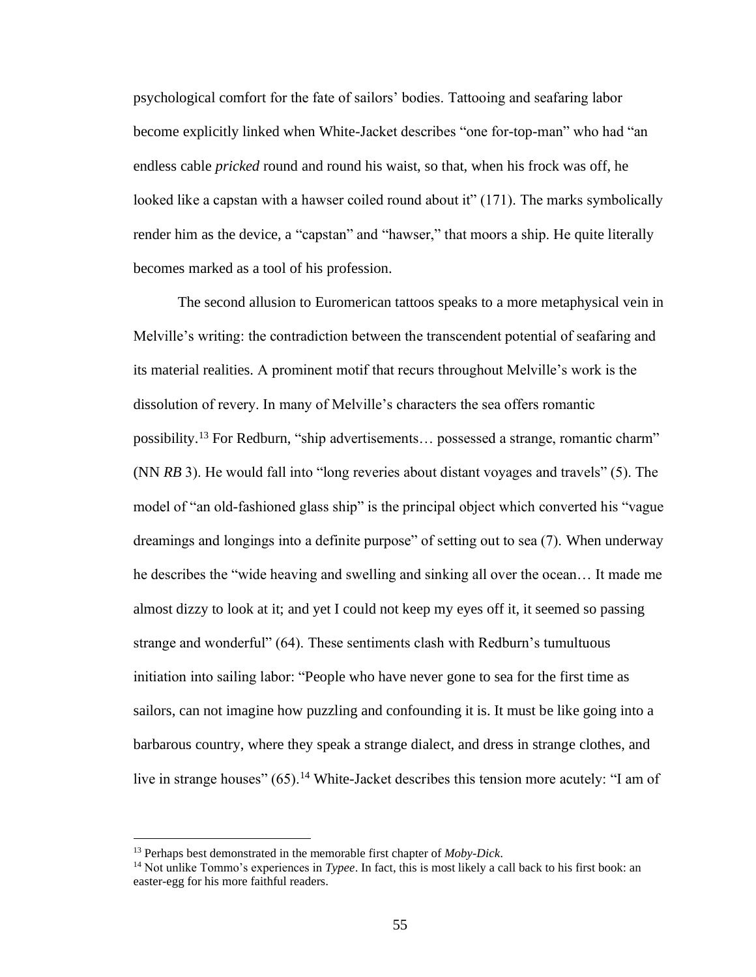psychological comfort for the fate of sailors' bodies. Tattooing and seafaring labor become explicitly linked when White-Jacket describes "one for-top-man" who had "an endless cable *pricked* round and round his waist, so that, when his frock was off, he looked like a capstan with a hawser coiled round about it" (171). The marks symbolically render him as the device, a "capstan" and "hawser," that moors a ship. He quite literally becomes marked as a tool of his profession.

The second allusion to Euromerican tattoos speaks to a more metaphysical vein in Melville's writing: the contradiction between the transcendent potential of seafaring and its material realities. A prominent motif that recurs throughout Melville's work is the dissolution of revery. In many of Melville's characters the sea offers romantic possibility.<sup>13</sup> For Redburn, "ship advertisements… possessed a strange, romantic charm" (NN *RB* 3). He would fall into "long reveries about distant voyages and travels" (5). The model of "an old-fashioned glass ship" is the principal object which converted his "vague dreamings and longings into a definite purpose" of setting out to sea (7). When underway he describes the "wide heaving and swelling and sinking all over the ocean… It made me almost dizzy to look at it; and yet I could not keep my eyes off it, it seemed so passing strange and wonderful" (64). These sentiments clash with Redburn's tumultuous initiation into sailing labor: "People who have never gone to sea for the first time as sailors, can not imagine how puzzling and confounding it is. It must be like going into a barbarous country, where they speak a strange dialect, and dress in strange clothes, and live in strange houses"  $(65)$ .<sup>14</sup> White-Jacket describes this tension more acutely: "I am of

<sup>13</sup> Perhaps best demonstrated in the memorable first chapter of *Moby-Dick*.

<sup>14</sup> Not unlike Tommo's experiences in *Typee*. In fact, this is most likely a call back to his first book: an easter-egg for his more faithful readers.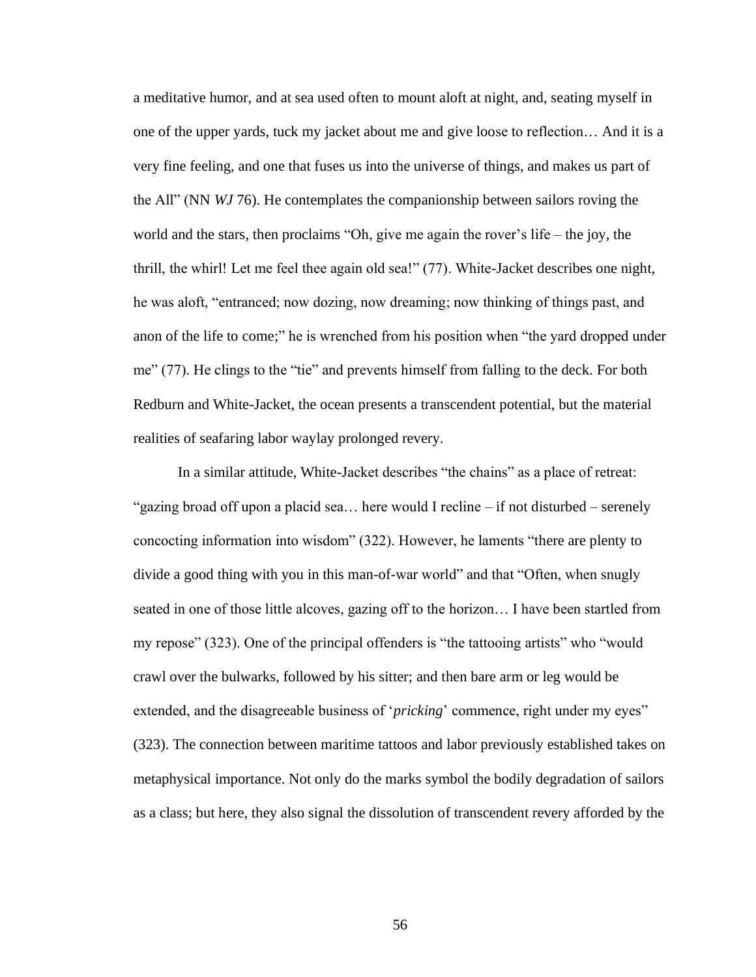a meditative humor, and at sea used often to mount aloft at night, and, seating myself in one of the upper yards, tuck my jacket about me and give loose to reflection… And it is a very fine feeling, and one that fuses us into the universe of things, and makes us part of the All" (NN *WJ* 76). He contemplates the companionship between sailors roving the world and the stars, then proclaims "Oh, give me again the rover's life – the joy, the thrill, the whirl! Let me feel thee again old sea!" (77). White-Jacket describes one night, he was aloft, "entranced; now dozing, now dreaming; now thinking of things past, and anon of the life to come;" he is wrenched from his position when "the yard dropped under me" (77). He clings to the "tie" and prevents himself from falling to the deck. For both Redburn and White-Jacket, the ocean presents a transcendent potential, but the material realities of seafaring labor waylay prolonged revery.

In a similar attitude, White-Jacket describes "the chains" as a place of retreat: "gazing broad off upon a placid sea… here would I recline – if not disturbed – serenely concocting information into wisdom" (322). However, he laments "there are plenty to divide a good thing with you in this man-of-war world" and that "Often, when snugly seated in one of those little alcoves, gazing off to the horizon… I have been startled from my repose" (323). One of the principal offenders is "the tattooing artists" who "would crawl over the bulwarks, followed by his sitter; and then bare arm or leg would be extended, and the disagreeable business of '*pricking*' commence, right under my eyes" (323). The connection between maritime tattoos and labor previously established takes on metaphysical importance. Not only do the marks symbol the bodily degradation of sailors as a class; but here, they also signal the dissolution of transcendent revery afforded by the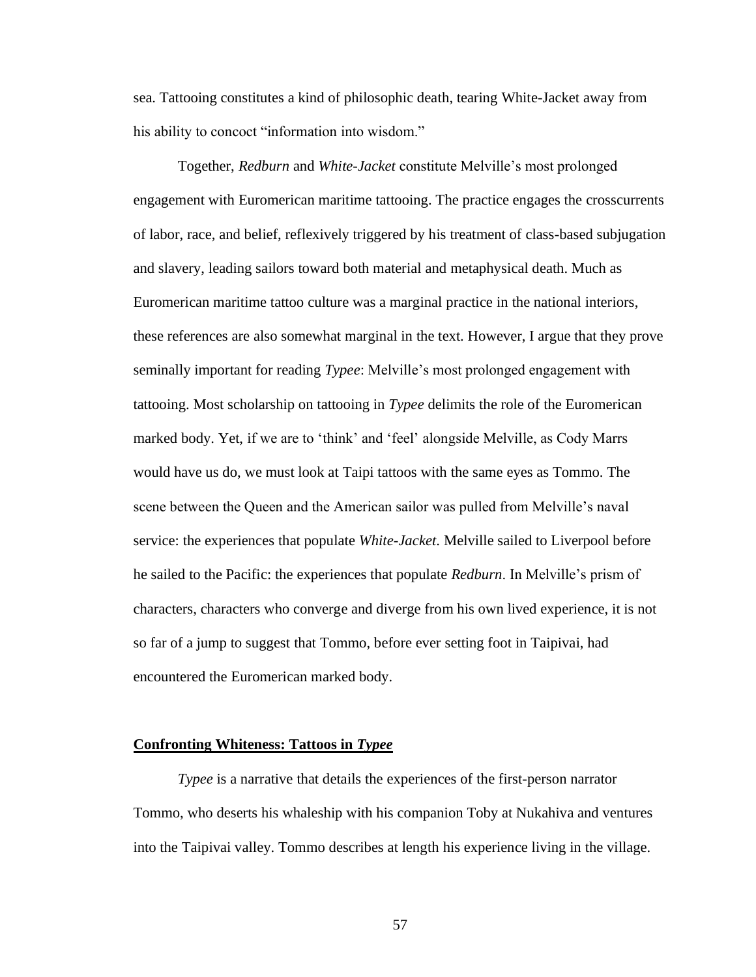sea. Tattooing constitutes a kind of philosophic death, tearing White-Jacket away from his ability to concoct "information into wisdom."

Together, *Redburn* and *White-Jacket* constitute Melville's most prolonged engagement with Euromerican maritime tattooing. The practice engages the crosscurrents of labor, race, and belief, reflexively triggered by his treatment of class-based subjugation and slavery, leading sailors toward both material and metaphysical death. Much as Euromerican maritime tattoo culture was a marginal practice in the national interiors, these references are also somewhat marginal in the text. However, I argue that they prove seminally important for reading *Typee*: Melville's most prolonged engagement with tattooing. Most scholarship on tattooing in *Typee* delimits the role of the Euromerican marked body. Yet, if we are to 'think' and 'feel' alongside Melville, as Cody Marrs would have us do, we must look at Taipi tattoos with the same eyes as Tommo. The scene between the Queen and the American sailor was pulled from Melville's naval service: the experiences that populate *White-Jacket*. Melville sailed to Liverpool before he sailed to the Pacific: the experiences that populate *Redburn*. In Melville's prism of characters, characters who converge and diverge from his own lived experience, it is not so far of a jump to suggest that Tommo, before ever setting foot in Taipivai, had encountered the Euromerican marked body.

## **Confronting Whiteness: Tattoos in** *Typee*

*Typee* is a narrative that details the experiences of the first-person narrator Tommo, who deserts his whaleship with his companion Toby at Nukahiva and ventures into the Taipivai valley. Tommo describes at length his experience living in the village.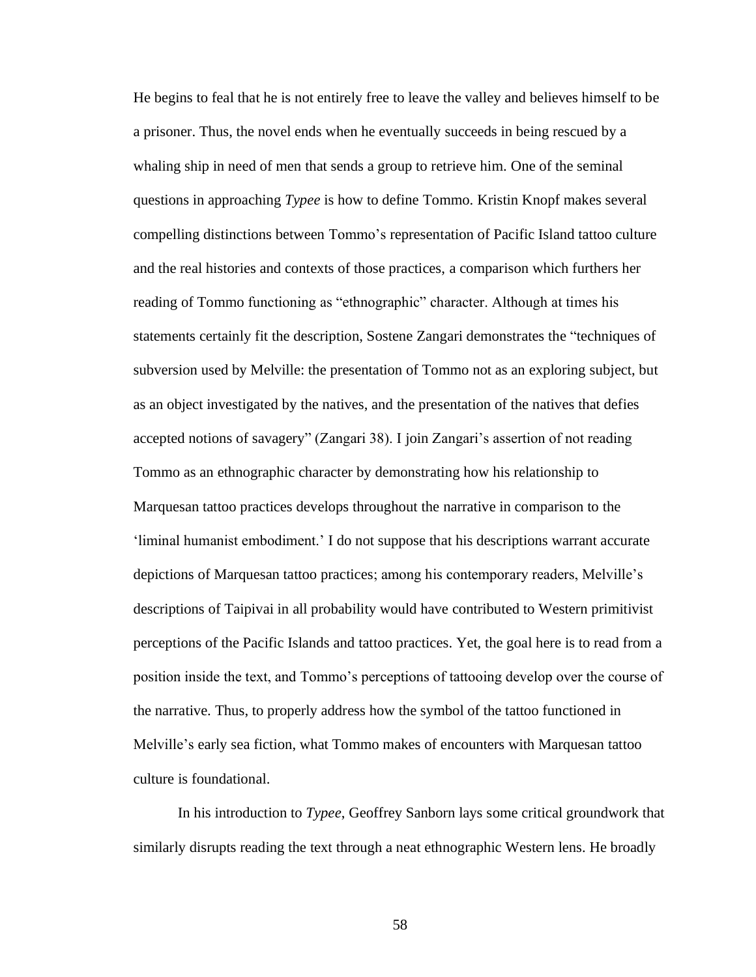He begins to feal that he is not entirely free to leave the valley and believes himself to be a prisoner. Thus, the novel ends when he eventually succeeds in being rescued by a whaling ship in need of men that sends a group to retrieve him. One of the seminal questions in approaching *Typee* is how to define Tommo. Kristin Knopf makes several compelling distinctions between Tommo's representation of Pacific Island tattoo culture and the real histories and contexts of those practices, a comparison which furthers her reading of Tommo functioning as "ethnographic" character. Although at times his statements certainly fit the description, Sostene Zangari demonstrates the "techniques of subversion used by Melville: the presentation of Tommo not as an exploring subject, but as an object investigated by the natives, and the presentation of the natives that defies accepted notions of savagery" (Zangari 38). I join Zangari's assertion of not reading Tommo as an ethnographic character by demonstrating how his relationship to Marquesan tattoo practices develops throughout the narrative in comparison to the 'liminal humanist embodiment.' I do not suppose that his descriptions warrant accurate depictions of Marquesan tattoo practices; among his contemporary readers, Melville's descriptions of Taipivai in all probability would have contributed to Western primitivist perceptions of the Pacific Islands and tattoo practices. Yet, the goal here is to read from a position inside the text, and Tommo's perceptions of tattooing develop over the course of the narrative. Thus, to properly address how the symbol of the tattoo functioned in Melville's early sea fiction, what Tommo makes of encounters with Marquesan tattoo culture is foundational.

In his introduction to *Typee*, Geoffrey Sanborn lays some critical groundwork that similarly disrupts reading the text through a neat ethnographic Western lens. He broadly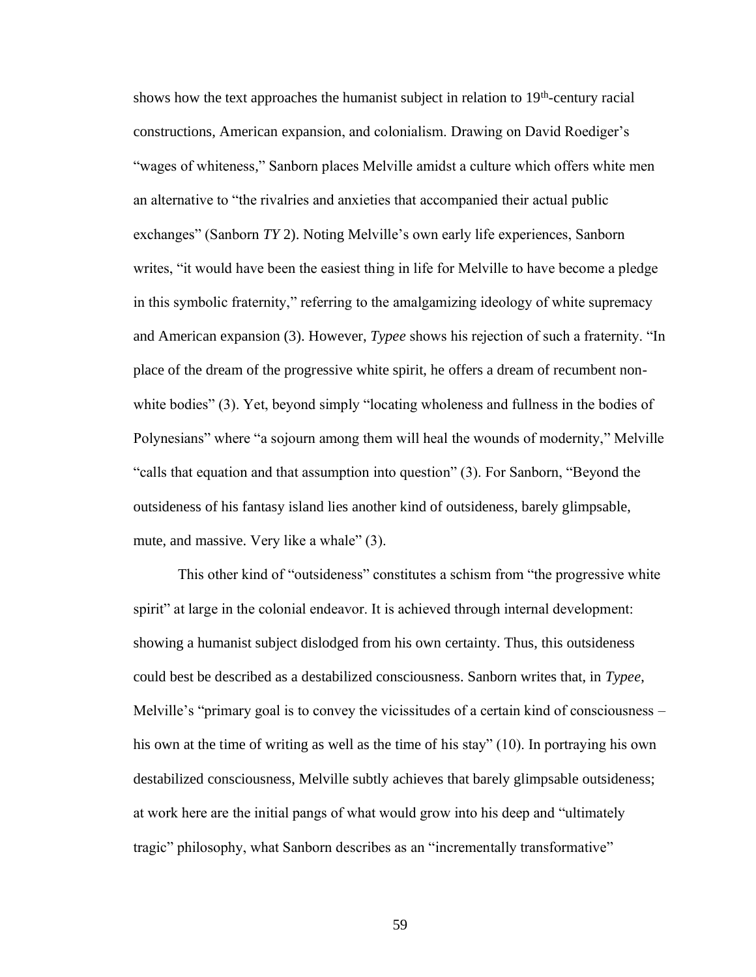shows how the text approaches the humanist subject in relation to 19<sup>th</sup>-century racial constructions, American expansion, and colonialism. Drawing on David Roediger's "wages of whiteness," Sanborn places Melville amidst a culture which offers white men an alternative to "the rivalries and anxieties that accompanied their actual public exchanges" (Sanborn *TY* 2). Noting Melville's own early life experiences, Sanborn writes, "it would have been the easiest thing in life for Melville to have become a pledge in this symbolic fraternity," referring to the amalgamizing ideology of white supremacy and American expansion (3). However, *Typee* shows his rejection of such a fraternity. "In place of the dream of the progressive white spirit, he offers a dream of recumbent nonwhite bodies" (3). Yet, beyond simply "locating wholeness and fullness in the bodies of Polynesians" where "a sojourn among them will heal the wounds of modernity," Melville "calls that equation and that assumption into question" (3). For Sanborn, "Beyond the outsideness of his fantasy island lies another kind of outsideness, barely glimpsable, mute, and massive. Very like a whale" (3).

This other kind of "outsideness" constitutes a schism from "the progressive white spirit" at large in the colonial endeavor. It is achieved through internal development: showing a humanist subject dislodged from his own certainty. Thus, this outsideness could best be described as a destabilized consciousness. Sanborn writes that, in *Typee*, Melville's "primary goal is to convey the vicissitudes of a certain kind of consciousness – his own at the time of writing as well as the time of his stay" (10). In portraying his own destabilized consciousness, Melville subtly achieves that barely glimpsable outsideness; at work here are the initial pangs of what would grow into his deep and "ultimately tragic" philosophy, what Sanborn describes as an "incrementally transformative"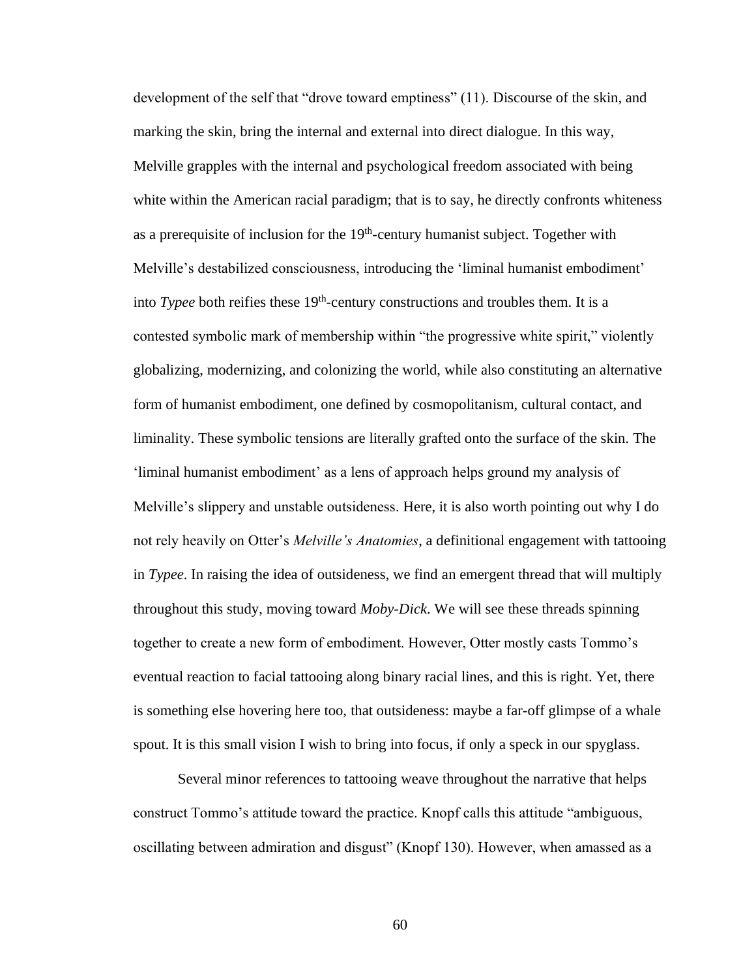development of the self that "drove toward emptiness" (11). Discourse of the skin, and marking the skin, bring the internal and external into direct dialogue. In this way, Melville grapples with the internal and psychological freedom associated with being white within the American racial paradigm; that is to say, he directly confronts whiteness as a prerequisite of inclusion for the 19<sup>th</sup>-century humanist subject. Together with Melville's destabilized consciousness, introducing the 'liminal humanist embodiment' into *Typee* both reifies these  $19<sup>th</sup>$ -century constructions and troubles them. It is a contested symbolic mark of membership within "the progressive white spirit," violently globalizing, modernizing, and colonizing the world, while also constituting an alternative form of humanist embodiment, one defined by cosmopolitanism, cultural contact, and liminality. These symbolic tensions are literally grafted onto the surface of the skin. The 'liminal humanist embodiment' as a lens of approach helps ground my analysis of Melville's slippery and unstable outsideness. Here, it is also worth pointing out why I do not rely heavily on Otter's *Melville's Anatomies*, a definitional engagement with tattooing in *Typee*. In raising the idea of outsideness, we find an emergent thread that will multiply throughout this study, moving toward *Moby-Dick*. We will see these threads spinning together to create a new form of embodiment. However, Otter mostly casts Tommo's eventual reaction to facial tattooing along binary racial lines, and this is right. Yet, there is something else hovering here too, that outsideness: maybe a far-off glimpse of a whale spout. It is this small vision I wish to bring into focus, if only a speck in our spyglass.

Several minor references to tattooing weave throughout the narrative that helps construct Tommo's attitude toward the practice. Knopf calls this attitude "ambiguous, oscillating between admiration and disgust" (Knopf 130). However, when amassed as a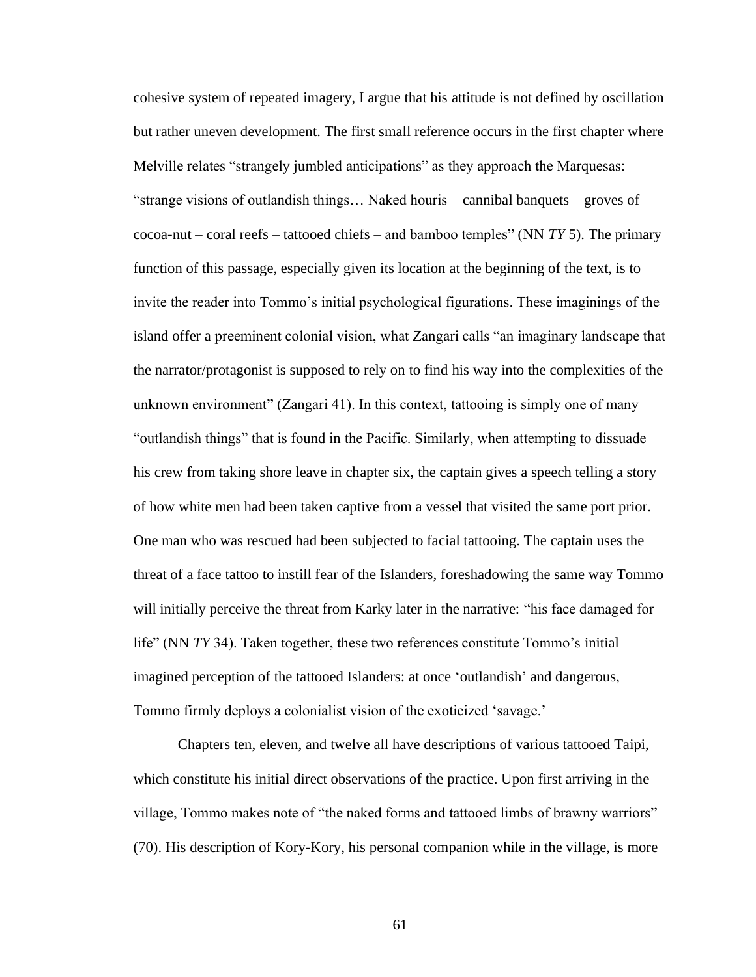cohesive system of repeated imagery, I argue that his attitude is not defined by oscillation but rather uneven development. The first small reference occurs in the first chapter where Melville relates "strangely jumbled anticipations" as they approach the Marquesas: "strange visions of outlandish things… Naked houris – cannibal banquets – groves of cocoa-nut – coral reefs – tattooed chiefs – and bamboo temples" (NN *TY* 5). The primary function of this passage, especially given its location at the beginning of the text, is to invite the reader into Tommo's initial psychological figurations. These imaginings of the island offer a preeminent colonial vision, what Zangari calls "an imaginary landscape that the narrator/protagonist is supposed to rely on to find his way into the complexities of the unknown environment" (Zangari 41). In this context, tattooing is simply one of many "outlandish things" that is found in the Pacific. Similarly, when attempting to dissuade his crew from taking shore leave in chapter six, the captain gives a speech telling a story of how white men had been taken captive from a vessel that visited the same port prior. One man who was rescued had been subjected to facial tattooing. The captain uses the threat of a face tattoo to instill fear of the Islanders, foreshadowing the same way Tommo will initially perceive the threat from Karky later in the narrative: "his face damaged for life" (NN *TY* 34). Taken together, these two references constitute Tommo's initial imagined perception of the tattooed Islanders: at once 'outlandish' and dangerous, Tommo firmly deploys a colonialist vision of the exoticized 'savage.'

Chapters ten, eleven, and twelve all have descriptions of various tattooed Taipi, which constitute his initial direct observations of the practice. Upon first arriving in the village, Tommo makes note of "the naked forms and tattooed limbs of brawny warriors" (70). His description of Kory-Kory, his personal companion while in the village, is more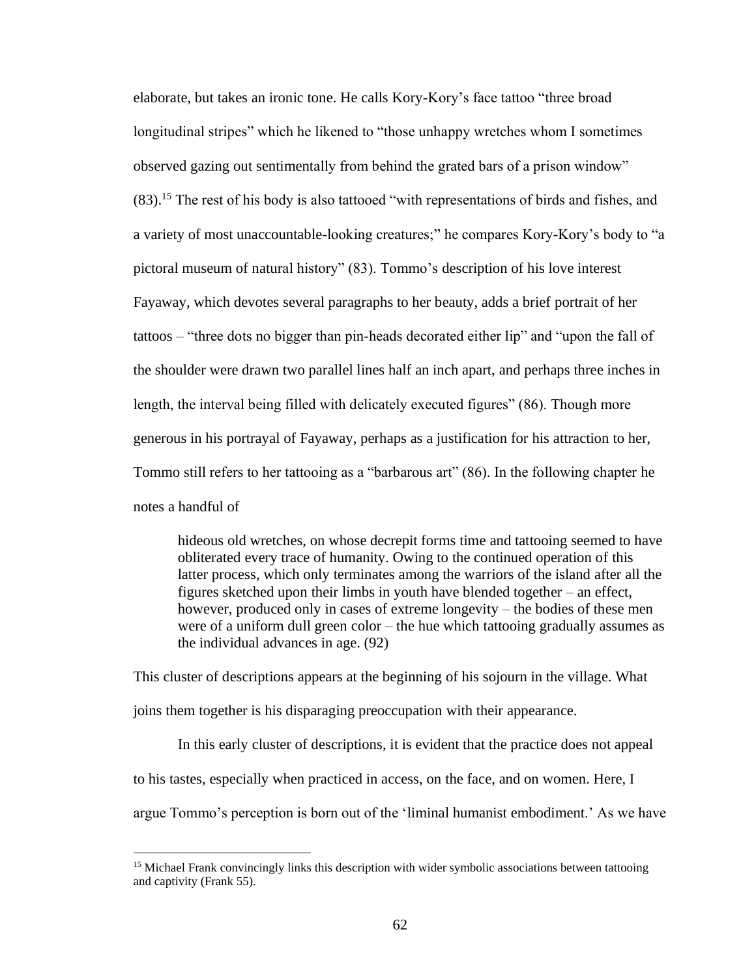elaborate, but takes an ironic tone. He calls Kory-Kory's face tattoo "three broad longitudinal stripes" which he likened to "those unhappy wretches whom I sometimes observed gazing out sentimentally from behind the grated bars of a prison window" (83).<sup>15</sup> The rest of his body is also tattooed "with representations of birds and fishes, and a variety of most unaccountable-looking creatures;" he compares Kory-Kory's body to "a pictoral museum of natural history" (83). Tommo's description of his love interest Fayaway, which devotes several paragraphs to her beauty, adds a brief portrait of her tattoos – "three dots no bigger than pin-heads decorated either lip" and "upon the fall of the shoulder were drawn two parallel lines half an inch apart, and perhaps three inches in length, the interval being filled with delicately executed figures" (86). Though more generous in his portrayal of Fayaway, perhaps as a justification for his attraction to her, Tommo still refers to her tattooing as a "barbarous art" (86). In the following chapter he notes a handful of

hideous old wretches, on whose decrepit forms time and tattooing seemed to have obliterated every trace of humanity. Owing to the continued operation of this latter process, which only terminates among the warriors of the island after all the figures sketched upon their limbs in youth have blended together – an effect, however, produced only in cases of extreme longevity – the bodies of these men were of a uniform dull green color – the hue which tattooing gradually assumes as the individual advances in age. (92)

This cluster of descriptions appears at the beginning of his sojourn in the village. What joins them together is his disparaging preoccupation with their appearance.

In this early cluster of descriptions, it is evident that the practice does not appeal to his tastes, especially when practiced in access, on the face, and on women. Here, I argue Tommo's perception is born out of the 'liminal humanist embodiment.' As we have

<sup>&</sup>lt;sup>15</sup> Michael Frank convincingly links this description with wider symbolic associations between tattooing and captivity (Frank 55).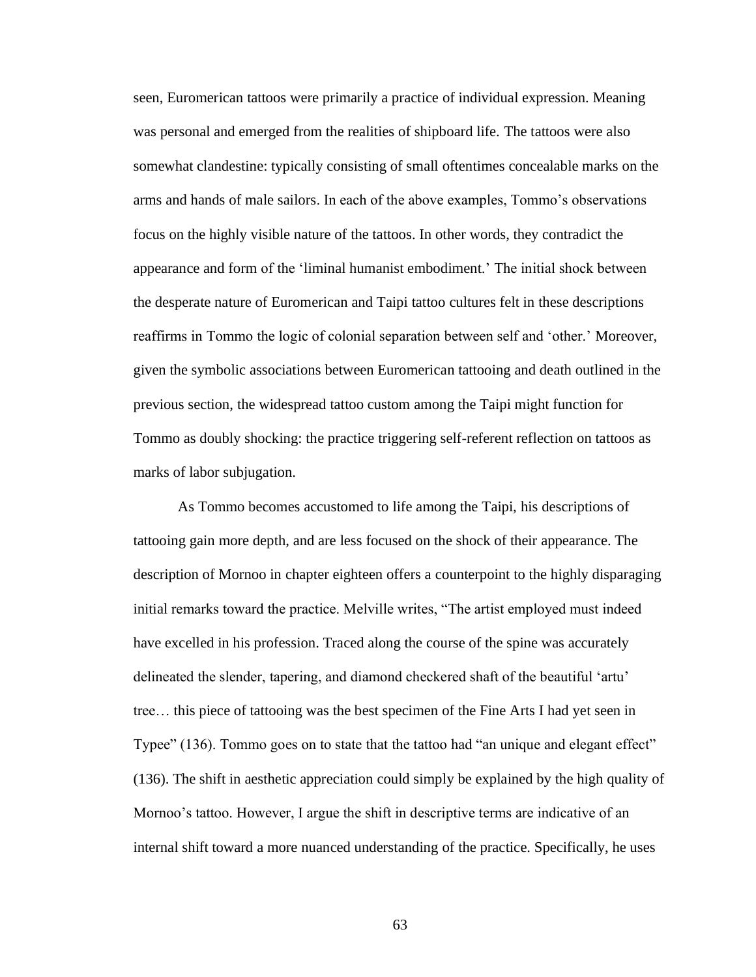seen, Euromerican tattoos were primarily a practice of individual expression. Meaning was personal and emerged from the realities of shipboard life. The tattoos were also somewhat clandestine: typically consisting of small oftentimes concealable marks on the arms and hands of male sailors. In each of the above examples, Tommo's observations focus on the highly visible nature of the tattoos. In other words, they contradict the appearance and form of the 'liminal humanist embodiment.' The initial shock between the desperate nature of Euromerican and Taipi tattoo cultures felt in these descriptions reaffirms in Tommo the logic of colonial separation between self and 'other.' Moreover, given the symbolic associations between Euromerican tattooing and death outlined in the previous section, the widespread tattoo custom among the Taipi might function for Tommo as doubly shocking: the practice triggering self-referent reflection on tattoos as marks of labor subjugation.

As Tommo becomes accustomed to life among the Taipi, his descriptions of tattooing gain more depth, and are less focused on the shock of their appearance. The description of Mornoo in chapter eighteen offers a counterpoint to the highly disparaging initial remarks toward the practice. Melville writes, "The artist employed must indeed have excelled in his profession. Traced along the course of the spine was accurately delineated the slender, tapering, and diamond checkered shaft of the beautiful 'artu' tree… this piece of tattooing was the best specimen of the Fine Arts I had yet seen in Typee" (136). Tommo goes on to state that the tattoo had "an unique and elegant effect" (136). The shift in aesthetic appreciation could simply be explained by the high quality of Mornoo's tattoo. However, I argue the shift in descriptive terms are indicative of an internal shift toward a more nuanced understanding of the practice. Specifically, he uses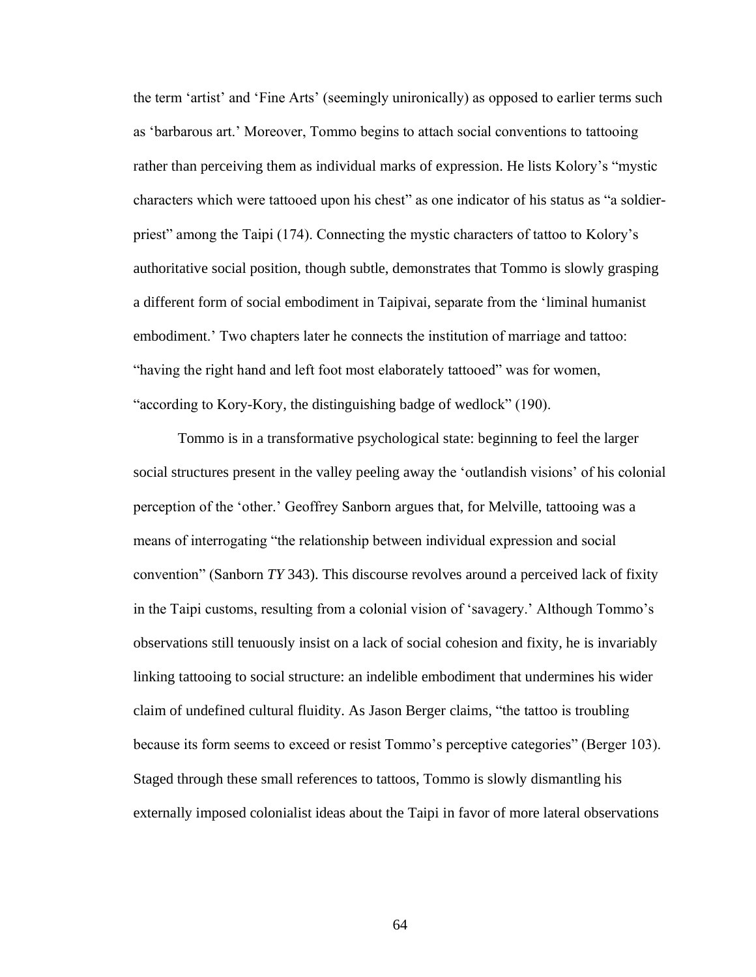the term 'artist' and 'Fine Arts' (seemingly unironically) as opposed to earlier terms such as 'barbarous art.' Moreover, Tommo begins to attach social conventions to tattooing rather than perceiving them as individual marks of expression. He lists Kolory's "mystic characters which were tattooed upon his chest" as one indicator of his status as "a soldierpriest" among the Taipi (174). Connecting the mystic characters of tattoo to Kolory's authoritative social position, though subtle, demonstrates that Tommo is slowly grasping a different form of social embodiment in Taipivai, separate from the 'liminal humanist embodiment.' Two chapters later he connects the institution of marriage and tattoo: "having the right hand and left foot most elaborately tattooed" was for women, "according to Kory-Kory, the distinguishing badge of wedlock" (190).

Tommo is in a transformative psychological state: beginning to feel the larger social structures present in the valley peeling away the 'outlandish visions' of his colonial perception of the 'other.' Geoffrey Sanborn argues that, for Melville, tattooing was a means of interrogating "the relationship between individual expression and social convention" (Sanborn *TY* 343). This discourse revolves around a perceived lack of fixity in the Taipi customs, resulting from a colonial vision of 'savagery.' Although Tommo's observations still tenuously insist on a lack of social cohesion and fixity, he is invariably linking tattooing to social structure: an indelible embodiment that undermines his wider claim of undefined cultural fluidity. As Jason Berger claims, "the tattoo is troubling because its form seems to exceed or resist Tommo's perceptive categories" (Berger 103). Staged through these small references to tattoos, Tommo is slowly dismantling his externally imposed colonialist ideas about the Taipi in favor of more lateral observations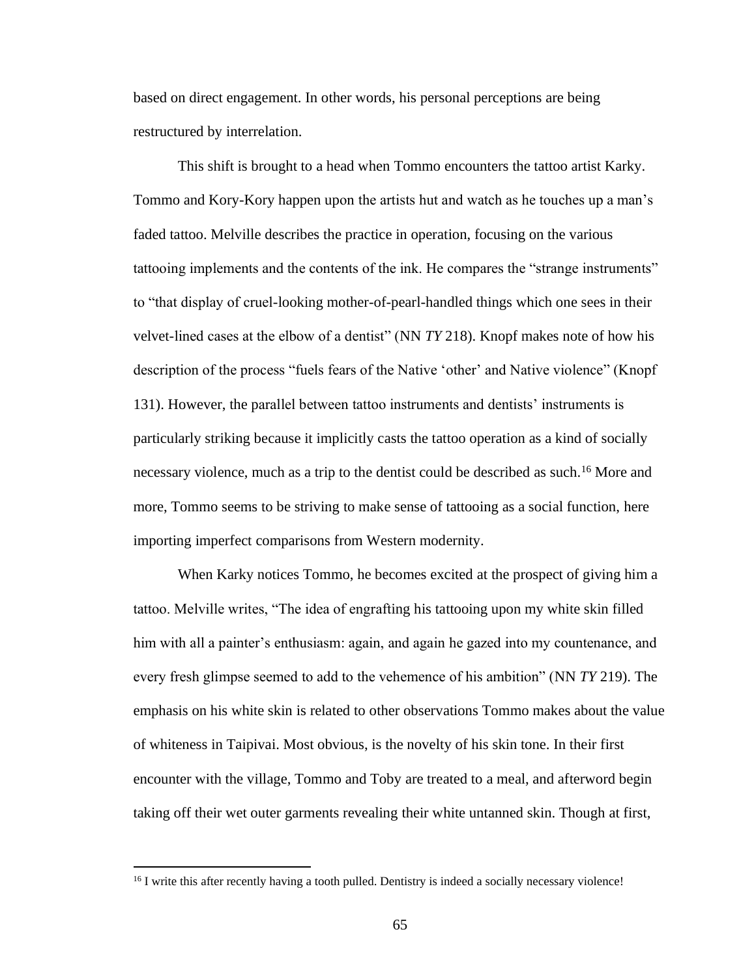based on direct engagement. In other words, his personal perceptions are being restructured by interrelation.

This shift is brought to a head when Tommo encounters the tattoo artist Karky. Tommo and Kory-Kory happen upon the artists hut and watch as he touches up a man's faded tattoo. Melville describes the practice in operation, focusing on the various tattooing implements and the contents of the ink. He compares the "strange instruments" to "that display of cruel-looking mother-of-pearl-handled things which one sees in their velvet-lined cases at the elbow of a dentist" (NN *TY* 218). Knopf makes note of how his description of the process "fuels fears of the Native 'other' and Native violence" (Knopf 131). However, the parallel between tattoo instruments and dentists' instruments is particularly striking because it implicitly casts the tattoo operation as a kind of socially necessary violence, much as a trip to the dentist could be described as such.<sup>16</sup> More and more, Tommo seems to be striving to make sense of tattooing as a social function, here importing imperfect comparisons from Western modernity.

When Karky notices Tommo, he becomes excited at the prospect of giving him a tattoo. Melville writes, "The idea of engrafting his tattooing upon my white skin filled him with all a painter's enthusiasm: again, and again he gazed into my countenance, and every fresh glimpse seemed to add to the vehemence of his ambition" (NN *TY* 219). The emphasis on his white skin is related to other observations Tommo makes about the value of whiteness in Taipivai. Most obvious, is the novelty of his skin tone. In their first encounter with the village, Tommo and Toby are treated to a meal, and afterword begin taking off their wet outer garments revealing their white untanned skin. Though at first,

<sup>&</sup>lt;sup>16</sup> I write this after recently having a tooth pulled. Dentistry is indeed a socially necessary violence!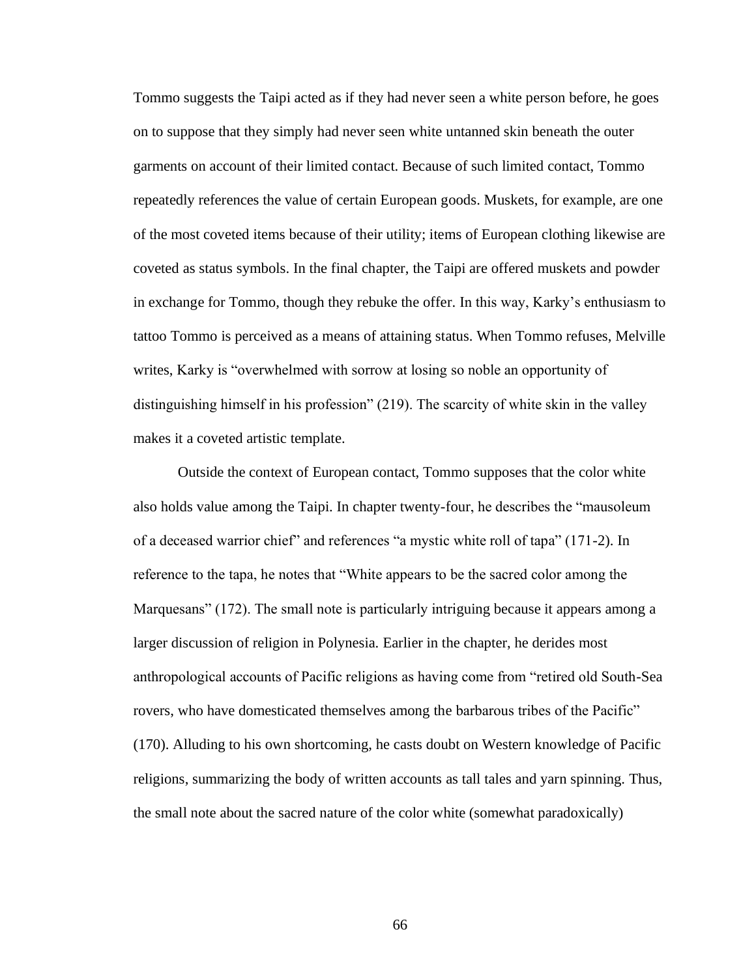Tommo suggests the Taipi acted as if they had never seen a white person before, he goes on to suppose that they simply had never seen white untanned skin beneath the outer garments on account of their limited contact. Because of such limited contact, Tommo repeatedly references the value of certain European goods. Muskets, for example, are one of the most coveted items because of their utility; items of European clothing likewise are coveted as status symbols. In the final chapter, the Taipi are offered muskets and powder in exchange for Tommo, though they rebuke the offer. In this way, Karky's enthusiasm to tattoo Tommo is perceived as a means of attaining status. When Tommo refuses, Melville writes, Karky is "overwhelmed with sorrow at losing so noble an opportunity of distinguishing himself in his profession" (219). The scarcity of white skin in the valley makes it a coveted artistic template.

Outside the context of European contact, Tommo supposes that the color white also holds value among the Taipi. In chapter twenty-four, he describes the "mausoleum of a deceased warrior chief" and references "a mystic white roll of tapa" (171-2). In reference to the tapa, he notes that "White appears to be the sacred color among the Marquesans" (172). The small note is particularly intriguing because it appears among a larger discussion of religion in Polynesia. Earlier in the chapter, he derides most anthropological accounts of Pacific religions as having come from "retired old South-Sea rovers, who have domesticated themselves among the barbarous tribes of the Pacific" (170). Alluding to his own shortcoming, he casts doubt on Western knowledge of Pacific religions, summarizing the body of written accounts as tall tales and yarn spinning. Thus, the small note about the sacred nature of the color white (somewhat paradoxically)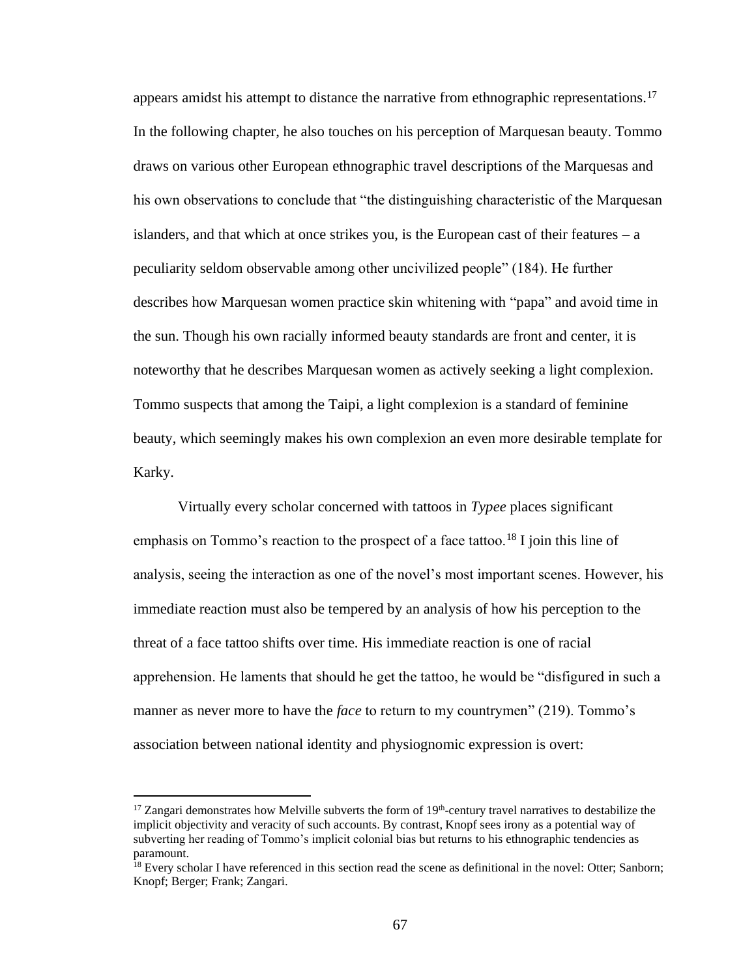appears amidst his attempt to distance the narrative from ethnographic representations.<sup>17</sup> In the following chapter, he also touches on his perception of Marquesan beauty. Tommo draws on various other European ethnographic travel descriptions of the Marquesas and his own observations to conclude that "the distinguishing characteristic of the Marquesan islanders, and that which at once strikes you, is the European cast of their features  $-a$ peculiarity seldom observable among other uncivilized people" (184). He further describes how Marquesan women practice skin whitening with "papa" and avoid time in the sun. Though his own racially informed beauty standards are front and center, it is noteworthy that he describes Marquesan women as actively seeking a light complexion. Tommo suspects that among the Taipi, a light complexion is a standard of feminine beauty, which seemingly makes his own complexion an even more desirable template for Karky.

Virtually every scholar concerned with tattoos in *Typee* places significant emphasis on Tommo's reaction to the prospect of a face tattoo.<sup>18</sup> I join this line of analysis, seeing the interaction as one of the novel's most important scenes. However, his immediate reaction must also be tempered by an analysis of how his perception to the threat of a face tattoo shifts over time. His immediate reaction is one of racial apprehension. He laments that should he get the tattoo, he would be "disfigured in such a manner as never more to have the *face* to return to my countrymen" (219). Tommo's association between national identity and physiognomic expression is overt:

 $17$  Zangari demonstrates how Melville subverts the form of  $19<sup>th</sup>$ -century travel narratives to destabilize the implicit objectivity and veracity of such accounts. By contrast, Knopf sees irony as a potential way of subverting her reading of Tommo's implicit colonial bias but returns to his ethnographic tendencies as paramount.

 $^{18}$  Every scholar I have referenced in this section read the scene as definitional in the novel: Otter; Sanborn; Knopf; Berger; Frank; Zangari.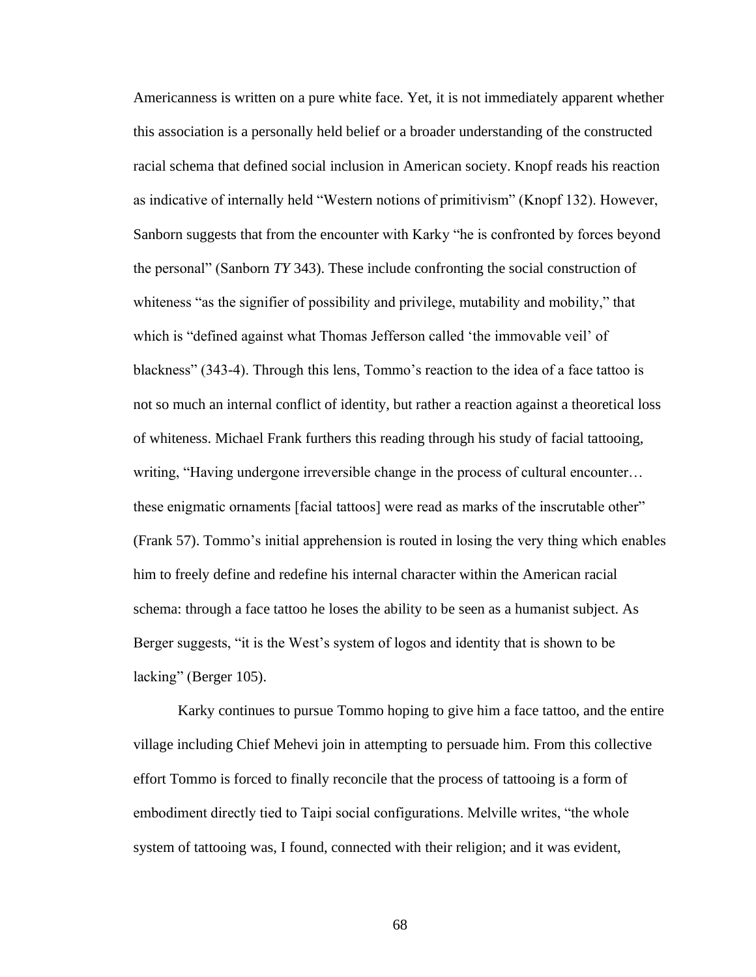Americanness is written on a pure white face. Yet, it is not immediately apparent whether this association is a personally held belief or a broader understanding of the constructed racial schema that defined social inclusion in American society. Knopf reads his reaction as indicative of internally held "Western notions of primitivism" (Knopf 132). However, Sanborn suggests that from the encounter with Karky "he is confronted by forces beyond the personal" (Sanborn *TY* 343). These include confronting the social construction of whiteness "as the signifier of possibility and privilege, mutability and mobility," that which is "defined against what Thomas Jefferson called 'the immovable veil' of blackness" (343-4). Through this lens, Tommo's reaction to the idea of a face tattoo is not so much an internal conflict of identity, but rather a reaction against a theoretical loss of whiteness. Michael Frank furthers this reading through his study of facial tattooing, writing, "Having undergone irreversible change in the process of cultural encounter… these enigmatic ornaments [facial tattoos] were read as marks of the inscrutable other" (Frank 57). Tommo's initial apprehension is routed in losing the very thing which enables him to freely define and redefine his internal character within the American racial schema: through a face tattoo he loses the ability to be seen as a humanist subject. As Berger suggests, "it is the West's system of logos and identity that is shown to be lacking" (Berger 105).

Karky continues to pursue Tommo hoping to give him a face tattoo, and the entire village including Chief Mehevi join in attempting to persuade him. From this collective effort Tommo is forced to finally reconcile that the process of tattooing is a form of embodiment directly tied to Taipi social configurations. Melville writes, "the whole system of tattooing was, I found, connected with their religion; and it was evident,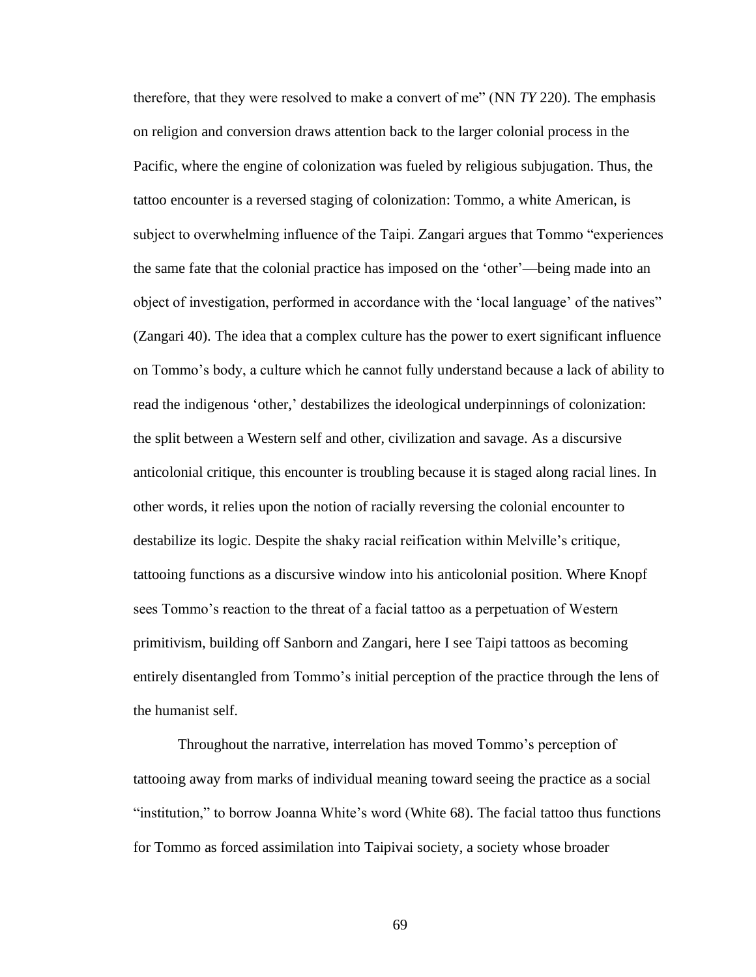therefore, that they were resolved to make a convert of me" (NN *TY* 220). The emphasis on religion and conversion draws attention back to the larger colonial process in the Pacific, where the engine of colonization was fueled by religious subjugation. Thus, the tattoo encounter is a reversed staging of colonization: Tommo, a white American, is subject to overwhelming influence of the Taipi. Zangari argues that Tommo "experiences the same fate that the colonial practice has imposed on the 'other'—being made into an object of investigation, performed in accordance with the 'local language' of the natives" (Zangari 40). The idea that a complex culture has the power to exert significant influence on Tommo's body, a culture which he cannot fully understand because a lack of ability to read the indigenous 'other,' destabilizes the ideological underpinnings of colonization: the split between a Western self and other, civilization and savage. As a discursive anticolonial critique, this encounter is troubling because it is staged along racial lines. In other words, it relies upon the notion of racially reversing the colonial encounter to destabilize its logic. Despite the shaky racial reification within Melville's critique, tattooing functions as a discursive window into his anticolonial position. Where Knopf sees Tommo's reaction to the threat of a facial tattoo as a perpetuation of Western primitivism, building off Sanborn and Zangari, here I see Taipi tattoos as becoming entirely disentangled from Tommo's initial perception of the practice through the lens of the humanist self.

Throughout the narrative, interrelation has moved Tommo's perception of tattooing away from marks of individual meaning toward seeing the practice as a social "institution," to borrow Joanna White's word (White 68). The facial tattoo thus functions for Tommo as forced assimilation into Taipivai society, a society whose broader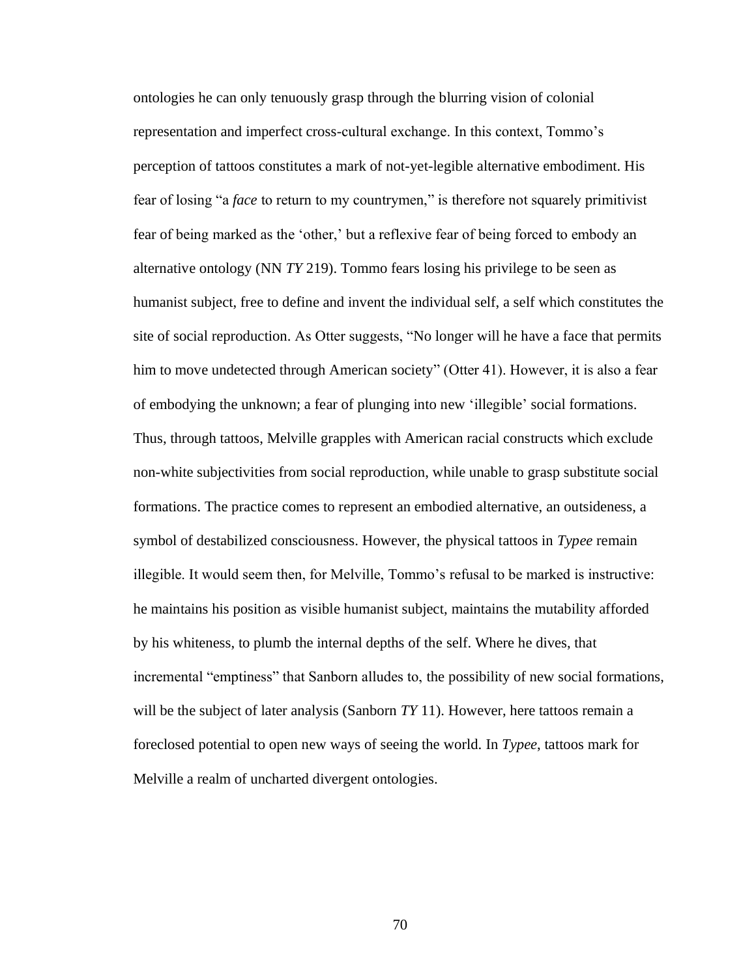ontologies he can only tenuously grasp through the blurring vision of colonial representation and imperfect cross-cultural exchange. In this context, Tommo's perception of tattoos constitutes a mark of not-yet-legible alternative embodiment. His fear of losing "a *face* to return to my countrymen," is therefore not squarely primitivist fear of being marked as the 'other,' but a reflexive fear of being forced to embody an alternative ontology (NN *TY* 219). Tommo fears losing his privilege to be seen as humanist subject, free to define and invent the individual self, a self which constitutes the site of social reproduction. As Otter suggests, "No longer will he have a face that permits him to move undetected through American society" (Otter 41). However, it is also a fear of embodying the unknown; a fear of plunging into new 'illegible' social formations. Thus, through tattoos, Melville grapples with American racial constructs which exclude non-white subjectivities from social reproduction, while unable to grasp substitute social formations. The practice comes to represent an embodied alternative, an outsideness, a symbol of destabilized consciousness. However, the physical tattoos in *Typee* remain illegible. It would seem then, for Melville, Tommo's refusal to be marked is instructive: he maintains his position as visible humanist subject, maintains the mutability afforded by his whiteness, to plumb the internal depths of the self. Where he dives, that incremental "emptiness" that Sanborn alludes to, the possibility of new social formations, will be the subject of later analysis (Sanborn *TY* 11). However, here tattoos remain a foreclosed potential to open new ways of seeing the world. In *Typee*, tattoos mark for Melville a realm of uncharted divergent ontologies.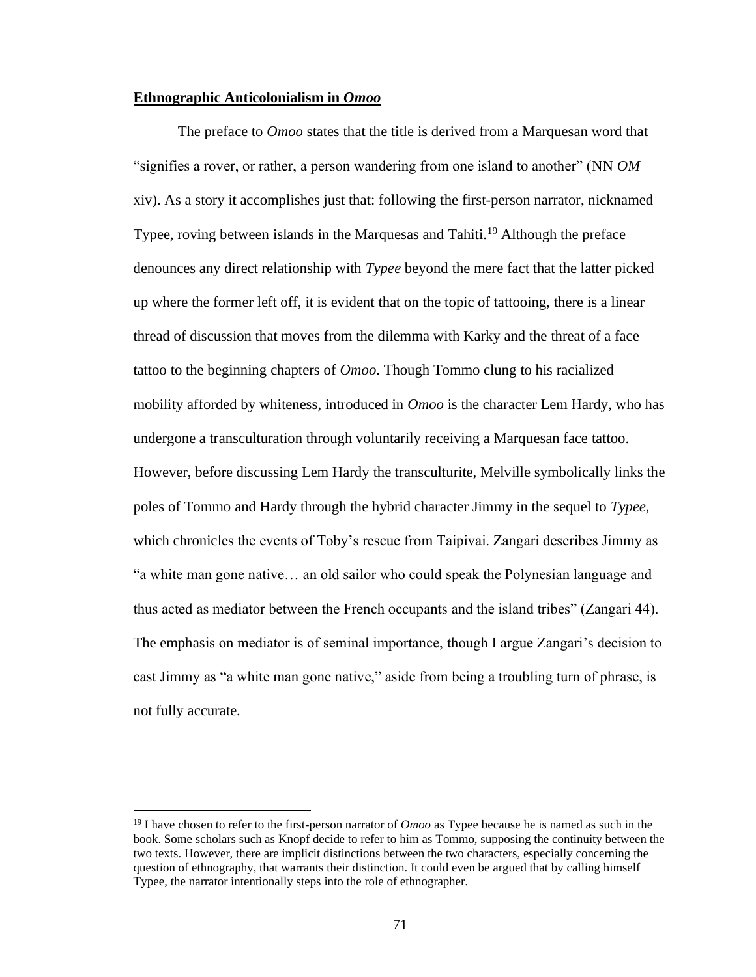## **Ethnographic Anticolonialism in** *Omoo*

The preface to *Omoo* states that the title is derived from a Marquesan word that "signifies a rover, or rather, a person wandering from one island to another" (NN *OM*  xiv). As a story it accomplishes just that: following the first-person narrator, nicknamed Typee, roving between islands in the Marquesas and Tahiti.<sup>19</sup> Although the preface denounces any direct relationship with *Typee* beyond the mere fact that the latter picked up where the former left off, it is evident that on the topic of tattooing, there is a linear thread of discussion that moves from the dilemma with Karky and the threat of a face tattoo to the beginning chapters of *Omoo*. Though Tommo clung to his racialized mobility afforded by whiteness, introduced in *Omoo* is the character Lem Hardy, who has undergone a transculturation through voluntarily receiving a Marquesan face tattoo. However, before discussing Lem Hardy the transculturite, Melville symbolically links the poles of Tommo and Hardy through the hybrid character Jimmy in the sequel to *Typee*, which chronicles the events of Toby's rescue from Taipivai. Zangari describes Jimmy as "a white man gone native… an old sailor who could speak the Polynesian language and thus acted as mediator between the French occupants and the island tribes" (Zangari 44). The emphasis on mediator is of seminal importance, though I argue Zangari's decision to cast Jimmy as "a white man gone native," aside from being a troubling turn of phrase, is not fully accurate.

<sup>19</sup> I have chosen to refer to the first-person narrator of *Omoo* as Typee because he is named as such in the book. Some scholars such as Knopf decide to refer to him as Tommo, supposing the continuity between the two texts. However, there are implicit distinctions between the two characters, especially concerning the question of ethnography, that warrants their distinction. It could even be argued that by calling himself Typee, the narrator intentionally steps into the role of ethnographer.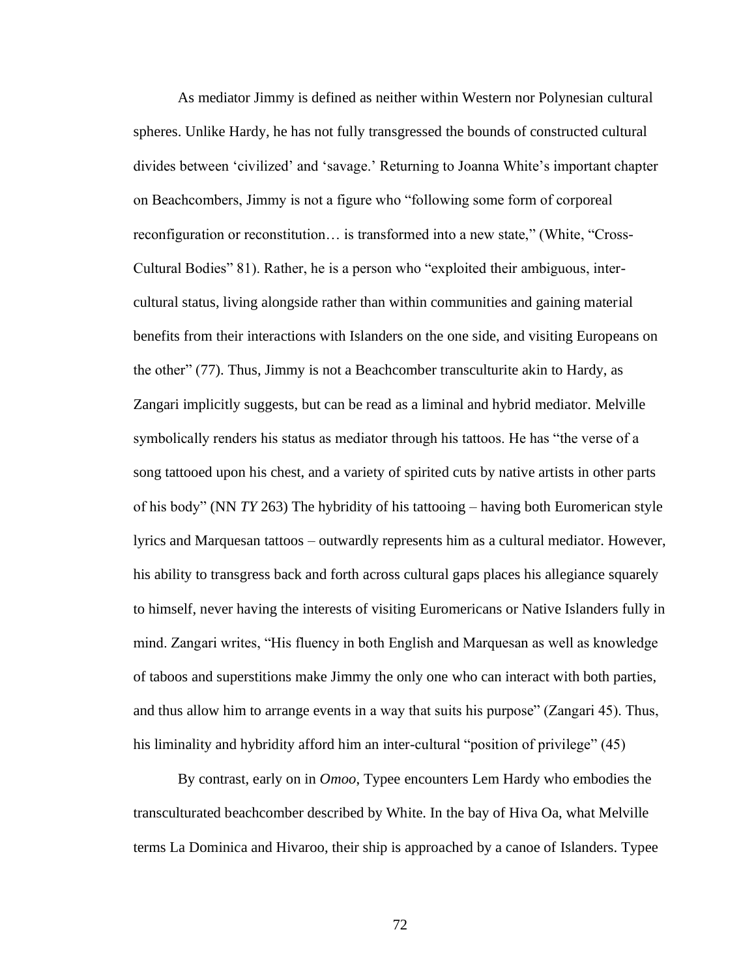As mediator Jimmy is defined as neither within Western nor Polynesian cultural spheres. Unlike Hardy, he has not fully transgressed the bounds of constructed cultural divides between 'civilized' and 'savage.' Returning to Joanna White's important chapter on Beachcombers, Jimmy is not a figure who "following some form of corporeal reconfiguration or reconstitution… is transformed into a new state," (White, "Cross-Cultural Bodies" 81). Rather, he is a person who "exploited their ambiguous, intercultural status, living alongside rather than within communities and gaining material benefits from their interactions with Islanders on the one side, and visiting Europeans on the other" (77). Thus, Jimmy is not a Beachcomber transculturite akin to Hardy, as Zangari implicitly suggests, but can be read as a liminal and hybrid mediator. Melville symbolically renders his status as mediator through his tattoos. He has "the verse of a song tattooed upon his chest, and a variety of spirited cuts by native artists in other parts of his body" (NN *TY* 263) The hybridity of his tattooing – having both Euromerican style lyrics and Marquesan tattoos – outwardly represents him as a cultural mediator. However, his ability to transgress back and forth across cultural gaps places his allegiance squarely to himself, never having the interests of visiting Euromericans or Native Islanders fully in mind. Zangari writes, "His fluency in both English and Marquesan as well as knowledge of taboos and superstitions make Jimmy the only one who can interact with both parties, and thus allow him to arrange events in a way that suits his purpose" (Zangari 45). Thus, his liminality and hybridity afford him an inter-cultural "position of privilege" (45)

By contrast, early on in *Omoo*, Typee encounters Lem Hardy who embodies the transculturated beachcomber described by White. In the bay of Hiva Oa, what Melville terms La Dominica and Hivaroo, their ship is approached by a canoe of Islanders. Typee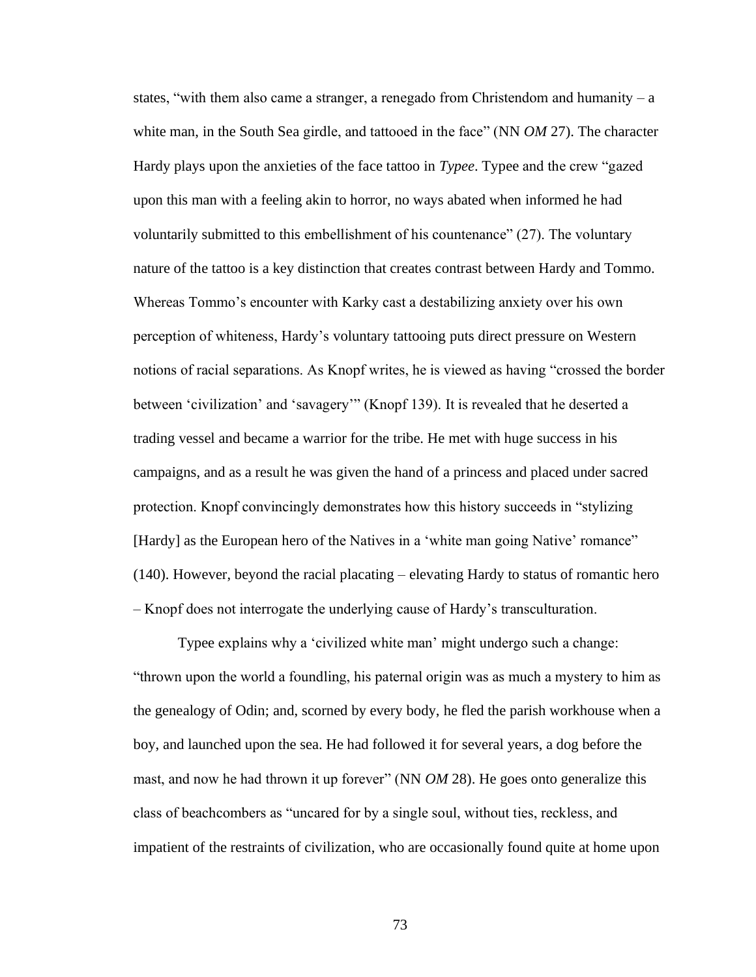states, "with them also came a stranger, a renegado from Christendom and humanity  $- a$ white man, in the South Sea girdle, and tattooed in the face" (NN *OM* 27). The character Hardy plays upon the anxieties of the face tattoo in *Typee*. Typee and the crew "gazed upon this man with a feeling akin to horror, no ways abated when informed he had voluntarily submitted to this embellishment of his countenance" (27). The voluntary nature of the tattoo is a key distinction that creates contrast between Hardy and Tommo. Whereas Tommo's encounter with Karky cast a destabilizing anxiety over his own perception of whiteness, Hardy's voluntary tattooing puts direct pressure on Western notions of racial separations. As Knopf writes, he is viewed as having "crossed the border between 'civilization' and 'savagery'" (Knopf 139). It is revealed that he deserted a trading vessel and became a warrior for the tribe. He met with huge success in his campaigns, and as a result he was given the hand of a princess and placed under sacred protection. Knopf convincingly demonstrates how this history succeeds in "stylizing [Hardy] as the European hero of the Natives in a 'white man going Native' romance" (140). However, beyond the racial placating – elevating Hardy to status of romantic hero – Knopf does not interrogate the underlying cause of Hardy's transculturation.

Typee explains why a 'civilized white man' might undergo such a change: "thrown upon the world a foundling, his paternal origin was as much a mystery to him as the genealogy of Odin; and, scorned by every body, he fled the parish workhouse when a boy, and launched upon the sea. He had followed it for several years, a dog before the mast, and now he had thrown it up forever" (NN *OM* 28). He goes onto generalize this class of beachcombers as "uncared for by a single soul, without ties, reckless, and impatient of the restraints of civilization, who are occasionally found quite at home upon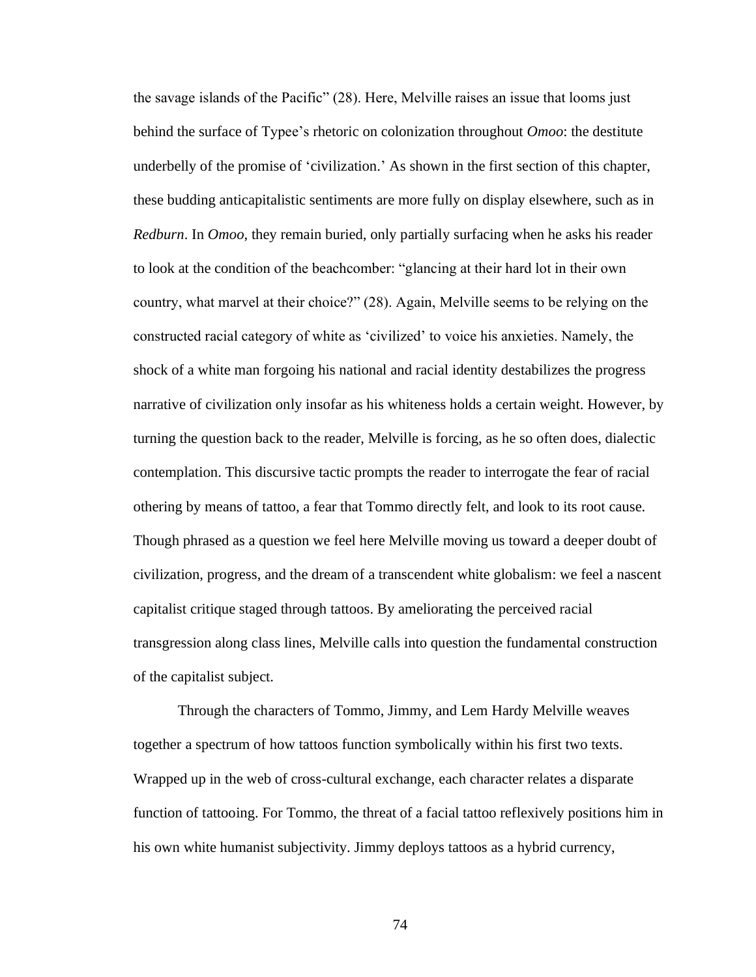the savage islands of the Pacific" (28). Here, Melville raises an issue that looms just behind the surface of Typee's rhetoric on colonization throughout *Omoo*: the destitute underbelly of the promise of 'civilization.' As shown in the first section of this chapter, these budding anticapitalistic sentiments are more fully on display elsewhere, such as in *Redburn*. In *Omoo*, they remain buried, only partially surfacing when he asks his reader to look at the condition of the beachcomber: "glancing at their hard lot in their own country, what marvel at their choice?" (28). Again, Melville seems to be relying on the constructed racial category of white as 'civilized' to voice his anxieties. Namely, the shock of a white man forgoing his national and racial identity destabilizes the progress narrative of civilization only insofar as his whiteness holds a certain weight. However, by turning the question back to the reader, Melville is forcing, as he so often does, dialectic contemplation. This discursive tactic prompts the reader to interrogate the fear of racial othering by means of tattoo, a fear that Tommo directly felt, and look to its root cause. Though phrased as a question we feel here Melville moving us toward a deeper doubt of civilization, progress, and the dream of a transcendent white globalism: we feel a nascent capitalist critique staged through tattoos. By ameliorating the perceived racial transgression along class lines, Melville calls into question the fundamental construction of the capitalist subject.

Through the characters of Tommo, Jimmy, and Lem Hardy Melville weaves together a spectrum of how tattoos function symbolically within his first two texts. Wrapped up in the web of cross-cultural exchange, each character relates a disparate function of tattooing. For Tommo, the threat of a facial tattoo reflexively positions him in his own white humanist subjectivity. Jimmy deploys tattoos as a hybrid currency,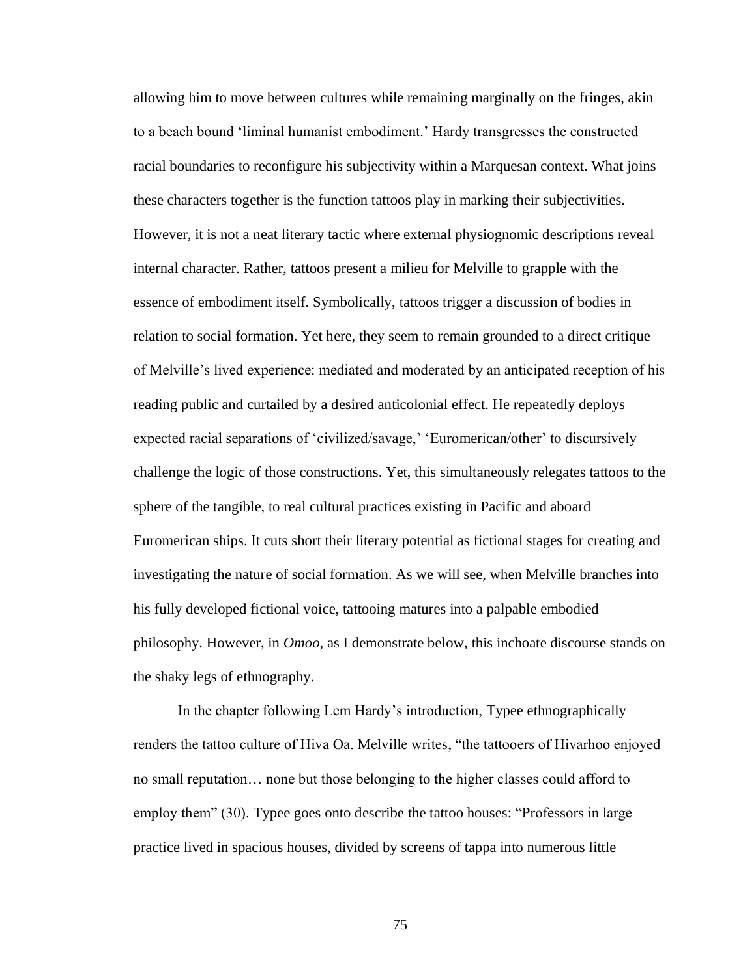allowing him to move between cultures while remaining marginally on the fringes, akin to a beach bound 'liminal humanist embodiment.' Hardy transgresses the constructed racial boundaries to reconfigure his subjectivity within a Marquesan context. What joins these characters together is the function tattoos play in marking their subjectivities. However, it is not a neat literary tactic where external physiognomic descriptions reveal internal character. Rather, tattoos present a milieu for Melville to grapple with the essence of embodiment itself. Symbolically, tattoos trigger a discussion of bodies in relation to social formation. Yet here, they seem to remain grounded to a direct critique of Melville's lived experience: mediated and moderated by an anticipated reception of his reading public and curtailed by a desired anticolonial effect. He repeatedly deploys expected racial separations of 'civilized/savage,' 'Euromerican/other' to discursively challenge the logic of those constructions. Yet, this simultaneously relegates tattoos to the sphere of the tangible, to real cultural practices existing in Pacific and aboard Euromerican ships. It cuts short their literary potential as fictional stages for creating and investigating the nature of social formation. As we will see, when Melville branches into his fully developed fictional voice, tattooing matures into a palpable embodied philosophy. However, in *Omoo*, as I demonstrate below, this inchoate discourse stands on the shaky legs of ethnography.

In the chapter following Lem Hardy's introduction, Typee ethnographically renders the tattoo culture of Hiva Oa. Melville writes, "the tattooers of Hivarhoo enjoyed no small reputation… none but those belonging to the higher classes could afford to employ them" (30). Typee goes onto describe the tattoo houses: "Professors in large practice lived in spacious houses, divided by screens of tappa into numerous little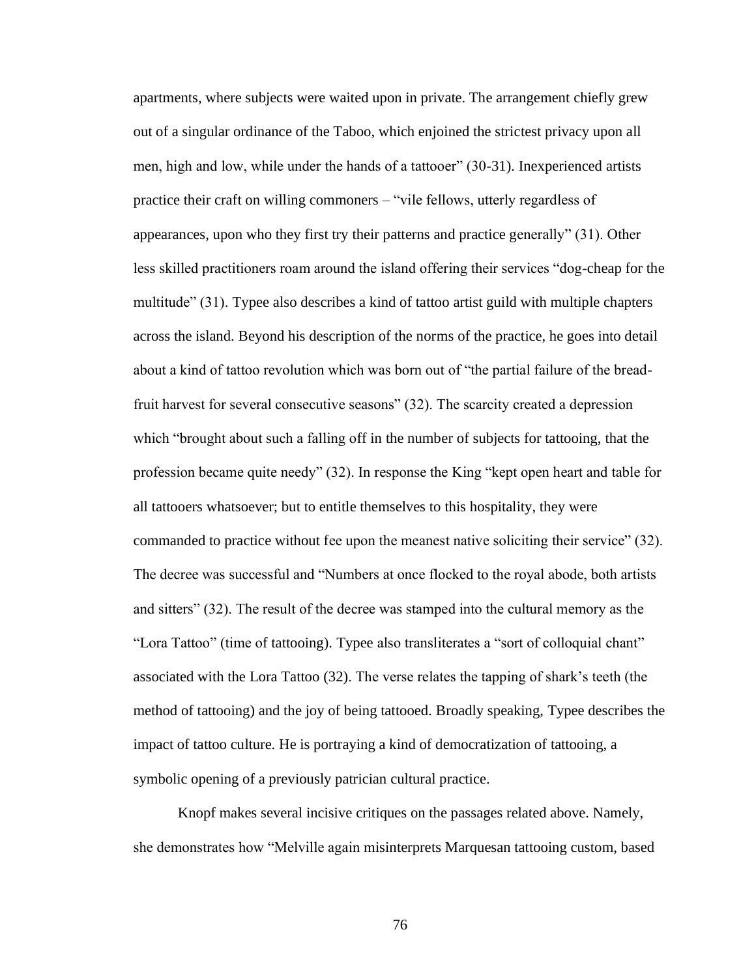apartments, where subjects were waited upon in private. The arrangement chiefly grew out of a singular ordinance of the Taboo, which enjoined the strictest privacy upon all men, high and low, while under the hands of a tattooer" (30-31). Inexperienced artists practice their craft on willing commoners – "vile fellows, utterly regardless of appearances, upon who they first try their patterns and practice generally" (31). Other less skilled practitioners roam around the island offering their services "dog-cheap for the multitude" (31). Typee also describes a kind of tattoo artist guild with multiple chapters across the island. Beyond his description of the norms of the practice, he goes into detail about a kind of tattoo revolution which was born out of "the partial failure of the breadfruit harvest for several consecutive seasons" (32). The scarcity created a depression which "brought about such a falling off in the number of subjects for tattooing, that the profession became quite needy" (32). In response the King "kept open heart and table for all tattooers whatsoever; but to entitle themselves to this hospitality, they were commanded to practice without fee upon the meanest native soliciting their service" (32). The decree was successful and "Numbers at once flocked to the royal abode, both artists and sitters" (32). The result of the decree was stamped into the cultural memory as the "Lora Tattoo" (time of tattooing). Typee also transliterates a "sort of colloquial chant" associated with the Lora Tattoo (32). The verse relates the tapping of shark's teeth (the method of tattooing) and the joy of being tattooed. Broadly speaking, Typee describes the impact of tattoo culture. He is portraying a kind of democratization of tattooing, a symbolic opening of a previously patrician cultural practice.

Knopf makes several incisive critiques on the passages related above. Namely, she demonstrates how "Melville again misinterprets Marquesan tattooing custom, based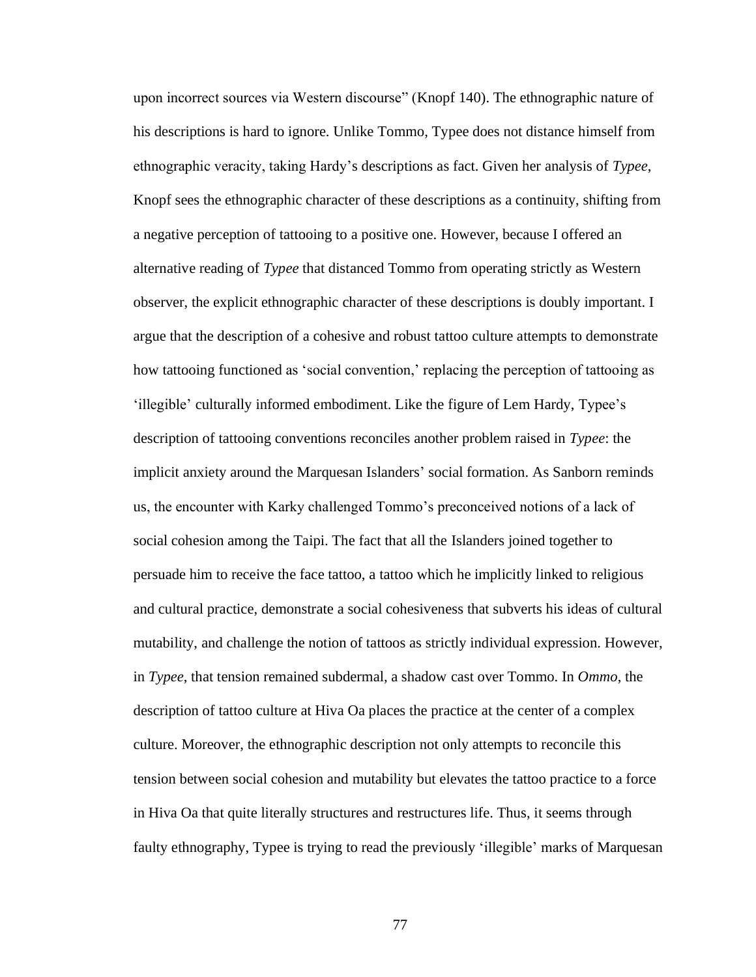upon incorrect sources via Western discourse" (Knopf 140). The ethnographic nature of his descriptions is hard to ignore. Unlike Tommo, Typee does not distance himself from ethnographic veracity, taking Hardy's descriptions as fact. Given her analysis of *Typee*, Knopf sees the ethnographic character of these descriptions as a continuity, shifting from a negative perception of tattooing to a positive one. However, because I offered an alternative reading of *Typee* that distanced Tommo from operating strictly as Western observer, the explicit ethnographic character of these descriptions is doubly important. I argue that the description of a cohesive and robust tattoo culture attempts to demonstrate how tattooing functioned as 'social convention,' replacing the perception of tattooing as 'illegible' culturally informed embodiment. Like the figure of Lem Hardy, Typee's description of tattooing conventions reconciles another problem raised in *Typee*: the implicit anxiety around the Marquesan Islanders' social formation. As Sanborn reminds us, the encounter with Karky challenged Tommo's preconceived notions of a lack of social cohesion among the Taipi. The fact that all the Islanders joined together to persuade him to receive the face tattoo, a tattoo which he implicitly linked to religious and cultural practice, demonstrate a social cohesiveness that subverts his ideas of cultural mutability, and challenge the notion of tattoos as strictly individual expression. However, in *Typee*, that tension remained subdermal, a shadow cast over Tommo. In *Ommo*, the description of tattoo culture at Hiva Oa places the practice at the center of a complex culture. Moreover, the ethnographic description not only attempts to reconcile this tension between social cohesion and mutability but elevates the tattoo practice to a force in Hiva Oa that quite literally structures and restructures life. Thus, it seems through faulty ethnography, Typee is trying to read the previously 'illegible' marks of Marquesan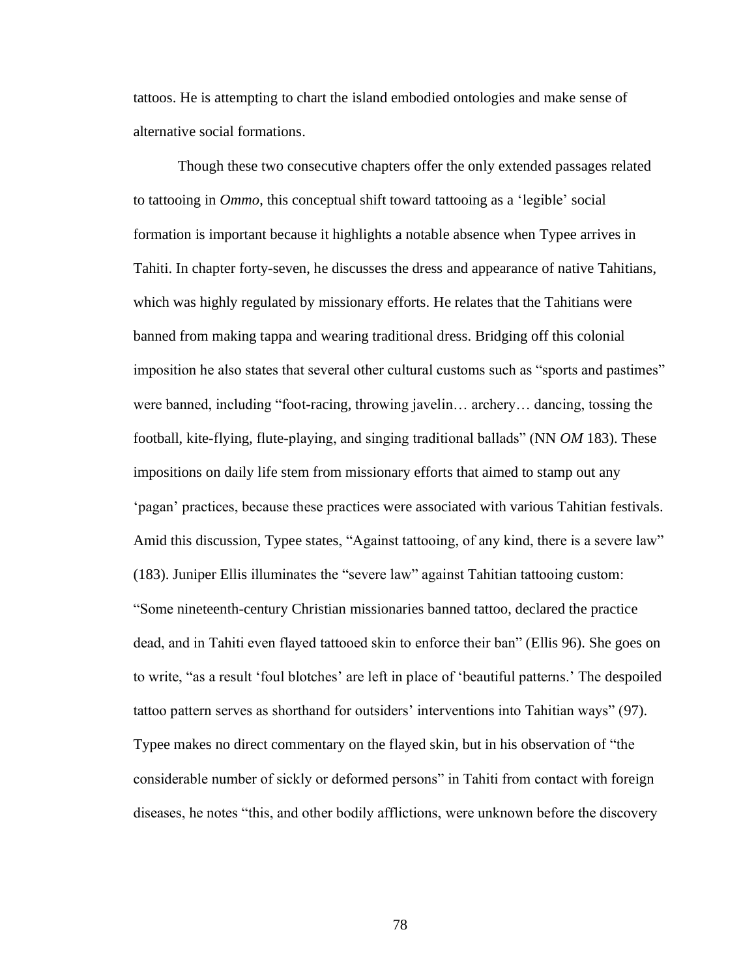tattoos. He is attempting to chart the island embodied ontologies and make sense of alternative social formations.

Though these two consecutive chapters offer the only extended passages related to tattooing in *Ommo*, this conceptual shift toward tattooing as a 'legible' social formation is important because it highlights a notable absence when Typee arrives in Tahiti. In chapter forty-seven, he discusses the dress and appearance of native Tahitians, which was highly regulated by missionary efforts. He relates that the Tahitians were banned from making tappa and wearing traditional dress. Bridging off this colonial imposition he also states that several other cultural customs such as "sports and pastimes" were banned, including "foot-racing, throwing javelin… archery… dancing, tossing the football, kite-flying, flute-playing, and singing traditional ballads" (NN *OM* 183). These impositions on daily life stem from missionary efforts that aimed to stamp out any 'pagan' practices, because these practices were associated with various Tahitian festivals. Amid this discussion, Typee states, "Against tattooing, of any kind, there is a severe law" (183). Juniper Ellis illuminates the "severe law" against Tahitian tattooing custom: "Some nineteenth-century Christian missionaries banned tattoo, declared the practice dead, and in Tahiti even flayed tattooed skin to enforce their ban" (Ellis 96). She goes on to write, "as a result 'foul blotches' are left in place of 'beautiful patterns.' The despoiled tattoo pattern serves as shorthand for outsiders' interventions into Tahitian ways" (97). Typee makes no direct commentary on the flayed skin, but in his observation of "the considerable number of sickly or deformed persons" in Tahiti from contact with foreign diseases, he notes "this, and other bodily afflictions, were unknown before the discovery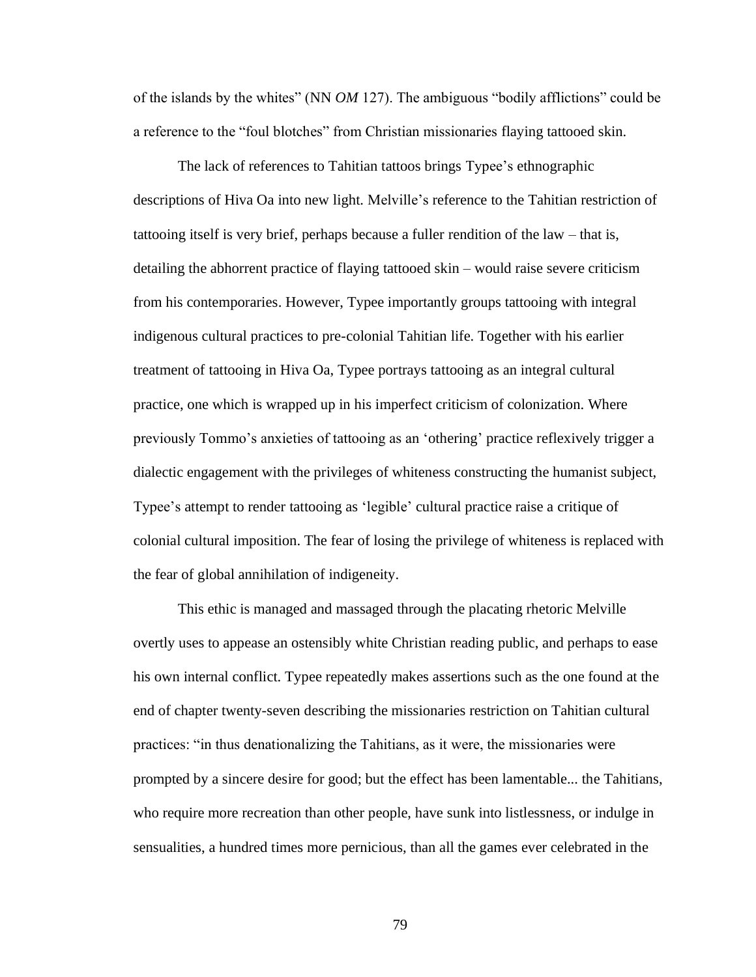of the islands by the whites" (NN *OM* 127). The ambiguous "bodily afflictions" could be a reference to the "foul blotches" from Christian missionaries flaying tattooed skin.

The lack of references to Tahitian tattoos brings Typee's ethnographic descriptions of Hiva Oa into new light. Melville's reference to the Tahitian restriction of tattooing itself is very brief, perhaps because a fuller rendition of the law – that is, detailing the abhorrent practice of flaying tattooed skin – would raise severe criticism from his contemporaries. However, Typee importantly groups tattooing with integral indigenous cultural practices to pre-colonial Tahitian life. Together with his earlier treatment of tattooing in Hiva Oa, Typee portrays tattooing as an integral cultural practice, one which is wrapped up in his imperfect criticism of colonization. Where previously Tommo's anxieties of tattooing as an 'othering' practice reflexively trigger a dialectic engagement with the privileges of whiteness constructing the humanist subject, Typee's attempt to render tattooing as 'legible' cultural practice raise a critique of colonial cultural imposition. The fear of losing the privilege of whiteness is replaced with the fear of global annihilation of indigeneity.

This ethic is managed and massaged through the placating rhetoric Melville overtly uses to appease an ostensibly white Christian reading public, and perhaps to ease his own internal conflict. Typee repeatedly makes assertions such as the one found at the end of chapter twenty-seven describing the missionaries restriction on Tahitian cultural practices: "in thus denationalizing the Tahitians, as it were, the missionaries were prompted by a sincere desire for good; but the effect has been lamentable... the Tahitians, who require more recreation than other people, have sunk into listlessness, or indulge in sensualities, a hundred times more pernicious, than all the games ever celebrated in the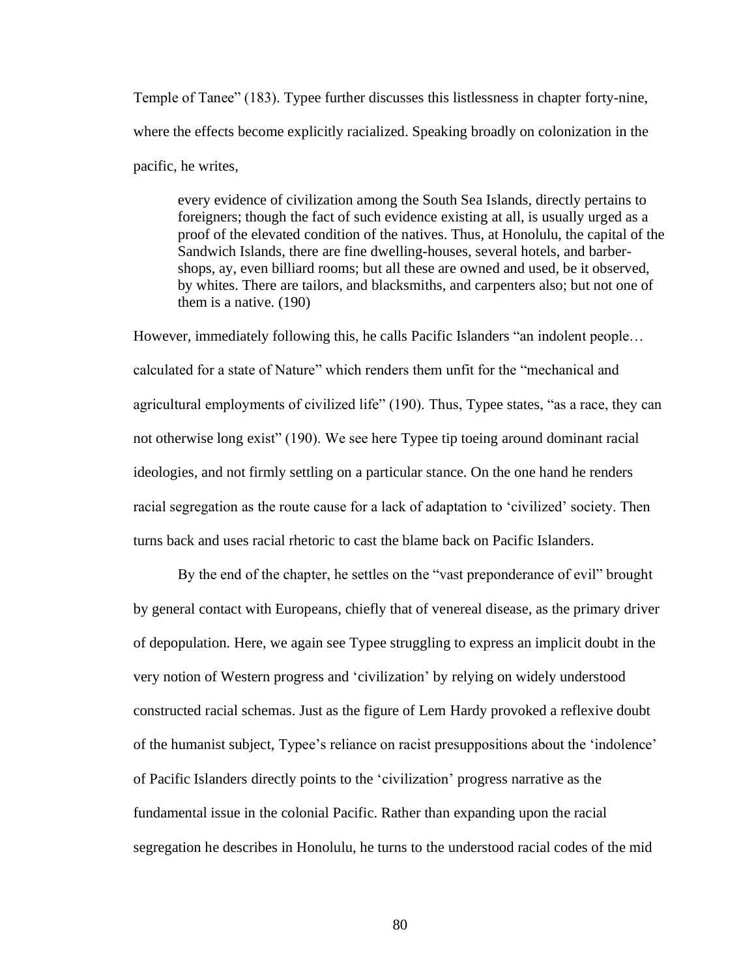Temple of Tanee" (183). Typee further discusses this listlessness in chapter forty-nine, where the effects become explicitly racialized. Speaking broadly on colonization in the pacific, he writes,

every evidence of civilization among the South Sea Islands, directly pertains to foreigners; though the fact of such evidence existing at all, is usually urged as a proof of the elevated condition of the natives. Thus, at Honolulu, the capital of the Sandwich Islands, there are fine dwelling-houses, several hotels, and barbershops, ay, even billiard rooms; but all these are owned and used, be it observed, by whites. There are tailors, and blacksmiths, and carpenters also; but not one of them is a native. (190)

However, immediately following this, he calls Pacific Islanders "an indolent people… calculated for a state of Nature" which renders them unfit for the "mechanical and agricultural employments of civilized life" (190). Thus, Typee states, "as a race, they can not otherwise long exist" (190). We see here Typee tip toeing around dominant racial ideologies, and not firmly settling on a particular stance. On the one hand he renders racial segregation as the route cause for a lack of adaptation to 'civilized' society. Then turns back and uses racial rhetoric to cast the blame back on Pacific Islanders.

By the end of the chapter, he settles on the "vast preponderance of evil" brought by general contact with Europeans, chiefly that of venereal disease, as the primary driver of depopulation. Here, we again see Typee struggling to express an implicit doubt in the very notion of Western progress and 'civilization' by relying on widely understood constructed racial schemas. Just as the figure of Lem Hardy provoked a reflexive doubt of the humanist subject, Typee's reliance on racist presuppositions about the 'indolence' of Pacific Islanders directly points to the 'civilization' progress narrative as the fundamental issue in the colonial Pacific. Rather than expanding upon the racial segregation he describes in Honolulu, he turns to the understood racial codes of the mid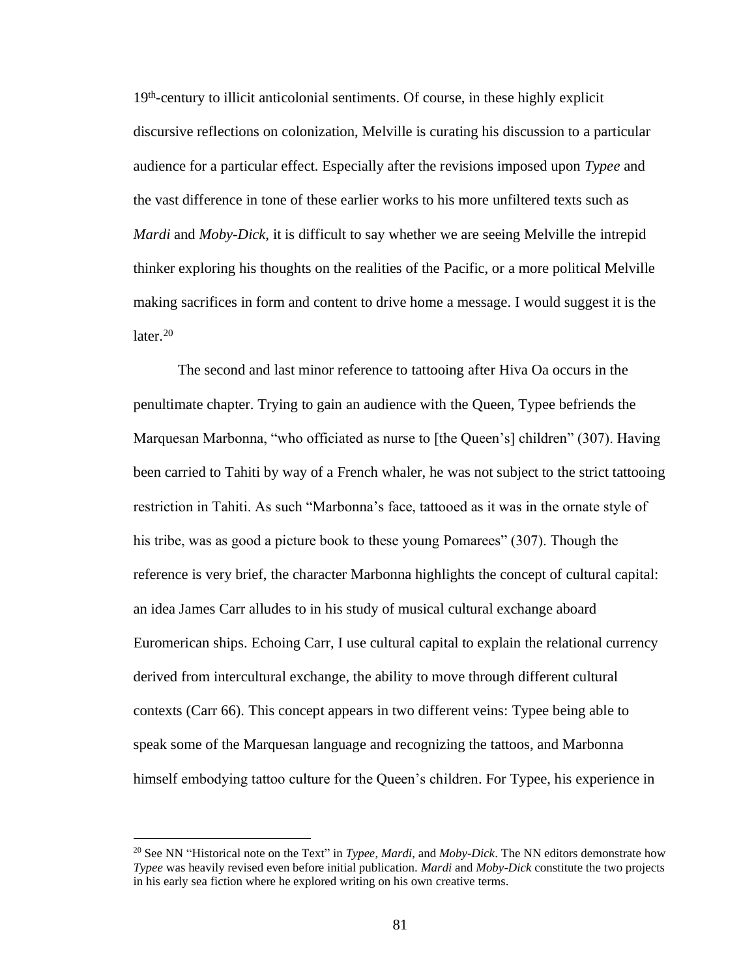19<sup>th</sup>-century to illicit anticolonial sentiments. Of course, in these highly explicit discursive reflections on colonization, Melville is curating his discussion to a particular audience for a particular effect. Especially after the revisions imposed upon *Typee* and the vast difference in tone of these earlier works to his more unfiltered texts such as *Mardi* and *Moby-Dick*, it is difficult to say whether we are seeing Melville the intrepid thinker exploring his thoughts on the realities of the Pacific, or a more political Melville making sacrifices in form and content to drive home a message. I would suggest it is the later $20$ 

The second and last minor reference to tattooing after Hiva Oa occurs in the penultimate chapter. Trying to gain an audience with the Queen, Typee befriends the Marquesan Marbonna, "who officiated as nurse to [the Queen's] children" (307). Having been carried to Tahiti by way of a French whaler, he was not subject to the strict tattooing restriction in Tahiti. As such "Marbonna's face, tattooed as it was in the ornate style of his tribe, was as good a picture book to these young Pomarees" (307). Though the reference is very brief, the character Marbonna highlights the concept of cultural capital: an idea James Carr alludes to in his study of musical cultural exchange aboard Euromerican ships. Echoing Carr, I use cultural capital to explain the relational currency derived from intercultural exchange, the ability to move through different cultural contexts (Carr 66). This concept appears in two different veins: Typee being able to speak some of the Marquesan language and recognizing the tattoos, and Marbonna himself embodying tattoo culture for the Queen's children. For Typee, his experience in

<sup>20</sup> See NN "Historical note on the Text" in *Typee*, *Mardi*, and *Moby-Dick*. The NN editors demonstrate how *Typee* was heavily revised even before initial publication. *Mardi* and *Moby-Dick* constitute the two projects in his early sea fiction where he explored writing on his own creative terms.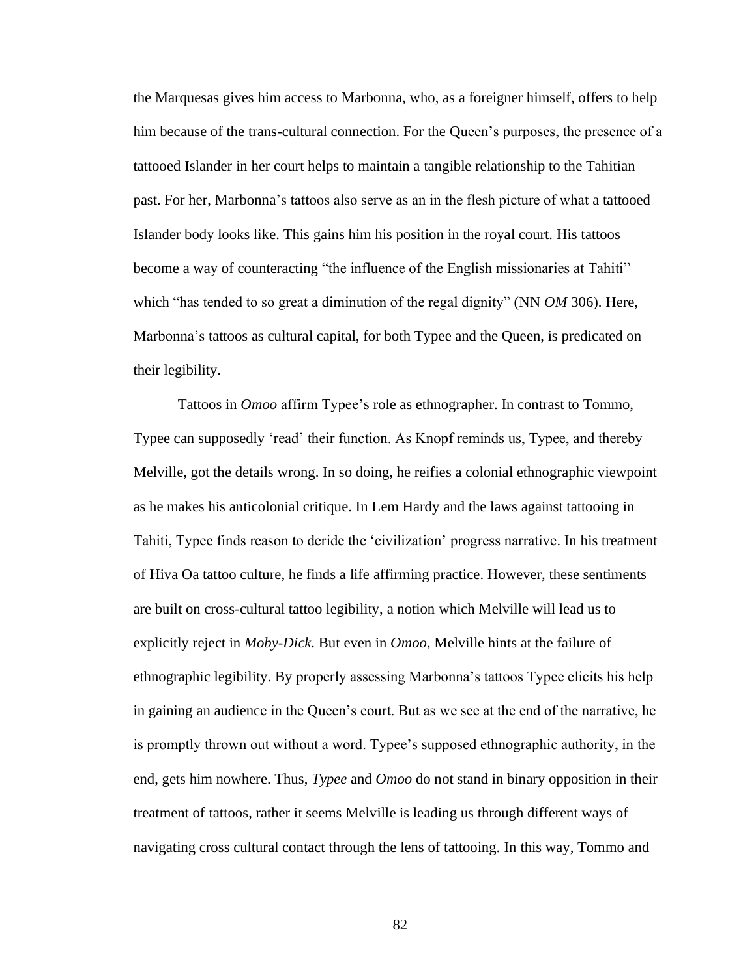the Marquesas gives him access to Marbonna, who, as a foreigner himself, offers to help him because of the trans-cultural connection. For the Queen's purposes, the presence of a tattooed Islander in her court helps to maintain a tangible relationship to the Tahitian past. For her, Marbonna's tattoos also serve as an in the flesh picture of what a tattooed Islander body looks like. This gains him his position in the royal court. His tattoos become a way of counteracting "the influence of the English missionaries at Tahiti" which "has tended to so great a diminution of the regal dignity" (NN *OM* 306). Here, Marbonna's tattoos as cultural capital, for both Typee and the Queen, is predicated on their legibility.

Tattoos in *Omoo* affirm Typee's role as ethnographer. In contrast to Tommo, Typee can supposedly 'read' their function. As Knopf reminds us, Typee, and thereby Melville, got the details wrong. In so doing, he reifies a colonial ethnographic viewpoint as he makes his anticolonial critique. In Lem Hardy and the laws against tattooing in Tahiti, Typee finds reason to deride the 'civilization' progress narrative. In his treatment of Hiva Oa tattoo culture, he finds a life affirming practice. However, these sentiments are built on cross-cultural tattoo legibility, a notion which Melville will lead us to explicitly reject in *Moby-Dick*. But even in *Omoo*, Melville hints at the failure of ethnographic legibility. By properly assessing Marbonna's tattoos Typee elicits his help in gaining an audience in the Queen's court. But as we see at the end of the narrative, he is promptly thrown out without a word. Typee's supposed ethnographic authority, in the end, gets him nowhere. Thus, *Typee* and *Omoo* do not stand in binary opposition in their treatment of tattoos, rather it seems Melville is leading us through different ways of navigating cross cultural contact through the lens of tattooing. In this way, Tommo and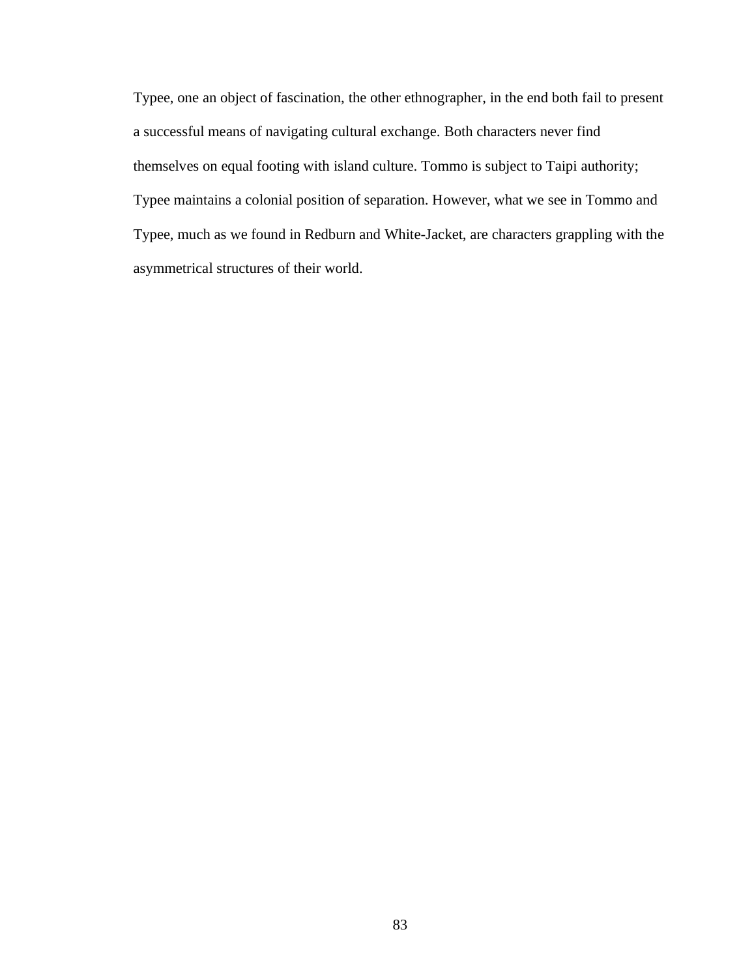Typee, one an object of fascination, the other ethnographer, in the end both fail to present a successful means of navigating cultural exchange. Both characters never find themselves on equal footing with island culture. Tommo is subject to Taipi authority; Typee maintains a colonial position of separation. However, what we see in Tommo and Typee, much as we found in Redburn and White-Jacket, are characters grappling with the asymmetrical structures of their world.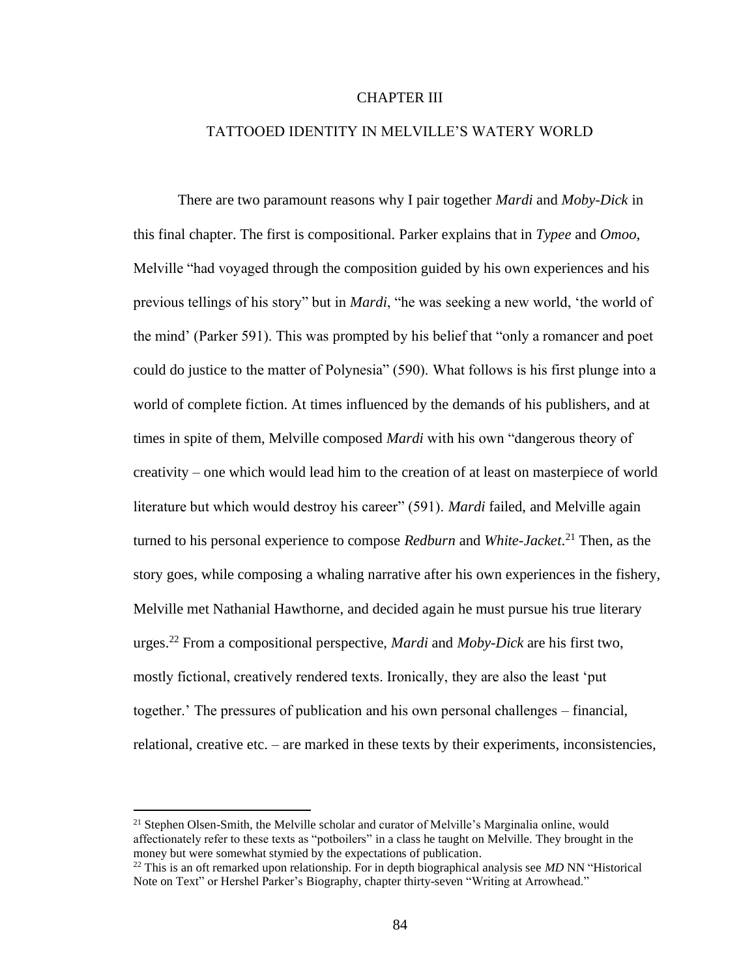## CHAPTER III

## TATTOOED IDENTITY IN MELVILLE'S WATERY WORLD

There are two paramount reasons why I pair together *Mardi* and *Moby-Dick* in this final chapter. The first is compositional. Parker explains that in *Typee* and *Omoo*, Melville "had voyaged through the composition guided by his own experiences and his previous tellings of his story" but in *Mardi*, "he was seeking a new world, 'the world of the mind' (Parker 591). This was prompted by his belief that "only a romancer and poet could do justice to the matter of Polynesia" (590). What follows is his first plunge into a world of complete fiction. At times influenced by the demands of his publishers, and at times in spite of them, Melville composed *Mardi* with his own "dangerous theory of creativity – one which would lead him to the creation of at least on masterpiece of world literature but which would destroy his career" (591). *Mardi* failed, and Melville again turned to his personal experience to compose *Redburn* and *White-Jacket*. <sup>21</sup> Then, as the story goes, while composing a whaling narrative after his own experiences in the fishery, Melville met Nathanial Hawthorne, and decided again he must pursue his true literary urges.<sup>22</sup> From a compositional perspective, *Mardi* and *Moby-Dick* are his first two, mostly fictional, creatively rendered texts. Ironically, they are also the least 'put together.' The pressures of publication and his own personal challenges – financial, relational, creative etc. – are marked in these texts by their experiments, inconsistencies,

 $21$  Stephen Olsen-Smith, the Melville scholar and curator of Melville's Marginalia online, would affectionately refer to these texts as "potboilers" in a class he taught on Melville. They brought in the money but were somewhat stymied by the expectations of publication.

<sup>22</sup> This is an oft remarked upon relationship. For in depth biographical analysis see *MD* NN "Historical Note on Text" or Hershel Parker's Biography, chapter thirty-seven "Writing at Arrowhead."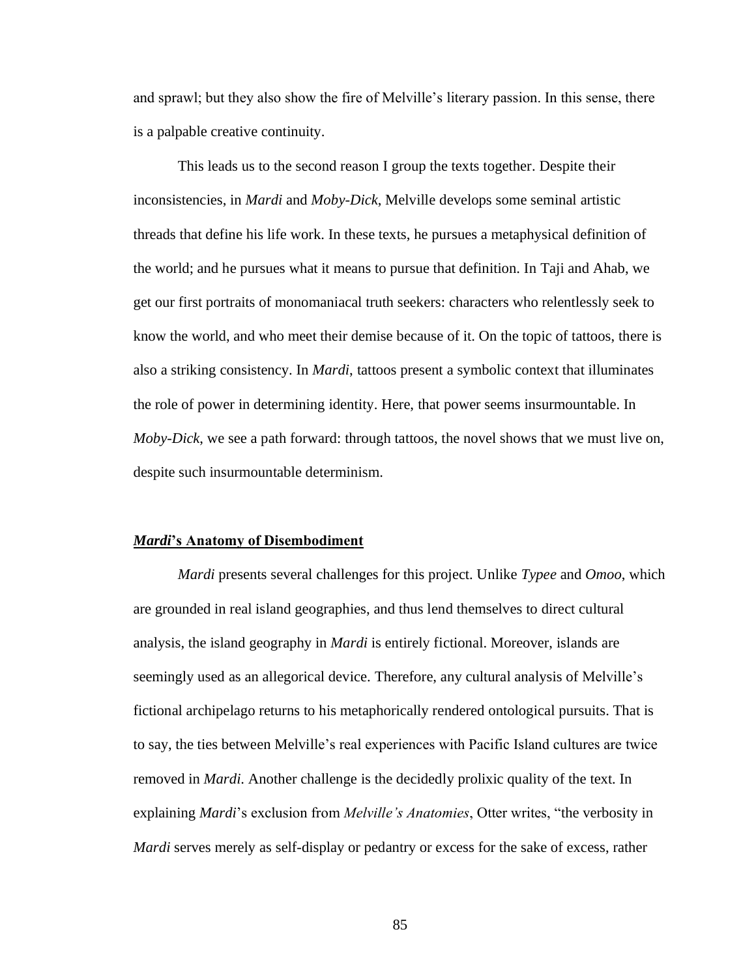and sprawl; but they also show the fire of Melville's literary passion. In this sense, there is a palpable creative continuity.

This leads us to the second reason I group the texts together. Despite their inconsistencies, in *Mardi* and *Moby-Dick*, Melville develops some seminal artistic threads that define his life work. In these texts, he pursues a metaphysical definition of the world; and he pursues what it means to pursue that definition. In Taji and Ahab, we get our first portraits of monomaniacal truth seekers: characters who relentlessly seek to know the world, and who meet their demise because of it. On the topic of tattoos, there is also a striking consistency. In *Mardi*, tattoos present a symbolic context that illuminates the role of power in determining identity. Here, that power seems insurmountable. In *Moby-Dick*, we see a path forward: through tattoos, the novel shows that we must live on, despite such insurmountable determinism.

## *Mardi***'s Anatomy of Disembodiment**

*Mardi* presents several challenges for this project. Unlike *Typee* and *Omoo*, which are grounded in real island geographies, and thus lend themselves to direct cultural analysis, the island geography in *Mardi* is entirely fictional. Moreover, islands are seemingly used as an allegorical device. Therefore, any cultural analysis of Melville's fictional archipelago returns to his metaphorically rendered ontological pursuits. That is to say, the ties between Melville's real experiences with Pacific Island cultures are twice removed in *Mardi*. Another challenge is the decidedly prolixic quality of the text. In explaining *Mardi*'s exclusion from *Melville's Anatomies*, Otter writes, "the verbosity in *Mardi* serves merely as self-display or pedantry or excess for the sake of excess, rather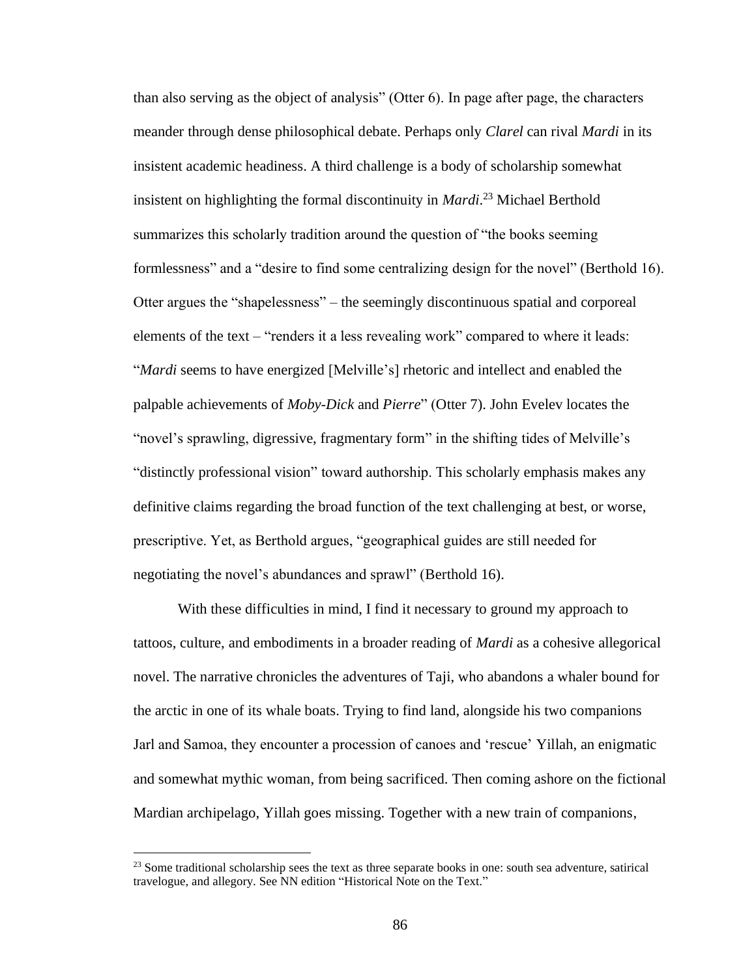than also serving as the object of analysis" (Otter 6). In page after page, the characters meander through dense philosophical debate. Perhaps only *Clarel* can rival *Mardi* in its insistent academic headiness. A third challenge is a body of scholarship somewhat insistent on highlighting the formal discontinuity in *Mardi*. <sup>23</sup> Michael Berthold summarizes this scholarly tradition around the question of "the books seeming formlessness" and a "desire to find some centralizing design for the novel" (Berthold 16). Otter argues the "shapelessness" – the seemingly discontinuous spatial and corporeal elements of the text – "renders it a less revealing work" compared to where it leads: "*Mardi* seems to have energized [Melville's] rhetoric and intellect and enabled the palpable achievements of *Moby-Dick* and *Pierre*" (Otter 7). John Evelev locates the "novel's sprawling, digressive, fragmentary form" in the shifting tides of Melville's "distinctly professional vision" toward authorship. This scholarly emphasis makes any definitive claims regarding the broad function of the text challenging at best, or worse, prescriptive. Yet, as Berthold argues, "geographical guides are still needed for negotiating the novel's abundances and sprawl" (Berthold 16).

With these difficulties in mind, I find it necessary to ground my approach to tattoos, culture, and embodiments in a broader reading of *Mardi* as a cohesive allegorical novel. The narrative chronicles the adventures of Taji, who abandons a whaler bound for the arctic in one of its whale boats. Trying to find land, alongside his two companions Jarl and Samoa, they encounter a procession of canoes and 'rescue' Yillah, an enigmatic and somewhat mythic woman, from being sacrificed. Then coming ashore on the fictional Mardian archipelago, Yillah goes missing. Together with a new train of companions,

<sup>&</sup>lt;sup>23</sup> Some traditional scholarship sees the text as three separate books in one: south sea adventure, satirical travelogue, and allegory. See NN edition "Historical Note on the Text."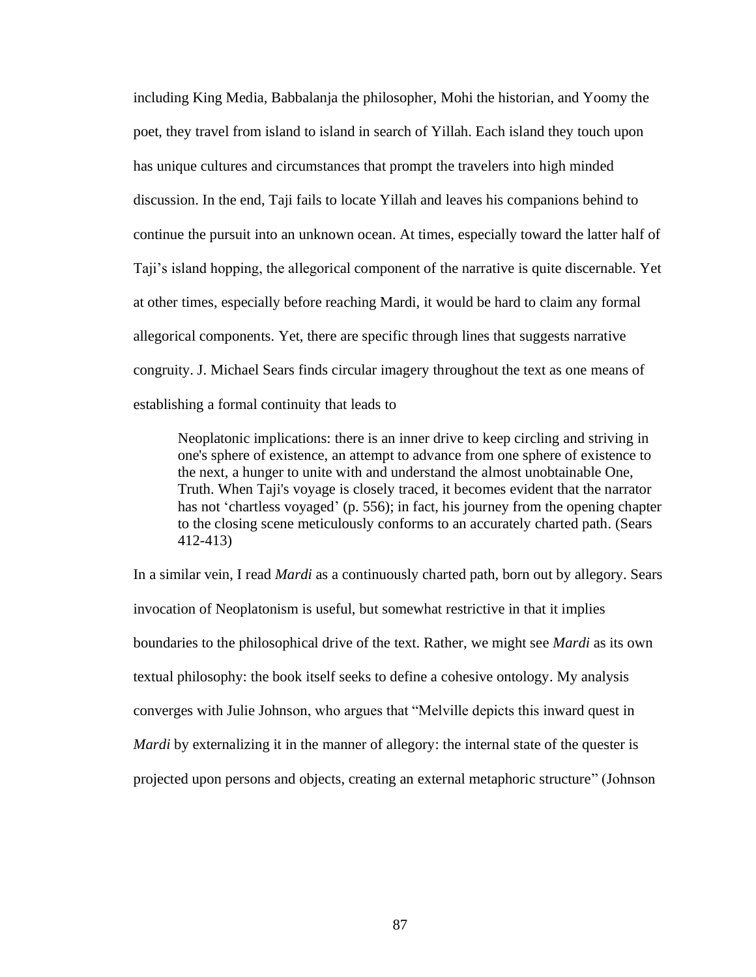including King Media, Babbalanja the philosopher, Mohi the historian, and Yoomy the poet, they travel from island to island in search of Yillah. Each island they touch upon has unique cultures and circumstances that prompt the travelers into high minded discussion. In the end, Taji fails to locate Yillah and leaves his companions behind to continue the pursuit into an unknown ocean. At times, especially toward the latter half of Taji's island hopping, the allegorical component of the narrative is quite discernable. Yet at other times, especially before reaching Mardi, it would be hard to claim any formal allegorical components. Yet, there are specific through lines that suggests narrative congruity. J. Michael Sears finds circular imagery throughout the text as one means of establishing a formal continuity that leads to

Neoplatonic implications: there is an inner drive to keep circling and striving in one's sphere of existence, an attempt to advance from one sphere of existence to the next, a hunger to unite with and understand the almost unobtainable One, Truth. When Taji's voyage is closely traced, it becomes evident that the narrator has not 'chartless voyaged' (p. 556); in fact, his journey from the opening chapter to the closing scene meticulously conforms to an accurately charted path. (Sears 412-413)

In a similar vein, I read *Mardi* as a continuously charted path, born out by allegory. Sears invocation of Neoplatonism is useful, but somewhat restrictive in that it implies boundaries to the philosophical drive of the text. Rather, we might see *Mardi* as its own textual philosophy: the book itself seeks to define a cohesive ontology. My analysis converges with Julie Johnson, who argues that "Melville depicts this inward quest in *Mardi* by externalizing it in the manner of allegory: the internal state of the quester is projected upon persons and objects, creating an external metaphoric structure" (Johnson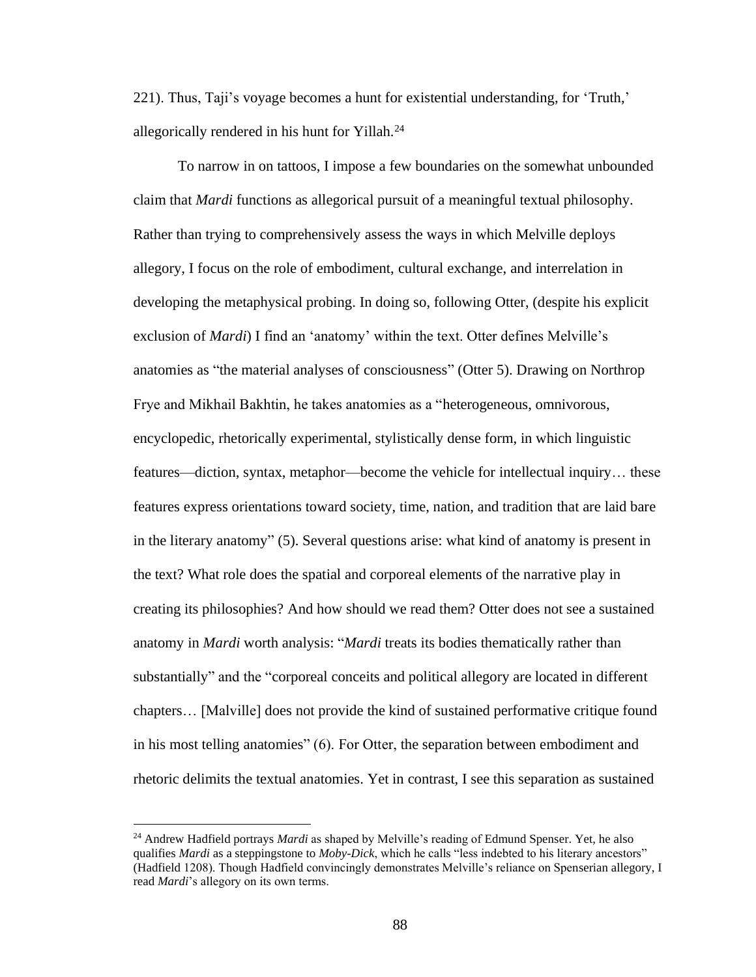221). Thus, Taji's voyage becomes a hunt for existential understanding, for 'Truth,' allegorically rendered in his hunt for Yillah.<sup>24</sup>

To narrow in on tattoos, I impose a few boundaries on the somewhat unbounded claim that *Mardi* functions as allegorical pursuit of a meaningful textual philosophy. Rather than trying to comprehensively assess the ways in which Melville deploys allegory, I focus on the role of embodiment, cultural exchange, and interrelation in developing the metaphysical probing. In doing so, following Otter, (despite his explicit exclusion of *Mardi*) I find an 'anatomy' within the text. Otter defines Melville's anatomies as "the material analyses of consciousness" (Otter 5). Drawing on Northrop Frye and Mikhail Bakhtin, he takes anatomies as a "heterogeneous, omnivorous, encyclopedic, rhetorically experimental, stylistically dense form, in which linguistic features—diction, syntax, metaphor—become the vehicle for intellectual inquiry… these features express orientations toward society, time, nation, and tradition that are laid bare in the literary anatomy" (5). Several questions arise: what kind of anatomy is present in the text? What role does the spatial and corporeal elements of the narrative play in creating its philosophies? And how should we read them? Otter does not see a sustained anatomy in *Mardi* worth analysis: "*Mardi* treats its bodies thematically rather than substantially" and the "corporeal conceits and political allegory are located in different chapters… [Malville] does not provide the kind of sustained performative critique found in his most telling anatomies" (6). For Otter, the separation between embodiment and rhetoric delimits the textual anatomies. Yet in contrast, I see this separation as sustained

<sup>24</sup> Andrew Hadfield portrays *Mardi* as shaped by Melville's reading of Edmund Spenser. Yet, he also qualifies *Mardi* as a steppingstone to *Moby-Dick*, which he calls "less indebted to his literary ancestors" (Hadfield 1208). Though Hadfield convincingly demonstrates Melville's reliance on Spenserian allegory, I read *Mardi*'s allegory on its own terms.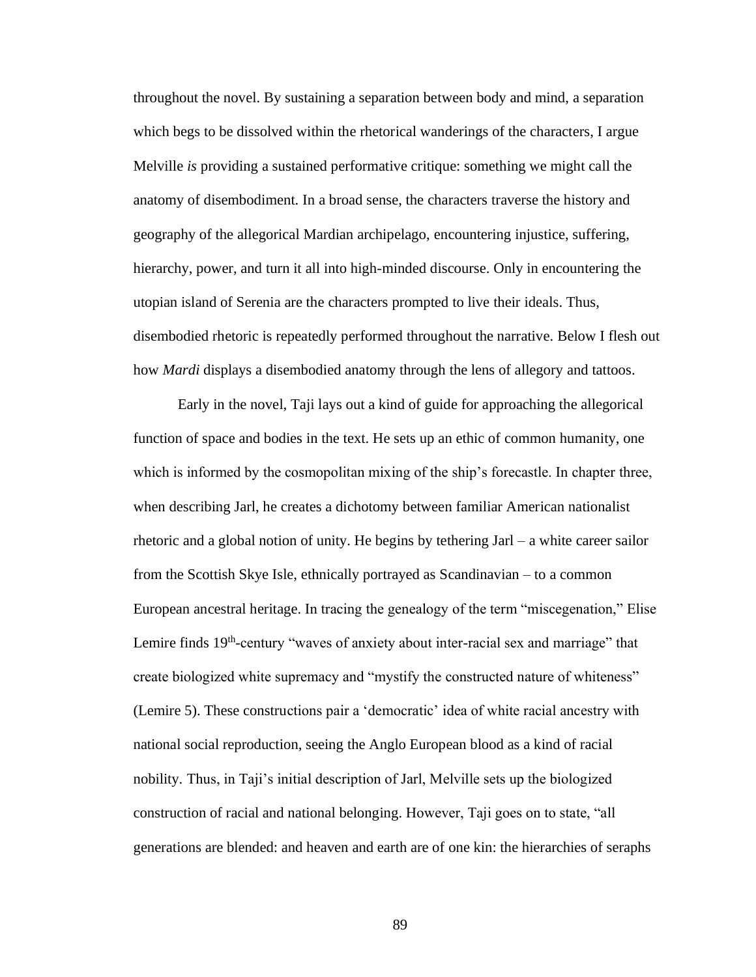throughout the novel. By sustaining a separation between body and mind, a separation which begs to be dissolved within the rhetorical wanderings of the characters, I argue Melville *is* providing a sustained performative critique: something we might call the anatomy of disembodiment. In a broad sense, the characters traverse the history and geography of the allegorical Mardian archipelago, encountering injustice, suffering, hierarchy, power, and turn it all into high-minded discourse. Only in encountering the utopian island of Serenia are the characters prompted to live their ideals. Thus, disembodied rhetoric is repeatedly performed throughout the narrative. Below I flesh out how *Mardi* displays a disembodied anatomy through the lens of allegory and tattoos.

Early in the novel, Taji lays out a kind of guide for approaching the allegorical function of space and bodies in the text. He sets up an ethic of common humanity, one which is informed by the cosmopolitan mixing of the ship's forecastle. In chapter three, when describing Jarl, he creates a dichotomy between familiar American nationalist rhetoric and a global notion of unity. He begins by tethering Jarl – a white career sailor from the Scottish Skye Isle, ethnically portrayed as Scandinavian – to a common European ancestral heritage. In tracing the genealogy of the term "miscegenation," Elise Lemire finds 19<sup>th</sup>-century "waves of anxiety about inter-racial sex and marriage" that create biologized white supremacy and "mystify the constructed nature of whiteness" (Lemire 5). These constructions pair a 'democratic' idea of white racial ancestry with national social reproduction, seeing the Anglo European blood as a kind of racial nobility. Thus, in Taji's initial description of Jarl, Melville sets up the biologized construction of racial and national belonging. However, Taji goes on to state, "all generations are blended: and heaven and earth are of one kin: the hierarchies of seraphs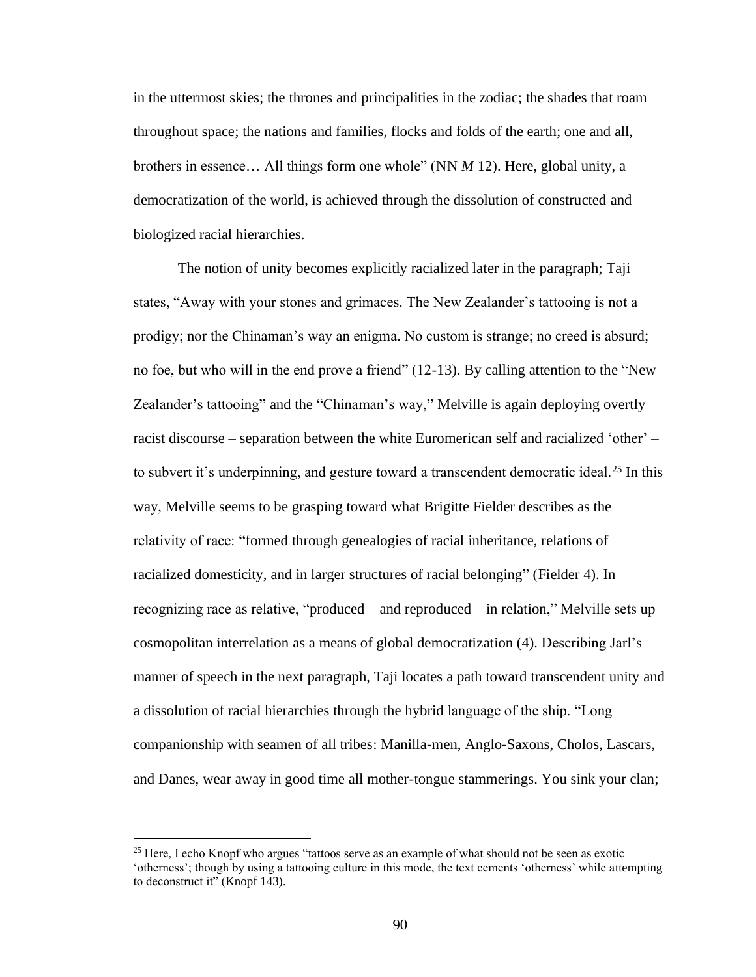in the uttermost skies; the thrones and principalities in the zodiac; the shades that roam throughout space; the nations and families, flocks and folds of the earth; one and all, brothers in essence… All things form one whole" (NN *M* 12). Here, global unity, a democratization of the world, is achieved through the dissolution of constructed and biologized racial hierarchies.

The notion of unity becomes explicitly racialized later in the paragraph; Taji states, "Away with your stones and grimaces. The New Zealander's tattooing is not a prodigy; nor the Chinaman's way an enigma. No custom is strange; no creed is absurd; no foe, but who will in the end prove a friend" (12-13). By calling attention to the "New Zealander's tattooing" and the "Chinaman's way," Melville is again deploying overtly racist discourse – separation between the white Euromerican self and racialized 'other' – to subvert it's underpinning, and gesture toward a transcendent democratic ideal.<sup>25</sup> In this way, Melville seems to be grasping toward what Brigitte Fielder describes as the relativity of race: "formed through genealogies of racial inheritance, relations of racialized domesticity, and in larger structures of racial belonging" (Fielder 4). In recognizing race as relative, "produced—and reproduced—in relation," Melville sets up cosmopolitan interrelation as a means of global democratization (4). Describing Jarl's manner of speech in the next paragraph, Taji locates a path toward transcendent unity and a dissolution of racial hierarchies through the hybrid language of the ship. "Long companionship with seamen of all tribes: Manilla-men, Anglo-Saxons, Cholos, Lascars, and Danes, wear away in good time all mother-tongue stammerings. You sink your clan;

<sup>&</sup>lt;sup>25</sup> Here, I echo Knopf who argues "tattoos serve as an example of what should not be seen as exotic 'otherness'; though by using a tattooing culture in this mode, the text cements 'otherness' while attempting to deconstruct it" (Knopf 143).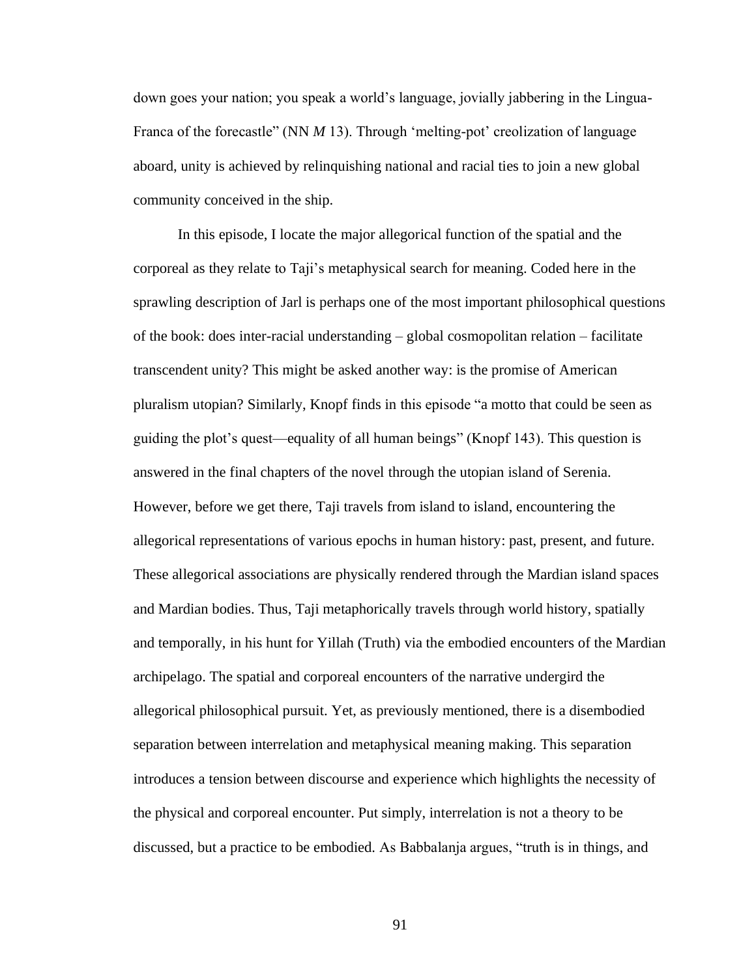down goes your nation; you speak a world's language, jovially jabbering in the Lingua-Franca of the forecastle" (NN *M* 13). Through 'melting-pot' creolization of language aboard, unity is achieved by relinquishing national and racial ties to join a new global community conceived in the ship.

In this episode, I locate the major allegorical function of the spatial and the corporeal as they relate to Taji's metaphysical search for meaning. Coded here in the sprawling description of Jarl is perhaps one of the most important philosophical questions of the book: does inter-racial understanding – global cosmopolitan relation – facilitate transcendent unity? This might be asked another way: is the promise of American pluralism utopian? Similarly, Knopf finds in this episode "a motto that could be seen as guiding the plot's quest—equality of all human beings" (Knopf 143). This question is answered in the final chapters of the novel through the utopian island of Serenia. However, before we get there, Taji travels from island to island, encountering the allegorical representations of various epochs in human history: past, present, and future. These allegorical associations are physically rendered through the Mardian island spaces and Mardian bodies. Thus, Taji metaphorically travels through world history, spatially and temporally, in his hunt for Yillah (Truth) via the embodied encounters of the Mardian archipelago. The spatial and corporeal encounters of the narrative undergird the allegorical philosophical pursuit. Yet, as previously mentioned, there is a disembodied separation between interrelation and metaphysical meaning making. This separation introduces a tension between discourse and experience which highlights the necessity of the physical and corporeal encounter. Put simply, interrelation is not a theory to be discussed, but a practice to be embodied. As Babbalanja argues, "truth is in things, and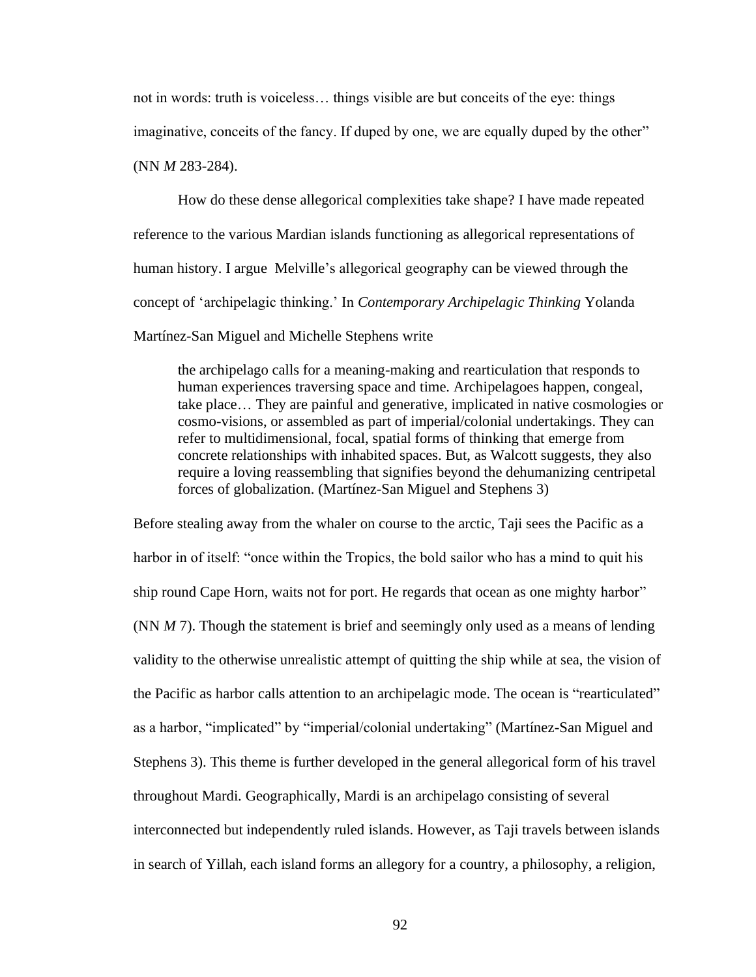not in words: truth is voiceless… things visible are but conceits of the eye: things imaginative, conceits of the fancy. If duped by one, we are equally duped by the other" (NN *M* 283-284).

How do these dense allegorical complexities take shape? I have made repeated reference to the various Mardian islands functioning as allegorical representations of human history. I argue Melville's allegorical geography can be viewed through the concept of 'archipelagic thinking.' In *Contemporary Archipelagic Thinking* Yolanda Martínez-San Miguel and Michelle Stephens write

the archipelago calls for a meaning-making and rearticulation that responds to human experiences traversing space and time. Archipelagoes happen, congeal, take place… They are painful and generative, implicated in native cosmologies or cosmo-visions, or assembled as part of imperial/colonial undertakings. They can refer to multidimensional, focal, spatial forms of thinking that emerge from concrete relationships with inhabited spaces. But, as Walcott suggests, they also require a loving reassembling that signifies beyond the dehumanizing centripetal forces of globalization. (Martínez-San Miguel and Stephens 3)

Before stealing away from the whaler on course to the arctic, Taji sees the Pacific as a harbor in of itself: "once within the Tropics, the bold sailor who has a mind to quit his ship round Cape Horn, waits not for port. He regards that ocean as one mighty harbor" (NN *M* 7). Though the statement is brief and seemingly only used as a means of lending validity to the otherwise unrealistic attempt of quitting the ship while at sea, the vision of the Pacific as harbor calls attention to an archipelagic mode. The ocean is "rearticulated" as a harbor, "implicated" by "imperial/colonial undertaking" (Martínez-San Miguel and Stephens 3). This theme is further developed in the general allegorical form of his travel throughout Mardi. Geographically, Mardi is an archipelago consisting of several interconnected but independently ruled islands. However, as Taji travels between islands in search of Yillah, each island forms an allegory for a country, a philosophy, a religion,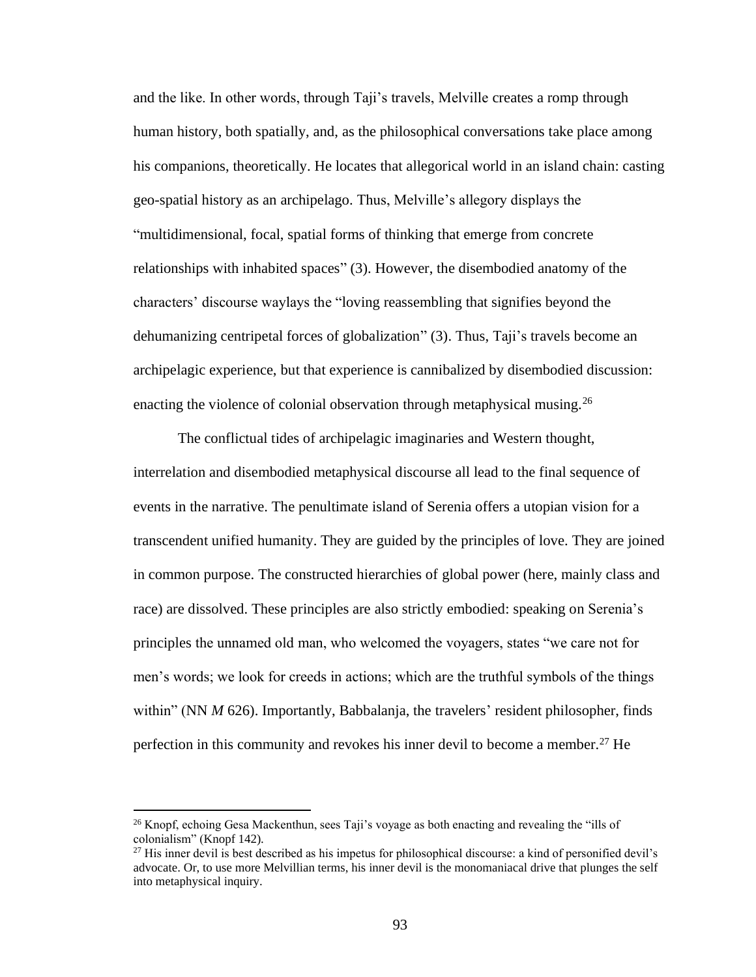and the like. In other words, through Taji's travels, Melville creates a romp through human history, both spatially, and, as the philosophical conversations take place among his companions, theoretically. He locates that allegorical world in an island chain: casting geo-spatial history as an archipelago. Thus, Melville's allegory displays the "multidimensional, focal, spatial forms of thinking that emerge from concrete relationships with inhabited spaces" (3). However, the disembodied anatomy of the characters' discourse waylays the "loving reassembling that signifies beyond the dehumanizing centripetal forces of globalization" (3). Thus, Taji's travels become an archipelagic experience, but that experience is cannibalized by disembodied discussion: enacting the violence of colonial observation through metaphysical musing.<sup>26</sup>

The conflictual tides of archipelagic imaginaries and Western thought, interrelation and disembodied metaphysical discourse all lead to the final sequence of events in the narrative. The penultimate island of Serenia offers a utopian vision for a transcendent unified humanity. They are guided by the principles of love. They are joined in common purpose. The constructed hierarchies of global power (here, mainly class and race) are dissolved. These principles are also strictly embodied: speaking on Serenia's principles the unnamed old man, who welcomed the voyagers, states "we care not for men's words; we look for creeds in actions; which are the truthful symbols of the things within" (NN *M* 626). Importantly, Babbalanja, the travelers' resident philosopher, finds perfection in this community and revokes his inner devil to become a member. <sup>27</sup> He

<sup>&</sup>lt;sup>26</sup> Knopf, echoing Gesa Mackenthun, sees Taji's voyage as both enacting and revealing the "ills of colonialism" (Knopf 142).

<sup>&</sup>lt;sup>27</sup> His inner devil is best described as his impetus for philosophical discourse: a kind of personified devil's advocate. Or, to use more Melvillian terms, his inner devil is the monomaniacal drive that plunges the self into metaphysical inquiry.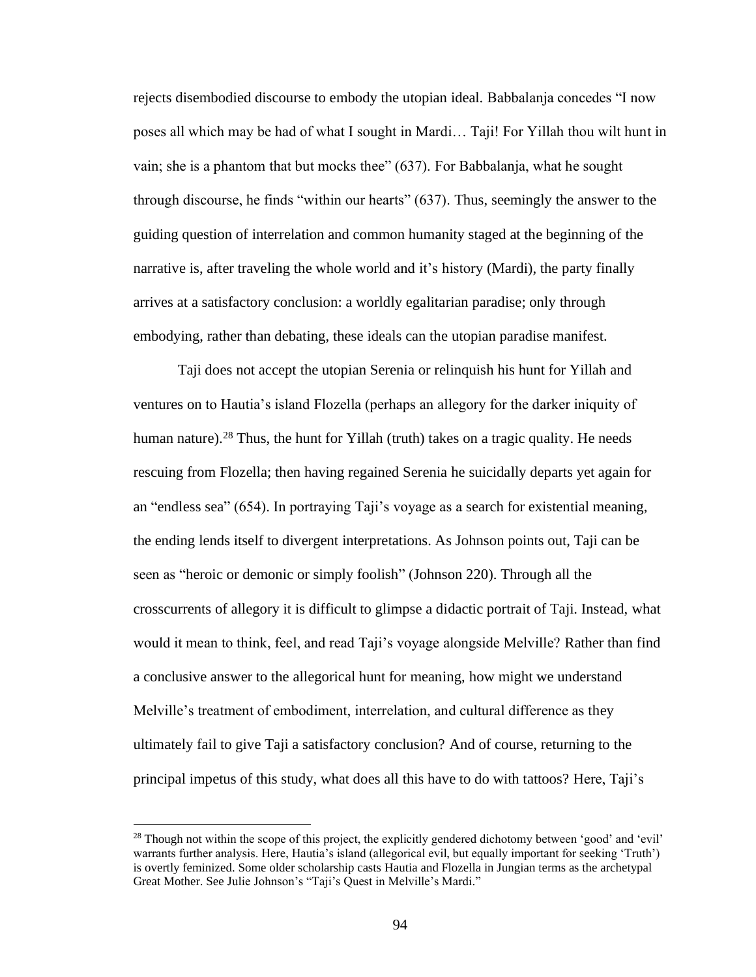rejects disembodied discourse to embody the utopian ideal. Babbalanja concedes "I now poses all which may be had of what I sought in Mardi… Taji! For Yillah thou wilt hunt in vain; she is a phantom that but mocks thee" (637). For Babbalanja, what he sought through discourse, he finds "within our hearts" (637). Thus, seemingly the answer to the guiding question of interrelation and common humanity staged at the beginning of the narrative is, after traveling the whole world and it's history (Mardi), the party finally arrives at a satisfactory conclusion: a worldly egalitarian paradise; only through embodying, rather than debating, these ideals can the utopian paradise manifest.

Taji does not accept the utopian Serenia or relinquish his hunt for Yillah and ventures on to Hautia's island Flozella (perhaps an allegory for the darker iniquity of human nature).<sup>28</sup> Thus, the hunt for Yillah (truth) takes on a tragic quality. He needs rescuing from Flozella; then having regained Serenia he suicidally departs yet again for an "endless sea" (654). In portraying Taji's voyage as a search for existential meaning, the ending lends itself to divergent interpretations. As Johnson points out, Taji can be seen as "heroic or demonic or simply foolish" (Johnson 220). Through all the crosscurrents of allegory it is difficult to glimpse a didactic portrait of Taji. Instead, what would it mean to think, feel, and read Taji's voyage alongside Melville? Rather than find a conclusive answer to the allegorical hunt for meaning, how might we understand Melville's treatment of embodiment, interrelation, and cultural difference as they ultimately fail to give Taji a satisfactory conclusion? And of course, returning to the principal impetus of this study, what does all this have to do with tattoos? Here, Taji's

<sup>&</sup>lt;sup>28</sup> Though not within the scope of this project, the explicitly gendered dichotomy between 'good' and 'evil' warrants further analysis. Here, Hautia's island (allegorical evil, but equally important for seeking 'Truth') is overtly feminized. Some older scholarship casts Hautia and Flozella in Jungian terms as the archetypal Great Mother. See Julie Johnson's "Taji's Quest in Melville's Mardi."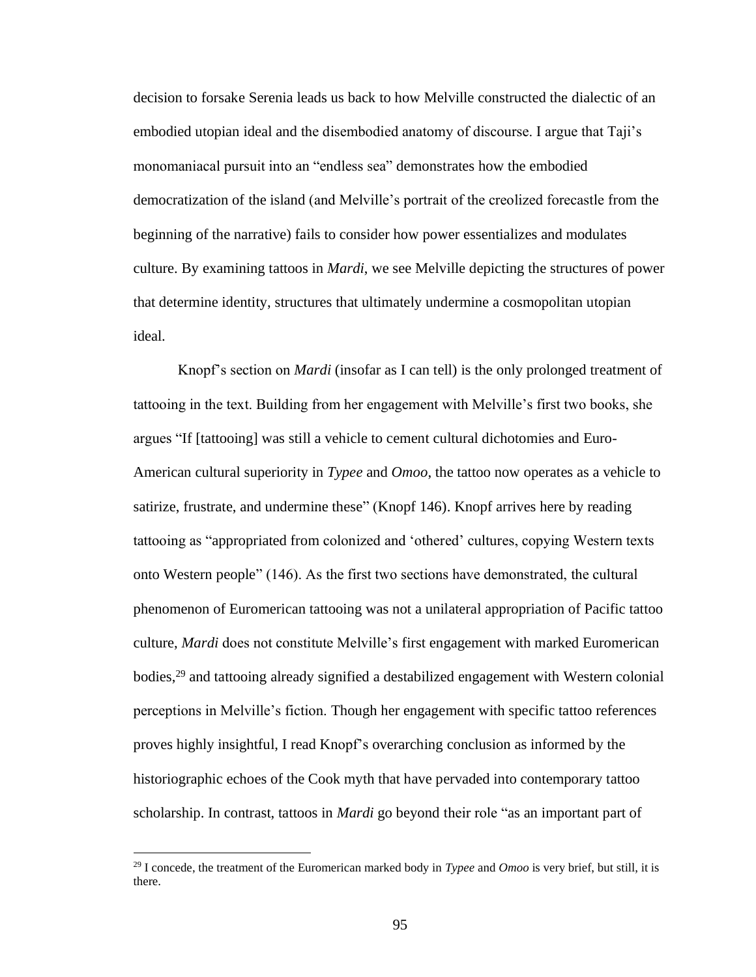decision to forsake Serenia leads us back to how Melville constructed the dialectic of an embodied utopian ideal and the disembodied anatomy of discourse. I argue that Taji's monomaniacal pursuit into an "endless sea" demonstrates how the embodied democratization of the island (and Melville's portrait of the creolized forecastle from the beginning of the narrative) fails to consider how power essentializes and modulates culture. By examining tattoos in *Mardi*, we see Melville depicting the structures of power that determine identity, structures that ultimately undermine a cosmopolitan utopian ideal.

Knopf's section on *Mardi* (insofar as I can tell) is the only prolonged treatment of tattooing in the text. Building from her engagement with Melville's first two books, she argues "If [tattooing] was still a vehicle to cement cultural dichotomies and Euro-American cultural superiority in *Typee* and *Omoo*, the tattoo now operates as a vehicle to satirize, frustrate, and undermine these" (Knopf 146). Knopf arrives here by reading tattooing as "appropriated from colonized and 'othered' cultures, copying Western texts onto Western people" (146). As the first two sections have demonstrated, the cultural phenomenon of Euromerican tattooing was not a unilateral appropriation of Pacific tattoo culture, *Mardi* does not constitute Melville's first engagement with marked Euromerican bodies,<sup>29</sup> and tattooing already signified a destabilized engagement with Western colonial perceptions in Melville's fiction. Though her engagement with specific tattoo references proves highly insightful, I read Knopf's overarching conclusion as informed by the historiographic echoes of the Cook myth that have pervaded into contemporary tattoo scholarship. In contrast, tattoos in *Mardi* go beyond their role "as an important part of

<sup>29</sup> I concede, the treatment of the Euromerican marked body in *Typee* and *Omoo* is very brief, but still, it is there.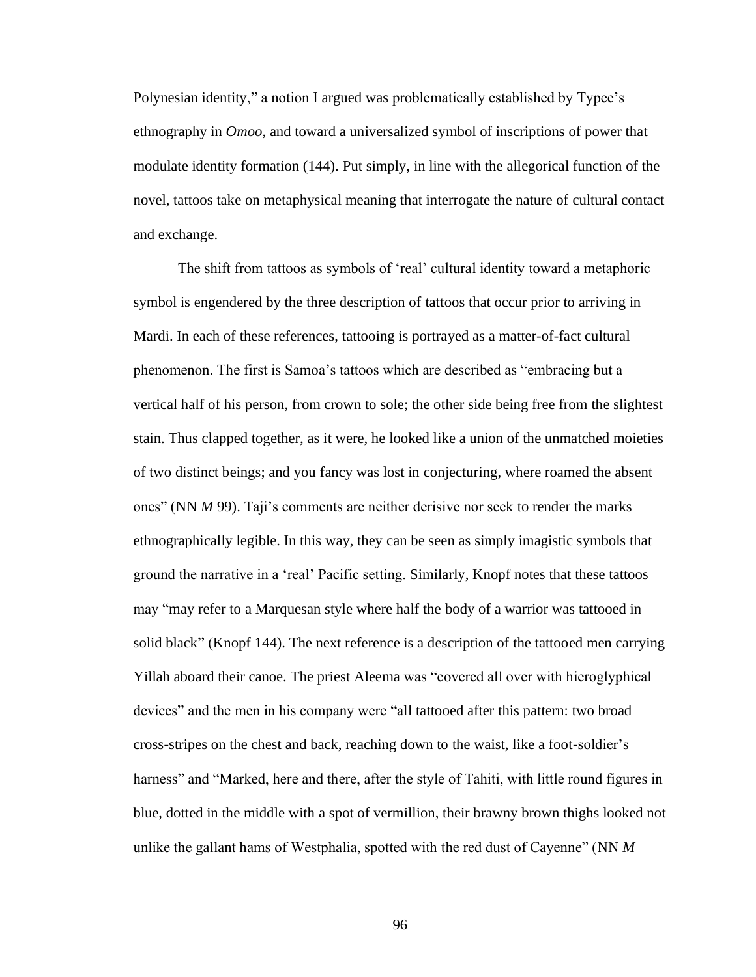Polynesian identity," a notion I argued was problematically established by Typee's ethnography in *Omoo*, and toward a universalized symbol of inscriptions of power that modulate identity formation (144). Put simply, in line with the allegorical function of the novel, tattoos take on metaphysical meaning that interrogate the nature of cultural contact and exchange.

The shift from tattoos as symbols of 'real' cultural identity toward a metaphoric symbol is engendered by the three description of tattoos that occur prior to arriving in Mardi. In each of these references, tattooing is portrayed as a matter-of-fact cultural phenomenon. The first is Samoa's tattoos which are described as "embracing but a vertical half of his person, from crown to sole; the other side being free from the slightest stain. Thus clapped together, as it were, he looked like a union of the unmatched moieties of two distinct beings; and you fancy was lost in conjecturing, where roamed the absent ones" (NN *M* 99). Taji's comments are neither derisive nor seek to render the marks ethnographically legible. In this way, they can be seen as simply imagistic symbols that ground the narrative in a 'real' Pacific setting. Similarly, Knopf notes that these tattoos may "may refer to a Marquesan style where half the body of a warrior was tattooed in solid black" (Knopf 144). The next reference is a description of the tattooed men carrying Yillah aboard their canoe. The priest Aleema was "covered all over with hieroglyphical devices" and the men in his company were "all tattooed after this pattern: two broad cross-stripes on the chest and back, reaching down to the waist, like a foot-soldier's harness" and "Marked, here and there, after the style of Tahiti, with little round figures in blue, dotted in the middle with a spot of vermillion, their brawny brown thighs looked not unlike the gallant hams of Westphalia, spotted with the red dust of Cayenne" (NN *M*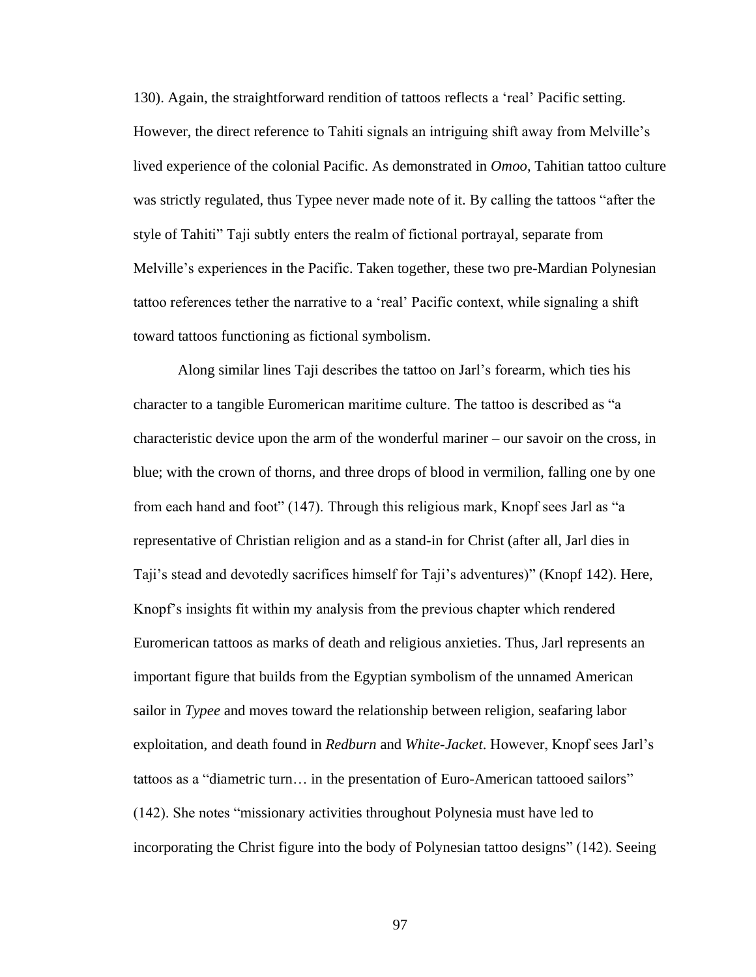130). Again, the straightforward rendition of tattoos reflects a 'real' Pacific setting. However, the direct reference to Tahiti signals an intriguing shift away from Melville's lived experience of the colonial Pacific. As demonstrated in *Omoo*, Tahitian tattoo culture was strictly regulated, thus Typee never made note of it. By calling the tattoos "after the style of Tahiti" Taji subtly enters the realm of fictional portrayal, separate from Melville's experiences in the Pacific. Taken together, these two pre-Mardian Polynesian tattoo references tether the narrative to a 'real' Pacific context, while signaling a shift toward tattoos functioning as fictional symbolism.

Along similar lines Taji describes the tattoo on Jarl's forearm, which ties his character to a tangible Euromerican maritime culture. The tattoo is described as "a characteristic device upon the arm of the wonderful mariner – our savoir on the cross, in blue; with the crown of thorns, and three drops of blood in vermilion, falling one by one from each hand and foot" (147). Through this religious mark, Knopf sees Jarl as "a representative of Christian religion and as a stand-in for Christ (after all, Jarl dies in Taji's stead and devotedly sacrifices himself for Taji's adventures)" (Knopf 142). Here, Knopf's insights fit within my analysis from the previous chapter which rendered Euromerican tattoos as marks of death and religious anxieties. Thus, Jarl represents an important figure that builds from the Egyptian symbolism of the unnamed American sailor in *Typee* and moves toward the relationship between religion, seafaring labor exploitation, and death found in *Redburn* and *White-Jacket*. However, Knopf sees Jarl's tattoos as a "diametric turn… in the presentation of Euro-American tattooed sailors" (142). She notes "missionary activities throughout Polynesia must have led to incorporating the Christ figure into the body of Polynesian tattoo designs" (142). Seeing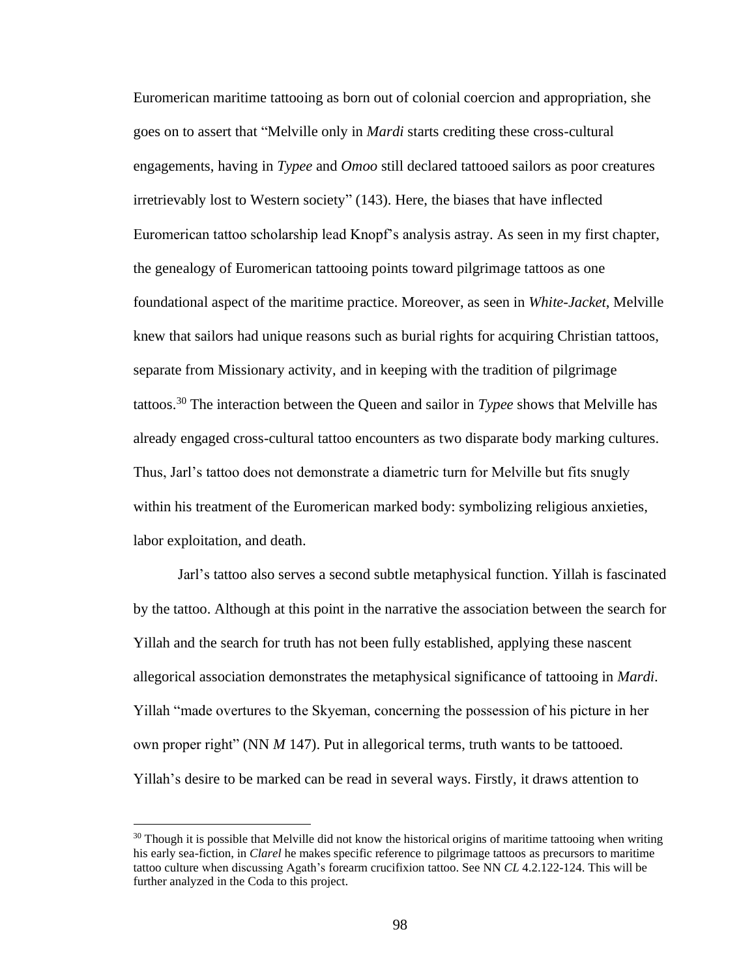Euromerican maritime tattooing as born out of colonial coercion and appropriation, she goes on to assert that "Melville only in *Mardi* starts crediting these cross-cultural engagements, having in *Typee* and *Omoo* still declared tattooed sailors as poor creatures irretrievably lost to Western society" (143). Here, the biases that have inflected Euromerican tattoo scholarship lead Knopf's analysis astray. As seen in my first chapter, the genealogy of Euromerican tattooing points toward pilgrimage tattoos as one foundational aspect of the maritime practice. Moreover, as seen in *White-Jacket*, Melville knew that sailors had unique reasons such as burial rights for acquiring Christian tattoos, separate from Missionary activity, and in keeping with the tradition of pilgrimage tattoos. <sup>30</sup> The interaction between the Queen and sailor in *Typee* shows that Melville has already engaged cross-cultural tattoo encounters as two disparate body marking cultures. Thus, Jarl's tattoo does not demonstrate a diametric turn for Melville but fits snugly within his treatment of the Euromerican marked body: symbolizing religious anxieties, labor exploitation, and death.

Jarl's tattoo also serves a second subtle metaphysical function. Yillah is fascinated by the tattoo. Although at this point in the narrative the association between the search for Yillah and the search for truth has not been fully established, applying these nascent allegorical association demonstrates the metaphysical significance of tattooing in *Mardi*. Yillah "made overtures to the Skyeman, concerning the possession of his picture in her own proper right" (NN *M* 147). Put in allegorical terms, truth wants to be tattooed. Yillah's desire to be marked can be read in several ways. Firstly, it draws attention to

<sup>&</sup>lt;sup>30</sup> Though it is possible that Melville did not know the historical origins of maritime tattooing when writing his early sea-fiction, in *Clarel* he makes specific reference to pilgrimage tattoos as precursors to maritime tattoo culture when discussing Agath's forearm crucifixion tattoo. See NN *CL* 4.2.122-124. This will be further analyzed in the Coda to this project.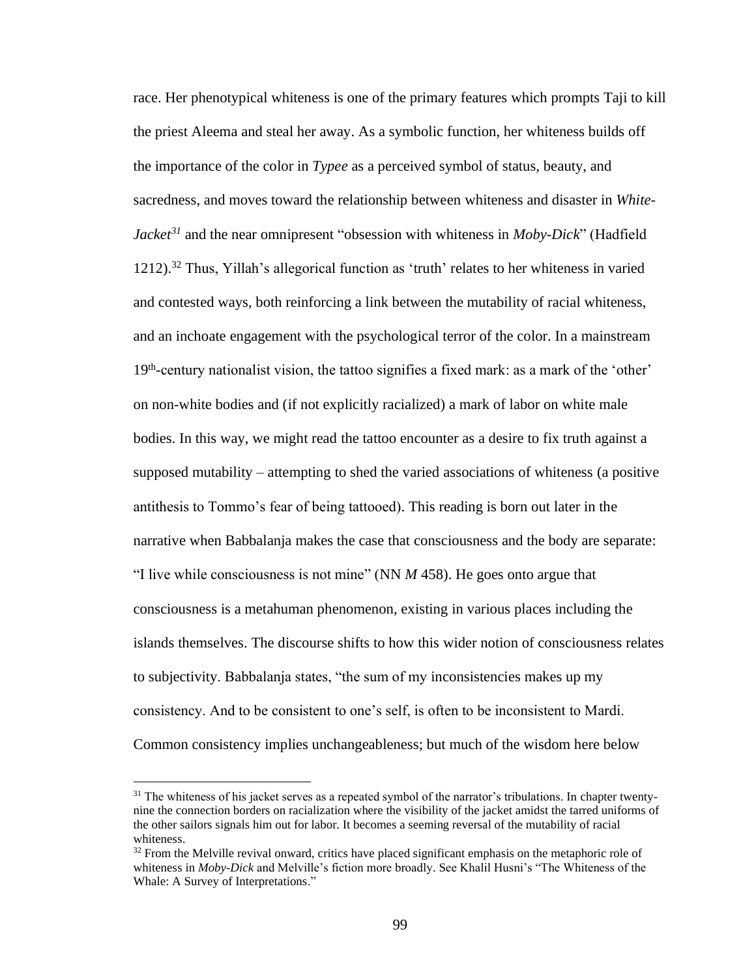race. Her phenotypical whiteness is one of the primary features which prompts Taji to kill the priest Aleema and steal her away. As a symbolic function, her whiteness builds off the importance of the color in *Typee* as a perceived symbol of status, beauty, and sacredness, and moves toward the relationship between whiteness and disaster in *White-Jacket<sup>31</sup>* and the near omnipresent "obsession with whiteness in *Moby-Dick*" (Hadfield 1212). <sup>32</sup> Thus, Yillah's allegorical function as 'truth' relates to her whiteness in varied and contested ways, both reinforcing a link between the mutability of racial whiteness, and an inchoate engagement with the psychological terror of the color. In a mainstream 19<sup>th</sup>-century nationalist vision, the tattoo signifies a fixed mark: as a mark of the 'other' on non-white bodies and (if not explicitly racialized) a mark of labor on white male bodies. In this way, we might read the tattoo encounter as a desire to fix truth against a supposed mutability – attempting to shed the varied associations of whiteness (a positive antithesis to Tommo's fear of being tattooed). This reading is born out later in the narrative when Babbalanja makes the case that consciousness and the body are separate: "I live while consciousness is not mine" (NN *M* 458). He goes onto argue that consciousness is a metahuman phenomenon, existing in various places including the islands themselves. The discourse shifts to how this wider notion of consciousness relates to subjectivity. Babbalanja states, "the sum of my inconsistencies makes up my consistency. And to be consistent to one's self, is often to be inconsistent to Mardi. Common consistency implies unchangeableness; but much of the wisdom here below

 $31$  The whiteness of his jacket serves as a repeated symbol of the narrator's tribulations. In chapter twentynine the connection borders on racialization where the visibility of the jacket amidst the tarred uniforms of the other sailors signals him out for labor. It becomes a seeming reversal of the mutability of racial whiteness.

 $32$  From the Melville revival onward, critics have placed significant emphasis on the metaphoric role of whiteness in *Moby-Dick* and Melville's fiction more broadly. See Khalil Husni's "The Whiteness of the Whale: A Survey of Interpretations."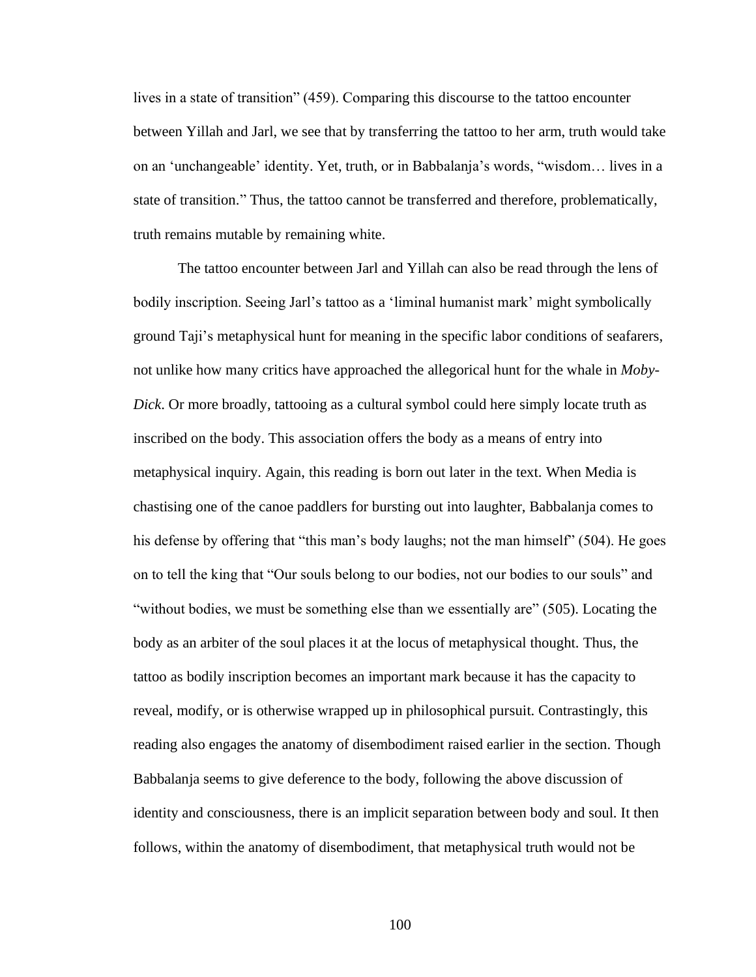lives in a state of transition" (459). Comparing this discourse to the tattoo encounter between Yillah and Jarl, we see that by transferring the tattoo to her arm, truth would take on an 'unchangeable' identity. Yet, truth, or in Babbalanja's words, "wisdom… lives in a state of transition." Thus, the tattoo cannot be transferred and therefore, problematically, truth remains mutable by remaining white.

The tattoo encounter between Jarl and Yillah can also be read through the lens of bodily inscription. Seeing Jarl's tattoo as a 'liminal humanist mark' might symbolically ground Taji's metaphysical hunt for meaning in the specific labor conditions of seafarers, not unlike how many critics have approached the allegorical hunt for the whale in *Moby-Dick*. Or more broadly, tattooing as a cultural symbol could here simply locate truth as inscribed on the body. This association offers the body as a means of entry into metaphysical inquiry. Again, this reading is born out later in the text. When Media is chastising one of the canoe paddlers for bursting out into laughter, Babbalanja comes to his defense by offering that "this man's body laughs; not the man himself" (504). He goes on to tell the king that "Our souls belong to our bodies, not our bodies to our souls" and "without bodies, we must be something else than we essentially are" (505). Locating the body as an arbiter of the soul places it at the locus of metaphysical thought. Thus, the tattoo as bodily inscription becomes an important mark because it has the capacity to reveal, modify, or is otherwise wrapped up in philosophical pursuit. Contrastingly, this reading also engages the anatomy of disembodiment raised earlier in the section. Though Babbalanja seems to give deference to the body, following the above discussion of identity and consciousness, there is an implicit separation between body and soul. It then follows, within the anatomy of disembodiment, that metaphysical truth would not be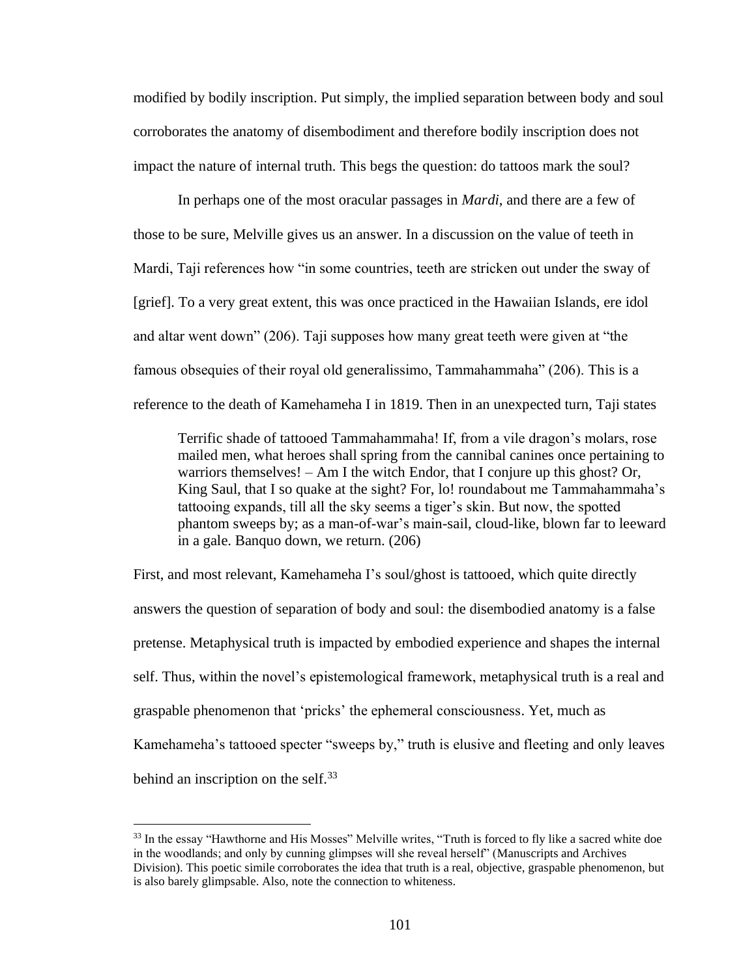modified by bodily inscription. Put simply, the implied separation between body and soul corroborates the anatomy of disembodiment and therefore bodily inscription does not impact the nature of internal truth. This begs the question: do tattoos mark the soul?

In perhaps one of the most oracular passages in *Mardi*, and there are a few of those to be sure, Melville gives us an answer. In a discussion on the value of teeth in Mardi, Taji references how "in some countries, teeth are stricken out under the sway of [grief]. To a very great extent, this was once practiced in the Hawaiian Islands, ere idol and altar went down" (206). Taji supposes how many great teeth were given at "the famous obsequies of their royal old generalissimo, Tammahammaha" (206). This is a reference to the death of Kamehameha I in 1819. Then in an unexpected turn, Taji states

Terrific shade of tattooed Tammahammaha! If, from a vile dragon's molars, rose mailed men, what heroes shall spring from the cannibal canines once pertaining to warriors themselves!  $-$  Am I the witch Endor, that I conjure up this ghost? Or, King Saul, that I so quake at the sight? For, lo! roundabout me Tammahammaha's tattooing expands, till all the sky seems a tiger's skin. But now, the spotted phantom sweeps by; as a man-of-war's main-sail, cloud-like, blown far to leeward in a gale. Banquo down, we return. (206)

First, and most relevant, Kamehameha I's soul/ghost is tattooed, which quite directly answers the question of separation of body and soul: the disembodied anatomy is a false pretense. Metaphysical truth is impacted by embodied experience and shapes the internal self. Thus, within the novel's epistemological framework, metaphysical truth is a real and graspable phenomenon that 'pricks' the ephemeral consciousness. Yet, much as Kamehameha's tattooed specter "sweeps by," truth is elusive and fleeting and only leaves behind an inscription on the self.<sup>33</sup>

<sup>&</sup>lt;sup>33</sup> In the essay "Hawthorne and His Mosses" Melville writes, "Truth is forced to fly like a sacred white doe in the woodlands; and only by cunning glimpses will she reveal herself" (Manuscripts and Archives Division). This poetic simile corroborates the idea that truth is a real, objective, graspable phenomenon, but is also barely glimpsable. Also, note the connection to whiteness.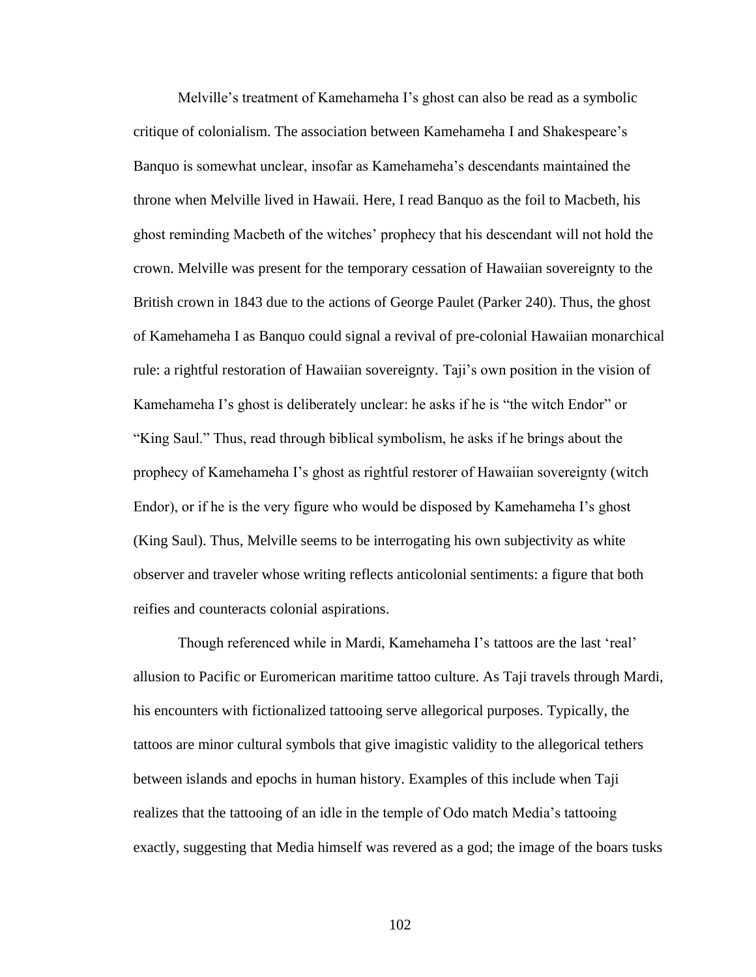Melville's treatment of Kamehameha I's ghost can also be read as a symbolic critique of colonialism. The association between Kamehameha I and Shakespeare's Banquo is somewhat unclear, insofar as Kamehameha's descendants maintained the throne when Melville lived in Hawaii. Here, I read Banquo as the foil to Macbeth, his ghost reminding Macbeth of the witches' prophecy that his descendant will not hold the crown. Melville was present for the temporary cessation of Hawaiian sovereignty to the British crown in 1843 due to the actions of George Paulet (Parker 240). Thus, the ghost of Kamehameha I as Banquo could signal a revival of pre-colonial Hawaiian monarchical rule: a rightful restoration of Hawaiian sovereignty. Taji's own position in the vision of Kamehameha I's ghost is deliberately unclear: he asks if he is "the witch Endor" or "King Saul." Thus, read through biblical symbolism, he asks if he brings about the prophecy of Kamehameha I's ghost as rightful restorer of Hawaiian sovereignty (witch Endor), or if he is the very figure who would be disposed by Kamehameha I's ghost (King Saul). Thus, Melville seems to be interrogating his own subjectivity as white observer and traveler whose writing reflects anticolonial sentiments: a figure that both reifies and counteracts colonial aspirations.

Though referenced while in Mardi, Kamehameha I's tattoos are the last 'real' allusion to Pacific or Euromerican maritime tattoo culture. As Taji travels through Mardi, his encounters with fictionalized tattooing serve allegorical purposes. Typically, the tattoos are minor cultural symbols that give imagistic validity to the allegorical tethers between islands and epochs in human history. Examples of this include when Taji realizes that the tattooing of an idle in the temple of Odo match Media's tattooing exactly, suggesting that Media himself was revered as a god; the image of the boars tusks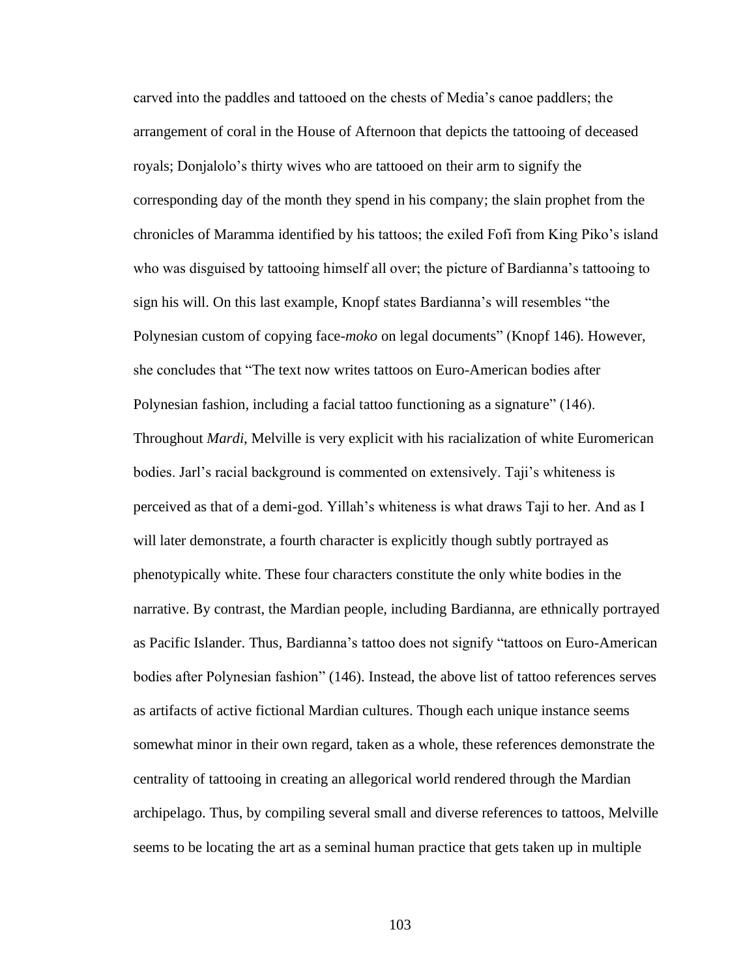carved into the paddles and tattooed on the chests of Media's canoe paddlers; the arrangement of coral in the House of Afternoon that depicts the tattooing of deceased royals; Donjalolo's thirty wives who are tattooed on their arm to signify the corresponding day of the month they spend in his company; the slain prophet from the chronicles of Maramma identified by his tattoos; the exiled Fofi from King Piko's island who was disguised by tattooing himself all over; the picture of Bardianna's tattooing to sign his will. On this last example, Knopf states Bardianna's will resembles "the Polynesian custom of copying face-*moko* on legal documents" (Knopf 146). However, she concludes that "The text now writes tattoos on Euro-American bodies after Polynesian fashion, including a facial tattoo functioning as a signature" (146). Throughout *Mardi*, Melville is very explicit with his racialization of white Euromerican bodies. Jarl's racial background is commented on extensively. Taji's whiteness is perceived as that of a demi-god. Yillah's whiteness is what draws Taji to her. And as I will later demonstrate, a fourth character is explicitly though subtly portrayed as phenotypically white. These four characters constitute the only white bodies in the narrative. By contrast, the Mardian people, including Bardianna, are ethnically portrayed as Pacific Islander. Thus, Bardianna's tattoo does not signify "tattoos on Euro-American bodies after Polynesian fashion" (146). Instead, the above list of tattoo references serves as artifacts of active fictional Mardian cultures. Though each unique instance seems somewhat minor in their own regard, taken as a whole, these references demonstrate the centrality of tattooing in creating an allegorical world rendered through the Mardian archipelago. Thus, by compiling several small and diverse references to tattoos, Melville seems to be locating the art as a seminal human practice that gets taken up in multiple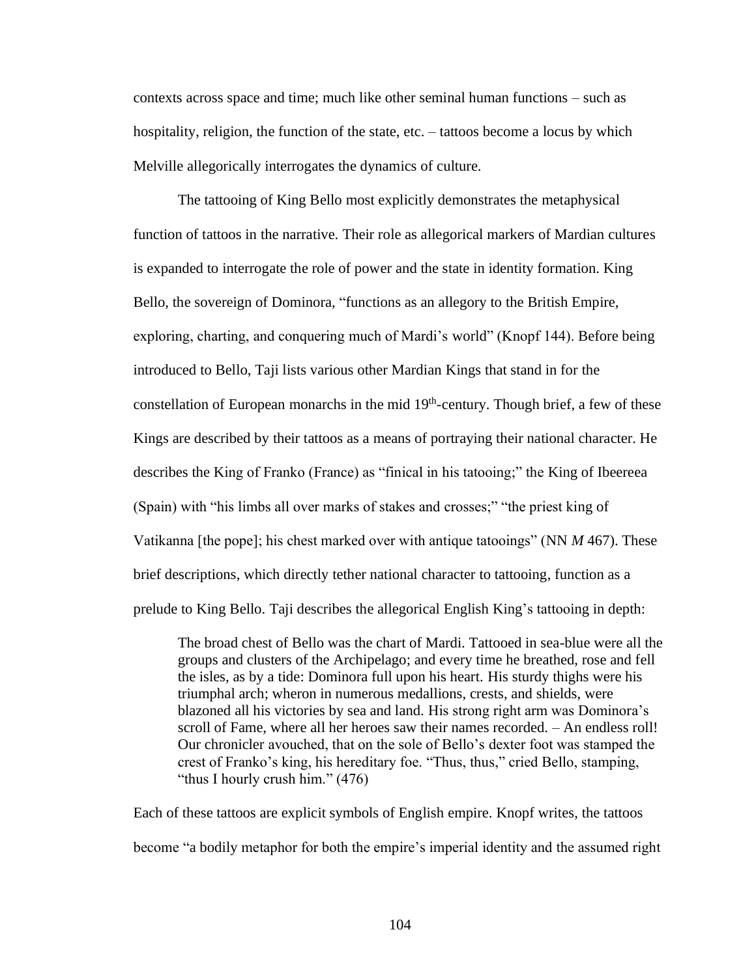contexts across space and time; much like other seminal human functions – such as hospitality, religion, the function of the state, etc. – tattoos become a locus by which Melville allegorically interrogates the dynamics of culture.

The tattooing of King Bello most explicitly demonstrates the metaphysical function of tattoos in the narrative. Their role as allegorical markers of Mardian cultures is expanded to interrogate the role of power and the state in identity formation. King Bello, the sovereign of Dominora, "functions as an allegory to the British Empire, exploring, charting, and conquering much of Mardi's world" (Knopf 144). Before being introduced to Bello, Taji lists various other Mardian Kings that stand in for the constellation of European monarchs in the mid 19<sup>th</sup>-century. Though brief, a few of these Kings are described by their tattoos as a means of portraying their national character. He describes the King of Franko (France) as "finical in his tatooing;" the King of Ibeereea (Spain) with "his limbs all over marks of stakes and crosses;" "the priest king of Vatikanna [the pope]; his chest marked over with antique tatooings" (NN *M* 467). These brief descriptions, which directly tether national character to tattooing, function as a prelude to King Bello. Taji describes the allegorical English King's tattooing in depth:

The broad chest of Bello was the chart of Mardi. Tattooed in sea-blue were all the groups and clusters of the Archipelago; and every time he breathed, rose and fell the isles, as by a tide: Dominora full upon his heart. His sturdy thighs were his triumphal arch; wheron in numerous medallions, crests, and shields, were blazoned all his victories by sea and land. His strong right arm was Dominora's scroll of Fame, where all her heroes saw their names recorded. – An endless roll! Our chronicler avouched, that on the sole of Bello's dexter foot was stamped the crest of Franko's king, his hereditary foe. "Thus, thus," cried Bello, stamping, "thus I hourly crush him." (476)

Each of these tattoos are explicit symbols of English empire. Knopf writes, the tattoos become "a bodily metaphor for both the empire's imperial identity and the assumed right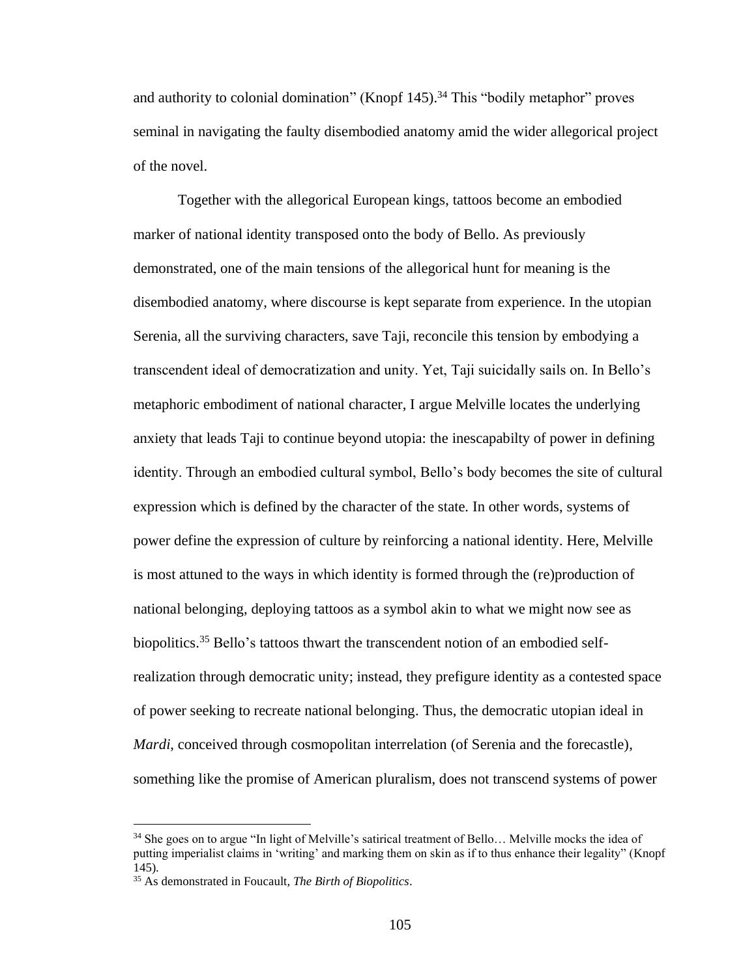and authority to colonial domination" (Knopf  $145$ ).<sup>34</sup> This "bodily metaphor" proves seminal in navigating the faulty disembodied anatomy amid the wider allegorical project of the novel.

Together with the allegorical European kings, tattoos become an embodied marker of national identity transposed onto the body of Bello. As previously demonstrated, one of the main tensions of the allegorical hunt for meaning is the disembodied anatomy, where discourse is kept separate from experience. In the utopian Serenia, all the surviving characters, save Taji, reconcile this tension by embodying a transcendent ideal of democratization and unity. Yet, Taji suicidally sails on. In Bello's metaphoric embodiment of national character, I argue Melville locates the underlying anxiety that leads Taji to continue beyond utopia: the inescapabilty of power in defining identity. Through an embodied cultural symbol, Bello's body becomes the site of cultural expression which is defined by the character of the state. In other words, systems of power define the expression of culture by reinforcing a national identity. Here, Melville is most attuned to the ways in which identity is formed through the (re)production of national belonging, deploying tattoos as a symbol akin to what we might now see as biopolitics.<sup>35</sup> Bello's tattoos thwart the transcendent notion of an embodied selfrealization through democratic unity; instead, they prefigure identity as a contested space of power seeking to recreate national belonging. Thus, the democratic utopian ideal in *Mardi*, conceived through cosmopolitan interrelation (of Serenia and the forecastle), something like the promise of American pluralism, does not transcend systems of power

<sup>&</sup>lt;sup>34</sup> She goes on to argue "In light of Melville's satirical treatment of Bello... Melville mocks the idea of putting imperialist claims in 'writing' and marking them on skin as if to thus enhance their legality" (Knopf 145).

<sup>35</sup> As demonstrated in Foucault, *The Birth of Biopolitics*.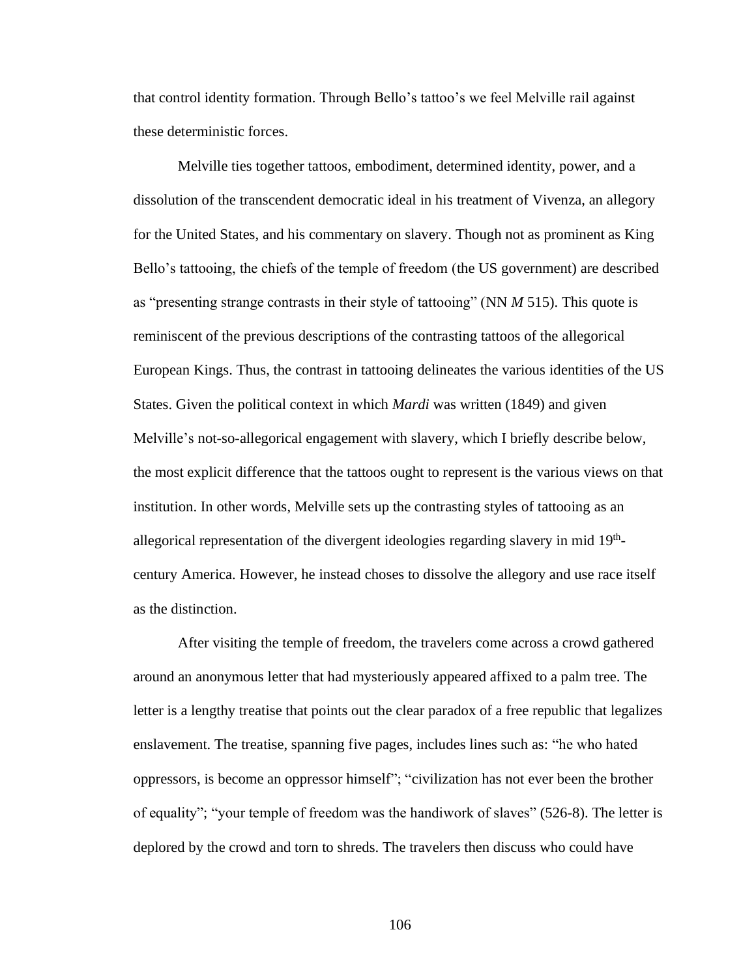that control identity formation. Through Bello's tattoo's we feel Melville rail against these deterministic forces.

Melville ties together tattoos, embodiment, determined identity, power, and a dissolution of the transcendent democratic ideal in his treatment of Vivenza, an allegory for the United States, and his commentary on slavery. Though not as prominent as King Bello's tattooing, the chiefs of the temple of freedom (the US government) are described as "presenting strange contrasts in their style of tattooing" (NN *M* 515). This quote is reminiscent of the previous descriptions of the contrasting tattoos of the allegorical European Kings. Thus, the contrast in tattooing delineates the various identities of the US States. Given the political context in which *Mardi* was written (1849) and given Melville's not-so-allegorical engagement with slavery, which I briefly describe below, the most explicit difference that the tattoos ought to represent is the various views on that institution. In other words, Melville sets up the contrasting styles of tattooing as an allegorical representation of the divergent ideologies regarding slavery in mid 19<sup>th</sup>century America. However, he instead choses to dissolve the allegory and use race itself as the distinction.

After visiting the temple of freedom, the travelers come across a crowd gathered around an anonymous letter that had mysteriously appeared affixed to a palm tree. The letter is a lengthy treatise that points out the clear paradox of a free republic that legalizes enslavement. The treatise, spanning five pages, includes lines such as: "he who hated oppressors, is become an oppressor himself"; "civilization has not ever been the brother of equality"; "your temple of freedom was the handiwork of slaves" (526-8). The letter is deplored by the crowd and torn to shreds. The travelers then discuss who could have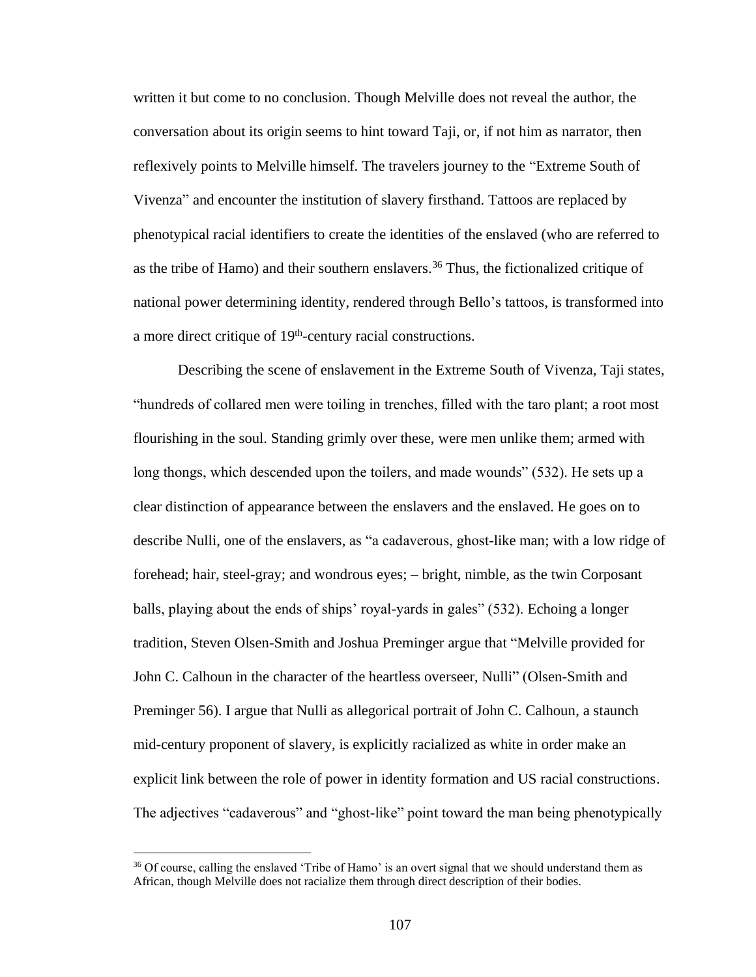written it but come to no conclusion. Though Melville does not reveal the author, the conversation about its origin seems to hint toward Taji, or, if not him as narrator, then reflexively points to Melville himself. The travelers journey to the "Extreme South of Vivenza" and encounter the institution of slavery firsthand. Tattoos are replaced by phenotypical racial identifiers to create the identities of the enslaved (who are referred to as the tribe of Hamo) and their southern enslavers.<sup>36</sup> Thus, the fictionalized critique of national power determining identity, rendered through Bello's tattoos, is transformed into a more direct critique of 19<sup>th</sup>-century racial constructions.

Describing the scene of enslavement in the Extreme South of Vivenza, Taji states, "hundreds of collared men were toiling in trenches, filled with the taro plant; a root most flourishing in the soul. Standing grimly over these, were men unlike them; armed with long thongs, which descended upon the toilers, and made wounds" (532). He sets up a clear distinction of appearance between the enslavers and the enslaved. He goes on to describe Nulli, one of the enslavers, as "a cadaverous, ghost-like man; with a low ridge of forehead; hair, steel-gray; and wondrous eyes; – bright, nimble, as the twin Corposant balls, playing about the ends of ships' royal-yards in gales" (532). Echoing a longer tradition, Steven Olsen-Smith and Joshua Preminger argue that "Melville provided for John C. Calhoun in the character of the heartless overseer, Nulli" (Olsen-Smith and Preminger 56). I argue that Nulli as allegorical portrait of John C. Calhoun, a staunch mid-century proponent of slavery, is explicitly racialized as white in order make an explicit link between the role of power in identity formation and US racial constructions. The adjectives "cadaverous" and "ghost-like" point toward the man being phenotypically

<sup>&</sup>lt;sup>36</sup> Of course, calling the enslaved 'Tribe of Hamo' is an overt signal that we should understand them as African, though Melville does not racialize them through direct description of their bodies.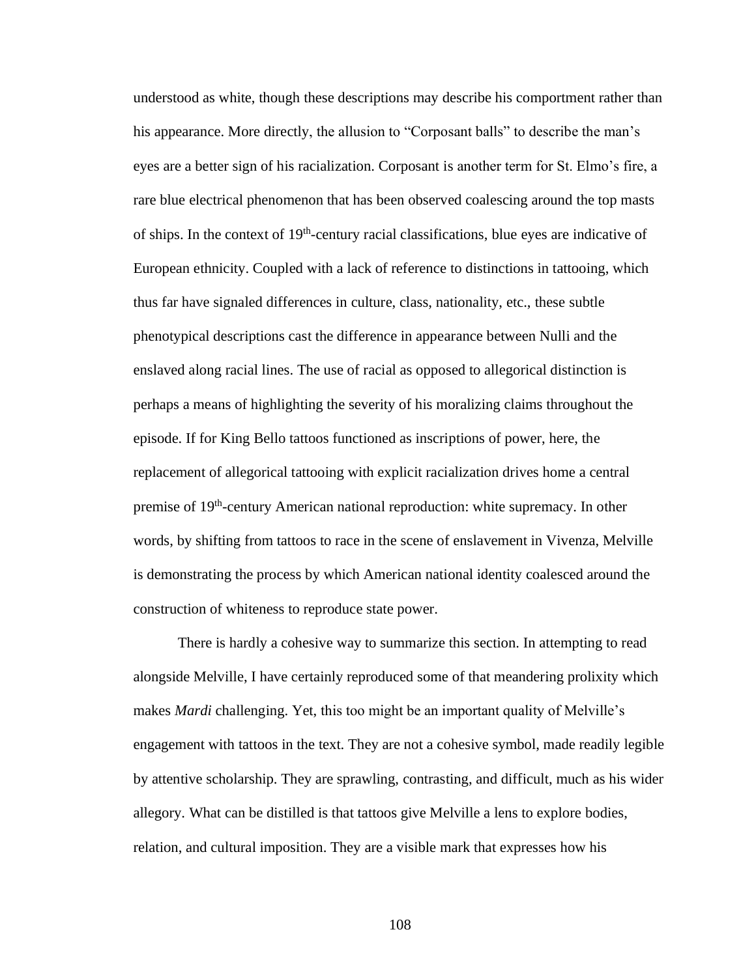understood as white, though these descriptions may describe his comportment rather than his appearance. More directly, the allusion to "Corposant balls" to describe the man's eyes are a better sign of his racialization. Corposant is another term for St. Elmo's fire, a rare blue electrical phenomenon that has been observed coalescing around the top masts of ships. In the context of 19<sup>th</sup>-century racial classifications, blue eyes are indicative of European ethnicity. Coupled with a lack of reference to distinctions in tattooing, which thus far have signaled differences in culture, class, nationality, etc., these subtle phenotypical descriptions cast the difference in appearance between Nulli and the enslaved along racial lines. The use of racial as opposed to allegorical distinction is perhaps a means of highlighting the severity of his moralizing claims throughout the episode. If for King Bello tattoos functioned as inscriptions of power, here, the replacement of allegorical tattooing with explicit racialization drives home a central premise of 19<sup>th</sup>-century American national reproduction: white supremacy. In other words, by shifting from tattoos to race in the scene of enslavement in Vivenza, Melville is demonstrating the process by which American national identity coalesced around the construction of whiteness to reproduce state power.

There is hardly a cohesive way to summarize this section. In attempting to read alongside Melville, I have certainly reproduced some of that meandering prolixity which makes *Mardi* challenging. Yet, this too might be an important quality of Melville's engagement with tattoos in the text. They are not a cohesive symbol, made readily legible by attentive scholarship. They are sprawling, contrasting, and difficult, much as his wider allegory. What can be distilled is that tattoos give Melville a lens to explore bodies, relation, and cultural imposition. They are a visible mark that expresses how his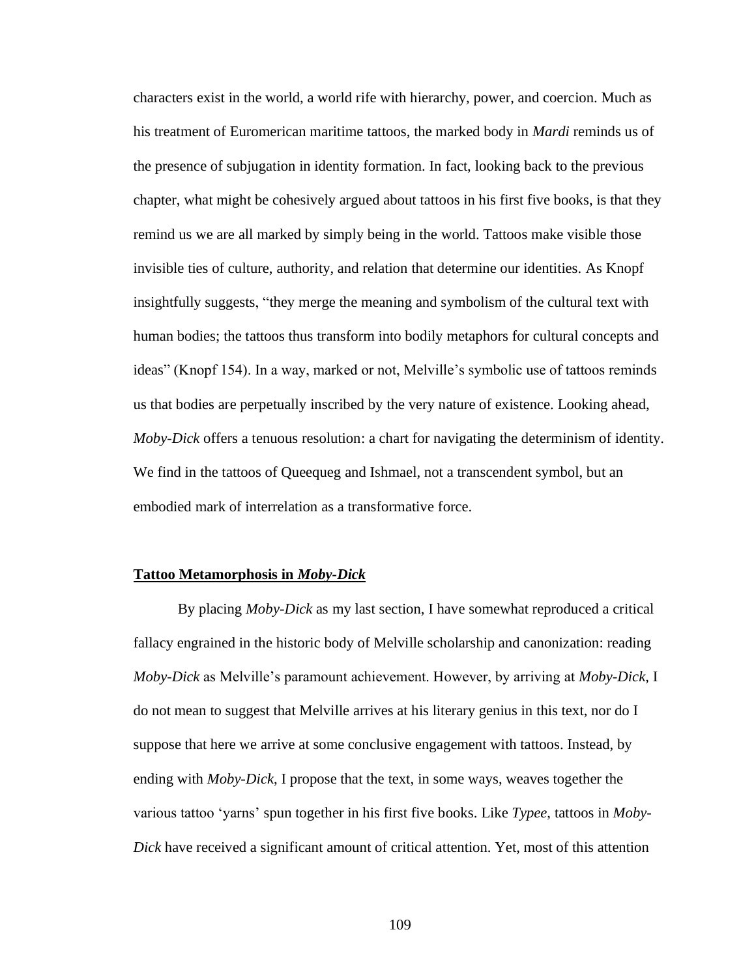characters exist in the world, a world rife with hierarchy, power, and coercion. Much as his treatment of Euromerican maritime tattoos, the marked body in *Mardi* reminds us of the presence of subjugation in identity formation. In fact, looking back to the previous chapter, what might be cohesively argued about tattoos in his first five books, is that they remind us we are all marked by simply being in the world. Tattoos make visible those invisible ties of culture, authority, and relation that determine our identities. As Knopf insightfully suggests, "they merge the meaning and symbolism of the cultural text with human bodies; the tattoos thus transform into bodily metaphors for cultural concepts and ideas" (Knopf 154). In a way, marked or not, Melville's symbolic use of tattoos reminds us that bodies are perpetually inscribed by the very nature of existence. Looking ahead, *Moby-Dick* offers a tenuous resolution: a chart for navigating the determinism of identity. We find in the tattoos of Queequeg and Ishmael, not a transcendent symbol, but an embodied mark of interrelation as a transformative force.

## **Tattoo Metamorphosis in** *Moby-Dick*

By placing *Moby-Dick* as my last section, I have somewhat reproduced a critical fallacy engrained in the historic body of Melville scholarship and canonization: reading *Moby-Dick* as Melville's paramount achievement. However, by arriving at *Moby-Dick*, I do not mean to suggest that Melville arrives at his literary genius in this text, nor do I suppose that here we arrive at some conclusive engagement with tattoos. Instead, by ending with *Moby-Dick*, I propose that the text, in some ways, weaves together the various tattoo 'yarns' spun together in his first five books. Like *Typee*, tattoos in *Moby-Dick* have received a significant amount of critical attention. Yet, most of this attention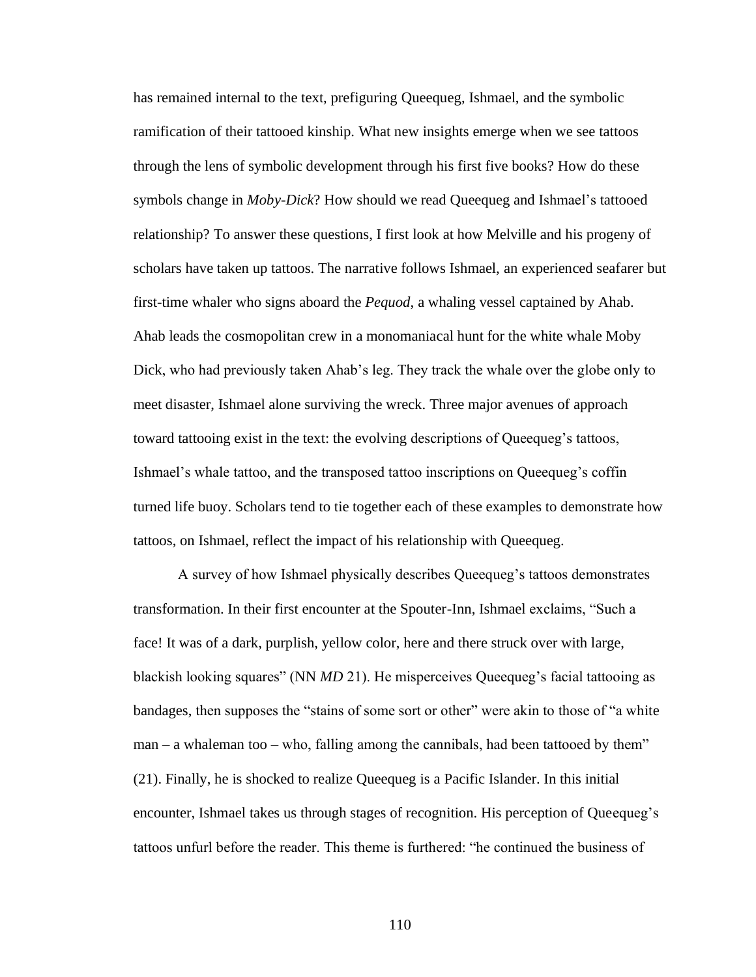has remained internal to the text, prefiguring Queequeg, Ishmael, and the symbolic ramification of their tattooed kinship. What new insights emerge when we see tattoos through the lens of symbolic development through his first five books? How do these symbols change in *Moby-Dick*? How should we read Queequeg and Ishmael's tattooed relationship? To answer these questions, I first look at how Melville and his progeny of scholars have taken up tattoos. The narrative follows Ishmael, an experienced seafarer but first-time whaler who signs aboard the *Pequod*, a whaling vessel captained by Ahab. Ahab leads the cosmopolitan crew in a monomaniacal hunt for the white whale Moby Dick, who had previously taken Ahab's leg. They track the whale over the globe only to meet disaster, Ishmael alone surviving the wreck. Three major avenues of approach toward tattooing exist in the text: the evolving descriptions of Queequeg's tattoos, Ishmael's whale tattoo, and the transposed tattoo inscriptions on Queequeg's coffin turned life buoy. Scholars tend to tie together each of these examples to demonstrate how tattoos, on Ishmael, reflect the impact of his relationship with Queequeg.

A survey of how Ishmael physically describes Queequeg's tattoos demonstrates transformation. In their first encounter at the Spouter-Inn, Ishmael exclaims, "Such a face! It was of a dark, purplish, yellow color, here and there struck over with large, blackish looking squares" (NN *MD* 21). He misperceives Queequeg's facial tattooing as bandages, then supposes the "stains of some sort or other" were akin to those of "a white man – a whaleman too – who, falling among the cannibals, had been tattooed by them" (21). Finally, he is shocked to realize Queequeg is a Pacific Islander. In this initial encounter, Ishmael takes us through stages of recognition. His perception of Queequeg's tattoos unfurl before the reader. This theme is furthered: "he continued the business of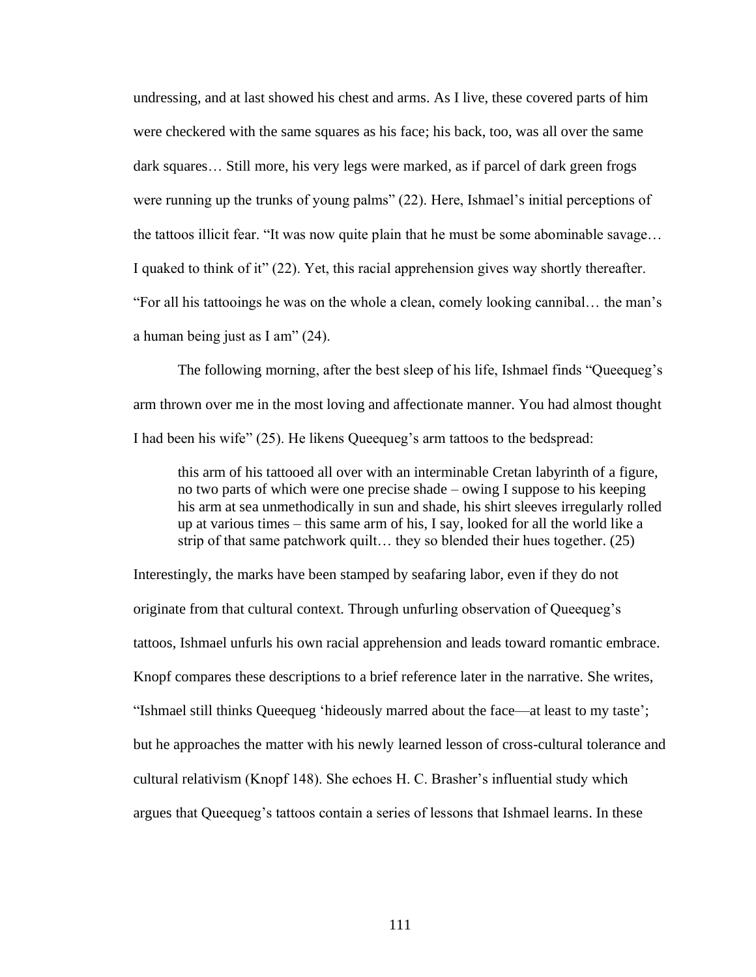undressing, and at last showed his chest and arms. As I live, these covered parts of him were checkered with the same squares as his face; his back, too, was all over the same dark squares… Still more, his very legs were marked, as if parcel of dark green frogs were running up the trunks of young palms" (22). Here, Ishmael's initial perceptions of the tattoos illicit fear. "It was now quite plain that he must be some abominable savage… I quaked to think of it" (22). Yet, this racial apprehension gives way shortly thereafter. "For all his tattooings he was on the whole a clean, comely looking cannibal… the man's a human being just as I am" (24).

The following morning, after the best sleep of his life, Ishmael finds "Queequeg's arm thrown over me in the most loving and affectionate manner. You had almost thought I had been his wife" (25). He likens Queequeg's arm tattoos to the bedspread:

this arm of his tattooed all over with an interminable Cretan labyrinth of a figure, no two parts of which were one precise shade – owing I suppose to his keeping his arm at sea unmethodically in sun and shade, his shirt sleeves irregularly rolled up at various times – this same arm of his, I say, looked for all the world like a strip of that same patchwork quilt… they so blended their hues together. (25)

Interestingly, the marks have been stamped by seafaring labor, even if they do not originate from that cultural context. Through unfurling observation of Queequeg's tattoos, Ishmael unfurls his own racial apprehension and leads toward romantic embrace. Knopf compares these descriptions to a brief reference later in the narrative. She writes, "Ishmael still thinks Queequeg 'hideously marred about the face—at least to my taste'; but he approaches the matter with his newly learned lesson of cross-cultural tolerance and cultural relativism (Knopf 148). She echoes H. C. Brasher's influential study which argues that Queequeg's tattoos contain a series of lessons that Ishmael learns. In these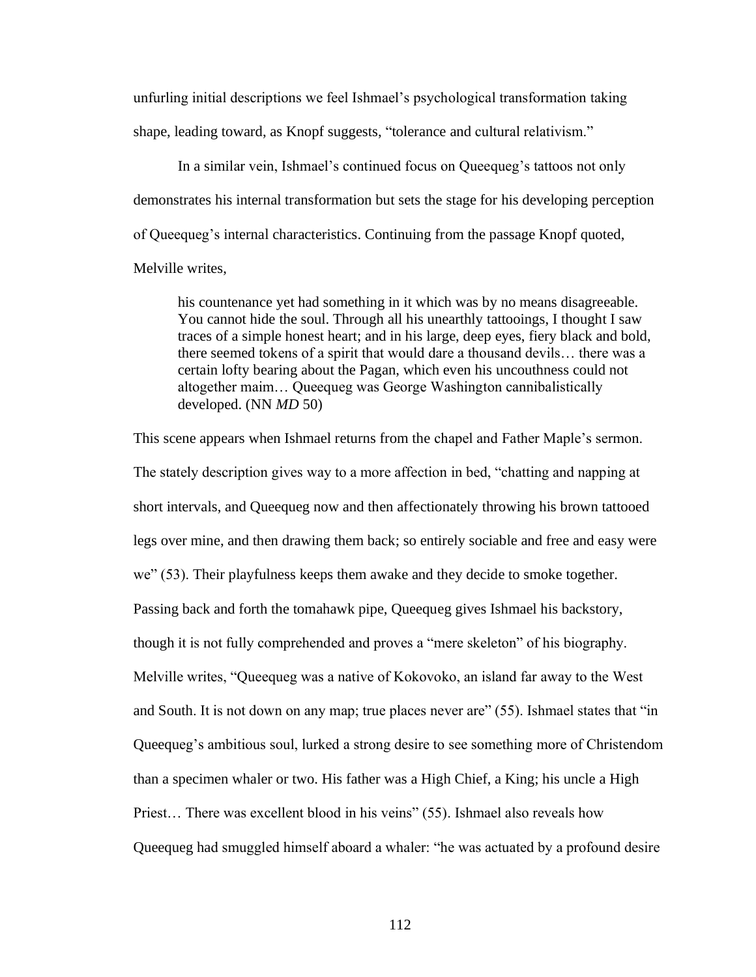unfurling initial descriptions we feel Ishmael's psychological transformation taking shape, leading toward, as Knopf suggests, "tolerance and cultural relativism."

In a similar vein, Ishmael's continued focus on Queequeg's tattoos not only demonstrates his internal transformation but sets the stage for his developing perception of Queequeg's internal characteristics. Continuing from the passage Knopf quoted, Melville writes,

his countenance yet had something in it which was by no means disagreeable. You cannot hide the soul. Through all his unearthly tattooings, I thought I saw traces of a simple honest heart; and in his large, deep eyes, fiery black and bold, there seemed tokens of a spirit that would dare a thousand devils… there was a certain lofty bearing about the Pagan, which even his uncouthness could not altogether maim… Queequeg was George Washington cannibalistically developed. (NN *MD* 50)

This scene appears when Ishmael returns from the chapel and Father Maple's sermon. The stately description gives way to a more affection in bed, "chatting and napping at short intervals, and Queequeg now and then affectionately throwing his brown tattooed legs over mine, and then drawing them back; so entirely sociable and free and easy were we" (53). Their playfulness keeps them awake and they decide to smoke together. Passing back and forth the tomahawk pipe, Queequeg gives Ishmael his backstory, though it is not fully comprehended and proves a "mere skeleton" of his biography. Melville writes, "Queequeg was a native of Kokovoko, an island far away to the West and South. It is not down on any map; true places never are" (55). Ishmael states that "in Queequeg's ambitious soul, lurked a strong desire to see something more of Christendom than a specimen whaler or two. His father was a High Chief, a King; his uncle a High Priest... There was excellent blood in his veins" (55). Ishmael also reveals how Queequeg had smuggled himself aboard a whaler: "he was actuated by a profound desire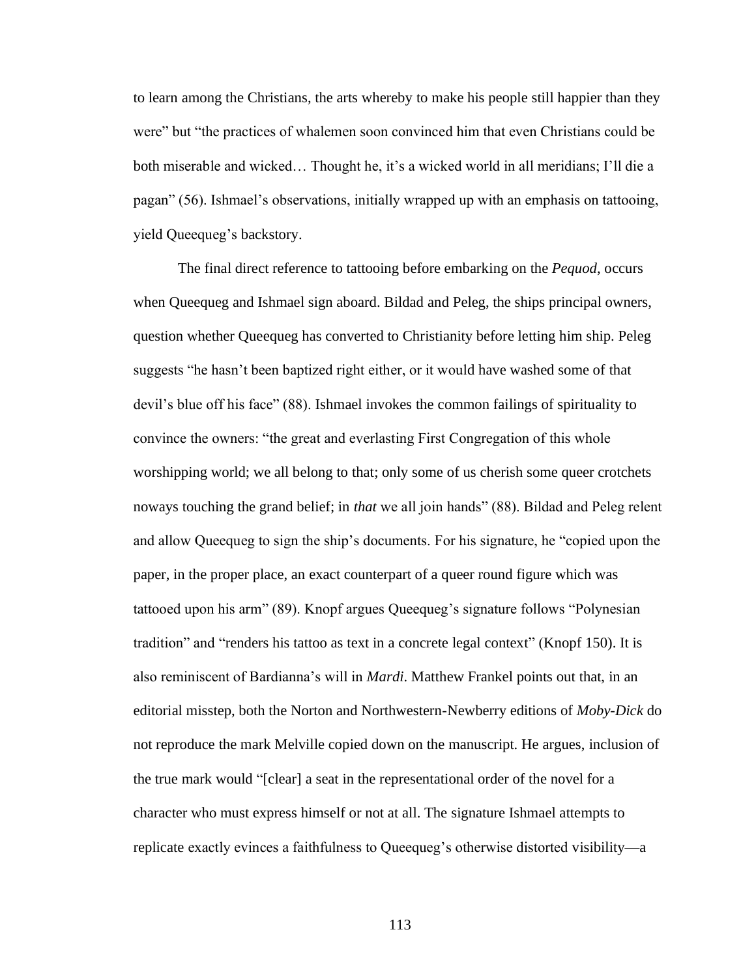to learn among the Christians, the arts whereby to make his people still happier than they were" but "the practices of whalemen soon convinced him that even Christians could be both miserable and wicked… Thought he, it's a wicked world in all meridians; I'll die a pagan" (56). Ishmael's observations, initially wrapped up with an emphasis on tattooing, yield Queequeg's backstory.

The final direct reference to tattooing before embarking on the *Pequod*, occurs when Queequeg and Ishmael sign aboard. Bildad and Peleg, the ships principal owners, question whether Queequeg has converted to Christianity before letting him ship. Peleg suggests "he hasn't been baptized right either, or it would have washed some of that devil's blue off his face" (88). Ishmael invokes the common failings of spirituality to convince the owners: "the great and everlasting First Congregation of this whole worshipping world; we all belong to that; only some of us cherish some queer crotchets noways touching the grand belief; in *that* we all join hands" (88). Bildad and Peleg relent and allow Queequeg to sign the ship's documents. For his signature, he "copied upon the paper, in the proper place, an exact counterpart of a queer round figure which was tattooed upon his arm" (89). Knopf argues Queequeg's signature follows "Polynesian tradition" and "renders his tattoo as text in a concrete legal context" (Knopf 150). It is also reminiscent of Bardianna's will in *Mardi*. Matthew Frankel points out that, in an editorial misstep, both the Norton and Northwestern-Newberry editions of *Moby-Dick* do not reproduce the mark Melville copied down on the manuscript. He argues, inclusion of the true mark would "[clear] a seat in the representational order of the novel for a character who must express himself or not at all. The signature Ishmael attempts to replicate exactly evinces a faithfulness to Queequeg's otherwise distorted visibility—a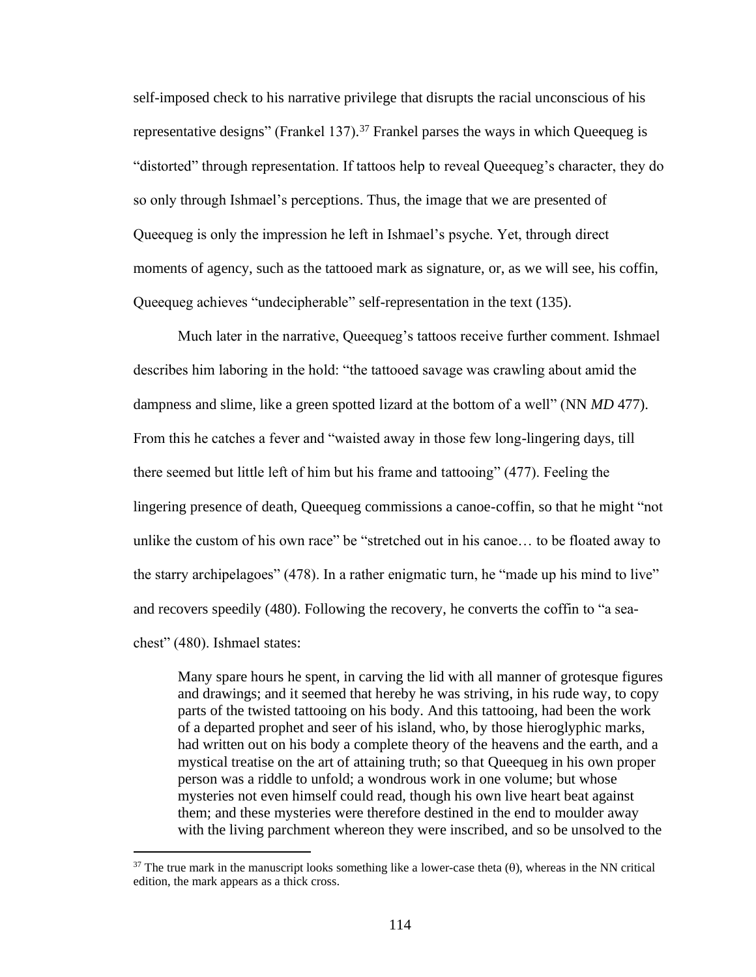self-imposed check to his narrative privilege that disrupts the racial unconscious of his representative designs" (Frankel 137).<sup>37</sup> Frankel parses the ways in which Queequeg is "distorted" through representation. If tattoos help to reveal Queequeg's character, they do so only through Ishmael's perceptions. Thus, the image that we are presented of Queequeg is only the impression he left in Ishmael's psyche. Yet, through direct moments of agency, such as the tattooed mark as signature, or, as we will see, his coffin, Queequeg achieves "undecipherable" self-representation in the text (135).

Much later in the narrative, Queequeg's tattoos receive further comment. Ishmael describes him laboring in the hold: "the tattooed savage was crawling about amid the dampness and slime, like a green spotted lizard at the bottom of a well" (NN *MD* 477). From this he catches a fever and "waisted away in those few long-lingering days, till there seemed but little left of him but his frame and tattooing" (477). Feeling the lingering presence of death, Queequeg commissions a canoe-coffin, so that he might "not unlike the custom of his own race" be "stretched out in his canoe… to be floated away to the starry archipelagoes" (478). In a rather enigmatic turn, he "made up his mind to live" and recovers speedily (480). Following the recovery, he converts the coffin to "a seachest" (480). Ishmael states:

Many spare hours he spent, in carving the lid with all manner of grotesque figures and drawings; and it seemed that hereby he was striving, in his rude way, to copy parts of the twisted tattooing on his body. And this tattooing, had been the work of a departed prophet and seer of his island, who, by those hieroglyphic marks, had written out on his body a complete theory of the heavens and the earth, and a mystical treatise on the art of attaining truth; so that Queequeg in his own proper person was a riddle to unfold; a wondrous work in one volume; but whose mysteries not even himself could read, though his own live heart beat against them; and these mysteries were therefore destined in the end to moulder away with the living parchment whereon they were inscribed, and so be unsolved to the

<sup>&</sup>lt;sup>37</sup> The true mark in the manuscript looks something like a lower-case theta  $(\theta)$ , whereas in the NN critical edition, the mark appears as a thick cross.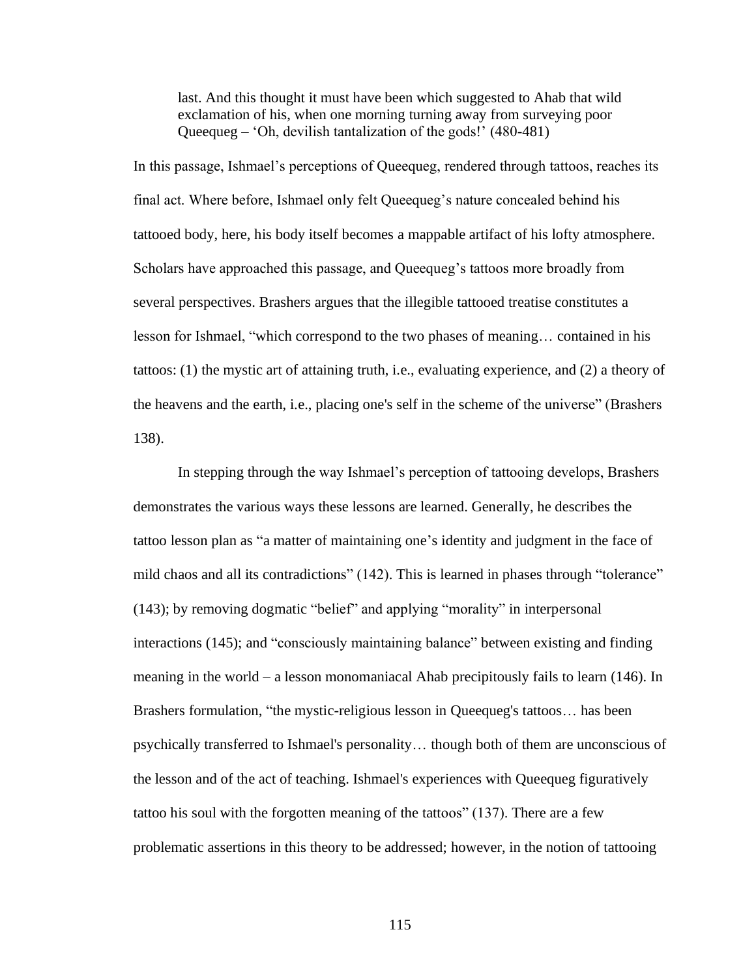last. And this thought it must have been which suggested to Ahab that wild exclamation of his, when one morning turning away from surveying poor Queequeg – 'Oh, devilish tantalization of the gods!' (480-481)

In this passage, Ishmael's perceptions of Queequeg, rendered through tattoos, reaches its final act. Where before, Ishmael only felt Queequeg's nature concealed behind his tattooed body, here, his body itself becomes a mappable artifact of his lofty atmosphere. Scholars have approached this passage, and Queequeg's tattoos more broadly from several perspectives. Brashers argues that the illegible tattooed treatise constitutes a lesson for Ishmael, "which correspond to the two phases of meaning… contained in his tattoos: (1) the mystic art of attaining truth, i.e., evaluating experience, and (2) a theory of the heavens and the earth, i.e., placing one's self in the scheme of the universe" (Brashers 138).

In stepping through the way Ishmael's perception of tattooing develops, Brashers demonstrates the various ways these lessons are learned. Generally, he describes the tattoo lesson plan as "a matter of maintaining one's identity and judgment in the face of mild chaos and all its contradictions" (142). This is learned in phases through "tolerance" (143); by removing dogmatic "belief" and applying "morality" in interpersonal interactions (145); and "consciously maintaining balance" between existing and finding meaning in the world – a lesson monomaniacal Ahab precipitously fails to learn (146). In Brashers formulation, "the mystic-religious lesson in Queequeg's tattoos… has been psychically transferred to Ishmael's personality… though both of them are unconscious of the lesson and of the act of teaching. Ishmael's experiences with Queequeg figuratively tattoo his soul with the forgotten meaning of the tattoos" (137). There are a few problematic assertions in this theory to be addressed; however, in the notion of tattooing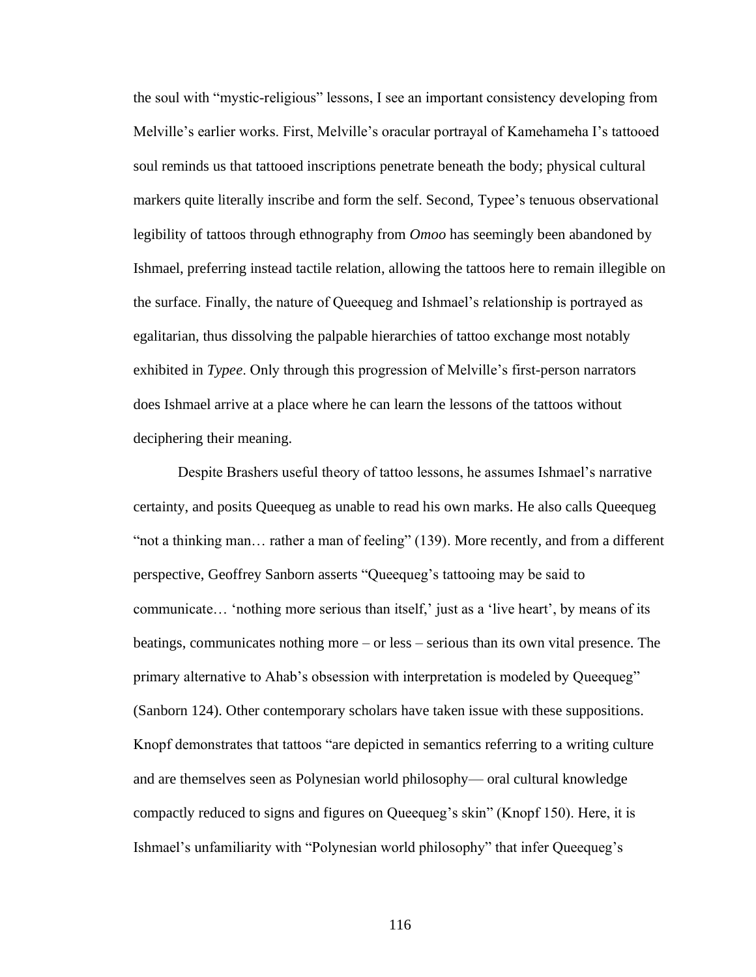the soul with "mystic-religious" lessons, I see an important consistency developing from Melville's earlier works. First, Melville's oracular portrayal of Kamehameha I's tattooed soul reminds us that tattooed inscriptions penetrate beneath the body; physical cultural markers quite literally inscribe and form the self. Second, Typee's tenuous observational legibility of tattoos through ethnography from *Omoo* has seemingly been abandoned by Ishmael, preferring instead tactile relation, allowing the tattoos here to remain illegible on the surface. Finally, the nature of Queequeg and Ishmael's relationship is portrayed as egalitarian, thus dissolving the palpable hierarchies of tattoo exchange most notably exhibited in *Typee*. Only through this progression of Melville's first-person narrators does Ishmael arrive at a place where he can learn the lessons of the tattoos without deciphering their meaning.

Despite Brashers useful theory of tattoo lessons, he assumes Ishmael's narrative certainty, and posits Queequeg as unable to read his own marks. He also calls Queequeg "not a thinking man... rather a man of feeling" (139). More recently, and from a different perspective, Geoffrey Sanborn asserts "Queequeg's tattooing may be said to communicate… 'nothing more serious than itself,' just as a 'live heart', by means of its beatings, communicates nothing more – or less – serious than its own vital presence. The primary alternative to Ahab's obsession with interpretation is modeled by Queequeg" (Sanborn 124). Other contemporary scholars have taken issue with these suppositions. Knopf demonstrates that tattoos "are depicted in semantics referring to a writing culture and are themselves seen as Polynesian world philosophy— oral cultural knowledge compactly reduced to signs and figures on Queequeg's skin" (Knopf 150). Here, it is Ishmael's unfamiliarity with "Polynesian world philosophy" that infer Queequeg's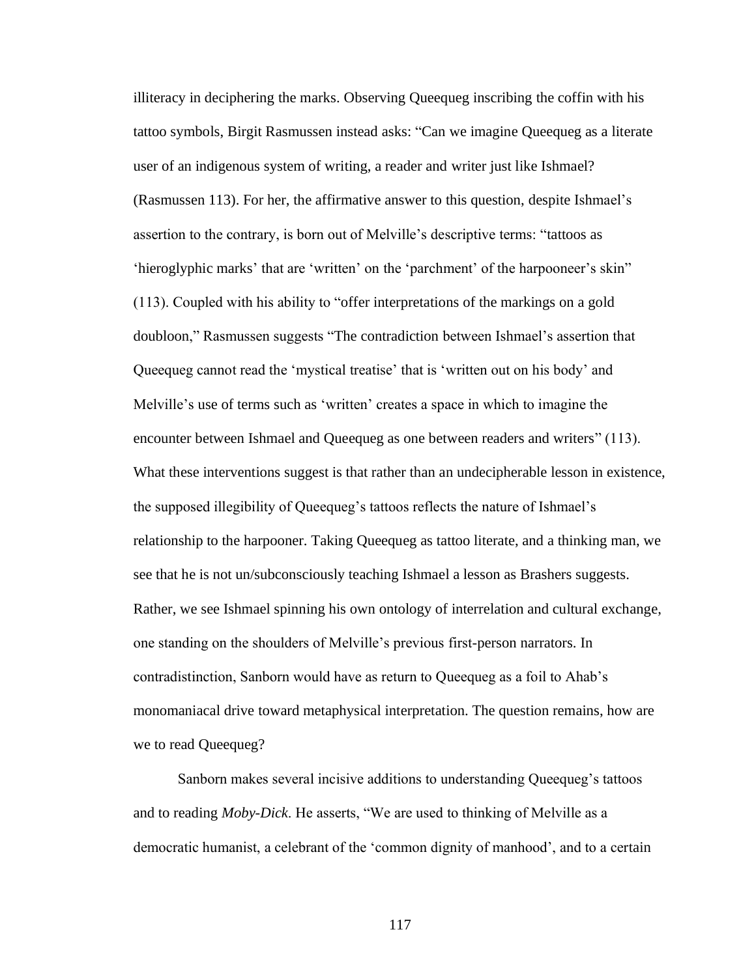illiteracy in deciphering the marks. Observing Queequeg inscribing the coffin with his tattoo symbols, Birgit Rasmussen instead asks: "Can we imagine Queequeg as a literate user of an indigenous system of writing, a reader and writer just like Ishmael? (Rasmussen 113). For her, the affirmative answer to this question, despite Ishmael's assertion to the contrary, is born out of Melville's descriptive terms: "tattoos as 'hieroglyphic marks' that are 'written' on the 'parchment' of the harpooneer's skin" (113). Coupled with his ability to "offer interpretations of the markings on a gold doubloon," Rasmussen suggests "The contradiction between Ishmael's assertion that Queequeg cannot read the 'mystical treatise' that is 'written out on his body' and Melville's use of terms such as 'written' creates a space in which to imagine the encounter between Ishmael and Queequeg as one between readers and writers" (113). What these interventions suggest is that rather than an undecipherable lesson in existence, the supposed illegibility of Queequeg's tattoos reflects the nature of Ishmael's relationship to the harpooner. Taking Queequeg as tattoo literate, and a thinking man, we see that he is not un/subconsciously teaching Ishmael a lesson as Brashers suggests. Rather, we see Ishmael spinning his own ontology of interrelation and cultural exchange, one standing on the shoulders of Melville's previous first-person narrators. In contradistinction, Sanborn would have as return to Queequeg as a foil to Ahab's monomaniacal drive toward metaphysical interpretation. The question remains, how are we to read Queequeg?

Sanborn makes several incisive additions to understanding Queequeg's tattoos and to reading *Moby-Dick*. He asserts, "We are used to thinking of Melville as a democratic humanist, a celebrant of the 'common dignity of manhood', and to a certain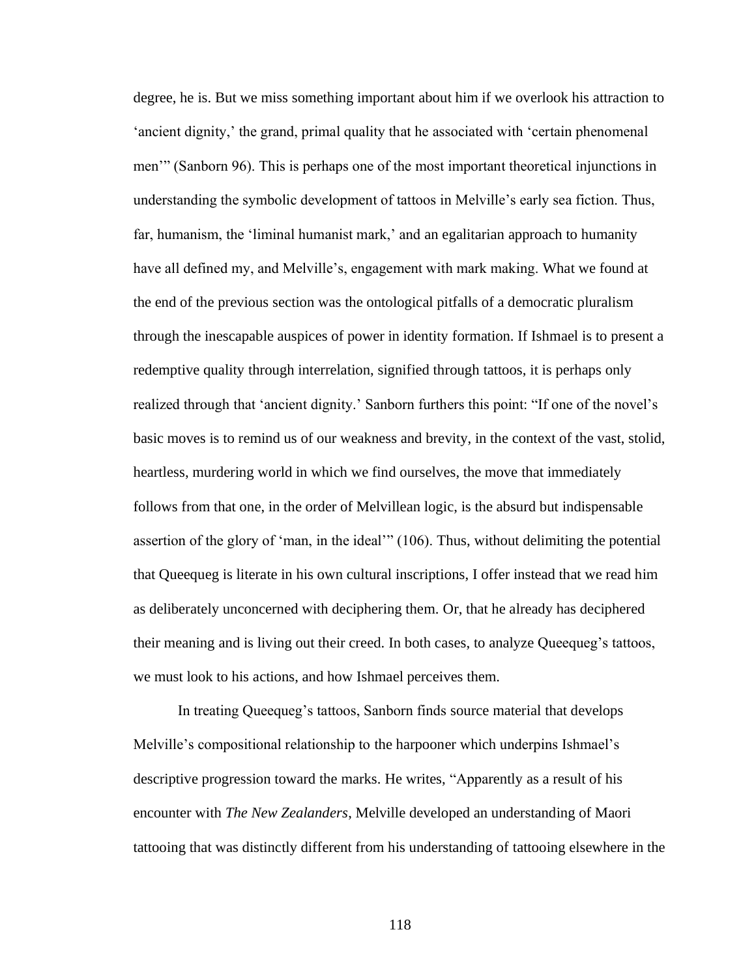degree, he is. But we miss something important about him if we overlook his attraction to 'ancient dignity,' the grand, primal quality that he associated with 'certain phenomenal men'" (Sanborn 96). This is perhaps one of the most important theoretical injunctions in understanding the symbolic development of tattoos in Melville's early sea fiction. Thus, far, humanism, the 'liminal humanist mark,' and an egalitarian approach to humanity have all defined my, and Melville's, engagement with mark making. What we found at the end of the previous section was the ontological pitfalls of a democratic pluralism through the inescapable auspices of power in identity formation. If Ishmael is to present a redemptive quality through interrelation, signified through tattoos, it is perhaps only realized through that 'ancient dignity.' Sanborn furthers this point: "If one of the novel's basic moves is to remind us of our weakness and brevity, in the context of the vast, stolid, heartless, murdering world in which we find ourselves, the move that immediately follows from that one, in the order of Melvillean logic, is the absurd but indispensable assertion of the glory of 'man, in the ideal'" (106). Thus, without delimiting the potential that Queequeg is literate in his own cultural inscriptions, I offer instead that we read him as deliberately unconcerned with deciphering them. Or, that he already has deciphered their meaning and is living out their creed. In both cases, to analyze Queequeg's tattoos, we must look to his actions, and how Ishmael perceives them.

In treating Queequeg's tattoos, Sanborn finds source material that develops Melville's compositional relationship to the harpooner which underpins Ishmael's descriptive progression toward the marks. He writes, "Apparently as a result of his encounter with *The New Zealanders*, Melville developed an understanding of Maori tattooing that was distinctly different from his understanding of tattooing elsewhere in the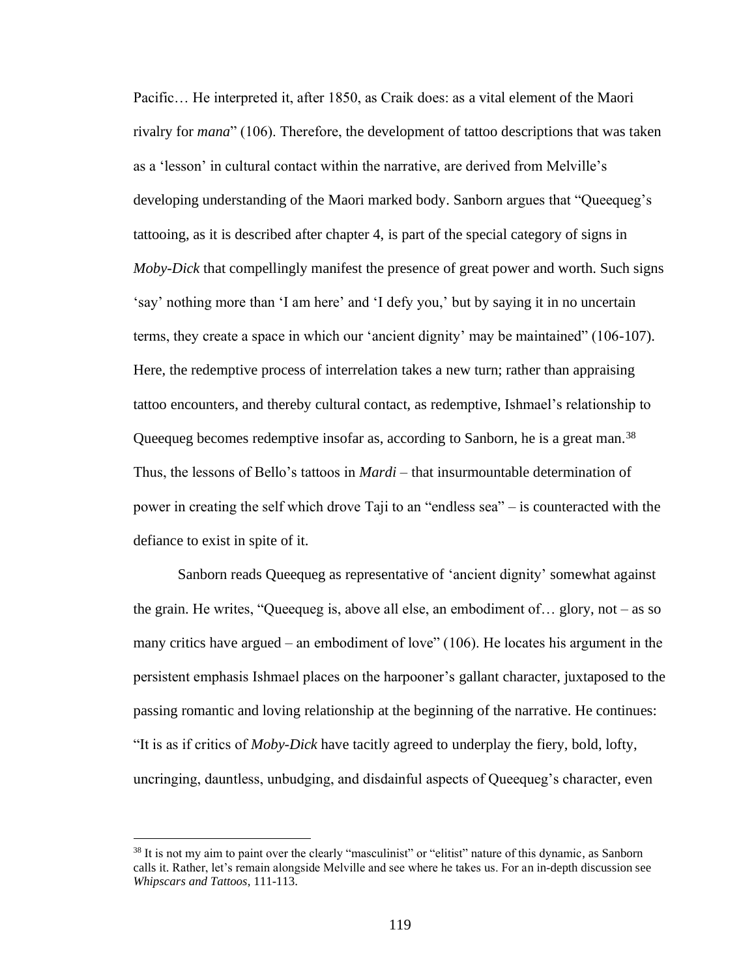Pacific… He interpreted it, after 1850, as Craik does: as a vital element of the Maori rivalry for *mana*" (106). Therefore, the development of tattoo descriptions that was taken as a 'lesson' in cultural contact within the narrative, are derived from Melville's developing understanding of the Maori marked body. Sanborn argues that "Queequeg's tattooing, as it is described after chapter 4, is part of the special category of signs in *Moby-Dick* that compellingly manifest the presence of great power and worth. Such signs 'say' nothing more than 'I am here' and 'I defy you,' but by saying it in no uncertain terms, they create a space in which our 'ancient dignity' may be maintained" (106-107). Here, the redemptive process of interrelation takes a new turn; rather than appraising tattoo encounters, and thereby cultural contact, as redemptive, Ishmael's relationship to Queequeg becomes redemptive insofar as, according to Sanborn, he is a great man.<sup>38</sup> Thus, the lessons of Bello's tattoos in *Mardi* – that insurmountable determination of power in creating the self which drove Taji to an "endless sea" – is counteracted with the defiance to exist in spite of it.

Sanborn reads Queequeg as representative of 'ancient dignity' somewhat against the grain. He writes, "Queequeg is, above all else, an embodiment of… glory, not – as so many critics have argued – an embodiment of love" (106). He locates his argument in the persistent emphasis Ishmael places on the harpooner's gallant character, juxtaposed to the passing romantic and loving relationship at the beginning of the narrative. He continues: "It is as if critics of *Moby-Dick* have tacitly agreed to underplay the fiery, bold, lofty, uncringing, dauntless, unbudging, and disdainful aspects of Queequeg's character, even

<sup>38</sup> It is not my aim to paint over the clearly "masculinist" or "elitist" nature of this dynamic, as Sanborn calls it. Rather, let's remain alongside Melville and see where he takes us. For an in-depth discussion see *Whipscars and Tattoos*, 111-113.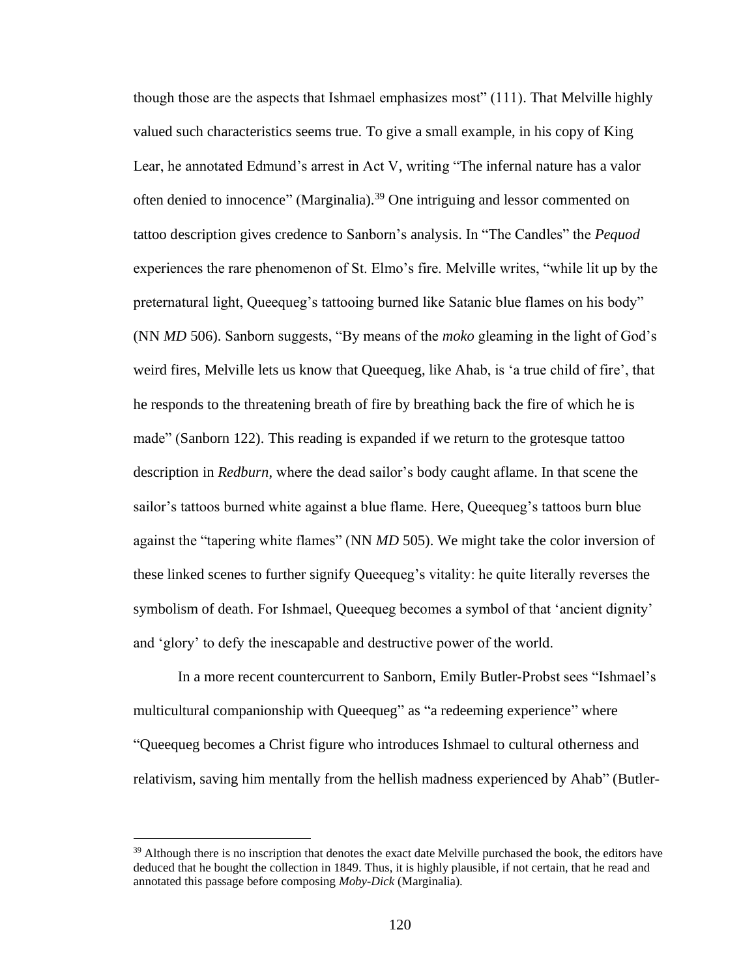though those are the aspects that Ishmael emphasizes most" (111). That Melville highly valued such characteristics seems true. To give a small example, in his copy of King Lear, he annotated Edmund's arrest in Act V, writing "The infernal nature has a valor often denied to innocence" (Marginalia).<sup>39</sup> One intriguing and lessor commented on tattoo description gives credence to Sanborn's analysis. In "The Candles" the *Pequod*  experiences the rare phenomenon of St. Elmo's fire. Melville writes, "while lit up by the preternatural light, Queequeg's tattooing burned like Satanic blue flames on his body" (NN *MD* 506). Sanborn suggests, "By means of the *moko* gleaming in the light of God's weird fires, Melville lets us know that Queequeg, like Ahab, is 'a true child of fire', that he responds to the threatening breath of fire by breathing back the fire of which he is made" (Sanborn 122). This reading is expanded if we return to the grotesque tattoo description in *Redburn*, where the dead sailor's body caught aflame. In that scene the sailor's tattoos burned white against a blue flame. Here, Queequeg's tattoos burn blue against the "tapering white flames" (NN *MD* 505). We might take the color inversion of these linked scenes to further signify Queequeg's vitality: he quite literally reverses the symbolism of death. For Ishmael, Queequeg becomes a symbol of that 'ancient dignity' and 'glory' to defy the inescapable and destructive power of the world.

In a more recent countercurrent to Sanborn, Emily Butler-Probst sees "Ishmael's multicultural companionship with Queequeg" as "a redeeming experience" where "Queequeg becomes a Christ figure who introduces Ishmael to cultural otherness and relativism, saving him mentally from the hellish madness experienced by Ahab" (Butler-

<sup>&</sup>lt;sup>39</sup> Although there is no inscription that denotes the exact date Melville purchased the book, the editors have deduced that he bought the collection in 1849. Thus, it is highly plausible, if not certain, that he read and annotated this passage before composing *Moby-Dick* (Marginalia).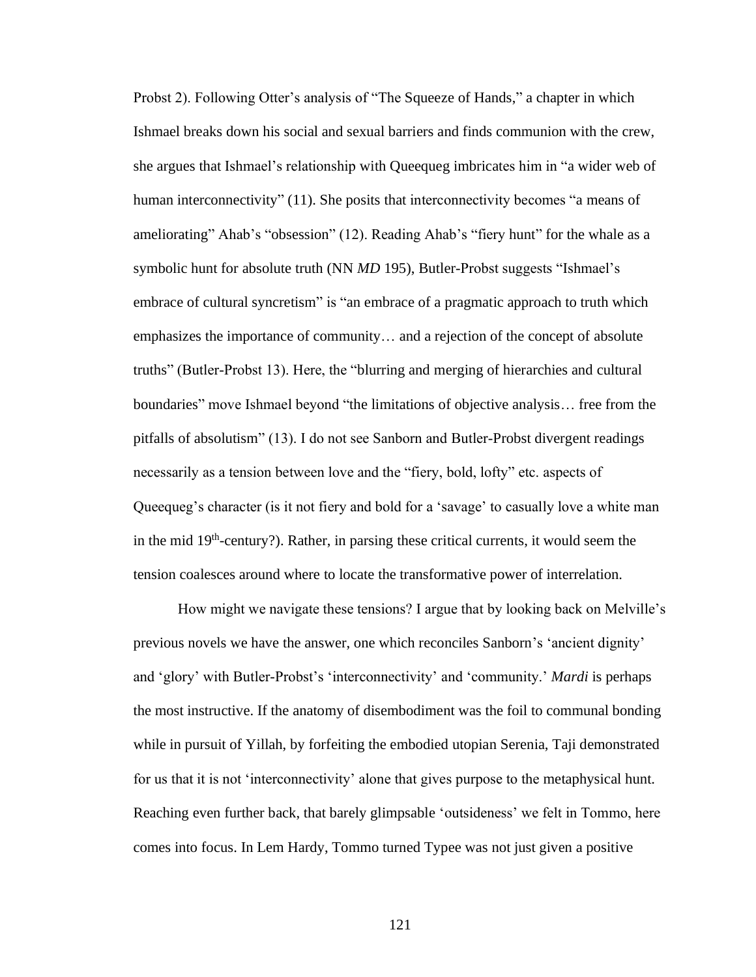Probst 2). Following Otter's analysis of "The Squeeze of Hands," a chapter in which Ishmael breaks down his social and sexual barriers and finds communion with the crew, she argues that Ishmael's relationship with Queequeg imbricates him in "a wider web of human interconnectivity" (11). She posits that interconnectivity becomes "a means of ameliorating" Ahab's "obsession" (12). Reading Ahab's "fiery hunt" for the whale as a symbolic hunt for absolute truth (NN *MD* 195), Butler-Probst suggests "Ishmael's embrace of cultural syncretism" is "an embrace of a pragmatic approach to truth which emphasizes the importance of community… and a rejection of the concept of absolute truths" (Butler-Probst 13). Here, the "blurring and merging of hierarchies and cultural boundaries" move Ishmael beyond "the limitations of objective analysis… free from the pitfalls of absolutism" (13). I do not see Sanborn and Butler-Probst divergent readings necessarily as a tension between love and the "fiery, bold, lofty" etc. aspects of Queequeg's character (is it not fiery and bold for a 'savage' to casually love a white man in the mid 19<sup>th</sup>-century?). Rather, in parsing these critical currents, it would seem the tension coalesces around where to locate the transformative power of interrelation.

How might we navigate these tensions? I argue that by looking back on Melville's previous novels we have the answer, one which reconciles Sanborn's 'ancient dignity' and 'glory' with Butler-Probst's 'interconnectivity' and 'community.' *Mardi* is perhaps the most instructive. If the anatomy of disembodiment was the foil to communal bonding while in pursuit of Yillah, by forfeiting the embodied utopian Serenia, Taji demonstrated for us that it is not 'interconnectivity' alone that gives purpose to the metaphysical hunt. Reaching even further back, that barely glimpsable 'outsideness' we felt in Tommo, here comes into focus. In Lem Hardy, Tommo turned Typee was not just given a positive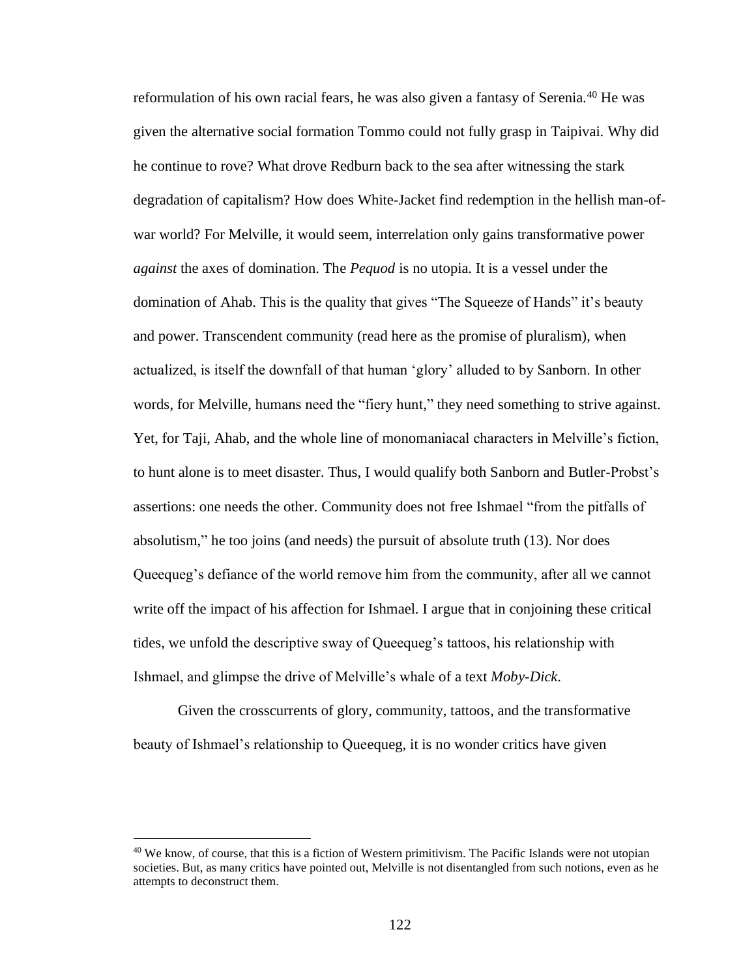reformulation of his own racial fears, he was also given a fantasy of Serenia.<sup>40</sup> He was given the alternative social formation Tommo could not fully grasp in Taipivai. Why did he continue to rove? What drove Redburn back to the sea after witnessing the stark degradation of capitalism? How does White-Jacket find redemption in the hellish man-ofwar world? For Melville, it would seem, interrelation only gains transformative power *against* the axes of domination. The *Pequod* is no utopia. It is a vessel under the domination of Ahab. This is the quality that gives "The Squeeze of Hands" it's beauty and power. Transcendent community (read here as the promise of pluralism), when actualized, is itself the downfall of that human 'glory' alluded to by Sanborn. In other words, for Melville, humans need the "fiery hunt," they need something to strive against. Yet, for Taji, Ahab, and the whole line of monomaniacal characters in Melville's fiction, to hunt alone is to meet disaster. Thus, I would qualify both Sanborn and Butler-Probst's assertions: one needs the other. Community does not free Ishmael "from the pitfalls of absolutism," he too joins (and needs) the pursuit of absolute truth (13). Nor does Queequeg's defiance of the world remove him from the community, after all we cannot write off the impact of his affection for Ishmael. I argue that in conjoining these critical tides, we unfold the descriptive sway of Queequeg's tattoos, his relationship with Ishmael, and glimpse the drive of Melville's whale of a text *Moby-Dick*.

Given the crosscurrents of glory, community, tattoos, and the transformative beauty of Ishmael's relationship to Queequeg, it is no wonder critics have given

<sup>&</sup>lt;sup>40</sup> We know, of course, that this is a fiction of Western primitivism. The Pacific Islands were not utopian societies. But, as many critics have pointed out, Melville is not disentangled from such notions, even as he attempts to deconstruct them.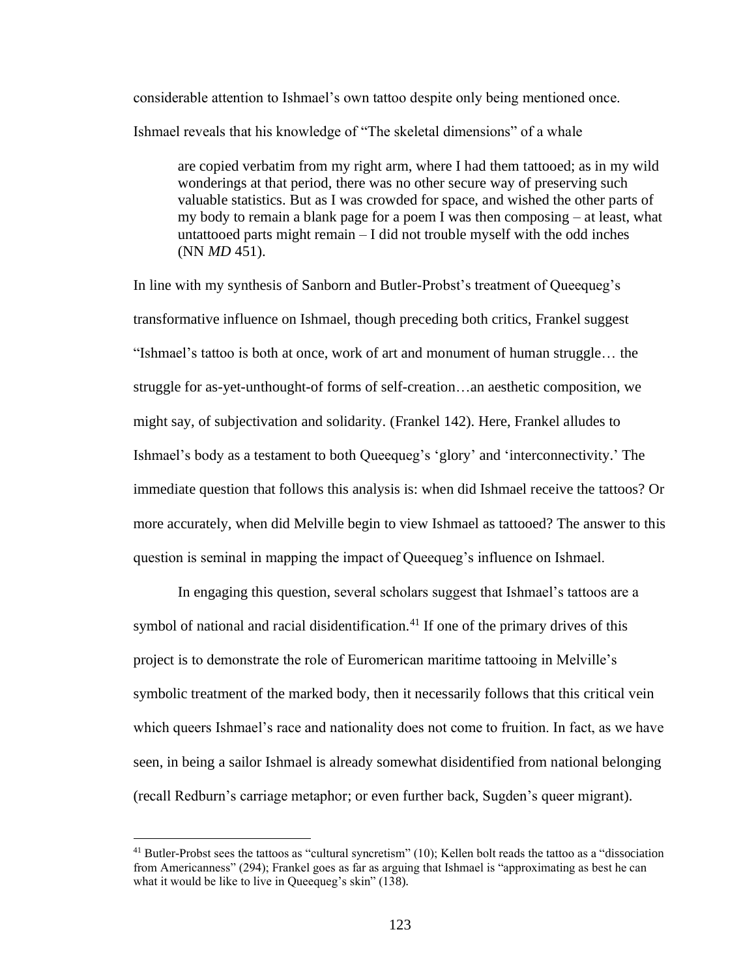considerable attention to Ishmael's own tattoo despite only being mentioned once. Ishmael reveals that his knowledge of "The skeletal dimensions" of a whale

are copied verbatim from my right arm, where I had them tattooed; as in my wild wonderings at that period, there was no other secure way of preserving such valuable statistics. But as I was crowded for space, and wished the other parts of my body to remain a blank page for a poem I was then composing – at least, what untattooed parts might remain – I did not trouble myself with the odd inches (NN *MD* 451).

In line with my synthesis of Sanborn and Butler-Probst's treatment of Queequeg's transformative influence on Ishmael, though preceding both critics, Frankel suggest "Ishmael's tattoo is both at once, work of art and monument of human struggle… the struggle for as-yet-unthought-of forms of self-creation…an aesthetic composition, we might say, of subjectivation and solidarity. (Frankel 142). Here, Frankel alludes to Ishmael's body as a testament to both Queequeg's 'glory' and 'interconnectivity.' The immediate question that follows this analysis is: when did Ishmael receive the tattoos? Or more accurately, when did Melville begin to view Ishmael as tattooed? The answer to this question is seminal in mapping the impact of Queequeg's influence on Ishmael.

In engaging this question, several scholars suggest that Ishmael's tattoos are a symbol of national and racial disidentification.<sup>41</sup> If one of the primary drives of this project is to demonstrate the role of Euromerican maritime tattooing in Melville's symbolic treatment of the marked body, then it necessarily follows that this critical vein which queers Ishmael's race and nationality does not come to fruition. In fact, as we have seen, in being a sailor Ishmael is already somewhat disidentified from national belonging (recall Redburn's carriage metaphor; or even further back, Sugden's queer migrant).

 $41$  Butler-Probst sees the tattoos as "cultural syncretism" (10); Kellen bolt reads the tattoo as a "dissociation" from Americanness" (294); Frankel goes as far as arguing that Ishmael is "approximating as best he can what it would be like to live in Queequeg's skin" (138).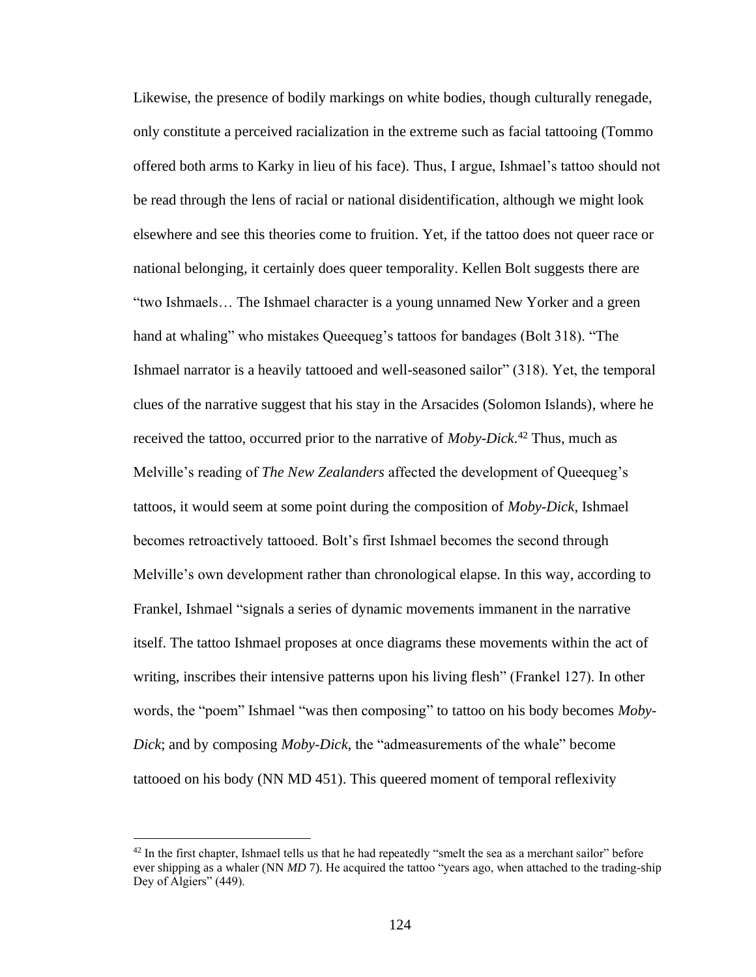Likewise, the presence of bodily markings on white bodies, though culturally renegade, only constitute a perceived racialization in the extreme such as facial tattooing (Tommo offered both arms to Karky in lieu of his face). Thus, I argue, Ishmael's tattoo should not be read through the lens of racial or national disidentification, although we might look elsewhere and see this theories come to fruition. Yet, if the tattoo does not queer race or national belonging, it certainly does queer temporality. Kellen Bolt suggests there are "two Ishmaels… The Ishmael character is a young unnamed New Yorker and a green hand at whaling" who mistakes Queequeg's tattoos for bandages (Bolt 318). "The Ishmael narrator is a heavily tattooed and well-seasoned sailor" (318). Yet, the temporal clues of the narrative suggest that his stay in the Arsacides (Solomon Islands), where he received the tattoo, occurred prior to the narrative of *Moby-Dick*. <sup>42</sup> Thus, much as Melville's reading of *The New Zealanders* affected the development of Queequeg's tattoos, it would seem at some point during the composition of *Moby-Dick*, Ishmael becomes retroactively tattooed. Bolt's first Ishmael becomes the second through Melville's own development rather than chronological elapse. In this way, according to Frankel, Ishmael "signals a series of dynamic movements immanent in the narrative itself. The tattoo Ishmael proposes at once diagrams these movements within the act of writing, inscribes their intensive patterns upon his living flesh" (Frankel 127). In other words, the "poem" Ishmael "was then composing" to tattoo on his body becomes *Moby-Dick*; and by composing *Moby-Dick*, the "admeasurements of the whale" become tattooed on his body (NN MD 451). This queered moment of temporal reflexivity

 $42$  In the first chapter, Ishmael tells us that he had repeatedly "smelt the sea as a merchant sailor" before ever shipping as a whaler (NN *MD* 7). He acquired the tattoo "years ago, when attached to the trading-ship Dey of Algiers" (449).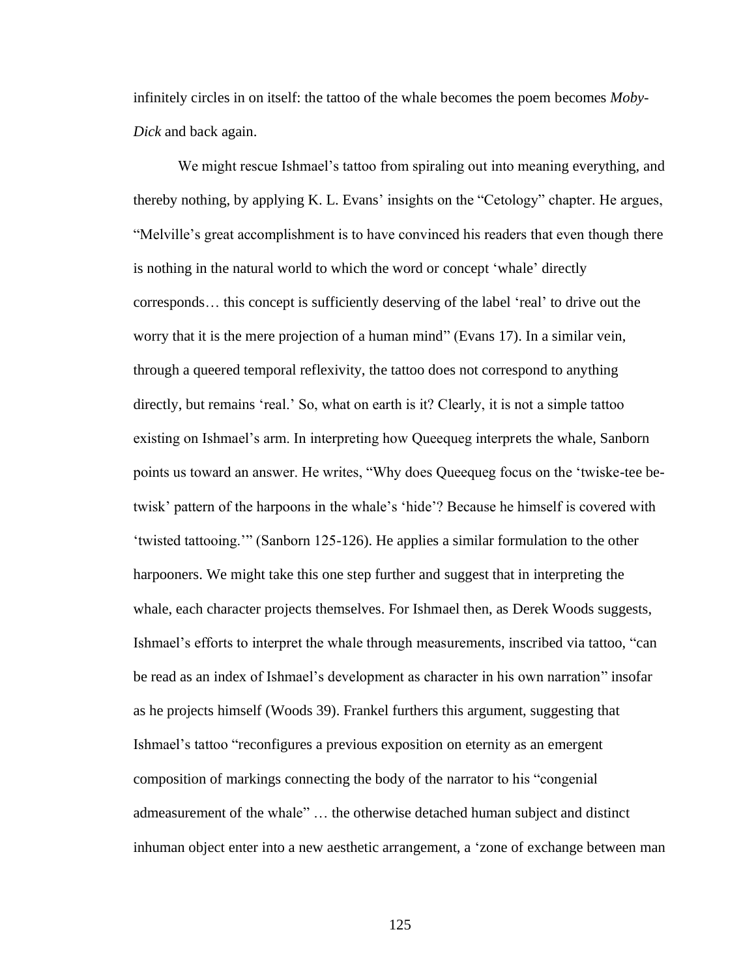infinitely circles in on itself: the tattoo of the whale becomes the poem becomes *Moby-Dick* and back again.

We might rescue Ishmael's tattoo from spiraling out into meaning everything, and thereby nothing, by applying K. L. Evans' insights on the "Cetology" chapter. He argues, "Melville's great accomplishment is to have convinced his readers that even though there is nothing in the natural world to which the word or concept 'whale' directly corresponds… this concept is sufficiently deserving of the label 'real' to drive out the worry that it is the mere projection of a human mind" (Evans 17). In a similar vein, through a queered temporal reflexivity, the tattoo does not correspond to anything directly, but remains 'real.' So, what on earth is it? Clearly, it is not a simple tattoo existing on Ishmael's arm. In interpreting how Queequeg interprets the whale, Sanborn points us toward an answer. He writes, "Why does Queequeg focus on the 'twiske-tee betwisk' pattern of the harpoons in the whale's 'hide'? Because he himself is covered with 'twisted tattooing.'" (Sanborn 125-126). He applies a similar formulation to the other harpooners. We might take this one step further and suggest that in interpreting the whale, each character projects themselves. For Ishmael then, as Derek Woods suggests, Ishmael's efforts to interpret the whale through measurements, inscribed via tattoo, "can be read as an index of Ishmael's development as character in his own narration" insofar as he projects himself (Woods 39). Frankel furthers this argument, suggesting that Ishmael's tattoo "reconfigures a previous exposition on eternity as an emergent composition of markings connecting the body of the narrator to his "congenial admeasurement of the whale" … the otherwise detached human subject and distinct inhuman object enter into a new aesthetic arrangement, a 'zone of exchange between man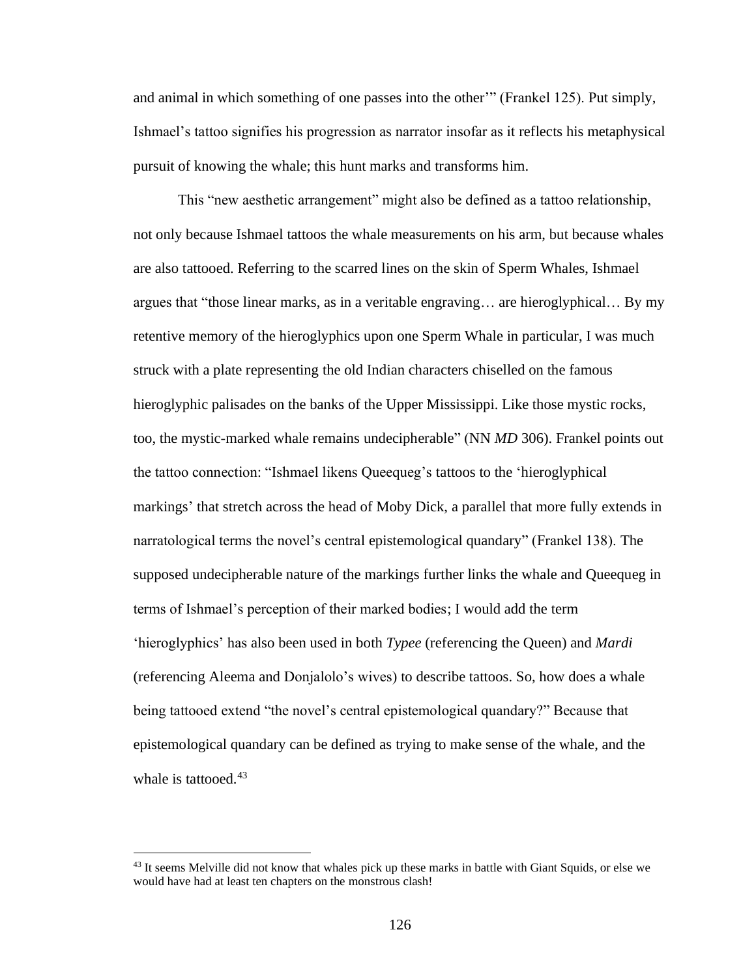and animal in which something of one passes into the other'" (Frankel 125). Put simply, Ishmael's tattoo signifies his progression as narrator insofar as it reflects his metaphysical pursuit of knowing the whale; this hunt marks and transforms him.

This "new aesthetic arrangement" might also be defined as a tattoo relationship, not only because Ishmael tattoos the whale measurements on his arm, but because whales are also tattooed. Referring to the scarred lines on the skin of Sperm Whales, Ishmael argues that "those linear marks, as in a veritable engraving… are hieroglyphical… By my retentive memory of the hieroglyphics upon one Sperm Whale in particular, I was much struck with a plate representing the old Indian characters chiselled on the famous hieroglyphic palisades on the banks of the Upper Mississippi. Like those mystic rocks, too, the mystic-marked whale remains undecipherable" (NN *MD* 306). Frankel points out the tattoo connection: "Ishmael likens Queequeg's tattoos to the 'hieroglyphical markings' that stretch across the head of Moby Dick, a parallel that more fully extends in narratological terms the novel's central epistemological quandary" (Frankel 138). The supposed undecipherable nature of the markings further links the whale and Queequeg in terms of Ishmael's perception of their marked bodies; I would add the term 'hieroglyphics' has also been used in both *Typee* (referencing the Queen) and *Mardi* (referencing Aleema and Donjalolo's wives) to describe tattoos. So, how does a whale being tattooed extend "the novel's central epistemological quandary?" Because that epistemological quandary can be defined as trying to make sense of the whale, and the whale is tattooed. $43$ 

<sup>&</sup>lt;sup>43</sup> It seems Melville did not know that whales pick up these marks in battle with Giant Squids, or else we would have had at least ten chapters on the monstrous clash!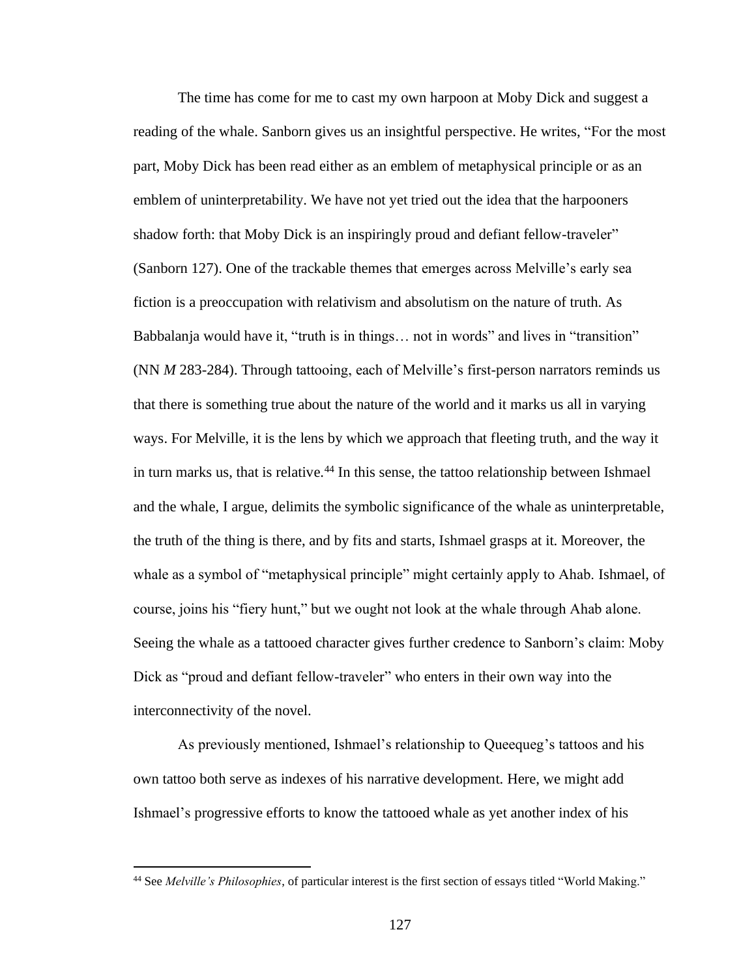The time has come for me to cast my own harpoon at Moby Dick and suggest a reading of the whale. Sanborn gives us an insightful perspective. He writes, "For the most part, Moby Dick has been read either as an emblem of metaphysical principle or as an emblem of uninterpretability. We have not yet tried out the idea that the harpooners shadow forth: that Moby Dick is an inspiringly proud and defiant fellow-traveler" (Sanborn 127). One of the trackable themes that emerges across Melville's early sea fiction is a preoccupation with relativism and absolutism on the nature of truth. As Babbalanja would have it, "truth is in things… not in words" and lives in "transition" (NN *M* 283-284). Through tattooing, each of Melville's first-person narrators reminds us that there is something true about the nature of the world and it marks us all in varying ways. For Melville, it is the lens by which we approach that fleeting truth, and the way it in turn marks us, that is relative.<sup>44</sup> In this sense, the tattoo relationship between Ishmael and the whale, I argue, delimits the symbolic significance of the whale as uninterpretable, the truth of the thing is there, and by fits and starts, Ishmael grasps at it. Moreover, the whale as a symbol of "metaphysical principle" might certainly apply to Ahab. Ishmael, of course, joins his "fiery hunt," but we ought not look at the whale through Ahab alone. Seeing the whale as a tattooed character gives further credence to Sanborn's claim: Moby Dick as "proud and defiant fellow-traveler" who enters in their own way into the interconnectivity of the novel.

As previously mentioned, Ishmael's relationship to Queequeg's tattoos and his own tattoo both serve as indexes of his narrative development. Here, we might add Ishmael's progressive efforts to know the tattooed whale as yet another index of his

<sup>44</sup> See *Melville's Philosophies*, of particular interest is the first section of essays titled "World Making."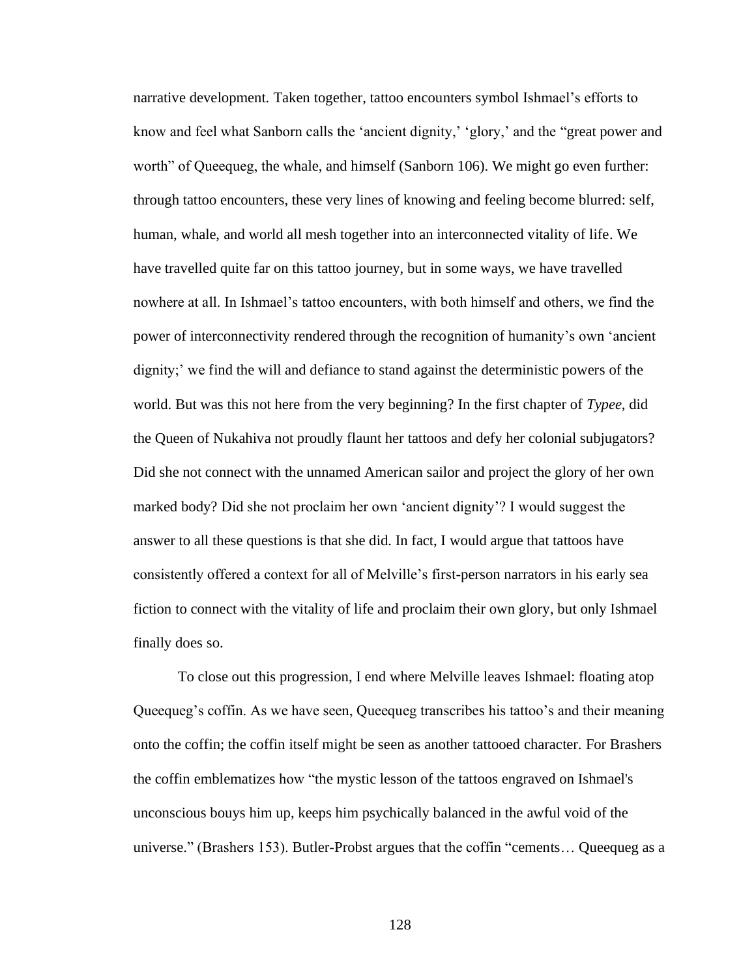narrative development. Taken together, tattoo encounters symbol Ishmael's efforts to know and feel what Sanborn calls the 'ancient dignity,' 'glory,' and the "great power and worth" of Queequeg, the whale, and himself (Sanborn 106). We might go even further: through tattoo encounters, these very lines of knowing and feeling become blurred: self, human, whale, and world all mesh together into an interconnected vitality of life. We have travelled quite far on this tattoo journey, but in some ways, we have travelled nowhere at all. In Ishmael's tattoo encounters, with both himself and others, we find the power of interconnectivity rendered through the recognition of humanity's own 'ancient dignity;' we find the will and defiance to stand against the deterministic powers of the world. But was this not here from the very beginning? In the first chapter of *Typee*, did the Queen of Nukahiva not proudly flaunt her tattoos and defy her colonial subjugators? Did she not connect with the unnamed American sailor and project the glory of her own marked body? Did she not proclaim her own 'ancient dignity'? I would suggest the answer to all these questions is that she did. In fact, I would argue that tattoos have consistently offered a context for all of Melville's first-person narrators in his early sea fiction to connect with the vitality of life and proclaim their own glory, but only Ishmael finally does so.

To close out this progression, I end where Melville leaves Ishmael: floating atop Queequeg's coffin. As we have seen, Queequeg transcribes his tattoo's and their meaning onto the coffin; the coffin itself might be seen as another tattooed character. For Brashers the coffin emblematizes how "the mystic lesson of the tattoos engraved on Ishmael's unconscious bouys him up, keeps him psychically balanced in the awful void of the universe." (Brashers 153). Butler-Probst argues that the coffin "cements… Queequeg as a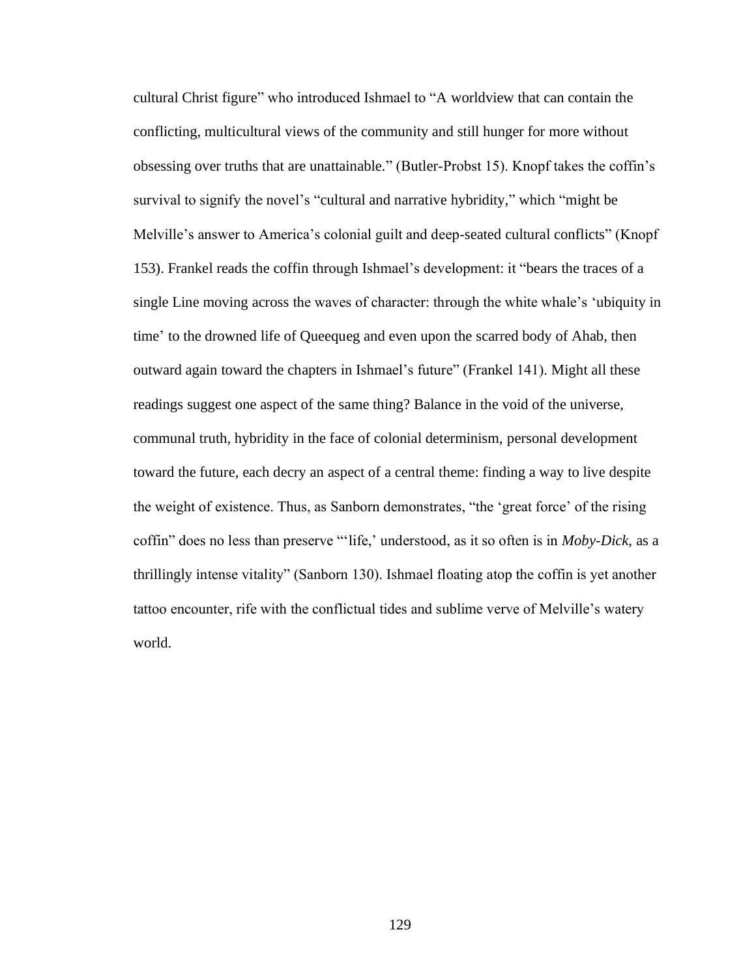cultural Christ figure" who introduced Ishmael to "A worldview that can contain the conflicting, multicultural views of the community and still hunger for more without obsessing over truths that are unattainable." (Butler-Probst 15). Knopf takes the coffin's survival to signify the novel's "cultural and narrative hybridity," which "might be Melville's answer to America's colonial guilt and deep-seated cultural conflicts" (Knopf 153). Frankel reads the coffin through Ishmael's development: it "bears the traces of a single Line moving across the waves of character: through the white whale's 'ubiquity in time' to the drowned life of Queequeg and even upon the scarred body of Ahab, then outward again toward the chapters in Ishmael's future" (Frankel 141). Might all these readings suggest one aspect of the same thing? Balance in the void of the universe, communal truth, hybridity in the face of colonial determinism, personal development toward the future, each decry an aspect of a central theme: finding a way to live despite the weight of existence. Thus, as Sanborn demonstrates, "the 'great force' of the rising coffin" does no less than preserve "'life,' understood, as it so often is in *Moby-Dick*, as a thrillingly intense vitality" (Sanborn 130). Ishmael floating atop the coffin is yet another tattoo encounter, rife with the conflictual tides and sublime verve of Melville's watery world.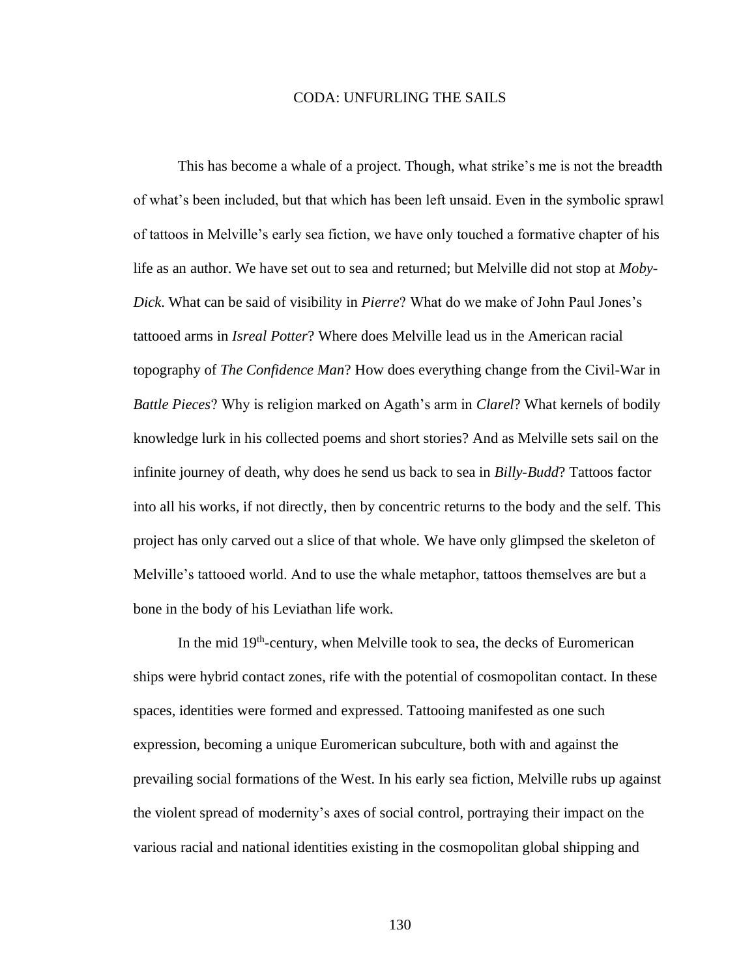## CODA: UNFURLING THE SAILS

This has become a whale of a project. Though, what strike's me is not the breadth of what's been included, but that which has been left unsaid. Even in the symbolic sprawl of tattoos in Melville's early sea fiction, we have only touched a formative chapter of his life as an author. We have set out to sea and returned; but Melville did not stop at *Moby-Dick*. What can be said of visibility in *Pierre*? What do we make of John Paul Jones's tattooed arms in *Isreal Potter*? Where does Melville lead us in the American racial topography of *The Confidence Man*? How does everything change from the Civil-War in *Battle Pieces*? Why is religion marked on Agath's arm in *Clarel*? What kernels of bodily knowledge lurk in his collected poems and short stories? And as Melville sets sail on the infinite journey of death, why does he send us back to sea in *Billy-Budd*? Tattoos factor into all his works, if not directly, then by concentric returns to the body and the self. This project has only carved out a slice of that whole. We have only glimpsed the skeleton of Melville's tattooed world. And to use the whale metaphor, tattoos themselves are but a bone in the body of his Leviathan life work.

In the mid 19<sup>th</sup>-century, when Melville took to sea, the decks of Euromerican ships were hybrid contact zones, rife with the potential of cosmopolitan contact. In these spaces, identities were formed and expressed. Tattooing manifested as one such expression, becoming a unique Euromerican subculture, both with and against the prevailing social formations of the West. In his early sea fiction, Melville rubs up against the violent spread of modernity's axes of social control, portraying their impact on the various racial and national identities existing in the cosmopolitan global shipping and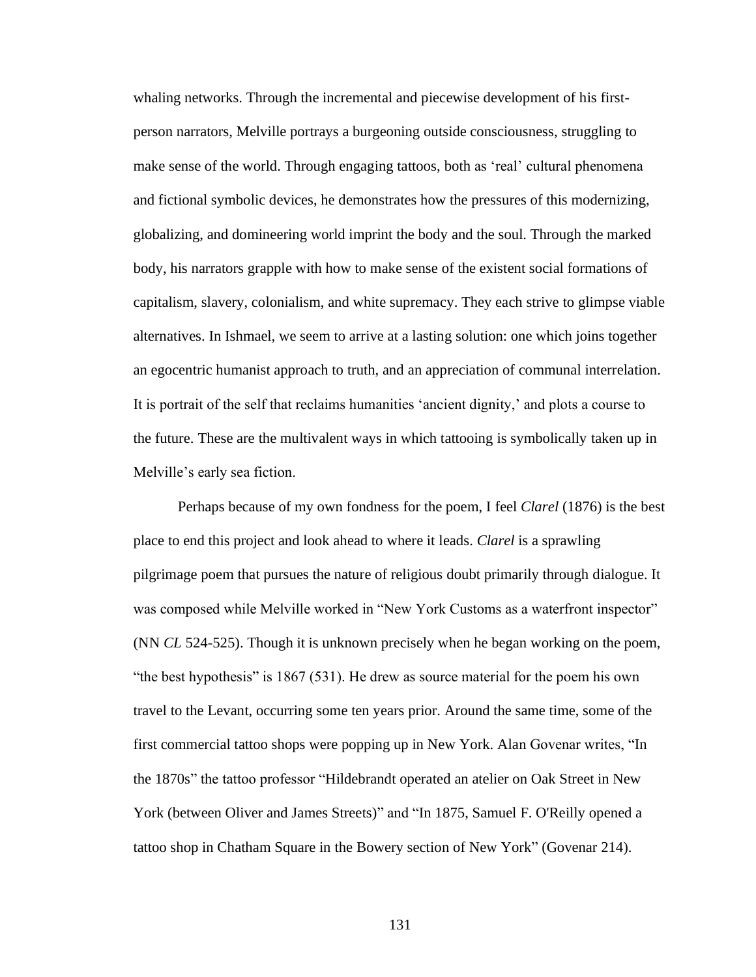whaling networks. Through the incremental and piecewise development of his firstperson narrators, Melville portrays a burgeoning outside consciousness, struggling to make sense of the world. Through engaging tattoos, both as 'real' cultural phenomena and fictional symbolic devices, he demonstrates how the pressures of this modernizing, globalizing, and domineering world imprint the body and the soul. Through the marked body, his narrators grapple with how to make sense of the existent social formations of capitalism, slavery, colonialism, and white supremacy. They each strive to glimpse viable alternatives. In Ishmael, we seem to arrive at a lasting solution: one which joins together an egocentric humanist approach to truth, and an appreciation of communal interrelation. It is portrait of the self that reclaims humanities 'ancient dignity,' and plots a course to the future. These are the multivalent ways in which tattooing is symbolically taken up in Melville's early sea fiction.

Perhaps because of my own fondness for the poem, I feel *Clarel* (1876) is the best place to end this project and look ahead to where it leads. *Clarel* is a sprawling pilgrimage poem that pursues the nature of religious doubt primarily through dialogue. It was composed while Melville worked in "New York Customs as a waterfront inspector" (NN *CL* 524-525). Though it is unknown precisely when he began working on the poem, "the best hypothesis" is 1867 (531). He drew as source material for the poem his own travel to the Levant, occurring some ten years prior. Around the same time, some of the first commercial tattoo shops were popping up in New York. Alan Govenar writes, "In the 1870s" the tattoo professor "Hildebrandt operated an atelier on Oak Street in New York (between Oliver and James Streets)" and "In 1875, Samuel F. O'Reilly opened a tattoo shop in Chatham Square in the Bowery section of New York" (Govenar 214).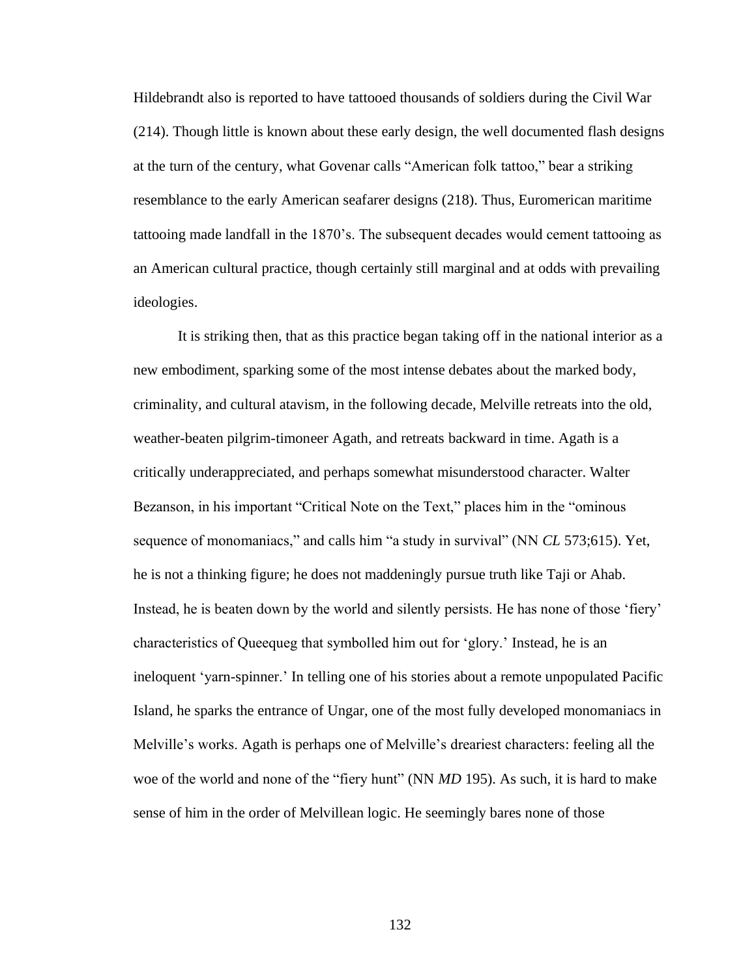Hildebrandt also is reported to have tattooed thousands of soldiers during the Civil War (214). Though little is known about these early design, the well documented flash designs at the turn of the century, what Govenar calls "American folk tattoo," bear a striking resemblance to the early American seafarer designs (218). Thus, Euromerican maritime tattooing made landfall in the 1870's. The subsequent decades would cement tattooing as an American cultural practice, though certainly still marginal and at odds with prevailing ideologies.

It is striking then, that as this practice began taking off in the national interior as a new embodiment, sparking some of the most intense debates about the marked body, criminality, and cultural atavism, in the following decade, Melville retreats into the old, weather-beaten pilgrim-timoneer Agath, and retreats backward in time. Agath is a critically underappreciated, and perhaps somewhat misunderstood character. Walter Bezanson, in his important "Critical Note on the Text," places him in the "ominous sequence of monomaniacs," and calls him "a study in survival" (NN *CL* 573;615). Yet, he is not a thinking figure; he does not maddeningly pursue truth like Taji or Ahab. Instead, he is beaten down by the world and silently persists. He has none of those 'fiery' characteristics of Queequeg that symbolled him out for 'glory.' Instead, he is an ineloquent 'yarn-spinner.' In telling one of his stories about a remote unpopulated Pacific Island, he sparks the entrance of Ungar, one of the most fully developed monomaniacs in Melville's works. Agath is perhaps one of Melville's dreariest characters: feeling all the woe of the world and none of the "fiery hunt" (NN *MD* 195). As such, it is hard to make sense of him in the order of Melvillean logic. He seemingly bares none of those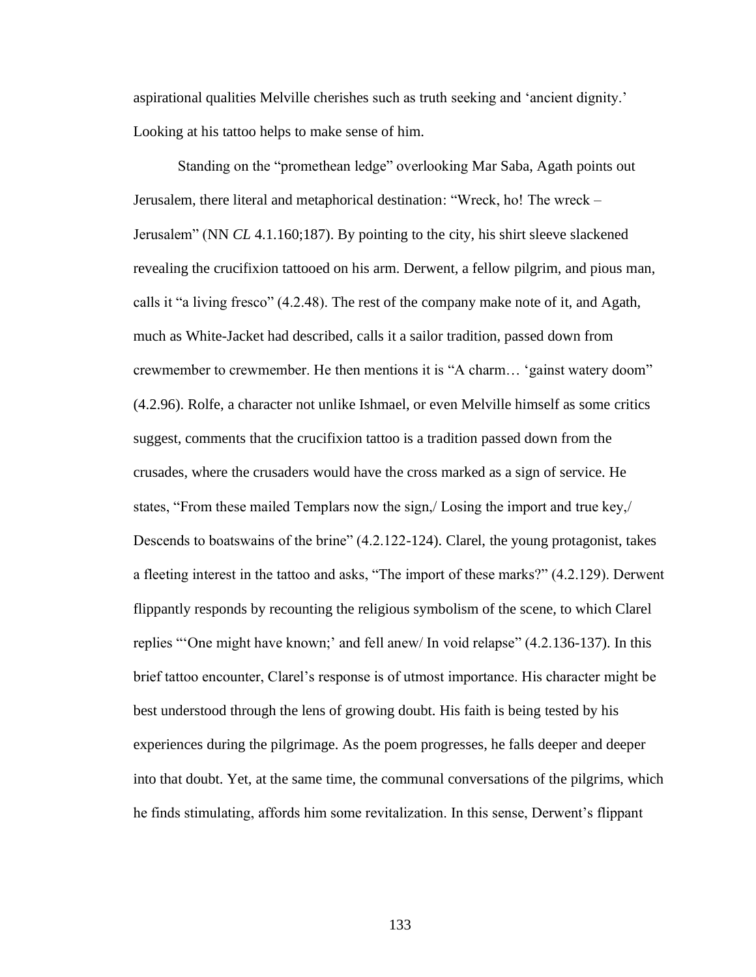aspirational qualities Melville cherishes such as truth seeking and 'ancient dignity.' Looking at his tattoo helps to make sense of him.

Standing on the "promethean ledge" overlooking Mar Saba, Agath points out Jerusalem, there literal and metaphorical destination: "Wreck, ho! The wreck – Jerusalem" (NN *CL* 4.1.160;187). By pointing to the city, his shirt sleeve slackened revealing the crucifixion tattooed on his arm. Derwent, a fellow pilgrim, and pious man, calls it "a living fresco" (4.2.48). The rest of the company make note of it, and Agath, much as White-Jacket had described, calls it a sailor tradition, passed down from crewmember to crewmember. He then mentions it is "A charm… 'gainst watery doom" (4.2.96). Rolfe, a character not unlike Ishmael, or even Melville himself as some critics suggest, comments that the crucifixion tattoo is a tradition passed down from the crusades, where the crusaders would have the cross marked as a sign of service. He states, "From these mailed Templars now the sign,/ Losing the import and true key,/ Descends to boatswains of the brine" (4.2.122-124). Clarel, the young protagonist, takes a fleeting interest in the tattoo and asks, "The import of these marks?" (4.2.129). Derwent flippantly responds by recounting the religious symbolism of the scene, to which Clarel replies "'One might have known;' and fell anew/ In void relapse" (4.2.136-137). In this brief tattoo encounter, Clarel's response is of utmost importance. His character might be best understood through the lens of growing doubt. His faith is being tested by his experiences during the pilgrimage. As the poem progresses, he falls deeper and deeper into that doubt. Yet, at the same time, the communal conversations of the pilgrims, which he finds stimulating, affords him some revitalization. In this sense, Derwent's flippant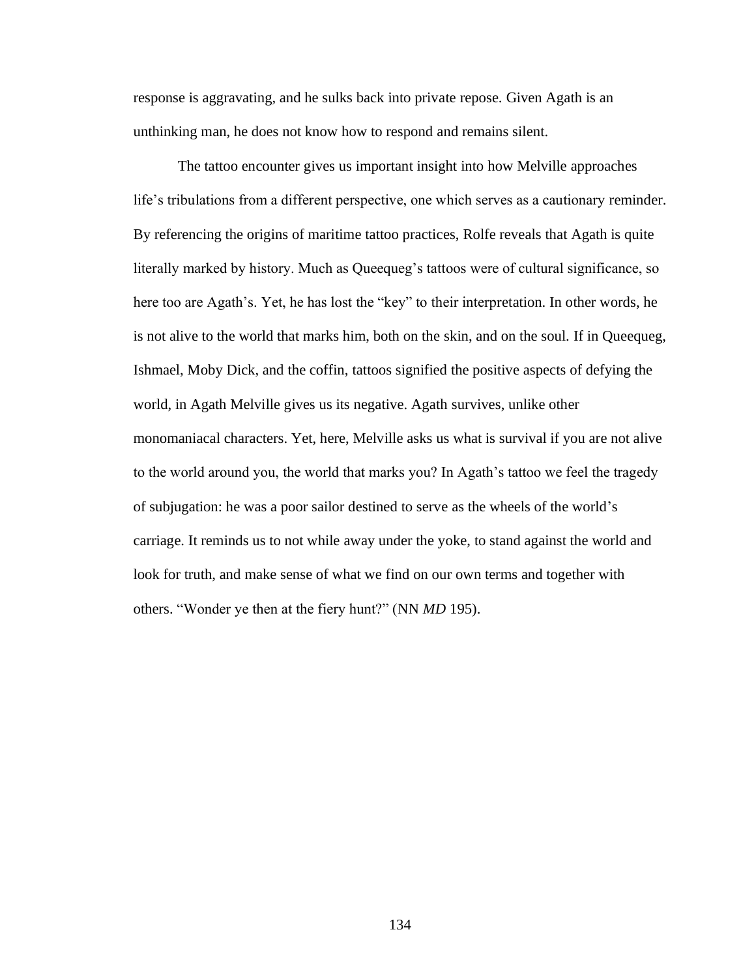response is aggravating, and he sulks back into private repose. Given Agath is an unthinking man, he does not know how to respond and remains silent.

The tattoo encounter gives us important insight into how Melville approaches life's tribulations from a different perspective, one which serves as a cautionary reminder. By referencing the origins of maritime tattoo practices, Rolfe reveals that Agath is quite literally marked by history. Much as Queequeg's tattoos were of cultural significance, so here too are Agath's. Yet, he has lost the "key" to their interpretation. In other words, he is not alive to the world that marks him, both on the skin, and on the soul. If in Queequeg, Ishmael, Moby Dick, and the coffin, tattoos signified the positive aspects of defying the world, in Agath Melville gives us its negative. Agath survives, unlike other monomaniacal characters. Yet, here, Melville asks us what is survival if you are not alive to the world around you, the world that marks you? In Agath's tattoo we feel the tragedy of subjugation: he was a poor sailor destined to serve as the wheels of the world's carriage. It reminds us to not while away under the yoke, to stand against the world and look for truth, and make sense of what we find on our own terms and together with others. "Wonder ye then at the fiery hunt?" (NN *MD* 195).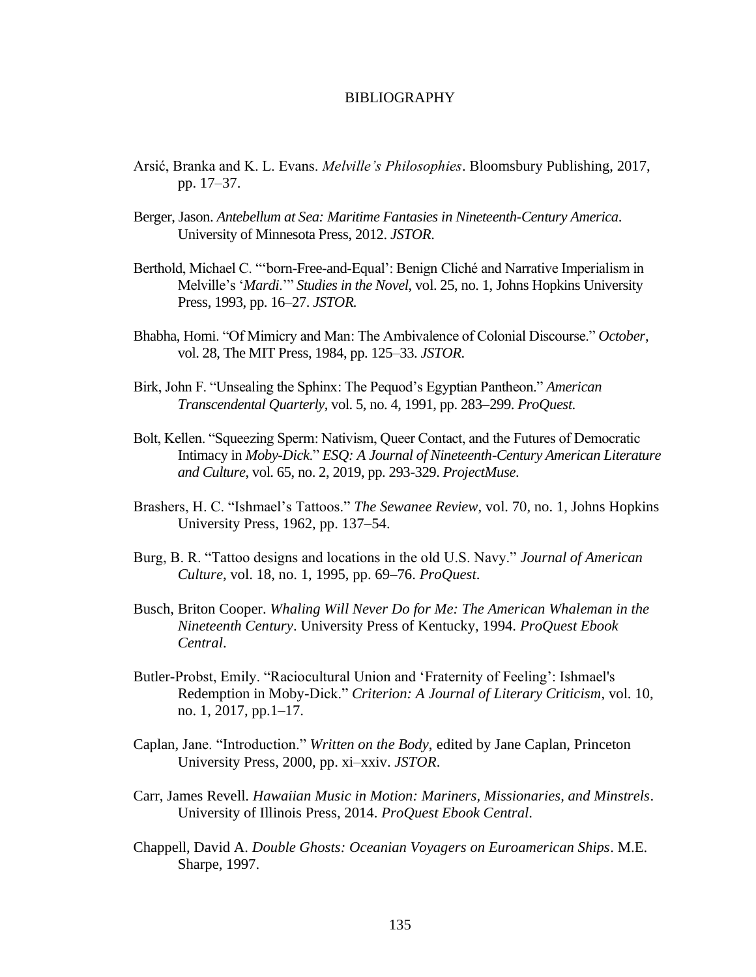## BIBLIOGRAPHY

- Arsić, Branka and K. L. Evans. *Melville's Philosophies*. Bloomsbury Publishing, 2017, pp. 17–37.
- Berger, Jason. *Antebellum at Sea: Maritime Fantasies in Nineteenth-Century America*. University of Minnesota Press, 2012. *JSTOR*.
- Berthold, Michael C. "'born-Free-and-Equal': Benign Cliché and Narrative Imperialism in Melville's '*Mardi*.'" *Studies in the Novel*, vol. 25, no. 1, Johns Hopkins University Press, 1993, pp. 16–27. *JSTOR.*
- Bhabha, Homi. "Of Mimicry and Man: The Ambivalence of Colonial Discourse." *October*, vol. 28, The MIT Press, 1984, pp. 125–33. *JSTOR*.
- Birk, John F. "Unsealing the Sphinx: The Pequod's Egyptian Pantheon." *American Transcendental Quarterly*, vol. 5, no. 4, 1991, pp. 283–299. *ProQuest*.
- Bolt, Kellen. "Squeezing Sperm: Nativism, Queer Contact, and the Futures of Democratic Intimacy in *Moby-Dick*." *ESQ: A Journal of Nineteenth-Century American Literature and Culture*, vol. 65, no. 2, 2019, pp. 293-329. *ProjectMuse*.
- Brashers, H. C. "Ishmael's Tattoos." *The Sewanee Review*, vol. 70, no. 1, Johns Hopkins University Press, 1962, pp. 137–54.
- Burg, B. R. "Tattoo designs and locations in the old U.S. Navy." *Journal of American Culture*, vol. 18, no. 1, 1995, pp. 69–76. *ProQuest*.
- Busch, Briton Cooper. *Whaling Will Never Do for Me: The American Whaleman in the Nineteenth Century*. University Press of Kentucky, 1994. *ProQuest Ebook Central*.
- Butler-Probst, Emily. "Raciocultural Union and 'Fraternity of Feeling': Ishmael's Redemption in Moby-Dick." *Criterion: A Journal of Literary Criticism*, vol. 10, no. 1, 2017, pp.1–17.
- Caplan, Jane. "Introduction." *Written on the Body*, edited by Jane Caplan, Princeton University Press, 2000, pp. xi–xxiv. *JSTOR*.
- Carr, James Revell. *Hawaiian Music in Motion: Mariners, Missionaries, and Minstrels*. University of Illinois Press, 2014. *ProQuest Ebook Central*.
- Chappell, David A. *Double Ghosts: Oceanian Voyagers on Euroamerican Ships*. M.E. Sharpe, 1997.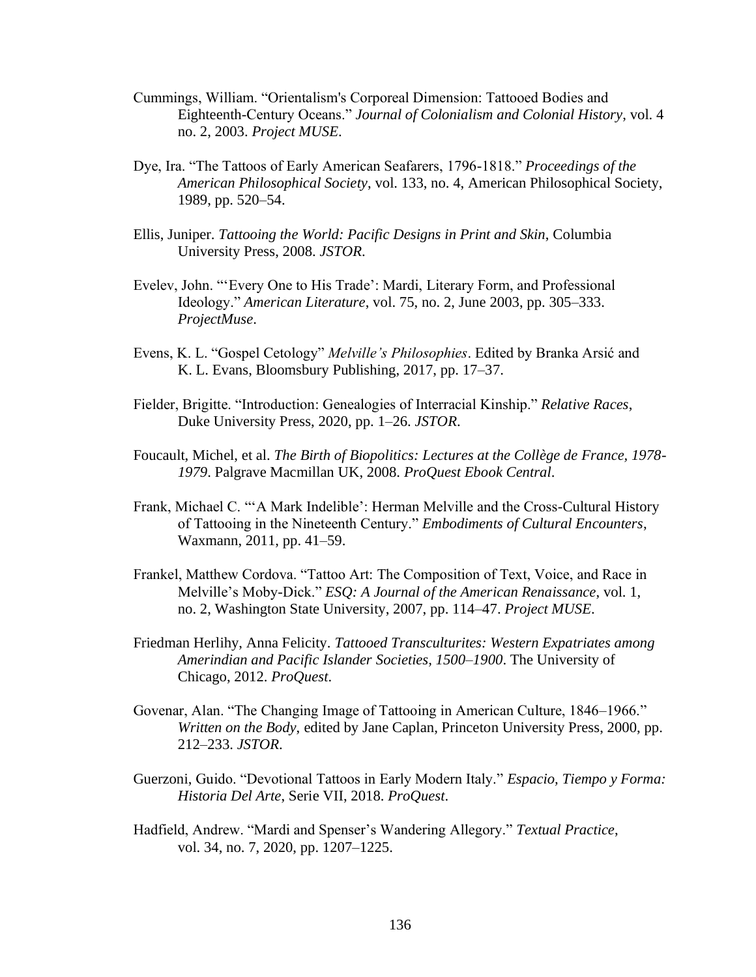- Cummings, William. "Orientalism's Corporeal Dimension: Tattooed Bodies and Eighteenth-Century Oceans." *Journal of Colonialism and Colonial History*, vol. 4 no. 2, 2003. *Project MUSE*.
- Dye, Ira. "The Tattoos of Early American Seafarers, 1796-1818." *Proceedings of the American Philosophical Society*, vol. 133, no. 4, American Philosophical Society, 1989, pp. 520–54.
- Ellis, Juniper. *Tattooing the World: Pacific Designs in Print and Skin*, Columbia University Press, 2008. *JSTOR*.
- Evelev, John. "'Every One to His Trade': Mardi, Literary Form, and Professional Ideology." *American Literature*, vol. 75, no. 2, June 2003, pp. 305–333. *ProjectMuse*.
- Evens, K. L. "Gospel Cetology" *Melville's Philosophies*. Edited by Branka Arsić and K. L. Evans, Bloomsbury Publishing, 2017, pp. 17–37.
- Fielder, Brigitte. "Introduction: Genealogies of Interracial Kinship." *Relative Races*, Duke University Press, 2020, pp. 1–26. *JSTOR*.
- Foucault, Michel, et al. *The Birth of Biopolitics: Lectures at the Collège de France, 1978- 1979*. Palgrave Macmillan UK, 2008. *ProQuest Ebook Central*.
- Frank, Michael C. "'A Mark Indelible': Herman Melville and the Cross-Cultural History of Tattooing in the Nineteenth Century." *Embodiments of Cultural Encounters*, Waxmann, 2011, pp. 41–59.
- Frankel, Matthew Cordova. "Tattoo Art: The Composition of Text, Voice, and Race in Melville's Moby-Dick." *ESQ: A Journal of the American Renaissance*, vol. 1, no. 2, Washington State University, 2007, pp. 114–47. *Project MUSE*.
- Friedman Herlihy, Anna Felicity. *Tattooed Transculturites: Western Expatriates among Amerindian and Pacific Islander Societies, 1500–1900*. The University of Chicago, 2012. *ProQuest*.
- Govenar, Alan. "The Changing Image of Tattooing in American Culture, 1846–1966." *Written on the Body*, edited by Jane Caplan, Princeton University Press, 2000, pp. 212–233. *JSTOR*.
- Guerzoni, Guido. "Devotional Tattoos in Early Modern Italy." *Espacio, Tiempo y Forma: Historia Del Arte*, Serie VII, 2018. *ProQuest*.
- Hadfield, Andrew. "Mardi and Spenser's Wandering Allegory." *Textual Practice*, vol. 34, no. 7, 2020, pp. 1207–1225.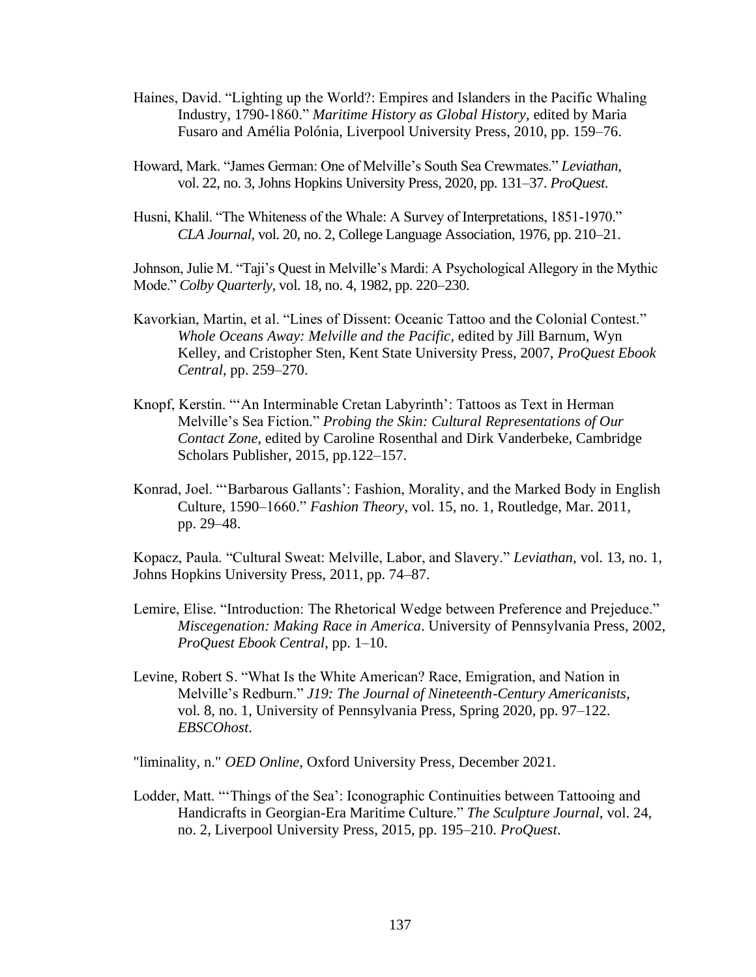- Haines, David. "Lighting up the World?: Empires and Islanders in the Pacific Whaling Industry, 1790-1860." *Maritime History as Global History*, edited by Maria Fusaro and Amélia Polónia, Liverpool University Press, 2010, pp. 159–76.
- Howard, Mark. "James German: One of Melville's South Sea Crewmates." *Leviathan*, vol. 22, no. 3, Johns Hopkins University Press, 2020, pp. 131–37. *ProQuest*.
- Husni, Khalil. "The Whiteness of the Whale: A Survey of Interpretations, 1851-1970." *CLA Journal*, vol. 20, no. 2, College Language Association, 1976, pp. 210–21.

Johnson, Julie M. "Taji's Quest in Melville's Mardi: A Psychological Allegory in the Mythic Mode." *Colby Quarterly*, vol. 18, no. 4, 1982, pp. 220–230.

- Kavorkian, Martin, et al. "Lines of Dissent: Oceanic Tattoo and the Colonial Contest." *Whole Oceans Away: Melville and the Pacific*, edited by Jill Barnum, Wyn Kelley, and Cristopher Sten, Kent State University Press, 2007, *ProQuest Ebook Central*, pp. 259–270.
- Knopf, Kerstin. "'An Interminable Cretan Labyrinth': Tattoos as Text in Herman Melville's Sea Fiction." *Probing the Skin: Cultural Representations of Our Contact Zone*, edited by Caroline Rosenthal and Dirk Vanderbeke, Cambridge Scholars Publisher, 2015, pp.122–157.
- Konrad, Joel. "'Barbarous Gallants': Fashion, Morality, and the Marked Body in English Culture, 1590–1660." *Fashion Theory*, vol. 15, no. 1, Routledge, Mar. 2011, pp. 29–48.

Kopacz, Paula. "Cultural Sweat: Melville, Labor, and Slavery." *Leviathan*, vol. 13, no. 1, Johns Hopkins University Press, 2011, pp. 74–87.

- Lemire, Elise. "Introduction: The Rhetorical Wedge between Preference and Prejeduce." *Miscegenation: Making Race in America*. University of Pennsylvania Press, 2002, *ProQuest Ebook Central*, pp. 1–10.
- Levine, Robert S. "What Is the White American? Race, Emigration, and Nation in Melville's Redburn." *J19: The Journal of Nineteenth-Century Americanists*, vol. 8, no. 1, University of Pennsylvania Press, Spring 2020, pp. 97–122. *EBSCOhost*.

"liminality, n." *OED Online*, Oxford University Press, December 2021.

Lodder, Matt. "'Things of the Sea': Iconographic Continuities between Tattooing and Handicrafts in Georgian-Era Maritime Culture." *The Sculpture Journal*, vol. 24, no. 2, Liverpool University Press, 2015, pp. 195–210. *ProQuest*.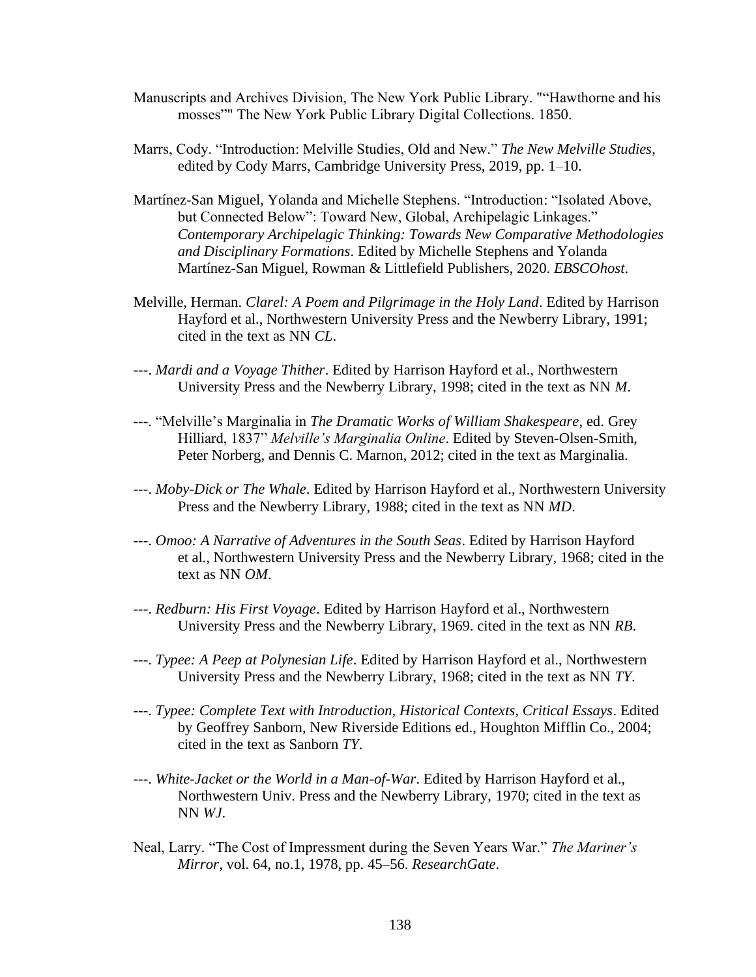- Manuscripts and Archives Division, The New York Public Library. ""Hawthorne and his mosses"" The New York Public Library Digital Collections. 1850.
- Marrs, Cody. "Introduction: Melville Studies, Old and New." *The New Melville Studies*, edited by Cody Marrs, Cambridge University Press, 2019, pp. 1–10.
- Martínez-San Miguel, Yolanda and Michelle Stephens. "Introduction: "Isolated Above, but Connected Below": Toward New, Global, Archipelagic Linkages." *Contemporary Archipelagic Thinking: Towards New Comparative Methodologies and Disciplinary Formations*. Edited by Michelle Stephens and Yolanda Martínez-San Miguel, Rowman & Littlefield Publishers, 2020. *EBSCOhost*.
- Melville, Herman. *Clarel: A Poem and Pilgrimage in the Holy Land*. Edited by Harrison Hayford et al., Northwestern University Press and the Newberry Library, 1991; cited in the text as NN *CL*.
- ---. *Mardi and a Voyage Thither*. Edited by Harrison Hayford et al., Northwestern University Press and the Newberry Library, 1998; cited in the text as NN *M*.
- ---. "Melville's Marginalia in *The Dramatic Works of William Shakespeare*, ed. Grey Hilliard, 1837" *Melville's Marginalia Online*. Edited by Steven-Olsen-Smith, Peter Norberg, and Dennis C. Marnon, 2012; cited in the text as Marginalia.
- ---. *Moby-Dick or The Whale*. Edited by Harrison Hayford et al., Northwestern University Press and the Newberry Library, 1988; cited in the text as NN *MD*.
- ---. *Omoo: A Narrative of Adventures in the South Seas*. Edited by Harrison Hayford et al., Northwestern University Press and the Newberry Library, 1968; cited in the text as NN *OM*.
- ---. *Redburn: His First Voyage*. Edited by Harrison Hayford et al., Northwestern University Press and the Newberry Library, 1969. cited in the text as NN *RB*.
- ---. *Typee: A Peep at Polynesian Life*. Edited by Harrison Hayford et al., Northwestern University Press and the Newberry Library, 1968; cited in the text as NN *TY*.
- ---. *Typee: Complete Text with Introduction, Historical Contexts, Critical Essays*. Edited by Geoffrey Sanborn, New Riverside Editions ed., Houghton Mifflin Co., 2004; cited in the text as Sanborn *TY*.
- ---. *White-Jacket or the World in a Man-of-War*. Edited by Harrison Hayford et al., Northwestern Univ. Press and the Newberry Library, 1970; cited in the text as NN *WJ*.
- Neal, Larry. "The Cost of Impressment during the Seven Years War." *The Mariner's Mirror*, vol. 64, no.1, 1978, pp. 45–56. *ResearchGate*.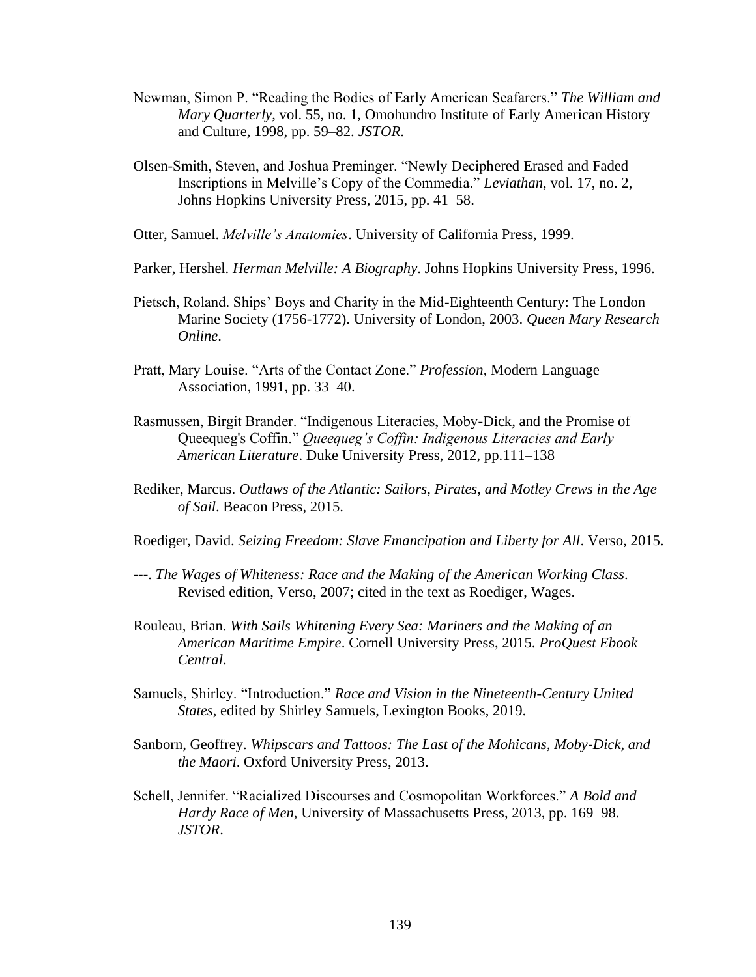- Newman, Simon P. "Reading the Bodies of Early American Seafarers." *The William and Mary Quarterly*, vol. 55, no. 1, Omohundro Institute of Early American History and Culture, 1998, pp. 59–82. *JSTOR*.
- Olsen-Smith, Steven, and Joshua Preminger. "Newly Deciphered Erased and Faded Inscriptions in Melville's Copy of the Commedia." *Leviathan*, vol. 17, no. 2, Johns Hopkins University Press, 2015, pp. 41–58.
- Otter, Samuel. *Melville's Anatomies*. University of California Press, 1999.
- Parker, Hershel. *Herman Melville: A Biography*. Johns Hopkins University Press, 1996.
- Pietsch, Roland. Ships' Boys and Charity in the Mid-Eighteenth Century: The London Marine Society (1756-1772). University of London, 2003. *Queen Mary Research Online*.
- Pratt, Mary Louise. "Arts of the Contact Zone." *Profession*, Modern Language Association, 1991, pp. 33–40.
- Rasmussen, Birgit Brander. "Indigenous Literacies, Moby-Dick, and the Promise of Queequeg's Coffin." *Queequeg's Coffin: Indigenous Literacies and Early American Literature*. Duke University Press, 2012, pp.111–138
- Rediker, Marcus. *Outlaws of the Atlantic: Sailors, Pirates, and Motley Crews in the Age of Sail*. Beacon Press, 2015.
- Roediger, David. *Seizing Freedom: Slave Emancipation and Liberty for All*. Verso, 2015.
- ---. *The Wages of Whiteness: Race and the Making of the American Working Class*. Revised edition, Verso, 2007; cited in the text as Roediger, Wages.
- Rouleau, Brian. *With Sails Whitening Every Sea: Mariners and the Making of an American Maritime Empire*. Cornell University Press, 2015. *ProQuest Ebook Central*.
- Samuels, Shirley. "Introduction." *Race and Vision in the Nineteenth-Century United States*, edited by Shirley Samuels, Lexington Books, 2019.
- Sanborn, Geoffrey. *Whipscars and Tattoos: The Last of the Mohicans, Moby-Dick, and the Maori*. Oxford University Press, 2013.
- Schell, Jennifer. "Racialized Discourses and Cosmopolitan Workforces." *A Bold and Hardy Race of Men*, University of Massachusetts Press, 2013, pp. 169–98. *JSTOR*.